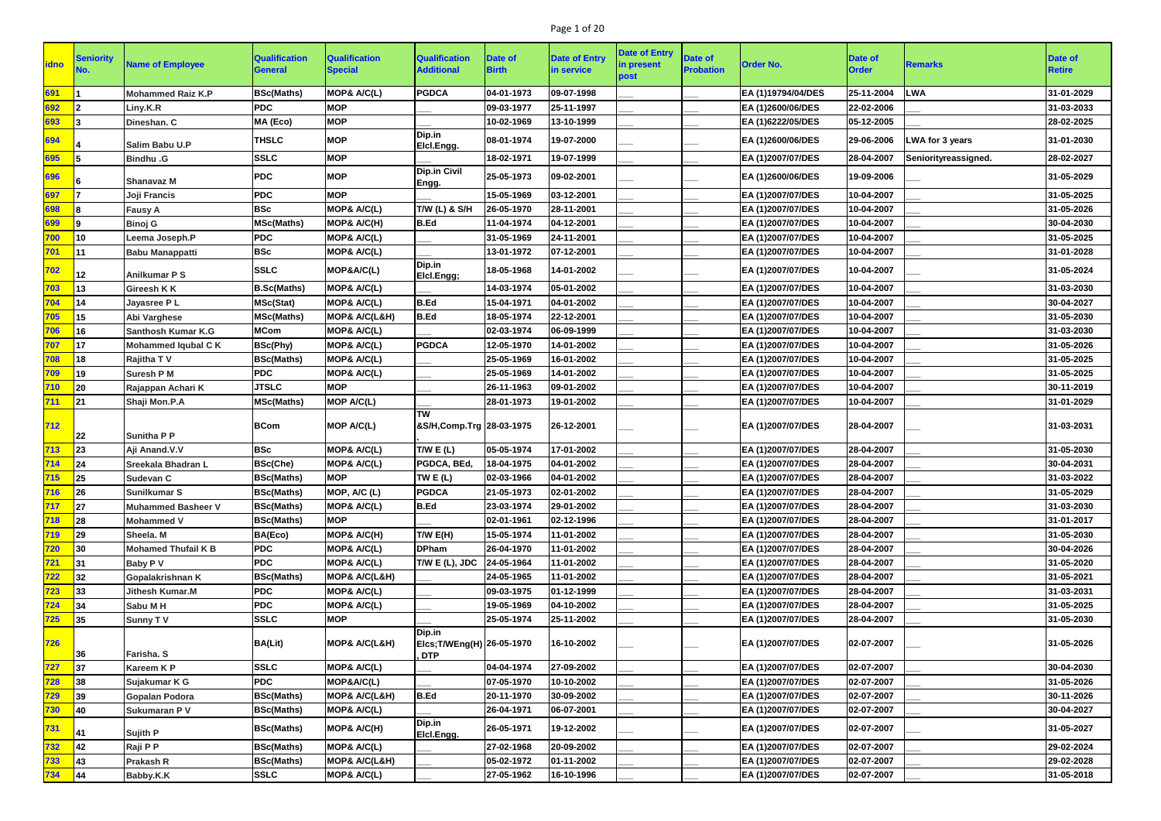# Page 1 of 20

| <b>idno</b> | <b>Seniority</b><br>No. | <b>Name of Employee</b>    | <b>Qualification</b><br><b>General</b> | <b>Qualification</b><br><b>Special</b> | <b>Qualification</b><br><b>Additional</b> | Date of<br><b>Birth</b> | <b>Date of Entry</b><br>in service | <b>Date of Entry</b><br>in present<br>post | <b>Date of</b><br><b>Probation</b> | <b>Order No.</b>   | <b>Date of</b><br><b>Order</b> | <b>Remarks</b>       | <b>Date of</b><br><b>Retire</b> |
|-------------|-------------------------|----------------------------|----------------------------------------|----------------------------------------|-------------------------------------------|-------------------------|------------------------------------|--------------------------------------------|------------------------------------|--------------------|--------------------------------|----------------------|---------------------------------|
| 691         |                         | <b>Mohammed Raiz K.P</b>   | <b>BSc(Maths)</b>                      | MOP& A/C(L)                            | <b>PGDCA</b>                              | 04-01-1973              | 09-07-1998                         |                                            |                                    | EA (1)19794/04/DES | 25-11-2004                     | <b>LWA</b>           | 31-01-2029                      |
| 692         |                         | Liny.K.R                   | <b>PDC</b>                             | <b>MOP</b>                             |                                           | 09-03-1977              | 25-11-1997                         |                                            |                                    | EA (1)2600/06/DES  | 22-02-2006                     |                      | 31-03-2033                      |
| 693         |                         | Dineshan. C                | MA (Eco)                               | <b>MOP</b>                             |                                           | 10-02-1969              | 13-10-1999                         |                                            |                                    | EA (1)6222/05/DES  | 05-12-2005                     |                      | 28-02-2025                      |
| 694         |                         | Salim Babu U.P             | <b>THSLC</b>                           | <b>MOP</b>                             | Dip.in<br>Elcl.Engg.                      | 08-01-1974              | 19-07-2000                         |                                            |                                    | EA (1)2600/06/DES  | 29-06-2006                     | LWA for 3 years      | 31-01-2030                      |
| 695         |                         | <b>Bindhu .G</b>           | <b>SSLC</b>                            | <b>MOP</b>                             |                                           | 18-02-1971              | 19-07-1999                         |                                            |                                    | EA (1)2007/07/DES  | 28-04-2007                     | Seniorityreassigned. | 28-02-2027                      |
| 696         |                         | <b>Shanavaz M</b>          | <b>PDC</b>                             | <b>MOP</b>                             | Dip.in Civil<br>Engg.                     | 25-05-1973              | 09-02-2001                         |                                            |                                    | EA (1)2600/06/DES  | 19-09-2006                     |                      | 31-05-2029                      |
| 697         |                         | Joji Francis               | <b>PDC</b>                             | <b>MOP</b>                             |                                           | 15-05-1969              | 03-12-2001                         |                                            |                                    | EA (1)2007/07/DES  | 10-04-2007                     |                      | 31-05-2025                      |
| 698         |                         | <b>Fausy A</b>             | <b>BSc</b>                             | <b>MOP&amp; A/C(L)</b>                 | <b>T/W (L) &amp; S/H</b>                  | 26-05-1970              | 28-11-2001                         |                                            |                                    | EA (1)2007/07/DES  | 10-04-2007                     |                      | 31-05-2026                      |
| 699         |                         | <b>Binoj G</b>             | <b>MSc(Maths)</b>                      | MOP& A/C(H)                            | <b>B.Ed</b>                               | 11-04-1974              | 04-12-2001                         |                                            |                                    | EA (1)2007/07/DES  | 10-04-2007                     |                      | 30-04-2030                      |
| 700         | 10                      | Leema Joseph.P             | <b>PDC</b>                             | MOP& A/C(L)                            |                                           | 31-05-1969              | 24-11-2001                         |                                            |                                    | EA (1)2007/07/DES  | 10-04-2007                     |                      | 31-05-2025                      |
| 701         | 11                      | <b>Babu Manappatti</b>     | <b>BSc</b>                             | MOP& A/C(L)                            |                                           | 13-01-1972              | 07-12-2001                         |                                            |                                    | EA (1)2007/07/DES  | 10-04-2007                     |                      | 31-01-2028                      |
| 702         | 12                      | <b>Anilkumar P S</b>       | <b>SSLC</b>                            | MOP&A/C(L)                             | Dip.in<br>Elcl.Engg;                      | 18-05-1968              | 14-01-2002                         |                                            |                                    | EA (1)2007/07/DES  | 10-04-2007                     |                      | 31-05-2024                      |
| 703         | 13                      | <b>Gireesh KK</b>          | <b>B.Sc(Maths)</b>                     | MOP& A/C(L)                            |                                           | 14-03-1974              | 05-01-2002                         |                                            |                                    | EA (1)2007/07/DES  | 10-04-2007                     |                      | 31-03-2030                      |
| 704         | 14                      | Jayasree P L               | <b>MSc(Stat)</b>                       | MOP& A/C(L)                            | <b>B.Ed</b>                               | 15-04-1971              | 04-01-2002                         |                                            |                                    | EA (1)2007/07/DES  | 10-04-2007                     |                      | 30-04-2027                      |
| 705         | 15                      | Abi Varghese               | <b>MSc(Maths)</b>                      | MOP& A/C(L&H)                          | <b>B.Ed</b>                               | 18-05-1974              | 22-12-2001                         |                                            |                                    | EA (1)2007/07/DES  | 10-04-2007                     |                      | 31-05-2030                      |
| 706         | 16                      | <b>Santhosh Kumar K.G</b>  | <b>MCom</b>                            | MOP& A/C(L)                            |                                           | 02-03-1974              | 06-09-1999                         |                                            |                                    | EA (1)2007/07/DES  | 10-04-2007                     |                      | 31-03-2030                      |
| 707         | 17                      | <b>Mohammed Iqubal C K</b> | BSc(Phy)                               | MOP& A/C(L)                            | <b>PGDCA</b>                              | 12-05-1970              | 14-01-2002                         |                                            |                                    | EA (1)2007/07/DES  | 10-04-2007                     |                      | 31-05-2026                      |
| 708         | 18                      | <b>Rajitha TV</b>          | <b>BSc(Maths)</b>                      | MOP& A/C(L)                            |                                           | 25-05-1969              | 16-01-2002                         |                                            |                                    | EA (1)2007/07/DES  | 10-04-2007                     |                      | 31-05-2025                      |
| 709         | 19                      | <b>Suresh P M</b>          | <b>PDC</b>                             | <b>MOP&amp; A/C(L)</b>                 |                                           | 25-05-1969              | 14-01-2002                         |                                            |                                    | EA (1)2007/07/DES  | 10-04-2007                     |                      | 31-05-2025                      |
| 710         | 20                      | Rajappan Achari K          | <b>JTSLC</b>                           | <b>MOP</b>                             |                                           | 26-11-1963              | 09-01-2002                         |                                            |                                    | EA (1)2007/07/DES  | 10-04-2007                     |                      | 30-11-2019                      |
|             | 21                      | Shaji Mon.P.A              | <b>MSc(Maths)</b>                      | MOP A/C(L)                             |                                           | 28-01-1973              | 19-01-2002                         |                                            |                                    | EA (1)2007/07/DES  | 10-04-2007                     |                      | 31-01-2029                      |
| 712         | 22                      | <b>Sunitha P P</b>         | <b>BCom</b>                            | <b>MOP A/C(L)</b>                      | lTW<br>&S/H,Comp.Trg 28-03-1975           |                         | 26-12-2001                         |                                            |                                    | EA (1)2007/07/DES  | 28-04-2007                     |                      | 31-03-2031                      |
| 713         | 23                      | Aji Anand.V.V              | <b>BSc</b>                             | <b>MOP&amp; A/C(L)</b>                 | T/W $E(L)$                                | 05-05-1974              | 17-01-2002                         |                                            |                                    | EA (1)2007/07/DES  | 28-04-2007                     |                      | 31-05-2030                      |
| 714         | 24                      | Sreekala Bhadran L         | <b>BSc(Che)</b>                        | MOP& A/C(L)                            | PGDCA, BEd,                               | 18-04-1975              | 04-01-2002                         |                                            |                                    | EA (1)2007/07/DES  | 28-04-2007                     |                      | 30-04-2031                      |
| 715         | $\vert$ 25              | Sudevan C                  | <b>BSc(Maths)</b>                      | <b>MOP</b>                             | TW E(L)                                   | 02-03-1966              | 04-01-2002                         |                                            |                                    | EA (1)2007/07/DES  | 28-04-2007                     |                      | 31-03-2022                      |
| 716         | <b>26</b>               | <b>Sunilkumar S</b>        | <b>BSc(Maths)</b>                      | MOP, A/C (L)                           | <b>PGDCA</b>                              | 21-05-1973              | 02-01-2002                         |                                            |                                    | EA (1)2007/07/DES  | 28-04-2007                     |                      | 31-05-2029                      |
| 717         | 27                      | <b>Muhammed Basheer V</b>  | <b>BSc(Maths)</b>                      | MOP& A/C(L)                            | <b>B.Ed</b>                               | 23-03-1974              | 29-01-2002                         |                                            |                                    | EA (1)2007/07/DES  | 28-04-2007                     |                      | 31-03-2030                      |
| 718         | 28                      | <b>Mohammed V</b>          | <b>BSc(Maths)</b>                      | <b>MOP</b>                             |                                           | 02-01-1961              | 02-12-1996                         |                                            |                                    | EA (1)2007/07/DES  | 28-04-2007                     |                      | 31-01-2017                      |
| 719         | 29                      | Sheela. M                  | BA(Eco)                                | MOP& A/C(H)                            | T/W E(H)                                  | 15-05-1974              | 11-01-2002                         |                                            |                                    | EA (1)2007/07/DES  | 28-04-2007                     |                      | 31-05-2030                      |
| <b>720</b>  | 30                      | <b>Mohamed Thufail K B</b> | <b>PDC</b>                             | <b>MOP&amp; A/C(L)</b>                 | <b>DPham</b>                              | 26-04-1970              | 11-01-2002                         |                                            |                                    | EA (1)2007/07/DES  | 28-04-2007                     |                      | 30-04-2026                      |
| 721         | 31                      | <b>Baby PV</b>             | <b>PDC</b>                             | MOP& A/C(L)                            | T/W E (L), JDC                            | 24-05-1964              | 11-01-2002                         |                                            |                                    | EA (1)2007/07/DES  | 28-04-2007                     |                      | 31-05-2020                      |
| <b>722</b>  | 32                      | Gopalakrishnan K           | <b>BSc(Maths)</b>                      | <b>MOP&amp; A/C(L&amp;H)</b>           |                                           | 24-05-1965              | 11-01-2002                         |                                            |                                    | EA (1)2007/07/DES  | 28-04-2007                     |                      | 31-05-2021                      |
| 723         | 33                      | Jithesh Kumar.M            | <b>PDC</b>                             | MOP& A/C(L)                            |                                           | 09-03-1975              | 01-12-1999                         |                                            |                                    | EA (1)2007/07/DES  | 28-04-2007                     |                      | 31-03-2031                      |
| 724         | 34                      | Sabu M H                   | <b>PDC</b>                             | <b>MOP&amp; A/C(L)</b>                 |                                           | 19-05-1969              | 04-10-2002                         |                                            |                                    | EA (1)2007/07/DES  | 28-04-2007                     |                      | 31-05-2025                      |
| <b>725</b>  | 35                      | <b>Sunny TV</b>            | <b>SSLC</b>                            | <b>MOP</b>                             |                                           | 25-05-1974              | 25-11-2002                         |                                            |                                    | EA (1)2007/07/DES  | 28-04-2007                     |                      | 31-05-2030                      |
| <b>726</b>  | 36                      | Farisha. S                 | <b>BA(Lit)</b>                         | MOP& A/C(L&H)                          | Dip.in<br>Elcs;T/WEng(H) 26-05-1970       |                         | 16-10-2002                         |                                            |                                    | EA (1)2007/07/DES  | 02-07-2007                     |                      | 31-05-2026                      |
| 727         | 37                      | <b>Kareem KP</b>           | <b>SSLC</b>                            | <b>MOP&amp; A/C(L)</b>                 | . DTP                                     | 04-04-1974              | 27-09-2002                         |                                            |                                    | EA (1)2007/07/DES  | 02-07-2007                     |                      | 30-04-2030                      |
| <b>728</b>  | 38                      | Sujakumar K G              | <b>PDC</b>                             | MOP&A/C(L)                             |                                           | 07-05-1970              | 10-10-2002                         |                                            |                                    | EA (1)2007/07/DES  | 02-07-2007                     |                      | 31-05-2026                      |
| <b>729</b>  | 39                      | <b>Gopalan Podora</b>      | <b>BSc(Maths)</b>                      | <b>MOP&amp; A/C(L&amp;H)</b>           | <b>B.Ed</b>                               | 20-11-1970              | 30-09-2002                         |                                            |                                    | EA (1)2007/07/DES  | 02-07-2007                     |                      | 30-11-2026                      |
| 730         | 40                      | Sukumaran P V              | <b>BSc(Maths)</b>                      | MOP& A/C(L)                            |                                           | 26-04-1971              | 06-07-2001                         |                                            |                                    | EA (1)2007/07/DES  | 02-07-2007                     |                      | 30-04-2027                      |
| 731         | 41                      | <b>Sujith P</b>            | <b>BSc(Maths)</b>                      | MOP& A/C(H)                            | Dip.in                                    | 26-05-1971              | 19-12-2002                         |                                            |                                    | EA (1)2007/07/DES  | 02-07-2007                     |                      | 31-05-2027                      |
| 732         | 42                      | Raji P P                   | <b>BSc(Maths)</b>                      | MOP& A/C(L)                            | Elcl.Engg.                                | 27-02-1968              | 20-09-2002                         |                                            |                                    | EA (1)2007/07/DES  | 02-07-2007                     |                      | 29-02-2024                      |
| 733         | 43                      | <b>Prakash R</b>           | <b>BSc(Maths)</b>                      | <b>MOP&amp; A/C(L&amp;H)</b>           |                                           | 05-02-1972              | 01-11-2002                         |                                            |                                    | EA (1)2007/07/DES  | 02-07-2007                     |                      | 29-02-2028                      |
| 734         | $\vert$ 44              | Babby.K.K                  | <b>SSLC</b>                            | MOP& A/C(L)                            |                                           | 27-05-1962              | 16-10-1996                         |                                            |                                    | EA (1)2007/07/DES  | 02-07-2007                     |                      | 31-05-2018                      |
|             |                         |                            |                                        |                                        |                                           |                         |                                    |                                            |                                    |                    |                                |                      |                                 |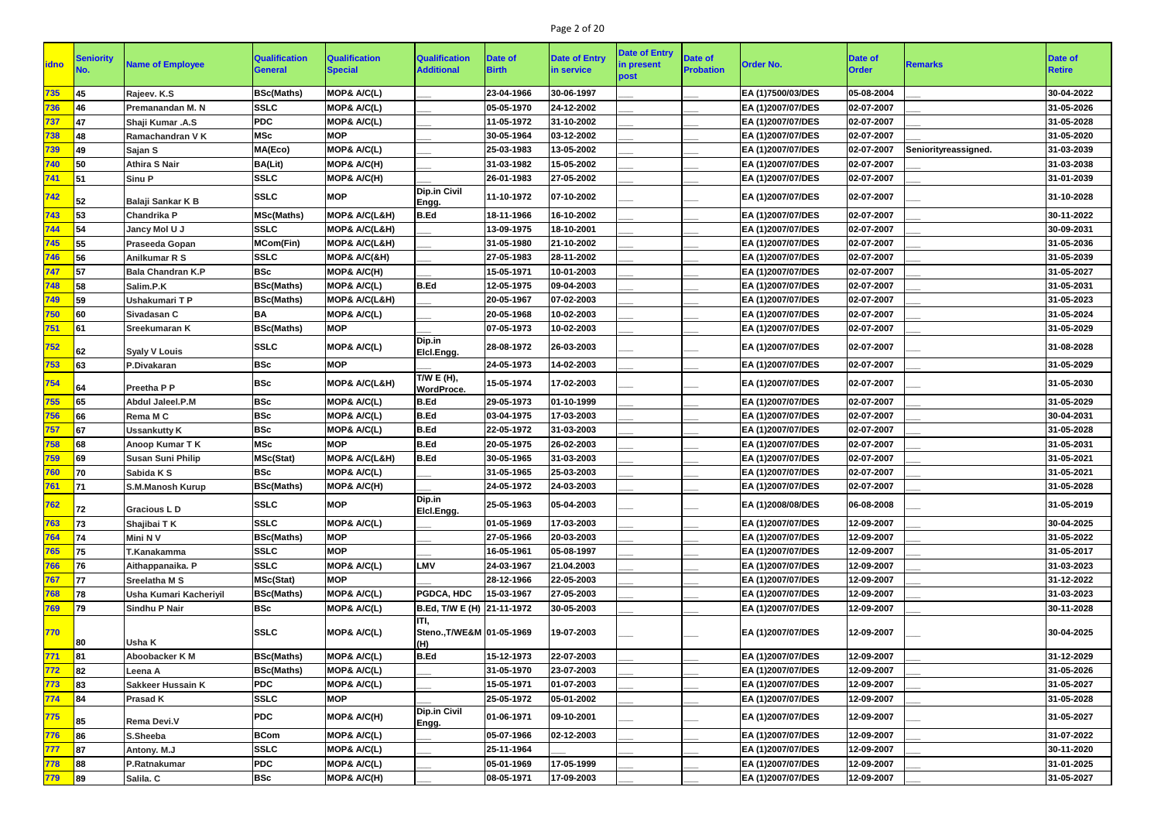# Page 2 of 20

| 30-04-2022<br>735<br>MOP& A/C(L)<br>23-04-1966<br>30-06-1997<br>05-08-2004<br><b>BSc(Maths)</b><br>EA (1)7500/03/DES<br>45<br>Rajeev. K.S<br>31-05-2026<br>Premanandan M. N<br><b>SSLC</b><br>MOP& A/C(L)<br>05-05-1970<br>24-12-2002<br>EA (1)2007/07/DES<br>02-07-2007<br>736<br>46<br><b>PDC</b><br>02-07-2007<br>31-05-2028<br>737<br>MOP& A/C(L)<br>11-05-1972<br>31-10-2002<br>EA (1)2007/07/DES<br>Shaji Kumar .A.S<br><b>MSc</b><br>738<br><b>MOP</b><br>30-05-1964<br>03-12-2002<br>EA (1)2007/07/DES<br>02-07-2007<br>31-05-2020<br>48<br>Ramachandran V K<br>MA(Eco)<br>MOP& A/C(L)<br>25-03-1983<br>13-05-2002<br>EA (1)2007/07/DES<br>02-07-2007<br>Seniorityreassigned.<br>31-03-2039<br>739<br>Sajan S<br>49<br>MOP& A/C(H)<br>02-07-2007<br><b>Athira S Nair</b><br><b>BA(Lit)</b><br>31-03-1982<br>15-05-2002<br>31-03-2038<br>740<br>EA (1)2007/07/DES<br><b>SSLC</b><br>MOP& A/C(H)<br>26-01-1983<br>27-05-2002<br>EA (1)2007/07/DES<br>02-07-2007<br>31-01-2039<br>741<br><b>Sinu P</b><br>51<br><b>Dip.in Civil</b><br><b>MOP</b><br><b>SSLC</b><br>11-10-1972<br>07-10-2002<br>EA (1)2007/07/DES<br>02-07-2007<br>31-10-2028<br>742<br>Balaji Sankar K B<br>52<br>Engg.<br><b>B.Ed</b><br><b>MSc(Maths)</b><br>MOP& A/C(L&H)<br>16-10-2002<br>EA (1)2007/07/DES<br>02-07-2007<br>30-11-2022<br>743<br>18-11-1966<br><b>Chandrika P</b><br>53<br><b>SSLC</b><br>744<br><b>MOP&amp; A/C(L&amp;H)</b><br>13-09-1975<br>EA (1)2007/07/DES<br>02-07-2007<br>30-09-2031<br>18-10-2001<br>54<br>Jancy Mol U J<br>MOP& A/C(L&H)<br>02-07-2007<br>31-05-2036<br>745<br><b>MCom(Fin)</b><br>31-05-1980<br>21-10-2002<br>EA (1)2007/07/DES<br>55<br>Praseeda Gopan<br><b>SSLC</b><br>31-05-2039<br>746<br>MOP& A/C(&H)<br>27-05-1983<br>28-11-2002<br>EA (1)2007/07/DES<br>02-07-2007<br><b>Anilkumar R S</b><br><b>BSc</b><br>MOP& A/C(H)<br>15-05-1971<br>10-01-2003<br>EA (1)2007/07/DES<br>02-07-2007<br>31-05-2027<br>747<br><b>Bala Chandran K.P</b><br>57<br><b>B.Ed</b><br><b>BSc(Maths)</b><br>MOP& A/C(L)<br>31-05-2031<br>748<br>Salim.P.K<br>12-05-1975<br>09-04-2003<br>EA (1)2007/07/DES<br>02-07-2007<br>58<br><b>MOP&amp; A/C(L&amp;H)</b><br>07-02-2003<br>EA (1)2007/07/DES<br>02-07-2007<br>31-05-2023<br>749<br>Ushakumari TP<br><b>BSc(Maths)</b><br>20-05-1967<br>59<br><b>BA</b><br>MOP& A/C(L)<br>20-05-1968<br>10-02-2003<br>EA (1)2007/07/DES<br>02-07-2007<br>31-05-2024<br>750<br>Sivadasan C<br><b>BSc(Maths)</b><br>31-05-2029<br>751<br><b>MOP</b><br>07-05-1973<br>10-02-2003<br>EA (1)2007/07/DES<br>02-07-2007<br><b>Sreekumaran K</b><br>61<br>Dip.in<br><b>SSLC</b><br>MOP& A/C(L)<br>28-08-1972<br>26-03-2003<br>02-07-2007<br>31-08-2028<br>EA (1)2007/07/DES<br><u>752 </u><br><b>Syaly V Louis</b><br>62<br>Elcl.Engg.<br><b>BSc</b><br><b>MOP</b><br>24-05-1973<br>31-05-2029<br>14-02-2003<br>EA (1)2007/07/DES<br>02-07-2007<br>753<br>P.Divakaran<br>63<br>T/W E (H),<br><b>BSc</b><br><b>MOP&amp; A/C(L&amp;H)</b><br>15-05-1974<br>17-02-2003<br>EA (1)2007/07/DES<br>02-07-2007<br>31-05-2030<br>754<br><b>Preetha P P</b><br><b>WordProce.</b><br><b>BSc</b><br>MOP& A/C(L)<br><b>B.Ed</b><br>29-05-1973<br>01-10-1999<br>EA (1)2007/07/DES<br>02-07-2007<br>31-05-2029<br>755<br>65<br><b>Abdul Jaleel.P.M</b><br><b>BSc</b><br>MOP& A/C(L)<br><b>B.Ed</b><br>756<br><b>Rema M C</b><br>03-04-1975<br>17-03-2003<br>EA (1)2007/07/DES<br>02-07-2007<br>30-04-2031<br>66<br><b>BSc</b><br>MOP& A/C(L)<br>B.Ed<br>02-07-2007<br>31-05-2028<br>757<br>22-05-1972<br>31-03-2003<br>EA (1)2007/07/DES<br><b>Ussankutty K</b><br>67<br><b>MSc</b><br><b>MOP</b><br><b>B.Ed</b><br>26-02-2003<br>02-07-2007<br>31-05-2031<br>758<br>20-05-1975<br>EA (1)2007/07/DES<br>Anoop Kumar T K<br>31-05-2021<br>MOP& A/C(L&H)<br>B.Ed<br>30-05-1965<br>31-03-2003<br>EA (1)2007/07/DES<br>02-07-2007<br>759<br><b>Susan Suni Philip</b><br>MSc(Stat)<br>760<br><b>BSc</b><br>MOP& A/C(L)<br>EA (1)2007/07/DES<br>02-07-2007<br>31-05-1965<br>25-03-2003<br>31-05-2021<br>70<br>Sabida K S<br>761<br>02-07-2007<br>71<br><b>BSc(Maths)</b><br>MOP& A/C(H)<br>24-05-1972<br>24-03-2003<br>EA (1)2007/07/DES<br>31-05-2028<br><b>S.M.Manosh Kurup</b><br>Dip.in<br><b>MOP</b><br><b>SSLC</b><br>05-04-2003<br>06-08-2008<br>31-05-2019<br>25-05-1963<br>EA (1)2008/08/DES<br>762<br><b>Gracious LD</b><br>72<br>Elcl.Engg.<br>30-04-2025<br><b>SSLC</b><br>MOP& A/C(L)<br>01-05-1969<br>17-03-2003<br>EA (1)2007/07/DES<br>12-09-2007<br>763<br>73<br>Shajibai T K<br>764<br>Mini N V<br><b>BSc(Maths)</b><br><b>MOP</b><br>20-03-2003<br>EA (1)2007/07/DES<br>12-09-2007<br>31-05-2022<br>74<br>27-05-1966<br><b>MOP</b><br>EA (1)2007/07/DES<br>765<br>75<br><b>SSLC</b><br>16-05-1961<br>05-08-1997<br>12-09-2007<br>31-05-2017<br>T.Kanakamma<br>LMV<br><b>SSLC</b><br>MOP& A/C(L)<br>766<br>24-03-1967<br>21.04.2003<br>EA (1)2007/07/DES<br>12-09-2007<br>31-03-2023<br>76<br>Aithappanaika. P<br>767<br>MSc(Stat)<br><b>MOP</b><br>28-12-1966<br>22-05-2003<br>EA (1)2007/07/DES<br>12-09-2007<br>31-12-2022<br>77<br><b>Sreelatha M S</b><br>MOP& A/C(L)<br><b>PGDCA, HDC</b><br>15-03-1967<br>12-09-2007<br>31-03-2023<br>768<br>78<br><b>Usha Kumari Kacheriyil</b><br><b>BSc(Maths)</b><br>27-05-2003<br>EA (1)2007/07/DES<br><b>BSc</b><br>30-11-2028<br>769<br>MOP& A/C(L)<br>B.Ed, T/W E (H) 21-11-1972<br>30-05-2003<br>EA (1)2007/07/DES<br>12-09-2007<br>79<br><b>Sindhu P Nair</b><br>ITI,<br><b>SSLC</b><br>MOP& A/C(L)<br>Steno., T/WE&M 01-05-1969<br>19-07-2003<br>30-04-2025<br>770<br>EA (1)2007/07/DES<br>12-09-2007<br><b>Usha K</b><br>(H)<br><b>B.Ed</b><br>771<br><b>BSc(Maths)</b><br>MOP& A/C(L)<br>15-12-1973<br>22-07-2003<br>EA (1)2007/07/DES<br>12-09-2007<br>31-12-2029<br>81<br>Aboobacker K M<br>MOP& A/C(L)<br><b>BSc(Maths)</b><br>31-05-1970<br>23-07-2003<br>EA (1)2007/07/DES<br>12-09-2007<br>31-05-2026<br>82<br><b>772</b><br>Leena A<br><b>PDC</b><br>MOP& A/C(L)<br>01-07-2003<br>12-09-2007<br>31-05-2027<br>773<br>15-05-1971<br>EA (1)2007/07/DES<br><b>Sakkeer Hussain K</b><br>83<br><b>SSLC</b><br>774<br>84<br><b>MOP</b><br>25-05-1972<br>05-01-2002<br>EA (1)2007/07/DES<br>12-09-2007<br>31-05-2028<br><b>Prasad K</b><br><b>Dip.in Civil</b><br><b>PDC</b><br>MOP& A/C(H)<br>775<br>01-06-1971<br>09-10-2001<br>EA (1)2007/07/DES<br>12-09-2007<br>31-05-2027<br><b>Rema Devi.V</b><br>85<br>Engg.<br><b>BCom</b><br>MOP& A/C(L)<br>31-07-2022<br>776<br>86<br>05-07-1966<br>02-12-2003<br>EA (1)2007/07/DES<br>12-09-2007<br>S.Sheeba<br><b>SSLC</b><br>MOP& A/C(L)<br>EA (1)2007/07/DES<br>12-09-2007<br>30-11-2020<br>777<br>87<br>25-11-1964<br>Antony. M.J<br><b>PDC</b><br>MOP& A/C(L)<br>17-05-1999<br>12-09-2007<br>31-01-2025<br>88<br>P.Ratnakumar<br>05-01-1969<br>EA (1)2007/07/DES<br>778<br><b>BSc</b><br>MOP& A/C(H)<br>31-05-2027<br>89<br>Salila. C<br>08-05-1971<br>17-09-2003<br>EA (1)2007/07/DES<br>12-09-2007<br>779 | <b>idno</b> | <b>Seniority</b> | <b>Name of Employee</b> | <b>Qualification</b><br><b>General</b> | <b>Qualification</b><br><b>Special</b> | <b>Qualification</b><br><b>Additional</b> | <b>Date of</b><br><b>Birth</b> | <b>Date of Entry</b><br>in service | <b>Date of Entry</b><br>in present<br>post | <b>Date of</b><br><b>Probation</b> | <b>Order No.</b> | <b>Date of</b><br><b>Order</b> | Remarks | <b>Date of</b><br><b>Retire</b> |
|--------------------------------------------------------------------------------------------------------------------------------------------------------------------------------------------------------------------------------------------------------------------------------------------------------------------------------------------------------------------------------------------------------------------------------------------------------------------------------------------------------------------------------------------------------------------------------------------------------------------------------------------------------------------------------------------------------------------------------------------------------------------------------------------------------------------------------------------------------------------------------------------------------------------------------------------------------------------------------------------------------------------------------------------------------------------------------------------------------------------------------------------------------------------------------------------------------------------------------------------------------------------------------------------------------------------------------------------------------------------------------------------------------------------------------------------------------------------------------------------------------------------------------------------------------------------------------------------------------------------------------------------------------------------------------------------------------------------------------------------------------------------------------------------------------------------------------------------------------------------------------------------------------------------------------------------------------------------------------------------------------------------------------------------------------------------------------------------------------------------------------------------------------------------------------------------------------------------------------------------------------------------------------------------------------------------------------------------------------------------------------------------------------------------------------------------------------------------------------------------------------------------------------------------------------------------------------------------------------------------------------------------------------------------------------------------------------------------------------------------------------------------------------------------------------------------------------------------------------------------------------------------------------------------------------------------------------------------------------------------------------------------------------------------------------------------------------------------------------------------------------------------------------------------------------------------------------------------------------------------------------------------------------------------------------------------------------------------------------------------------------------------------------------------------------------------------------------------------------------------------------------------------------------------------------------------------------------------------------------------------------------------------------------------------------------------------------------------------------------------------------------------------------------------------------------------------------------------------------------------------------------------------------------------------------------------------------------------------------------------------------------------------------------------------------------------------------------------------------------------------------------------------------------------------------------------------------------------------------------------------------------------------------------------------------------------------------------------------------------------------------------------------------------------------------------------------------------------------------------------------------------------------------------------------------------------------------------------------------------------------------------------------------------------------------------------------------------------------------------------------------------------------------------------------------------------------------------------------------------------------------------------------------------------------------------------------------------------------------------------------------------------------------------------------------------------------------------------------------------------------------------------------------------------------------------------------------------------------------------------------------------------------------------------------------------------------------------------------------------------------------------------------------------------------------------------------------------------------------------------------------------------------------------------------------------------------------------------------------------------------------------------------------------------------------------------------------------------------------------------------------------------------------------------------------------------------------------------------------------------------------------------------------------------------------------------------------------------------------------------------------------------------------------------------------------------------------------------------------------------------------------------------------------------------------------------------------------------------------------------------------------------------------------------------------------------------------------------------------------------------------------------------------------------------------------------------------------------------------------------------------------------------------------------------------------------------------------------------------------------------------------------------------------------------------------------------------------------------------------------------------------------------------------------------------------------------------------------------------------------------------------------------------------------------------------------------|-------------|------------------|-------------------------|----------------------------------------|----------------------------------------|-------------------------------------------|--------------------------------|------------------------------------|--------------------------------------------|------------------------------------|------------------|--------------------------------|---------|---------------------------------|
|                                                                                                                                                                                                                                                                                                                                                                                                                                                                                                                                                                                                                                                                                                                                                                                                                                                                                                                                                                                                                                                                                                                                                                                                                                                                                                                                                                                                                                                                                                                                                                                                                                                                                                                                                                                                                                                                                                                                                                                                                                                                                                                                                                                                                                                                                                                                                                                                                                                                                                                                                                                                                                                                                                                                                                                                                                                                                                                                                                                                                                                                                                                                                                                                                                                                                                                                                                                                                                                                                                                                                                                                                                                                                                                                                                                                                                                                                                                                                                                                                                                                                                                                                                                                                                                                                                                                                                                                                                                                                                                                                                                                                                                                                                                                                                                                                                                                                                                                                                                                                                                                                                                                                                                                                                                                                                                                                                                                                                                                                                                                                                                                                                                                                                                                                                                                                                                                                                                                                                                                                                                                                                                                                                                                                                                                                                                                                                                                                                                                                                                                                                                                                                                                                                                                                                                                                                                                                                                                                  |             |                  |                         |                                        |                                        |                                           |                                |                                    |                                            |                                    |                  |                                |         |                                 |
|                                                                                                                                                                                                                                                                                                                                                                                                                                                                                                                                                                                                                                                                                                                                                                                                                                                                                                                                                                                                                                                                                                                                                                                                                                                                                                                                                                                                                                                                                                                                                                                                                                                                                                                                                                                                                                                                                                                                                                                                                                                                                                                                                                                                                                                                                                                                                                                                                                                                                                                                                                                                                                                                                                                                                                                                                                                                                                                                                                                                                                                                                                                                                                                                                                                                                                                                                                                                                                                                                                                                                                                                                                                                                                                                                                                                                                                                                                                                                                                                                                                                                                                                                                                                                                                                                                                                                                                                                                                                                                                                                                                                                                                                                                                                                                                                                                                                                                                                                                                                                                                                                                                                                                                                                                                                                                                                                                                                                                                                                                                                                                                                                                                                                                                                                                                                                                                                                                                                                                                                                                                                                                                                                                                                                                                                                                                                                                                                                                                                                                                                                                                                                                                                                                                                                                                                                                                                                                                                                  |             |                  |                         |                                        |                                        |                                           |                                |                                    |                                            |                                    |                  |                                |         |                                 |
|                                                                                                                                                                                                                                                                                                                                                                                                                                                                                                                                                                                                                                                                                                                                                                                                                                                                                                                                                                                                                                                                                                                                                                                                                                                                                                                                                                                                                                                                                                                                                                                                                                                                                                                                                                                                                                                                                                                                                                                                                                                                                                                                                                                                                                                                                                                                                                                                                                                                                                                                                                                                                                                                                                                                                                                                                                                                                                                                                                                                                                                                                                                                                                                                                                                                                                                                                                                                                                                                                                                                                                                                                                                                                                                                                                                                                                                                                                                                                                                                                                                                                                                                                                                                                                                                                                                                                                                                                                                                                                                                                                                                                                                                                                                                                                                                                                                                                                                                                                                                                                                                                                                                                                                                                                                                                                                                                                                                                                                                                                                                                                                                                                                                                                                                                                                                                                                                                                                                                                                                                                                                                                                                                                                                                                                                                                                                                                                                                                                                                                                                                                                                                                                                                                                                                                                                                                                                                                                                                  |             |                  |                         |                                        |                                        |                                           |                                |                                    |                                            |                                    |                  |                                |         |                                 |
|                                                                                                                                                                                                                                                                                                                                                                                                                                                                                                                                                                                                                                                                                                                                                                                                                                                                                                                                                                                                                                                                                                                                                                                                                                                                                                                                                                                                                                                                                                                                                                                                                                                                                                                                                                                                                                                                                                                                                                                                                                                                                                                                                                                                                                                                                                                                                                                                                                                                                                                                                                                                                                                                                                                                                                                                                                                                                                                                                                                                                                                                                                                                                                                                                                                                                                                                                                                                                                                                                                                                                                                                                                                                                                                                                                                                                                                                                                                                                                                                                                                                                                                                                                                                                                                                                                                                                                                                                                                                                                                                                                                                                                                                                                                                                                                                                                                                                                                                                                                                                                                                                                                                                                                                                                                                                                                                                                                                                                                                                                                                                                                                                                                                                                                                                                                                                                                                                                                                                                                                                                                                                                                                                                                                                                                                                                                                                                                                                                                                                                                                                                                                                                                                                                                                                                                                                                                                                                                                                  |             |                  |                         |                                        |                                        |                                           |                                |                                    |                                            |                                    |                  |                                |         |                                 |
|                                                                                                                                                                                                                                                                                                                                                                                                                                                                                                                                                                                                                                                                                                                                                                                                                                                                                                                                                                                                                                                                                                                                                                                                                                                                                                                                                                                                                                                                                                                                                                                                                                                                                                                                                                                                                                                                                                                                                                                                                                                                                                                                                                                                                                                                                                                                                                                                                                                                                                                                                                                                                                                                                                                                                                                                                                                                                                                                                                                                                                                                                                                                                                                                                                                                                                                                                                                                                                                                                                                                                                                                                                                                                                                                                                                                                                                                                                                                                                                                                                                                                                                                                                                                                                                                                                                                                                                                                                                                                                                                                                                                                                                                                                                                                                                                                                                                                                                                                                                                                                                                                                                                                                                                                                                                                                                                                                                                                                                                                                                                                                                                                                                                                                                                                                                                                                                                                                                                                                                                                                                                                                                                                                                                                                                                                                                                                                                                                                                                                                                                                                                                                                                                                                                                                                                                                                                                                                                                                  |             |                  |                         |                                        |                                        |                                           |                                |                                    |                                            |                                    |                  |                                |         |                                 |
|                                                                                                                                                                                                                                                                                                                                                                                                                                                                                                                                                                                                                                                                                                                                                                                                                                                                                                                                                                                                                                                                                                                                                                                                                                                                                                                                                                                                                                                                                                                                                                                                                                                                                                                                                                                                                                                                                                                                                                                                                                                                                                                                                                                                                                                                                                                                                                                                                                                                                                                                                                                                                                                                                                                                                                                                                                                                                                                                                                                                                                                                                                                                                                                                                                                                                                                                                                                                                                                                                                                                                                                                                                                                                                                                                                                                                                                                                                                                                                                                                                                                                                                                                                                                                                                                                                                                                                                                                                                                                                                                                                                                                                                                                                                                                                                                                                                                                                                                                                                                                                                                                                                                                                                                                                                                                                                                                                                                                                                                                                                                                                                                                                                                                                                                                                                                                                                                                                                                                                                                                                                                                                                                                                                                                                                                                                                                                                                                                                                                                                                                                                                                                                                                                                                                                                                                                                                                                                                                                  |             |                  |                         |                                        |                                        |                                           |                                |                                    |                                            |                                    |                  |                                |         |                                 |
|                                                                                                                                                                                                                                                                                                                                                                                                                                                                                                                                                                                                                                                                                                                                                                                                                                                                                                                                                                                                                                                                                                                                                                                                                                                                                                                                                                                                                                                                                                                                                                                                                                                                                                                                                                                                                                                                                                                                                                                                                                                                                                                                                                                                                                                                                                                                                                                                                                                                                                                                                                                                                                                                                                                                                                                                                                                                                                                                                                                                                                                                                                                                                                                                                                                                                                                                                                                                                                                                                                                                                                                                                                                                                                                                                                                                                                                                                                                                                                                                                                                                                                                                                                                                                                                                                                                                                                                                                                                                                                                                                                                                                                                                                                                                                                                                                                                                                                                                                                                                                                                                                                                                                                                                                                                                                                                                                                                                                                                                                                                                                                                                                                                                                                                                                                                                                                                                                                                                                                                                                                                                                                                                                                                                                                                                                                                                                                                                                                                                                                                                                                                                                                                                                                                                                                                                                                                                                                                                                  |             |                  |                         |                                        |                                        |                                           |                                |                                    |                                            |                                    |                  |                                |         |                                 |
|                                                                                                                                                                                                                                                                                                                                                                                                                                                                                                                                                                                                                                                                                                                                                                                                                                                                                                                                                                                                                                                                                                                                                                                                                                                                                                                                                                                                                                                                                                                                                                                                                                                                                                                                                                                                                                                                                                                                                                                                                                                                                                                                                                                                                                                                                                                                                                                                                                                                                                                                                                                                                                                                                                                                                                                                                                                                                                                                                                                                                                                                                                                                                                                                                                                                                                                                                                                                                                                                                                                                                                                                                                                                                                                                                                                                                                                                                                                                                                                                                                                                                                                                                                                                                                                                                                                                                                                                                                                                                                                                                                                                                                                                                                                                                                                                                                                                                                                                                                                                                                                                                                                                                                                                                                                                                                                                                                                                                                                                                                                                                                                                                                                                                                                                                                                                                                                                                                                                                                                                                                                                                                                                                                                                                                                                                                                                                                                                                                                                                                                                                                                                                                                                                                                                                                                                                                                                                                                                                  |             |                  |                         |                                        |                                        |                                           |                                |                                    |                                            |                                    |                  |                                |         |                                 |
|                                                                                                                                                                                                                                                                                                                                                                                                                                                                                                                                                                                                                                                                                                                                                                                                                                                                                                                                                                                                                                                                                                                                                                                                                                                                                                                                                                                                                                                                                                                                                                                                                                                                                                                                                                                                                                                                                                                                                                                                                                                                                                                                                                                                                                                                                                                                                                                                                                                                                                                                                                                                                                                                                                                                                                                                                                                                                                                                                                                                                                                                                                                                                                                                                                                                                                                                                                                                                                                                                                                                                                                                                                                                                                                                                                                                                                                                                                                                                                                                                                                                                                                                                                                                                                                                                                                                                                                                                                                                                                                                                                                                                                                                                                                                                                                                                                                                                                                                                                                                                                                                                                                                                                                                                                                                                                                                                                                                                                                                                                                                                                                                                                                                                                                                                                                                                                                                                                                                                                                                                                                                                                                                                                                                                                                                                                                                                                                                                                                                                                                                                                                                                                                                                                                                                                                                                                                                                                                                                  |             |                  |                         |                                        |                                        |                                           |                                |                                    |                                            |                                    |                  |                                |         |                                 |
|                                                                                                                                                                                                                                                                                                                                                                                                                                                                                                                                                                                                                                                                                                                                                                                                                                                                                                                                                                                                                                                                                                                                                                                                                                                                                                                                                                                                                                                                                                                                                                                                                                                                                                                                                                                                                                                                                                                                                                                                                                                                                                                                                                                                                                                                                                                                                                                                                                                                                                                                                                                                                                                                                                                                                                                                                                                                                                                                                                                                                                                                                                                                                                                                                                                                                                                                                                                                                                                                                                                                                                                                                                                                                                                                                                                                                                                                                                                                                                                                                                                                                                                                                                                                                                                                                                                                                                                                                                                                                                                                                                                                                                                                                                                                                                                                                                                                                                                                                                                                                                                                                                                                                                                                                                                                                                                                                                                                                                                                                                                                                                                                                                                                                                                                                                                                                                                                                                                                                                                                                                                                                                                                                                                                                                                                                                                                                                                                                                                                                                                                                                                                                                                                                                                                                                                                                                                                                                                                                  |             |                  |                         |                                        |                                        |                                           |                                |                                    |                                            |                                    |                  |                                |         |                                 |
|                                                                                                                                                                                                                                                                                                                                                                                                                                                                                                                                                                                                                                                                                                                                                                                                                                                                                                                                                                                                                                                                                                                                                                                                                                                                                                                                                                                                                                                                                                                                                                                                                                                                                                                                                                                                                                                                                                                                                                                                                                                                                                                                                                                                                                                                                                                                                                                                                                                                                                                                                                                                                                                                                                                                                                                                                                                                                                                                                                                                                                                                                                                                                                                                                                                                                                                                                                                                                                                                                                                                                                                                                                                                                                                                                                                                                                                                                                                                                                                                                                                                                                                                                                                                                                                                                                                                                                                                                                                                                                                                                                                                                                                                                                                                                                                                                                                                                                                                                                                                                                                                                                                                                                                                                                                                                                                                                                                                                                                                                                                                                                                                                                                                                                                                                                                                                                                                                                                                                                                                                                                                                                                                                                                                                                                                                                                                                                                                                                                                                                                                                                                                                                                                                                                                                                                                                                                                                                                                                  |             |                  |                         |                                        |                                        |                                           |                                |                                    |                                            |                                    |                  |                                |         |                                 |
|                                                                                                                                                                                                                                                                                                                                                                                                                                                                                                                                                                                                                                                                                                                                                                                                                                                                                                                                                                                                                                                                                                                                                                                                                                                                                                                                                                                                                                                                                                                                                                                                                                                                                                                                                                                                                                                                                                                                                                                                                                                                                                                                                                                                                                                                                                                                                                                                                                                                                                                                                                                                                                                                                                                                                                                                                                                                                                                                                                                                                                                                                                                                                                                                                                                                                                                                                                                                                                                                                                                                                                                                                                                                                                                                                                                                                                                                                                                                                                                                                                                                                                                                                                                                                                                                                                                                                                                                                                                                                                                                                                                                                                                                                                                                                                                                                                                                                                                                                                                                                                                                                                                                                                                                                                                                                                                                                                                                                                                                                                                                                                                                                                                                                                                                                                                                                                                                                                                                                                                                                                                                                                                                                                                                                                                                                                                                                                                                                                                                                                                                                                                                                                                                                                                                                                                                                                                                                                                                                  |             |                  |                         |                                        |                                        |                                           |                                |                                    |                                            |                                    |                  |                                |         |                                 |
|                                                                                                                                                                                                                                                                                                                                                                                                                                                                                                                                                                                                                                                                                                                                                                                                                                                                                                                                                                                                                                                                                                                                                                                                                                                                                                                                                                                                                                                                                                                                                                                                                                                                                                                                                                                                                                                                                                                                                                                                                                                                                                                                                                                                                                                                                                                                                                                                                                                                                                                                                                                                                                                                                                                                                                                                                                                                                                                                                                                                                                                                                                                                                                                                                                                                                                                                                                                                                                                                                                                                                                                                                                                                                                                                                                                                                                                                                                                                                                                                                                                                                                                                                                                                                                                                                                                                                                                                                                                                                                                                                                                                                                                                                                                                                                                                                                                                                                                                                                                                                                                                                                                                                                                                                                                                                                                                                                                                                                                                                                                                                                                                                                                                                                                                                                                                                                                                                                                                                                                                                                                                                                                                                                                                                                                                                                                                                                                                                                                                                                                                                                                                                                                                                                                                                                                                                                                                                                                                                  |             |                  |                         |                                        |                                        |                                           |                                |                                    |                                            |                                    |                  |                                |         |                                 |
|                                                                                                                                                                                                                                                                                                                                                                                                                                                                                                                                                                                                                                                                                                                                                                                                                                                                                                                                                                                                                                                                                                                                                                                                                                                                                                                                                                                                                                                                                                                                                                                                                                                                                                                                                                                                                                                                                                                                                                                                                                                                                                                                                                                                                                                                                                                                                                                                                                                                                                                                                                                                                                                                                                                                                                                                                                                                                                                                                                                                                                                                                                                                                                                                                                                                                                                                                                                                                                                                                                                                                                                                                                                                                                                                                                                                                                                                                                                                                                                                                                                                                                                                                                                                                                                                                                                                                                                                                                                                                                                                                                                                                                                                                                                                                                                                                                                                                                                                                                                                                                                                                                                                                                                                                                                                                                                                                                                                                                                                                                                                                                                                                                                                                                                                                                                                                                                                                                                                                                                                                                                                                                                                                                                                                                                                                                                                                                                                                                                                                                                                                                                                                                                                                                                                                                                                                                                                                                                                                  |             |                  |                         |                                        |                                        |                                           |                                |                                    |                                            |                                    |                  |                                |         |                                 |
|                                                                                                                                                                                                                                                                                                                                                                                                                                                                                                                                                                                                                                                                                                                                                                                                                                                                                                                                                                                                                                                                                                                                                                                                                                                                                                                                                                                                                                                                                                                                                                                                                                                                                                                                                                                                                                                                                                                                                                                                                                                                                                                                                                                                                                                                                                                                                                                                                                                                                                                                                                                                                                                                                                                                                                                                                                                                                                                                                                                                                                                                                                                                                                                                                                                                                                                                                                                                                                                                                                                                                                                                                                                                                                                                                                                                                                                                                                                                                                                                                                                                                                                                                                                                                                                                                                                                                                                                                                                                                                                                                                                                                                                                                                                                                                                                                                                                                                                                                                                                                                                                                                                                                                                                                                                                                                                                                                                                                                                                                                                                                                                                                                                                                                                                                                                                                                                                                                                                                                                                                                                                                                                                                                                                                                                                                                                                                                                                                                                                                                                                                                                                                                                                                                                                                                                                                                                                                                                                                  |             |                  |                         |                                        |                                        |                                           |                                |                                    |                                            |                                    |                  |                                |         |                                 |
|                                                                                                                                                                                                                                                                                                                                                                                                                                                                                                                                                                                                                                                                                                                                                                                                                                                                                                                                                                                                                                                                                                                                                                                                                                                                                                                                                                                                                                                                                                                                                                                                                                                                                                                                                                                                                                                                                                                                                                                                                                                                                                                                                                                                                                                                                                                                                                                                                                                                                                                                                                                                                                                                                                                                                                                                                                                                                                                                                                                                                                                                                                                                                                                                                                                                                                                                                                                                                                                                                                                                                                                                                                                                                                                                                                                                                                                                                                                                                                                                                                                                                                                                                                                                                                                                                                                                                                                                                                                                                                                                                                                                                                                                                                                                                                                                                                                                                                                                                                                                                                                                                                                                                                                                                                                                                                                                                                                                                                                                                                                                                                                                                                                                                                                                                                                                                                                                                                                                                                                                                                                                                                                                                                                                                                                                                                                                                                                                                                                                                                                                                                                                                                                                                                                                                                                                                                                                                                                                                  |             |                  |                         |                                        |                                        |                                           |                                |                                    |                                            |                                    |                  |                                |         |                                 |
|                                                                                                                                                                                                                                                                                                                                                                                                                                                                                                                                                                                                                                                                                                                                                                                                                                                                                                                                                                                                                                                                                                                                                                                                                                                                                                                                                                                                                                                                                                                                                                                                                                                                                                                                                                                                                                                                                                                                                                                                                                                                                                                                                                                                                                                                                                                                                                                                                                                                                                                                                                                                                                                                                                                                                                                                                                                                                                                                                                                                                                                                                                                                                                                                                                                                                                                                                                                                                                                                                                                                                                                                                                                                                                                                                                                                                                                                                                                                                                                                                                                                                                                                                                                                                                                                                                                                                                                                                                                                                                                                                                                                                                                                                                                                                                                                                                                                                                                                                                                                                                                                                                                                                                                                                                                                                                                                                                                                                                                                                                                                                                                                                                                                                                                                                                                                                                                                                                                                                                                                                                                                                                                                                                                                                                                                                                                                                                                                                                                                                                                                                                                                                                                                                                                                                                                                                                                                                                                                                  |             |                  |                         |                                        |                                        |                                           |                                |                                    |                                            |                                    |                  |                                |         |                                 |
|                                                                                                                                                                                                                                                                                                                                                                                                                                                                                                                                                                                                                                                                                                                                                                                                                                                                                                                                                                                                                                                                                                                                                                                                                                                                                                                                                                                                                                                                                                                                                                                                                                                                                                                                                                                                                                                                                                                                                                                                                                                                                                                                                                                                                                                                                                                                                                                                                                                                                                                                                                                                                                                                                                                                                                                                                                                                                                                                                                                                                                                                                                                                                                                                                                                                                                                                                                                                                                                                                                                                                                                                                                                                                                                                                                                                                                                                                                                                                                                                                                                                                                                                                                                                                                                                                                                                                                                                                                                                                                                                                                                                                                                                                                                                                                                                                                                                                                                                                                                                                                                                                                                                                                                                                                                                                                                                                                                                                                                                                                                                                                                                                                                                                                                                                                                                                                                                                                                                                                                                                                                                                                                                                                                                                                                                                                                                                                                                                                                                                                                                                                                                                                                                                                                                                                                                                                                                                                                                                  |             |                  |                         |                                        |                                        |                                           |                                |                                    |                                            |                                    |                  |                                |         |                                 |
|                                                                                                                                                                                                                                                                                                                                                                                                                                                                                                                                                                                                                                                                                                                                                                                                                                                                                                                                                                                                                                                                                                                                                                                                                                                                                                                                                                                                                                                                                                                                                                                                                                                                                                                                                                                                                                                                                                                                                                                                                                                                                                                                                                                                                                                                                                                                                                                                                                                                                                                                                                                                                                                                                                                                                                                                                                                                                                                                                                                                                                                                                                                                                                                                                                                                                                                                                                                                                                                                                                                                                                                                                                                                                                                                                                                                                                                                                                                                                                                                                                                                                                                                                                                                                                                                                                                                                                                                                                                                                                                                                                                                                                                                                                                                                                                                                                                                                                                                                                                                                                                                                                                                                                                                                                                                                                                                                                                                                                                                                                                                                                                                                                                                                                                                                                                                                                                                                                                                                                                                                                                                                                                                                                                                                                                                                                                                                                                                                                                                                                                                                                                                                                                                                                                                                                                                                                                                                                                                                  |             |                  |                         |                                        |                                        |                                           |                                |                                    |                                            |                                    |                  |                                |         |                                 |
|                                                                                                                                                                                                                                                                                                                                                                                                                                                                                                                                                                                                                                                                                                                                                                                                                                                                                                                                                                                                                                                                                                                                                                                                                                                                                                                                                                                                                                                                                                                                                                                                                                                                                                                                                                                                                                                                                                                                                                                                                                                                                                                                                                                                                                                                                                                                                                                                                                                                                                                                                                                                                                                                                                                                                                                                                                                                                                                                                                                                                                                                                                                                                                                                                                                                                                                                                                                                                                                                                                                                                                                                                                                                                                                                                                                                                                                                                                                                                                                                                                                                                                                                                                                                                                                                                                                                                                                                                                                                                                                                                                                                                                                                                                                                                                                                                                                                                                                                                                                                                                                                                                                                                                                                                                                                                                                                                                                                                                                                                                                                                                                                                                                                                                                                                                                                                                                                                                                                                                                                                                                                                                                                                                                                                                                                                                                                                                                                                                                                                                                                                                                                                                                                                                                                                                                                                                                                                                                                                  |             |                  |                         |                                        |                                        |                                           |                                |                                    |                                            |                                    |                  |                                |         |                                 |
|                                                                                                                                                                                                                                                                                                                                                                                                                                                                                                                                                                                                                                                                                                                                                                                                                                                                                                                                                                                                                                                                                                                                                                                                                                                                                                                                                                                                                                                                                                                                                                                                                                                                                                                                                                                                                                                                                                                                                                                                                                                                                                                                                                                                                                                                                                                                                                                                                                                                                                                                                                                                                                                                                                                                                                                                                                                                                                                                                                                                                                                                                                                                                                                                                                                                                                                                                                                                                                                                                                                                                                                                                                                                                                                                                                                                                                                                                                                                                                                                                                                                                                                                                                                                                                                                                                                                                                                                                                                                                                                                                                                                                                                                                                                                                                                                                                                                                                                                                                                                                                                                                                                                                                                                                                                                                                                                                                                                                                                                                                                                                                                                                                                                                                                                                                                                                                                                                                                                                                                                                                                                                                                                                                                                                                                                                                                                                                                                                                                                                                                                                                                                                                                                                                                                                                                                                                                                                                                                                  |             |                  |                         |                                        |                                        |                                           |                                |                                    |                                            |                                    |                  |                                |         |                                 |
|                                                                                                                                                                                                                                                                                                                                                                                                                                                                                                                                                                                                                                                                                                                                                                                                                                                                                                                                                                                                                                                                                                                                                                                                                                                                                                                                                                                                                                                                                                                                                                                                                                                                                                                                                                                                                                                                                                                                                                                                                                                                                                                                                                                                                                                                                                                                                                                                                                                                                                                                                                                                                                                                                                                                                                                                                                                                                                                                                                                                                                                                                                                                                                                                                                                                                                                                                                                                                                                                                                                                                                                                                                                                                                                                                                                                                                                                                                                                                                                                                                                                                                                                                                                                                                                                                                                                                                                                                                                                                                                                                                                                                                                                                                                                                                                                                                                                                                                                                                                                                                                                                                                                                                                                                                                                                                                                                                                                                                                                                                                                                                                                                                                                                                                                                                                                                                                                                                                                                                                                                                                                                                                                                                                                                                                                                                                                                                                                                                                                                                                                                                                                                                                                                                                                                                                                                                                                                                                                                  |             |                  |                         |                                        |                                        |                                           |                                |                                    |                                            |                                    |                  |                                |         |                                 |
|                                                                                                                                                                                                                                                                                                                                                                                                                                                                                                                                                                                                                                                                                                                                                                                                                                                                                                                                                                                                                                                                                                                                                                                                                                                                                                                                                                                                                                                                                                                                                                                                                                                                                                                                                                                                                                                                                                                                                                                                                                                                                                                                                                                                                                                                                                                                                                                                                                                                                                                                                                                                                                                                                                                                                                                                                                                                                                                                                                                                                                                                                                                                                                                                                                                                                                                                                                                                                                                                                                                                                                                                                                                                                                                                                                                                                                                                                                                                                                                                                                                                                                                                                                                                                                                                                                                                                                                                                                                                                                                                                                                                                                                                                                                                                                                                                                                                                                                                                                                                                                                                                                                                                                                                                                                                                                                                                                                                                                                                                                                                                                                                                                                                                                                                                                                                                                                                                                                                                                                                                                                                                                                                                                                                                                                                                                                                                                                                                                                                                                                                                                                                                                                                                                                                                                                                                                                                                                                                                  |             |                  |                         |                                        |                                        |                                           |                                |                                    |                                            |                                    |                  |                                |         |                                 |
|                                                                                                                                                                                                                                                                                                                                                                                                                                                                                                                                                                                                                                                                                                                                                                                                                                                                                                                                                                                                                                                                                                                                                                                                                                                                                                                                                                                                                                                                                                                                                                                                                                                                                                                                                                                                                                                                                                                                                                                                                                                                                                                                                                                                                                                                                                                                                                                                                                                                                                                                                                                                                                                                                                                                                                                                                                                                                                                                                                                                                                                                                                                                                                                                                                                                                                                                                                                                                                                                                                                                                                                                                                                                                                                                                                                                                                                                                                                                                                                                                                                                                                                                                                                                                                                                                                                                                                                                                                                                                                                                                                                                                                                                                                                                                                                                                                                                                                                                                                                                                                                                                                                                                                                                                                                                                                                                                                                                                                                                                                                                                                                                                                                                                                                                                                                                                                                                                                                                                                                                                                                                                                                                                                                                                                                                                                                                                                                                                                                                                                                                                                                                                                                                                                                                                                                                                                                                                                                                                  |             |                  |                         |                                        |                                        |                                           |                                |                                    |                                            |                                    |                  |                                |         |                                 |
|                                                                                                                                                                                                                                                                                                                                                                                                                                                                                                                                                                                                                                                                                                                                                                                                                                                                                                                                                                                                                                                                                                                                                                                                                                                                                                                                                                                                                                                                                                                                                                                                                                                                                                                                                                                                                                                                                                                                                                                                                                                                                                                                                                                                                                                                                                                                                                                                                                                                                                                                                                                                                                                                                                                                                                                                                                                                                                                                                                                                                                                                                                                                                                                                                                                                                                                                                                                                                                                                                                                                                                                                                                                                                                                                                                                                                                                                                                                                                                                                                                                                                                                                                                                                                                                                                                                                                                                                                                                                                                                                                                                                                                                                                                                                                                                                                                                                                                                                                                                                                                                                                                                                                                                                                                                                                                                                                                                                                                                                                                                                                                                                                                                                                                                                                                                                                                                                                                                                                                                                                                                                                                                                                                                                                                                                                                                                                                                                                                                                                                                                                                                                                                                                                                                                                                                                                                                                                                                                                  |             |                  |                         |                                        |                                        |                                           |                                |                                    |                                            |                                    |                  |                                |         |                                 |
|                                                                                                                                                                                                                                                                                                                                                                                                                                                                                                                                                                                                                                                                                                                                                                                                                                                                                                                                                                                                                                                                                                                                                                                                                                                                                                                                                                                                                                                                                                                                                                                                                                                                                                                                                                                                                                                                                                                                                                                                                                                                                                                                                                                                                                                                                                                                                                                                                                                                                                                                                                                                                                                                                                                                                                                                                                                                                                                                                                                                                                                                                                                                                                                                                                                                                                                                                                                                                                                                                                                                                                                                                                                                                                                                                                                                                                                                                                                                                                                                                                                                                                                                                                                                                                                                                                                                                                                                                                                                                                                                                                                                                                                                                                                                                                                                                                                                                                                                                                                                                                                                                                                                                                                                                                                                                                                                                                                                                                                                                                                                                                                                                                                                                                                                                                                                                                                                                                                                                                                                                                                                                                                                                                                                                                                                                                                                                                                                                                                                                                                                                                                                                                                                                                                                                                                                                                                                                                                                                  |             |                  |                         |                                        |                                        |                                           |                                |                                    |                                            |                                    |                  |                                |         |                                 |
|                                                                                                                                                                                                                                                                                                                                                                                                                                                                                                                                                                                                                                                                                                                                                                                                                                                                                                                                                                                                                                                                                                                                                                                                                                                                                                                                                                                                                                                                                                                                                                                                                                                                                                                                                                                                                                                                                                                                                                                                                                                                                                                                                                                                                                                                                                                                                                                                                                                                                                                                                                                                                                                                                                                                                                                                                                                                                                                                                                                                                                                                                                                                                                                                                                                                                                                                                                                                                                                                                                                                                                                                                                                                                                                                                                                                                                                                                                                                                                                                                                                                                                                                                                                                                                                                                                                                                                                                                                                                                                                                                                                                                                                                                                                                                                                                                                                                                                                                                                                                                                                                                                                                                                                                                                                                                                                                                                                                                                                                                                                                                                                                                                                                                                                                                                                                                                                                                                                                                                                                                                                                                                                                                                                                                                                                                                                                                                                                                                                                                                                                                                                                                                                                                                                                                                                                                                                                                                                                                  |             |                  |                         |                                        |                                        |                                           |                                |                                    |                                            |                                    |                  |                                |         |                                 |
|                                                                                                                                                                                                                                                                                                                                                                                                                                                                                                                                                                                                                                                                                                                                                                                                                                                                                                                                                                                                                                                                                                                                                                                                                                                                                                                                                                                                                                                                                                                                                                                                                                                                                                                                                                                                                                                                                                                                                                                                                                                                                                                                                                                                                                                                                                                                                                                                                                                                                                                                                                                                                                                                                                                                                                                                                                                                                                                                                                                                                                                                                                                                                                                                                                                                                                                                                                                                                                                                                                                                                                                                                                                                                                                                                                                                                                                                                                                                                                                                                                                                                                                                                                                                                                                                                                                                                                                                                                                                                                                                                                                                                                                                                                                                                                                                                                                                                                                                                                                                                                                                                                                                                                                                                                                                                                                                                                                                                                                                                                                                                                                                                                                                                                                                                                                                                                                                                                                                                                                                                                                                                                                                                                                                                                                                                                                                                                                                                                                                                                                                                                                                                                                                                                                                                                                                                                                                                                                                                  |             |                  |                         |                                        |                                        |                                           |                                |                                    |                                            |                                    |                  |                                |         |                                 |
|                                                                                                                                                                                                                                                                                                                                                                                                                                                                                                                                                                                                                                                                                                                                                                                                                                                                                                                                                                                                                                                                                                                                                                                                                                                                                                                                                                                                                                                                                                                                                                                                                                                                                                                                                                                                                                                                                                                                                                                                                                                                                                                                                                                                                                                                                                                                                                                                                                                                                                                                                                                                                                                                                                                                                                                                                                                                                                                                                                                                                                                                                                                                                                                                                                                                                                                                                                                                                                                                                                                                                                                                                                                                                                                                                                                                                                                                                                                                                                                                                                                                                                                                                                                                                                                                                                                                                                                                                                                                                                                                                                                                                                                                                                                                                                                                                                                                                                                                                                                                                                                                                                                                                                                                                                                                                                                                                                                                                                                                                                                                                                                                                                                                                                                                                                                                                                                                                                                                                                                                                                                                                                                                                                                                                                                                                                                                                                                                                                                                                                                                                                                                                                                                                                                                                                                                                                                                                                                                                  |             |                  |                         |                                        |                                        |                                           |                                |                                    |                                            |                                    |                  |                                |         |                                 |
|                                                                                                                                                                                                                                                                                                                                                                                                                                                                                                                                                                                                                                                                                                                                                                                                                                                                                                                                                                                                                                                                                                                                                                                                                                                                                                                                                                                                                                                                                                                                                                                                                                                                                                                                                                                                                                                                                                                                                                                                                                                                                                                                                                                                                                                                                                                                                                                                                                                                                                                                                                                                                                                                                                                                                                                                                                                                                                                                                                                                                                                                                                                                                                                                                                                                                                                                                                                                                                                                                                                                                                                                                                                                                                                                                                                                                                                                                                                                                                                                                                                                                                                                                                                                                                                                                                                                                                                                                                                                                                                                                                                                                                                                                                                                                                                                                                                                                                                                                                                                                                                                                                                                                                                                                                                                                                                                                                                                                                                                                                                                                                                                                                                                                                                                                                                                                                                                                                                                                                                                                                                                                                                                                                                                                                                                                                                                                                                                                                                                                                                                                                                                                                                                                                                                                                                                                                                                                                                                                  |             |                  |                         |                                        |                                        |                                           |                                |                                    |                                            |                                    |                  |                                |         |                                 |
|                                                                                                                                                                                                                                                                                                                                                                                                                                                                                                                                                                                                                                                                                                                                                                                                                                                                                                                                                                                                                                                                                                                                                                                                                                                                                                                                                                                                                                                                                                                                                                                                                                                                                                                                                                                                                                                                                                                                                                                                                                                                                                                                                                                                                                                                                                                                                                                                                                                                                                                                                                                                                                                                                                                                                                                                                                                                                                                                                                                                                                                                                                                                                                                                                                                                                                                                                                                                                                                                                                                                                                                                                                                                                                                                                                                                                                                                                                                                                                                                                                                                                                                                                                                                                                                                                                                                                                                                                                                                                                                                                                                                                                                                                                                                                                                                                                                                                                                                                                                                                                                                                                                                                                                                                                                                                                                                                                                                                                                                                                                                                                                                                                                                                                                                                                                                                                                                                                                                                                                                                                                                                                                                                                                                                                                                                                                                                                                                                                                                                                                                                                                                                                                                                                                                                                                                                                                                                                                                                  |             |                  |                         |                                        |                                        |                                           |                                |                                    |                                            |                                    |                  |                                |         |                                 |
|                                                                                                                                                                                                                                                                                                                                                                                                                                                                                                                                                                                                                                                                                                                                                                                                                                                                                                                                                                                                                                                                                                                                                                                                                                                                                                                                                                                                                                                                                                                                                                                                                                                                                                                                                                                                                                                                                                                                                                                                                                                                                                                                                                                                                                                                                                                                                                                                                                                                                                                                                                                                                                                                                                                                                                                                                                                                                                                                                                                                                                                                                                                                                                                                                                                                                                                                                                                                                                                                                                                                                                                                                                                                                                                                                                                                                                                                                                                                                                                                                                                                                                                                                                                                                                                                                                                                                                                                                                                                                                                                                                                                                                                                                                                                                                                                                                                                                                                                                                                                                                                                                                                                                                                                                                                                                                                                                                                                                                                                                                                                                                                                                                                                                                                                                                                                                                                                                                                                                                                                                                                                                                                                                                                                                                                                                                                                                                                                                                                                                                                                                                                                                                                                                                                                                                                                                                                                                                                                                  |             |                  |                         |                                        |                                        |                                           |                                |                                    |                                            |                                    |                  |                                |         |                                 |
|                                                                                                                                                                                                                                                                                                                                                                                                                                                                                                                                                                                                                                                                                                                                                                                                                                                                                                                                                                                                                                                                                                                                                                                                                                                                                                                                                                                                                                                                                                                                                                                                                                                                                                                                                                                                                                                                                                                                                                                                                                                                                                                                                                                                                                                                                                                                                                                                                                                                                                                                                                                                                                                                                                                                                                                                                                                                                                                                                                                                                                                                                                                                                                                                                                                                                                                                                                                                                                                                                                                                                                                                                                                                                                                                                                                                                                                                                                                                                                                                                                                                                                                                                                                                                                                                                                                                                                                                                                                                                                                                                                                                                                                                                                                                                                                                                                                                                                                                                                                                                                                                                                                                                                                                                                                                                                                                                                                                                                                                                                                                                                                                                                                                                                                                                                                                                                                                                                                                                                                                                                                                                                                                                                                                                                                                                                                                                                                                                                                                                                                                                                                                                                                                                                                                                                                                                                                                                                                                                  |             |                  |                         |                                        |                                        |                                           |                                |                                    |                                            |                                    |                  |                                |         |                                 |
|                                                                                                                                                                                                                                                                                                                                                                                                                                                                                                                                                                                                                                                                                                                                                                                                                                                                                                                                                                                                                                                                                                                                                                                                                                                                                                                                                                                                                                                                                                                                                                                                                                                                                                                                                                                                                                                                                                                                                                                                                                                                                                                                                                                                                                                                                                                                                                                                                                                                                                                                                                                                                                                                                                                                                                                                                                                                                                                                                                                                                                                                                                                                                                                                                                                                                                                                                                                                                                                                                                                                                                                                                                                                                                                                                                                                                                                                                                                                                                                                                                                                                                                                                                                                                                                                                                                                                                                                                                                                                                                                                                                                                                                                                                                                                                                                                                                                                                                                                                                                                                                                                                                                                                                                                                                                                                                                                                                                                                                                                                                                                                                                                                                                                                                                                                                                                                                                                                                                                                                                                                                                                                                                                                                                                                                                                                                                                                                                                                                                                                                                                                                                                                                                                                                                                                                                                                                                                                                                                  |             |                  |                         |                                        |                                        |                                           |                                |                                    |                                            |                                    |                  |                                |         |                                 |
|                                                                                                                                                                                                                                                                                                                                                                                                                                                                                                                                                                                                                                                                                                                                                                                                                                                                                                                                                                                                                                                                                                                                                                                                                                                                                                                                                                                                                                                                                                                                                                                                                                                                                                                                                                                                                                                                                                                                                                                                                                                                                                                                                                                                                                                                                                                                                                                                                                                                                                                                                                                                                                                                                                                                                                                                                                                                                                                                                                                                                                                                                                                                                                                                                                                                                                                                                                                                                                                                                                                                                                                                                                                                                                                                                                                                                                                                                                                                                                                                                                                                                                                                                                                                                                                                                                                                                                                                                                                                                                                                                                                                                                                                                                                                                                                                                                                                                                                                                                                                                                                                                                                                                                                                                                                                                                                                                                                                                                                                                                                                                                                                                                                                                                                                                                                                                                                                                                                                                                                                                                                                                                                                                                                                                                                                                                                                                                                                                                                                                                                                                                                                                                                                                                                                                                                                                                                                                                                                                  |             |                  |                         |                                        |                                        |                                           |                                |                                    |                                            |                                    |                  |                                |         |                                 |
|                                                                                                                                                                                                                                                                                                                                                                                                                                                                                                                                                                                                                                                                                                                                                                                                                                                                                                                                                                                                                                                                                                                                                                                                                                                                                                                                                                                                                                                                                                                                                                                                                                                                                                                                                                                                                                                                                                                                                                                                                                                                                                                                                                                                                                                                                                                                                                                                                                                                                                                                                                                                                                                                                                                                                                                                                                                                                                                                                                                                                                                                                                                                                                                                                                                                                                                                                                                                                                                                                                                                                                                                                                                                                                                                                                                                                                                                                                                                                                                                                                                                                                                                                                                                                                                                                                                                                                                                                                                                                                                                                                                                                                                                                                                                                                                                                                                                                                                                                                                                                                                                                                                                                                                                                                                                                                                                                                                                                                                                                                                                                                                                                                                                                                                                                                                                                                                                                                                                                                                                                                                                                                                                                                                                                                                                                                                                                                                                                                                                                                                                                                                                                                                                                                                                                                                                                                                                                                                                                  |             |                  |                         |                                        |                                        |                                           |                                |                                    |                                            |                                    |                  |                                |         |                                 |
|                                                                                                                                                                                                                                                                                                                                                                                                                                                                                                                                                                                                                                                                                                                                                                                                                                                                                                                                                                                                                                                                                                                                                                                                                                                                                                                                                                                                                                                                                                                                                                                                                                                                                                                                                                                                                                                                                                                                                                                                                                                                                                                                                                                                                                                                                                                                                                                                                                                                                                                                                                                                                                                                                                                                                                                                                                                                                                                                                                                                                                                                                                                                                                                                                                                                                                                                                                                                                                                                                                                                                                                                                                                                                                                                                                                                                                                                                                                                                                                                                                                                                                                                                                                                                                                                                                                                                                                                                                                                                                                                                                                                                                                                                                                                                                                                                                                                                                                                                                                                                                                                                                                                                                                                                                                                                                                                                                                                                                                                                                                                                                                                                                                                                                                                                                                                                                                                                                                                                                                                                                                                                                                                                                                                                                                                                                                                                                                                                                                                                                                                                                                                                                                                                                                                                                                                                                                                                                                                                  |             |                  |                         |                                        |                                        |                                           |                                |                                    |                                            |                                    |                  |                                |         |                                 |
|                                                                                                                                                                                                                                                                                                                                                                                                                                                                                                                                                                                                                                                                                                                                                                                                                                                                                                                                                                                                                                                                                                                                                                                                                                                                                                                                                                                                                                                                                                                                                                                                                                                                                                                                                                                                                                                                                                                                                                                                                                                                                                                                                                                                                                                                                                                                                                                                                                                                                                                                                                                                                                                                                                                                                                                                                                                                                                                                                                                                                                                                                                                                                                                                                                                                                                                                                                                                                                                                                                                                                                                                                                                                                                                                                                                                                                                                                                                                                                                                                                                                                                                                                                                                                                                                                                                                                                                                                                                                                                                                                                                                                                                                                                                                                                                                                                                                                                                                                                                                                                                                                                                                                                                                                                                                                                                                                                                                                                                                                                                                                                                                                                                                                                                                                                                                                                                                                                                                                                                                                                                                                                                                                                                                                                                                                                                                                                                                                                                                                                                                                                                                                                                                                                                                                                                                                                                                                                                                                  |             |                  |                         |                                        |                                        |                                           |                                |                                    |                                            |                                    |                  |                                |         |                                 |
|                                                                                                                                                                                                                                                                                                                                                                                                                                                                                                                                                                                                                                                                                                                                                                                                                                                                                                                                                                                                                                                                                                                                                                                                                                                                                                                                                                                                                                                                                                                                                                                                                                                                                                                                                                                                                                                                                                                                                                                                                                                                                                                                                                                                                                                                                                                                                                                                                                                                                                                                                                                                                                                                                                                                                                                                                                                                                                                                                                                                                                                                                                                                                                                                                                                                                                                                                                                                                                                                                                                                                                                                                                                                                                                                                                                                                                                                                                                                                                                                                                                                                                                                                                                                                                                                                                                                                                                                                                                                                                                                                                                                                                                                                                                                                                                                                                                                                                                                                                                                                                                                                                                                                                                                                                                                                                                                                                                                                                                                                                                                                                                                                                                                                                                                                                                                                                                                                                                                                                                                                                                                                                                                                                                                                                                                                                                                                                                                                                                                                                                                                                                                                                                                                                                                                                                                                                                                                                                                                  |             |                  |                         |                                        |                                        |                                           |                                |                                    |                                            |                                    |                  |                                |         |                                 |
|                                                                                                                                                                                                                                                                                                                                                                                                                                                                                                                                                                                                                                                                                                                                                                                                                                                                                                                                                                                                                                                                                                                                                                                                                                                                                                                                                                                                                                                                                                                                                                                                                                                                                                                                                                                                                                                                                                                                                                                                                                                                                                                                                                                                                                                                                                                                                                                                                                                                                                                                                                                                                                                                                                                                                                                                                                                                                                                                                                                                                                                                                                                                                                                                                                                                                                                                                                                                                                                                                                                                                                                                                                                                                                                                                                                                                                                                                                                                                                                                                                                                                                                                                                                                                                                                                                                                                                                                                                                                                                                                                                                                                                                                                                                                                                                                                                                                                                                                                                                                                                                                                                                                                                                                                                                                                                                                                                                                                                                                                                                                                                                                                                                                                                                                                                                                                                                                                                                                                                                                                                                                                                                                                                                                                                                                                                                                                                                                                                                                                                                                                                                                                                                                                                                                                                                                                                                                                                                                                  |             |                  |                         |                                        |                                        |                                           |                                |                                    |                                            |                                    |                  |                                |         |                                 |
|                                                                                                                                                                                                                                                                                                                                                                                                                                                                                                                                                                                                                                                                                                                                                                                                                                                                                                                                                                                                                                                                                                                                                                                                                                                                                                                                                                                                                                                                                                                                                                                                                                                                                                                                                                                                                                                                                                                                                                                                                                                                                                                                                                                                                                                                                                                                                                                                                                                                                                                                                                                                                                                                                                                                                                                                                                                                                                                                                                                                                                                                                                                                                                                                                                                                                                                                                                                                                                                                                                                                                                                                                                                                                                                                                                                                                                                                                                                                                                                                                                                                                                                                                                                                                                                                                                                                                                                                                                                                                                                                                                                                                                                                                                                                                                                                                                                                                                                                                                                                                                                                                                                                                                                                                                                                                                                                                                                                                                                                                                                                                                                                                                                                                                                                                                                                                                                                                                                                                                                                                                                                                                                                                                                                                                                                                                                                                                                                                                                                                                                                                                                                                                                                                                                                                                                                                                                                                                                                                  |             |                  |                         |                                        |                                        |                                           |                                |                                    |                                            |                                    |                  |                                |         |                                 |
|                                                                                                                                                                                                                                                                                                                                                                                                                                                                                                                                                                                                                                                                                                                                                                                                                                                                                                                                                                                                                                                                                                                                                                                                                                                                                                                                                                                                                                                                                                                                                                                                                                                                                                                                                                                                                                                                                                                                                                                                                                                                                                                                                                                                                                                                                                                                                                                                                                                                                                                                                                                                                                                                                                                                                                                                                                                                                                                                                                                                                                                                                                                                                                                                                                                                                                                                                                                                                                                                                                                                                                                                                                                                                                                                                                                                                                                                                                                                                                                                                                                                                                                                                                                                                                                                                                                                                                                                                                                                                                                                                                                                                                                                                                                                                                                                                                                                                                                                                                                                                                                                                                                                                                                                                                                                                                                                                                                                                                                                                                                                                                                                                                                                                                                                                                                                                                                                                                                                                                                                                                                                                                                                                                                                                                                                                                                                                                                                                                                                                                                                                                                                                                                                                                                                                                                                                                                                                                                                                  |             |                  |                         |                                        |                                        |                                           |                                |                                    |                                            |                                    |                  |                                |         |                                 |
|                                                                                                                                                                                                                                                                                                                                                                                                                                                                                                                                                                                                                                                                                                                                                                                                                                                                                                                                                                                                                                                                                                                                                                                                                                                                                                                                                                                                                                                                                                                                                                                                                                                                                                                                                                                                                                                                                                                                                                                                                                                                                                                                                                                                                                                                                                                                                                                                                                                                                                                                                                                                                                                                                                                                                                                                                                                                                                                                                                                                                                                                                                                                                                                                                                                                                                                                                                                                                                                                                                                                                                                                                                                                                                                                                                                                                                                                                                                                                                                                                                                                                                                                                                                                                                                                                                                                                                                                                                                                                                                                                                                                                                                                                                                                                                                                                                                                                                                                                                                                                                                                                                                                                                                                                                                                                                                                                                                                                                                                                                                                                                                                                                                                                                                                                                                                                                                                                                                                                                                                                                                                                                                                                                                                                                                                                                                                                                                                                                                                                                                                                                                                                                                                                                                                                                                                                                                                                                                                                  |             |                  |                         |                                        |                                        |                                           |                                |                                    |                                            |                                    |                  |                                |         |                                 |
|                                                                                                                                                                                                                                                                                                                                                                                                                                                                                                                                                                                                                                                                                                                                                                                                                                                                                                                                                                                                                                                                                                                                                                                                                                                                                                                                                                                                                                                                                                                                                                                                                                                                                                                                                                                                                                                                                                                                                                                                                                                                                                                                                                                                                                                                                                                                                                                                                                                                                                                                                                                                                                                                                                                                                                                                                                                                                                                                                                                                                                                                                                                                                                                                                                                                                                                                                                                                                                                                                                                                                                                                                                                                                                                                                                                                                                                                                                                                                                                                                                                                                                                                                                                                                                                                                                                                                                                                                                                                                                                                                                                                                                                                                                                                                                                                                                                                                                                                                                                                                                                                                                                                                                                                                                                                                                                                                                                                                                                                                                                                                                                                                                                                                                                                                                                                                                                                                                                                                                                                                                                                                                                                                                                                                                                                                                                                                                                                                                                                                                                                                                                                                                                                                                                                                                                                                                                                                                                                                  |             |                  |                         |                                        |                                        |                                           |                                |                                    |                                            |                                    |                  |                                |         |                                 |
|                                                                                                                                                                                                                                                                                                                                                                                                                                                                                                                                                                                                                                                                                                                                                                                                                                                                                                                                                                                                                                                                                                                                                                                                                                                                                                                                                                                                                                                                                                                                                                                                                                                                                                                                                                                                                                                                                                                                                                                                                                                                                                                                                                                                                                                                                                                                                                                                                                                                                                                                                                                                                                                                                                                                                                                                                                                                                                                                                                                                                                                                                                                                                                                                                                                                                                                                                                                                                                                                                                                                                                                                                                                                                                                                                                                                                                                                                                                                                                                                                                                                                                                                                                                                                                                                                                                                                                                                                                                                                                                                                                                                                                                                                                                                                                                                                                                                                                                                                                                                                                                                                                                                                                                                                                                                                                                                                                                                                                                                                                                                                                                                                                                                                                                                                                                                                                                                                                                                                                                                                                                                                                                                                                                                                                                                                                                                                                                                                                                                                                                                                                                                                                                                                                                                                                                                                                                                                                                                                  |             |                  |                         |                                        |                                        |                                           |                                |                                    |                                            |                                    |                  |                                |         |                                 |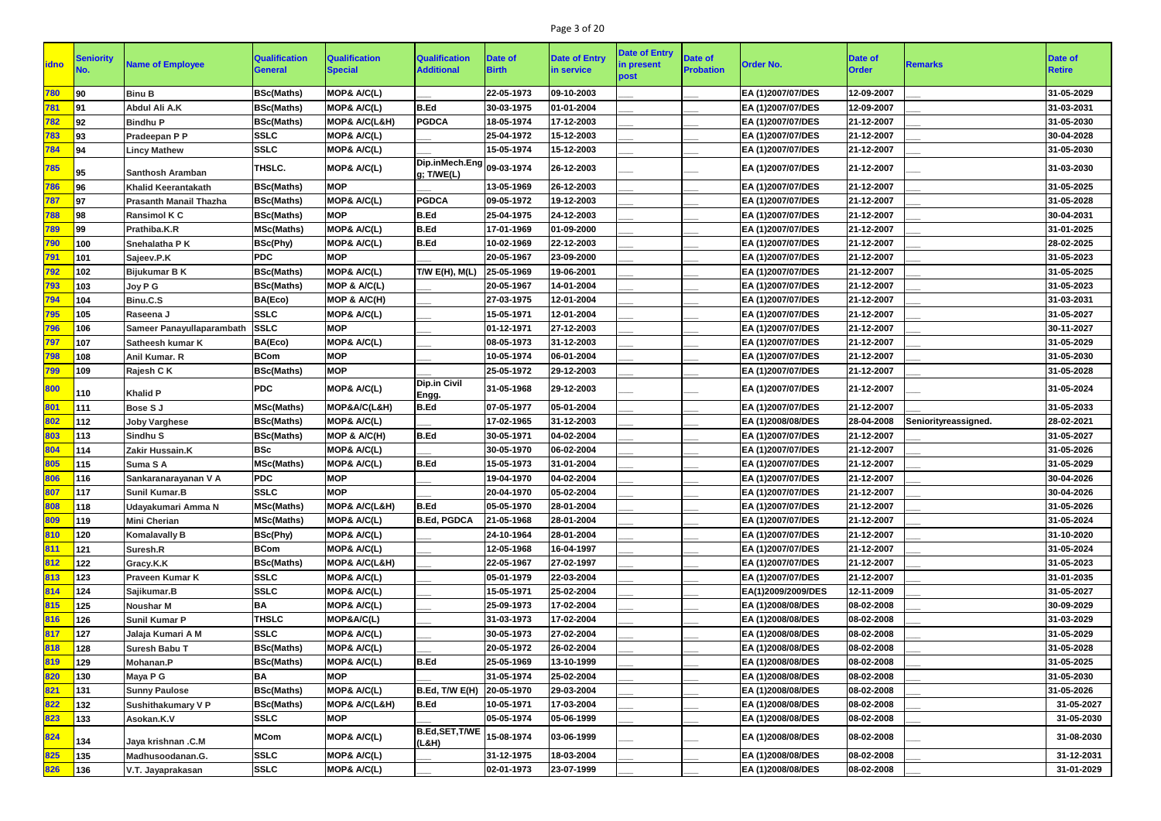# Page 3 of 20

| <b>idno</b> | Seniority | <b>Name of Employee</b>       | <b>Qualification</b><br><b>General</b> | <b>Qualification</b><br><b>Special</b> | <b>Qualification</b><br><b>Additional</b> | <b>Date of</b><br><b>Birth</b> | <b>Date of Entry</b><br>in service | <b>Date of Entry</b><br>in present<br>post | <b>Date of</b><br><b>Probation</b> | <b>Order No.</b>   | Date of<br><b>Order</b> | <b>Remarks</b>       | Date of<br><b>Retire</b> |
|-------------|-----------|-------------------------------|----------------------------------------|----------------------------------------|-------------------------------------------|--------------------------------|------------------------------------|--------------------------------------------|------------------------------------|--------------------|-------------------------|----------------------|--------------------------|
| 780         | 90        | <b>Binu B</b>                 | <b>BSc(Maths)</b>                      | MOP& A/C(L)                            |                                           | 22-05-1973                     | 09-10-2003                         |                                            |                                    | EA (1)2007/07/DES  | 12-09-2007              |                      | 31-05-2029               |
| 781         | 91        | Abdul Ali A.K                 | <b>BSc(Maths)</b>                      | MOP& A/C(L)                            | B.Ed                                      | 30-03-1975                     | 01-01-2004                         |                                            |                                    | EA (1)2007/07/DES  | 12-09-2007              |                      | 31-03-2031               |
| <u>782</u>  | 92        | <b>Bindhu P</b>               | <b>BSc(Maths)</b>                      | MOP& A/C(L&H)                          | <b>PGDCA</b>                              | 18-05-1974                     | 17-12-2003                         |                                            |                                    | EA (1)2007/07/DES  | 21-12-2007              |                      | 31-05-2030               |
| 783         | 93        | Pradeepan P P                 | <b>SSLC</b>                            | MOP& A/C(L)                            |                                           | 25-04-1972                     | 15-12-2003                         |                                            |                                    | EA (1)2007/07/DES  | 21-12-2007              |                      | 30-04-2028               |
| 784         | 94        | <b>Lincy Mathew</b>           | <b>SSLC</b>                            | MOP& A/C(L)                            |                                           | 15-05-1974                     | 15-12-2003                         |                                            |                                    | EA (1)2007/07/DES  | 21-12-2007              |                      | 31-05-2030               |
|             |           |                               |                                        |                                        | Dip.inMech.Eng 09-03-1974                 |                                |                                    |                                            |                                    |                    |                         |                      |                          |
| 785         | 95        | <b>Santhosh Aramban</b>       | THSLC.                                 | MOP& A/C(L)                            | g; T/WE(L)                                |                                | 26-12-2003                         |                                            |                                    | EA (1)2007/07/DES  | 21-12-2007              |                      | 31-03-2030               |
| 786         | 96        | <b>Khalid Keerantakath</b>    | <b>BSc(Maths)</b>                      | <b>MOP</b>                             |                                           | 13-05-1969                     | 26-12-2003                         |                                            |                                    | EA (1)2007/07/DES  | 21-12-2007              |                      | 31-05-2025               |
| 787         | 97        | <b>Prasanth Manail Thazha</b> | <b>BSc(Maths)</b>                      | MOP& A/C(L)                            | <b>PGDCA</b>                              | 09-05-1972                     | 19-12-2003                         |                                            |                                    | EA (1)2007/07/DES  | 21-12-2007              |                      | 31-05-2028               |
| 788         | 98        | <b>Ransimol K C</b>           | <b>BSc(Maths)</b>                      | <b>MOP</b>                             | B.Ed                                      | 25-04-1975                     | 24-12-2003                         |                                            |                                    | EA (1)2007/07/DES  | 21-12-2007              |                      | 30-04-2031               |
| 789         | 99        | Prathiba.K.R                  | <b>MSc(Maths)</b>                      | MOP& A/C(L)                            | B.Ed                                      | 17-01-1969                     | 01-09-2000                         |                                            |                                    | EA (1)2007/07/DES  | 21-12-2007              |                      | 31-01-2025               |
| 790         | 100       | Snehalatha P K                | <b>BSc(Phy)</b>                        | MOP& A/C(L)                            | B.Ed                                      | 10-02-1969                     | 22-12-2003                         |                                            |                                    | EA (1)2007/07/DES  | 21-12-2007              |                      | 28-02-2025               |
| 791         | 101       | Sajeev.P.K                    | <b>PDC</b>                             | <b>MOP</b>                             |                                           | 20-05-1967                     | 23-09-2000                         |                                            |                                    | EA (1)2007/07/DES  | 21-12-2007              |                      | 31-05-2023               |
| 792         | 102       | <b>Bijukumar B K</b>          | <b>BSc(Maths)</b>                      | MOP& A/C(L)                            | T/W E(H), M(L)                            | 25-05-1969                     | 19-06-2001                         |                                            |                                    | EA (1)2007/07/DES  | 21-12-2007              |                      | 31-05-2025               |
| 793         | 103       | Joy P G                       | <b>BSc(Maths)</b>                      | MOP & A/C(L)                           |                                           | 20-05-1967                     | 14-01-2004                         |                                            |                                    | EA (1)2007/07/DES  | 21-12-2007              |                      | 31-05-2023               |
| 794         | 104       | Binu.C.S                      | BA(Eco)                                | MOP & A/C(H)                           |                                           | 27-03-1975                     | 12-01-2004                         |                                            |                                    | EA (1)2007/07/DES  | 21-12-2007              |                      | 31-03-2031               |
| 795         | 105       | Raseena J                     | <b>SSLC</b>                            | MOP& A/C(L)                            |                                           | 15-05-1971                     | 12-01-2004                         |                                            |                                    | EA (1)2007/07/DES  | 21-12-2007              |                      | 31-05-2027               |
| 796         | 106       | Sameer Panayullaparambath     | <b>SSLC</b>                            | <b>MOP</b>                             |                                           | 01-12-1971                     | 27-12-2003                         |                                            |                                    | EA (1)2007/07/DES  | 21-12-2007              |                      | 30-11-2027               |
| 797         | 107       | Satheesh kumar K              | BA(Eco)                                | MOP& A/C(L)                            |                                           | 08-05-1973                     | 31-12-2003                         |                                            |                                    | EA (1)2007/07/DES  | 21-12-2007              |                      | 31-05-2029               |
| 798         | 108       | Anil Kumar. R                 | <b>BCom</b>                            | <b>MOP</b>                             |                                           | 10-05-1974                     | 06-01-2004                         |                                            |                                    | EA (1)2007/07/DES  | 21-12-2007              |                      | 31-05-2030               |
| 799         | 109       | Rajesh C K                    | <b>BSc(Maths)</b>                      | <b>MOP</b>                             |                                           | 25-05-1972                     | 29-12-2003                         |                                            |                                    | EA (1)2007/07/DES  | 21-12-2007              |                      | 31-05-2028               |
| 800         | 110       | <b>Khalid P</b>               | <b>PDC</b>                             | MOP& A/C(L)                            | Dip.in Civil<br> Engg.                    | 31-05-1968                     | 29-12-2003                         |                                            |                                    | EA (1)2007/07/DES  | 21-12-2007              |                      | 31-05-2024               |
| 801         | 111       | <b>Bose SJ</b>                | <b>MSc(Maths)</b>                      | MOP&A/C(L&H)                           | B.Ed                                      | 07-05-1977                     | 05-01-2004                         |                                            |                                    | EA (1)2007/07/DES  | 21-12-2007              |                      | 31-05-2033               |
| 802         | 112       | <b>Joby Varghese</b>          | <b>BSc(Maths)</b>                      | MOP& A/C(L)                            |                                           | 17-02-1965                     | 31-12-2003                         |                                            |                                    | EA (1)2008/08/DES  | 28-04-2008              | Seniorityreassigned. | 28-02-2021               |
| 803         | 113       | <b>Sindhu S</b>               | <b>BSc(Maths)</b>                      | MOP & A/C(H)                           | B.Ed                                      | 30-05-1971                     | 04-02-2004                         |                                            |                                    | EA (1)2007/07/DES  | 21-12-2007              |                      | 31-05-2027               |
| 804         | 114       | Zakir Hussain.K               | <b>BSc</b>                             | MOP& A/C(L)                            |                                           | 30-05-1970                     | 06-02-2004                         |                                            |                                    | EA (1)2007/07/DES  | 21-12-2007              |                      | 31-05-2026               |
| 805         | 115       | Suma SA                       | <b>MSc(Maths)</b>                      | MOP& A/C(L)                            | B.Ed                                      | 15-05-1973                     | 31-01-2004                         |                                            |                                    | EA (1)2007/07/DES  | 21-12-2007              |                      | 31-05-2029               |
| 806         | 116       | Sankaranarayanan V A          | <b>PDC</b>                             | <b>MOP</b>                             |                                           | 19-04-1970                     | 04-02-2004                         |                                            |                                    | EA (1)2007/07/DES  | 21-12-2007              |                      | 30-04-2026               |
| 807         | 117       | <b>Sunil Kumar.B</b>          | <b>SSLC</b>                            | <b>MOP</b>                             |                                           | 20-04-1970                     | 05-02-2004                         |                                            |                                    | EA (1)2007/07/DES  | 21-12-2007              |                      | 30-04-2026               |
| 808         | 118       | Udayakumari Amma N            | <b>MSc(Maths)</b>                      | <b>MOP&amp; A/C(L&amp;H)</b>           | B.Ed                                      | 05-05-1970                     | 28-01-2004                         |                                            |                                    | EA (1)2007/07/DES  | 21-12-2007              |                      | 31-05-2026               |
| 809         | 119       | <b>Mini Cherian</b>           | <b>MSc(Maths)</b>                      | MOP& A/C(L)                            | <b>B.Ed, PGDCA</b>                        | 21-05-1968                     | 28-01-2004                         |                                            |                                    | EA (1)2007/07/DES  | 21-12-2007              |                      | 31-05-2024               |
| 810         | 120       | <b>Komalavally B</b>          | <b>BSc(Phy)</b>                        | MOP& A/C(L)                            |                                           | 24-10-1964                     | 28-01-2004                         |                                            |                                    | EA (1)2007/07/DES  | 21-12-2007              |                      | 31-10-2020               |
| 811         | 121       | Suresh.R                      | <b>BCom</b>                            | MOP& A/C(L)                            |                                           | 12-05-1968                     | 16-04-1997                         |                                            |                                    | EA (1)2007/07/DES  | 21-12-2007              |                      | 31-05-2024               |
| 812         | 122       | Gracy.K.K                     | <b>BSc(Maths)</b>                      | <b>MOP&amp; A/C(L&amp;H)</b>           |                                           | 22-05-1967                     | 27-02-1997                         |                                            |                                    | EA (1)2007/07/DES  | 21-12-2007              |                      | 31-05-2023               |
| 813         | 123       | <b>Praveen Kumar K</b>        | <b>SSLC</b>                            | MOP& A/C(L)                            |                                           | 05-01-1979                     | 22-03-2004                         |                                            |                                    | EA (1)2007/07/DES  | 21-12-2007              |                      | 31-01-2035               |
| 814         | 124       | Sajikumar.B                   | <b>SSLC</b>                            | MOP& A/C(L)                            |                                           | 15-05-1971                     | 25-02-2004                         |                                            |                                    | EA(1)2009/2009/DES | 12-11-2009              |                      | 31-05-2027               |
| 815         | 125       | <b>Noushar M</b>              | <b>BA</b>                              | MOP& A/C(L)                            |                                           | 25-09-1973                     | 17-02-2004                         |                                            |                                    | EA (1)2008/08/DES  | 08-02-2008              |                      | 30-09-2029               |
| 816         | 126       | <b>Sunil Kumar P</b>          | <b>THSLC</b>                           | MOP&A/C(L)                             |                                           | 31-03-1973                     | 17-02-2004                         |                                            |                                    | EA (1)2008/08/DES  | 08-02-2008              |                      | 31-03-2029               |
| 817         | 127       | Jalaja Kumari A M             | <b>SSLC</b>                            | MOP& A/C(L)                            |                                           | 30-05-1973                     | 27-02-2004                         |                                            |                                    | EA (1)2008/08/DES  | 08-02-2008              |                      | 31-05-2029               |
| 818         | 128       | Suresh Babu T                 | <b>BSc(Maths)</b>                      | MOP& A/C(L)                            |                                           | 20-05-1972                     | 26-02-2004                         |                                            |                                    | EA (1)2008/08/DES  | 08-02-2008              |                      | 31-05-2028               |
| 819         | 129       | Mohanan.P                     | <b>BSc(Maths)</b>                      | MOP& A/C(L)                            | <b>B.Ed</b>                               | 25-05-1969                     | 13-10-1999                         |                                            |                                    | EA (1)2008/08/DES  | 08-02-2008              |                      | 31-05-2025               |
| 820         | 130       | Maya P G                      | <b>BA</b>                              | <b>MOP</b>                             |                                           | 31-05-1974                     | 25-02-2004                         |                                            |                                    | EA (1)2008/08/DES  | 08-02-2008              |                      | 31-05-2030               |
| 821         | 131       | <b>Sunny Paulose</b>          | <b>BSc(Maths)</b>                      | MOP& A/C(L)                            | B.Ed, T/W E(H) 20-05-1970                 |                                | 29-03-2004                         |                                            |                                    | EA (1)2008/08/DES  | 08-02-2008              |                      | 31-05-2026               |
| 822         | 132       | <b>Sushithakumary V P</b>     | <b>BSc(Maths)</b>                      | <b>MOP&amp; A/C(L&amp;H)</b>           | B.Ed                                      | 10-05-1971                     | 17-03-2004                         |                                            |                                    | EA (1)2008/08/DES  | 08-02-2008              |                      | 31-05-2027               |
| 823         | 133       | Asokan.K.V                    | <b>SSLC</b>                            | <b>MOP</b>                             |                                           | 05-05-1974                     | 05-06-1999                         |                                            |                                    | EA (1)2008/08/DES  | 08-02-2008              |                      | 31-05-2030               |
| 824         | 134       | Jaya krishnan .C.M            | <b>MCom</b>                            | MOP& A/C(L)                            | B.Ed, SET, T/WE<br>(L&H)                  | 15-08-1974                     | 03-06-1999                         |                                            |                                    | EA (1)2008/08/DES  | 08-02-2008              |                      | 31-08-2030               |
| 825         | 135       | Madhusoodanan.G.              | <b>SSLC</b>                            | MOP& A/C(L)                            |                                           | 31-12-1975                     | 18-03-2004                         |                                            |                                    | EA (1)2008/08/DES  | 08-02-2008              |                      | 31-12-2031               |
| 826         | 136       | V.T. Jayaprakasan             | <b>SSLC</b>                            | MOP& A/C(L)                            |                                           | 02-01-1973                     | 23-07-1999                         |                                            |                                    | EA (1)2008/08/DES  | 08-02-2008              |                      | 31-01-2029               |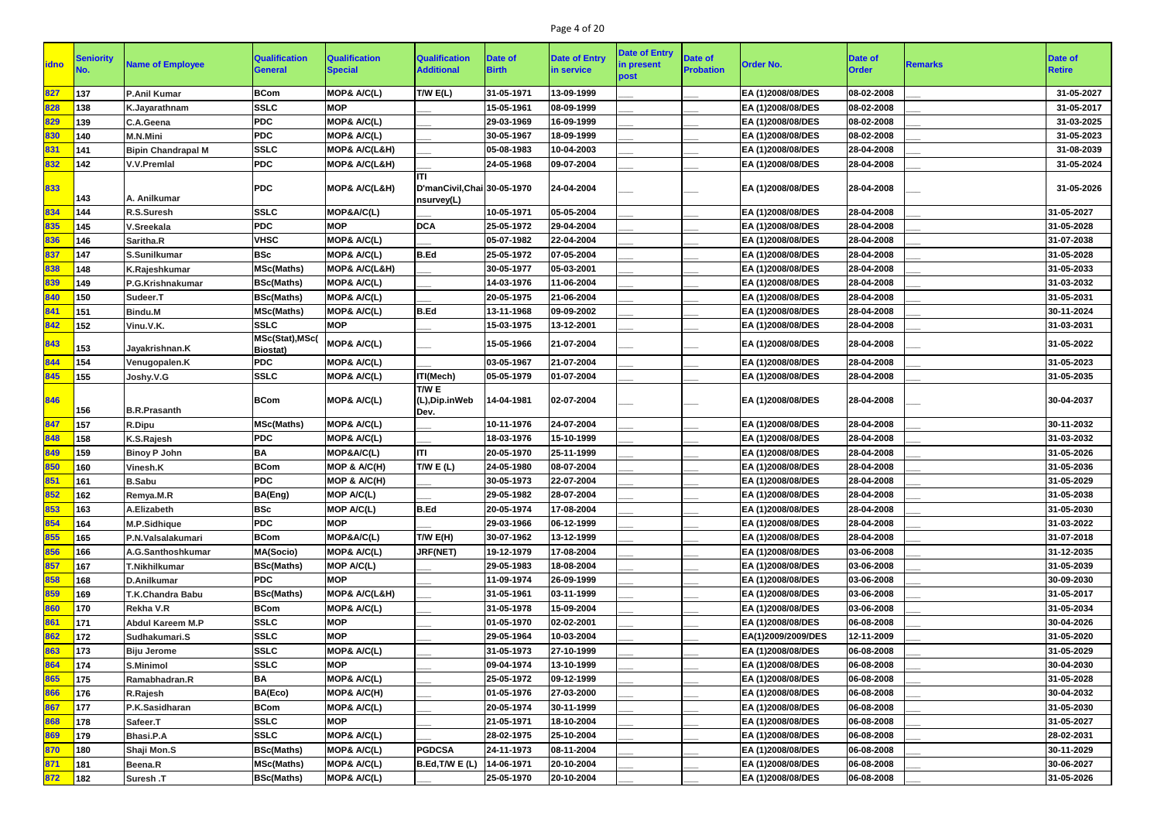# Page 4 of 20

|             |                  |                           |                                    |                                        |                                                   |                         |                                    | <b>Date of Entry</b> |                                    |                    |                         |                |                                 |
|-------------|------------------|---------------------------|------------------------------------|----------------------------------------|---------------------------------------------------|-------------------------|------------------------------------|----------------------|------------------------------------|--------------------|-------------------------|----------------|---------------------------------|
| <b>idno</b> | <b>Seniority</b> | <b>Name of Employee</b>   | <b>Qualification</b><br>General    | <b>Qualification</b><br><b>Special</b> | <b>Qualification</b><br><b>Additional</b>         | Date of<br><b>Birth</b> | <b>Date of Entry</b><br>in service | in present<br>post   | <b>Date of</b><br><b>Probation</b> | <b>Order No.</b>   | Date of<br><b>Order</b> | <b>Remarks</b> | <b>Date of</b><br><b>Retire</b> |
| 827         | 137              | <b>P.Anil Kumar</b>       | <b>BCom</b>                        | MOP& A/C(L)                            | T/W E(L)                                          | 31-05-1971              | 13-09-1999                         |                      |                                    | EA (1)2008/08/DES  | 08-02-2008              |                | 31-05-2027                      |
| 828         | 138              | K.Jayarathnam             | <b>SSLC</b>                        | <b>MOP</b>                             |                                                   | 15-05-1961              | 08-09-1999                         |                      |                                    | EA (1)2008/08/DES  | 08-02-2008              |                | 31-05-2017                      |
| 829         | 139              | C.A.Geena                 | <b>PDC</b>                         | MOP& A/C(L)                            |                                                   | 29-03-1969              | 16-09-1999                         |                      |                                    | EA (1)2008/08/DES  | 08-02-2008              |                | 31-03-2025                      |
| 830         | 140              | <b>M.N.Mini</b>           | <b>PDC</b>                         | MOP& A/C(L)                            |                                                   | 30-05-1967              | 18-09-1999                         |                      |                                    | EA (1)2008/08/DES  | 08-02-2008              |                | 31-05-2023                      |
| 831         | 141              | <b>Bipin Chandrapal M</b> | <b>SSLC</b>                        | <b>MOP&amp; A/C(L&amp;H)</b>           |                                                   | 05-08-1983              | 10-04-2003                         |                      |                                    | EA (1)2008/08/DES  | 28-04-2008              |                | 31-08-2039                      |
| 832         | 142              | <b>V.V.Premlal</b>        | <b>PDC</b>                         | MOP& A/C(L&H)                          |                                                   | 24-05-1968              | 09-07-2004                         |                      |                                    | EA (1)2008/08/DES  | 28-04-2008              |                | 31-05-2024                      |
| 833         | 143              | A. Anilkumar              | <b>PDC</b>                         | <b>MOP&amp; A/C(L&amp;H)</b>           | liti<br>D'manCivil, Chai 30-05-1970<br>nsurvey(L) |                         | 24-04-2004                         |                      |                                    | EA (1)2008/08/DES  | 28-04-2008              |                | 31-05-2026                      |
| 834         | 144              | <b>R.S.Suresh</b>         | <b>SSLC</b>                        | MOP&A/C(L)                             |                                                   | 10-05-1971              | 05-05-2004                         |                      |                                    | EA (1)2008/08/DES  | 28-04-2008              |                | 31-05-2027                      |
| 835         | 145              | V.Sreekala                | <b>PDC</b>                         | <b>MOP</b>                             | <b>DCA</b>                                        | 25-05-1972              | 29-04-2004                         |                      |                                    | EA (1)2008/08/DES  | 28-04-2008              |                | 31-05-2028                      |
| 836         | 146              | Saritha.R                 | <b>VHSC</b>                        | MOP& A/C(L)                            |                                                   | 05-07-1982              | 22-04-2004                         |                      |                                    | EA (1)2008/08/DES  | 28-04-2008              |                | 31-07-2038                      |
| 837         | 147              | S.Sunilkumar              | <b>BSc</b>                         | MOP& A/C(L)                            | B.Ed                                              | 25-05-1972              | 07-05-2004                         |                      |                                    | EA (1)2008/08/DES  | 28-04-2008              |                | 31-05-2028                      |
| 838         | 148              | K.Rajeshkumar             | <b>MSc(Maths)</b>                  | <b>MOP&amp; A/C(L&amp;H)</b>           |                                                   | 30-05-1977              | 05-03-2001                         |                      |                                    | EA (1)2008/08/DES  | 28-04-2008              |                | 31-05-2033                      |
| 839         | 149              | P.G.Krishnakumar          | <b>BSc(Maths)</b>                  | MOP& A/C(L)                            |                                                   | 14-03-1976              | 11-06-2004                         |                      |                                    | EA (1)2008/08/DES  | 28-04-2008              |                | 31-03-2032                      |
| 840         | 150              | Sudeer.T                  | <b>BSc(Maths)</b>                  | MOP& A/C(L)                            |                                                   | 20-05-1975              | 21-06-2004                         |                      |                                    | EA (1)2008/08/DES  | 28-04-2008              |                | 31-05-2031                      |
| 841         | 151              | <b>Bindu.M</b>            | <b>MSc(Maths)</b>                  | MOP& A/C(L)                            | B.Ed                                              | 13-11-1968              | 09-09-2002                         |                      |                                    | EA (1)2008/08/DES  | 28-04-2008              |                | 30-11-2024                      |
| 842         | 152              | Vinu.V.K.                 | <b>SSLC</b>                        | <b>MOP</b>                             |                                                   | 15-03-1975              | 13-12-2001                         |                      |                                    | EA (1)2008/08/DES  | 28-04-2008              |                | 31-03-2031                      |
| 843         | 153              | Jayakrishnan.K            | MSc(Stat), MSc(<br><b>Biostat)</b> | MOP& A/C(L)                            |                                                   | 15-05-1966              | 21-07-2004                         |                      |                                    | EA (1)2008/08/DES  | 28-04-2008              |                | 31-05-2022                      |
| 844         | 154              | Venugopalen.K             | <b>PDC</b>                         | MOP& A/C(L)                            |                                                   | 03-05-1967              | 21-07-2004                         |                      |                                    | EA (1)2008/08/DES  | 28-04-2008              |                | 31-05-2023                      |
| 845         | 155              | Joshy.V.G                 | <b>SSLC</b>                        | MOP& A/C(L)                            | ITI(Mech)                                         | 05-05-1979              | 01-07-2004                         |                      |                                    | EA (1)2008/08/DES  | 28-04-2008              |                | 31-05-2035                      |
| 846         | 156              | <b>B.R.Prasanth</b>       | <b>BCom</b>                        | MOP& A/C(L)                            | T/W E<br>(L),Dip.inWeb<br>Dev.                    | 14-04-1981              | 02-07-2004                         |                      |                                    | EA (1)2008/08/DES  | 28-04-2008              |                | 30-04-2037                      |
| 847         | 157              | R.Dipu                    | <b>MSc(Maths)</b>                  | MOP& A/C(L)                            |                                                   | 10-11-1976              | 24-07-2004                         |                      |                                    | EA (1)2008/08/DES  | 28-04-2008              |                | 30-11-2032                      |
| 848         | 158              | K.S.Rajesh                | <b>PDC</b>                         | <b>MOP&amp; A/C(L)</b>                 |                                                   | 18-03-1976              | 15-10-1999                         |                      |                                    | EA (1)2008/08/DES  | 28-04-2008              |                | 31-03-2032                      |
| 849         | 159              | <b>Binoy P John</b>       | BA                                 | MOP&A/C(L)                             | liti                                              | 20-05-1970              | 25-11-1999                         |                      |                                    | EA (1)2008/08/DES  | 28-04-2008              |                | 31-05-2026                      |
| 850         | 160              | Vinesh.K                  | <b>BCom</b>                        | MOP & A/C(H)                           | T/W E (L)                                         | 24-05-1980              | 08-07-2004                         |                      |                                    | EA (1)2008/08/DES  | 28-04-2008              |                | 31-05-2036                      |
| 851         | 161              | <b>B.Sabu</b>             | <b>PDC</b>                         | MOP & A/C(H)                           |                                                   | 30-05-1973              | 22-07-2004                         |                      |                                    | EA (1)2008/08/DES  | 28-04-2008              |                | 31-05-2029                      |
| 852         | 162              | Remya.M.R                 | <b>BA(Eng)</b>                     | MOP A/C(L)                             |                                                   | 29-05-1982              | 28-07-2004                         |                      |                                    | EA (1)2008/08/DES  | 28-04-2008              |                | 31-05-2038                      |
| 853         | 163              | A.Elizabeth               | <b>BSc</b>                         | <b>MOP A/C(L)</b>                      | B.Ed                                              | 20-05-1974              | 17-08-2004                         |                      |                                    | EA (1)2008/08/DES  | 28-04-2008              |                | 31-05-2030                      |
| 854         | 164              | <b>M.P.Sidhique</b>       | <b>PDC</b>                         | <b>MOP</b>                             |                                                   | 29-03-1966              | 06-12-1999                         |                      |                                    | EA (1)2008/08/DES  | 28-04-2008              |                | 31-03-2022                      |
| 855         | 165              | P.N.Valsalakumari         | <b>BCom</b>                        | MOP&A/C(L)                             | T/W E(H)                                          | 30-07-1962              | 13-12-1999                         |                      |                                    | EA (1)2008/08/DES  | 28-04-2008              |                | 31-07-2018                      |
| 856         | 166              | A.G.Santhoshkumar         | <b>MA(Socio)</b>                   | MOP& A/C(L)                            | JRF(NET)                                          | 19-12-1979              | 17-08-2004                         |                      |                                    | EA (1)2008/08/DES  | 03-06-2008              |                | 31-12-2035                      |
| 857         | 167              | <b>T.Nikhilkumar</b>      | <b>BSc(Maths)</b>                  | MOP A/C(L)                             |                                                   | 29-05-1983              | 18-08-2004                         |                      |                                    | EA (1)2008/08/DES  | 03-06-2008              |                | 31-05-2039                      |
| 858         | 168              | <b>D.Anilkumar</b>        | <b>PDC</b>                         | <b>MOP</b>                             |                                                   | 11-09-1974              | 26-09-1999                         |                      |                                    | EA (1)2008/08/DES  | 03-06-2008              |                | 30-09-2030                      |
| 859         | 169              | T.K.Chandra Babu          | <b>BSc(Maths)</b>                  | MOP& A/C(L&H)                          |                                                   | 31-05-1961              | 03-11-1999                         |                      |                                    | EA (1)2008/08/DES  | 03-06-2008              |                | 31-05-2017                      |
| 860         | 170              | Rekha V.R                 | <b>BCom</b>                        | MOP& A/C(L)                            |                                                   | 31-05-1978              | 15-09-2004                         |                      |                                    | EA (1)2008/08/DES  | 03-06-2008              |                | 31-05-2034                      |
| 861         | 171              | <b>Abdul Kareem M.P</b>   | <b>SSLC</b>                        | <b>MOP</b>                             |                                                   | 01-05-1970              | 02-02-2001                         |                      |                                    | EA (1)2008/08/DES  | 06-08-2008              |                | 30-04-2026                      |
| 862         | 172              | Sudhakumari.S             | <b>SSLC</b>                        | <b>MOP</b>                             |                                                   | 29-05-1964              | 10-03-2004                         |                      |                                    | EA(1)2009/2009/DES | 12-11-2009              |                | 31-05-2020                      |
| 863         | 173              | <b>Biju Jerome</b>        | <b>SSLC</b>                        | MOP& A/C(L)                            |                                                   | 31-05-1973              | 27-10-1999                         |                      |                                    | EA (1)2008/08/DES  | 06-08-2008              |                | 31-05-2029                      |
| 864         | 174              | <b>S.Minimol</b>          | <b>SSLC</b>                        | <b>MOP</b>                             |                                                   | 09-04-1974              | 13-10-1999                         |                      |                                    | EA (1)2008/08/DES  | 06-08-2008              |                | 30-04-2030                      |
| 865         | 175              | Ramabhadran.R             | <b>BA</b>                          | MOP& A/C(L)                            |                                                   | 25-05-1972              | 09-12-1999                         |                      |                                    | EA (1)2008/08/DES  | 06-08-2008              |                | 31-05-2028                      |
| 866         | 176              | R.Rajesh                  | BA(Eco)                            | MOP& A/C(H)                            |                                                   | 01-05-1976              | 27-03-2000                         |                      |                                    | EA (1)2008/08/DES  | 06-08-2008              |                | 30-04-2032                      |
| 867         | 177              | P.K.Sasidharan            | <b>BCom</b>                        | <b>MOP&amp; A/C(L)</b>                 |                                                   | 20-05-1974              | 30-11-1999                         |                      |                                    | EA (1)2008/08/DES  | 06-08-2008              |                | 31-05-2030                      |
| 868         | 178              | Safeer.T                  | <b>SSLC</b>                        | <b>MOP</b>                             |                                                   | 21-05-1971              | 18-10-2004                         |                      |                                    | EA (1)2008/08/DES  | 06-08-2008              |                | 31-05-2027                      |
| 869         | 179              | <b>Bhasi.P.A</b>          | <b>SSLC</b>                        | MOP& A/C(L)                            |                                                   | 28-02-1975              | 25-10-2004                         |                      |                                    | EA (1)2008/08/DES  | 06-08-2008              |                | 28-02-2031                      |
| 870         | 180              | Shaji Mon.S               | <b>BSc(Maths)</b>                  | MOP& A/C(L)                            | <b>PGDCSA</b>                                     | 24-11-1973              | 08-11-2004                         |                      |                                    | EA (1)2008/08/DES  | 06-08-2008              |                | 30-11-2029                      |
| 871         | 181              | Beena.R                   | <b>MSc(Maths)</b>                  | MOP& A/C(L)                            | B.Ed,T/W E(L)                                     | 14-06-1971              | 20-10-2004                         |                      |                                    | EA (1)2008/08/DES  | 06-08-2008              |                | 30-06-2027                      |
| 872         | 182              | Suresh .T                 | <b>BSc(Maths)</b>                  | MOP& A/C(L)                            |                                                   | 25-05-1970              | 20-10-2004                         |                      |                                    | EA (1)2008/08/DES  | 06-08-2008              |                | 31-05-2026                      |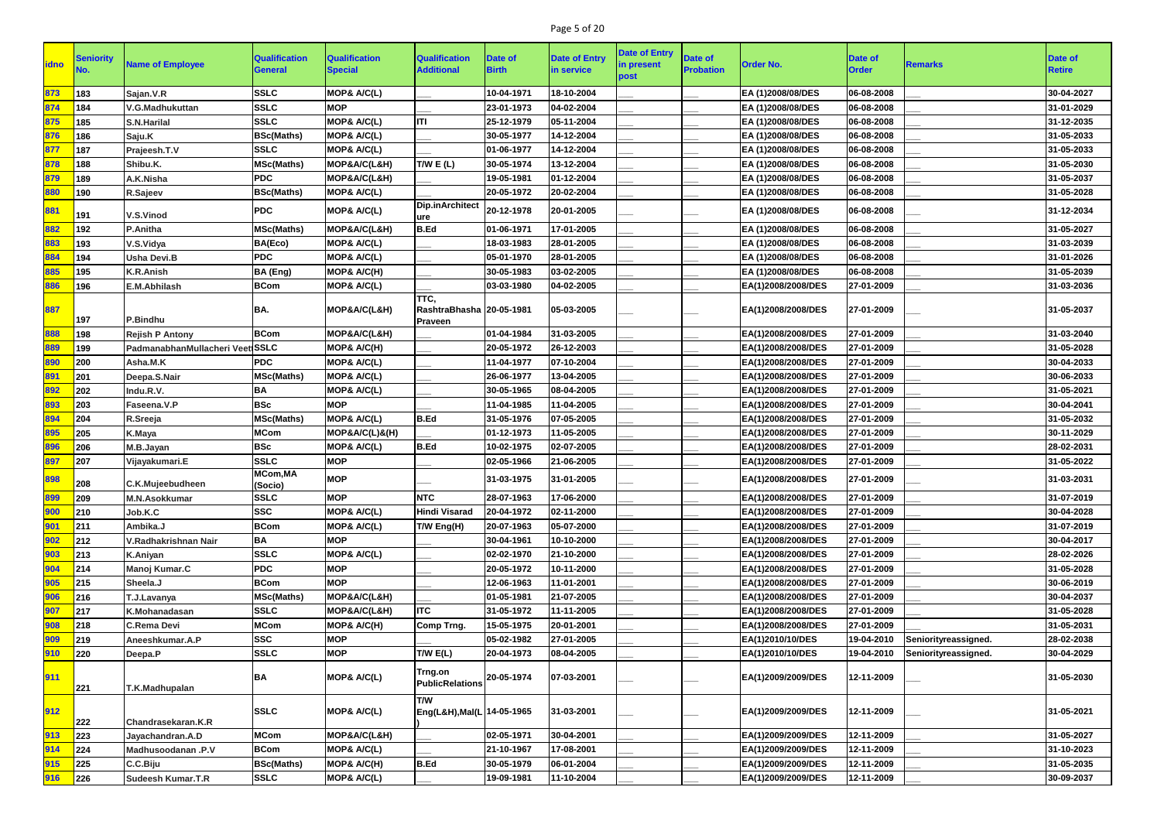# Page 5 of 20

| <b>idno</b> | Seniority | <b>Name of Employee</b>         | <b>Qualification</b><br><b>General</b> | <b>Qualification</b><br><b>Special</b> | <b>Qualification</b><br><b>Additional</b>          | Date of<br><b>Birth</b> | <b>Date of Entry</b><br>in service | <b>Date of Entry</b><br>in present<br>post | <b>Date of</b><br><b>Probation</b> | <b>Order No.</b>   | <b>Date of</b><br><b>Order</b> | <b>Remarks</b>       | <b>Date of</b><br><b>Retire</b> |
|-------------|-----------|---------------------------------|----------------------------------------|----------------------------------------|----------------------------------------------------|-------------------------|------------------------------------|--------------------------------------------|------------------------------------|--------------------|--------------------------------|----------------------|---------------------------------|
| 873         | 183       | Sajan.V.R                       | <b>SSLC</b>                            | MOP& A/C(L)                            |                                                    | 10-04-1971              | 18-10-2004                         |                                            |                                    | EA (1)2008/08/DES  | 06-08-2008                     |                      | 30-04-2027                      |
| 874         | 184       | V.G.Madhukuttan                 | <b>SSLC</b>                            | <b>MOP</b>                             |                                                    | 23-01-1973              | 04-02-2004                         |                                            |                                    | EA (1)2008/08/DES  | 06-08-2008                     |                      | 31-01-2029                      |
| 875         | 185       | <b>S.N.Harilal</b>              | <b>SSLC</b>                            | MOP& A/C(L)                            | ITI                                                | 25-12-1979              | 05-11-2004                         |                                            |                                    | EA (1)2008/08/DES  | 06-08-2008                     |                      | 31-12-2035                      |
| 876         | 186       | Saju.K                          | <b>BSc(Maths)</b>                      | MOP& A/C(L)                            |                                                    | 30-05-1977              | 14-12-2004                         |                                            |                                    | EA (1)2008/08/DES  | 06-08-2008                     |                      | 31-05-2033                      |
| 877         | 187       | Prajeesh.T.V                    | <b>SSLC</b>                            | MOP& A/C(L)                            |                                                    | 01-06-1977              | 14-12-2004                         |                                            |                                    | EA (1)2008/08/DES  | 06-08-2008                     |                      | 31-05-2033                      |
| 878         | 188       | Shibu.K.                        | <b>MSc(Maths)</b>                      | MOP&A/C(L&H)                           | T/W E(L)                                           | 30-05-1974              | 13-12-2004                         |                                            |                                    | EA (1)2008/08/DES  | 06-08-2008                     |                      | 31-05-2030                      |
| 879         | 189       | A.K.Nisha                       | <b>PDC</b>                             | MOP&A/C(L&H)                           |                                                    | 19-05-1981              | 01-12-2004                         |                                            |                                    | EA (1)2008/08/DES  | 06-08-2008                     |                      | 31-05-2037                      |
| 880         | 190       | R.Sajeev                        | <b>BSc(Maths)</b>                      | MOP& A/C(L)                            |                                                    | 20-05-1972              | 20-02-2004                         |                                            |                                    | EA (1)2008/08/DES  | 06-08-2008                     |                      | 31-05-2028                      |
| 881         | 191       | V.S.Vinod                       | <b>PDC</b>                             | MOP& A/C(L)                            | Dip.inArchitect<br>ure                             | 20-12-1978              | 20-01-2005                         |                                            |                                    | EA (1)2008/08/DES  | 06-08-2008                     |                      | 31-12-2034                      |
| 882         | 192       | <b>P.Anitha</b>                 | <b>MSc(Maths)</b>                      | MOP&A/C(L&H)                           | <b>B.Ed</b>                                        | 01-06-1971              | 17-01-2005                         |                                            |                                    | EA (1)2008/08/DES  | 06-08-2008                     |                      | 31-05-2027                      |
| 883         | 193       | V.S.Vidya                       | BA(Eco)                                | MOP& A/C(L)                            |                                                    | 18-03-1983              | 28-01-2005                         |                                            |                                    | EA (1)2008/08/DES  | 06-08-2008                     |                      | 31-03-2039                      |
| 884         | 194       | <b>Usha Devi.B</b>              | <b>PDC</b>                             | MOP& A/C(L)                            |                                                    | 05-01-1970              | 28-01-2005                         |                                            |                                    | EA (1)2008/08/DES  | 06-08-2008                     |                      | 31-01-2026                      |
| 885         | 195       | <b>K.R.Anish</b>                | BA (Eng)                               | MOP& A/C(H)                            |                                                    | 30-05-1983              | 03-02-2005                         |                                            |                                    | EA (1)2008/08/DES  | 06-08-2008                     |                      | 31-05-2039                      |
| 886         | 196       | E.M.Abhilash                    | <b>BCom</b>                            | MOP& A/C(L)                            |                                                    | 03-03-1980              | 04-02-2005                         |                                            |                                    | EA(1)2008/2008/DES | 27-01-2009                     |                      | 31-03-2036                      |
| 887         | 197       | P.Bindhu                        | BA.                                    | MOP&A/C(L&H)                           | TTC,<br>RashtraBhasha 20-05-1981<br><b>Praveen</b> |                         | 05-03-2005                         |                                            |                                    | EA(1)2008/2008/DES | 27-01-2009                     |                      | 31-05-2037                      |
| 888         | 198       | <b>Rejish P Antony</b>          | <b>BCom</b>                            | MOP&A/C(L&H)                           |                                                    | 01-04-1984              | 31-03-2005                         |                                            |                                    | EA(1)2008/2008/DES | 27-01-2009                     |                      | 31-03-2040                      |
| 889         | 199       | PadmanabhanMullacheri Veet SSLC |                                        | MOP& A/C(H)                            |                                                    | 20-05-1972              | 26-12-2003                         |                                            |                                    | EA(1)2008/2008/DES | 27-01-2009                     |                      | 31-05-2028                      |
| 890         | 200       | Asha.M.K                        | <b>PDC</b>                             | <b>MOP&amp; A/C(L)</b>                 |                                                    | 11-04-1977              | 07-10-2004                         |                                            |                                    | EA(1)2008/2008/DES | 27-01-2009                     |                      | 30-04-2033                      |
| 891         | 201       | Deepa.S.Nair                    | <b>MSc(Maths)</b>                      | MOP& A/C(L)                            |                                                    | 26-06-1977              | 13-04-2005                         |                                            |                                    | EA(1)2008/2008/DES | 27-01-2009                     |                      | 30-06-2033                      |
| 892         | 202       | Indu.R.V.                       | <b>BA</b>                              | MOP& A/C(L)                            |                                                    | 30-05-1965              | 08-04-2005                         |                                            |                                    | EA(1)2008/2008/DES | 27-01-2009                     |                      | 31-05-2021                      |
| 893         | 203       | Faseena.V.P                     | <b>BSc</b>                             | <b>MOP</b>                             |                                                    | 11-04-1985              | 11-04-2005                         |                                            |                                    | EA(1)2008/2008/DES | 27-01-2009                     |                      | 30-04-2041                      |
| 894         | 204       | R.Sreeja                        | <b>MSc(Maths)</b>                      | MOP& A/C(L)                            | <b>B.Ed</b>                                        | 31-05-1976              | 07-05-2005                         |                                            |                                    | EA(1)2008/2008/DES | 27-01-2009                     |                      | 31-05-2032                      |
| 895         | 205       | K.Maya                          | <b>MCom</b>                            | MOP&A/C(L)&(H)                         |                                                    | 01-12-1973              | 11-05-2005                         |                                            |                                    | EA(1)2008/2008/DES | 27-01-2009                     |                      | 30-11-2029                      |
| 896         | 206       | M.B.Jayan                       | <b>BSc</b>                             | MOP& A/C(L)                            | <b>B.Ed</b>                                        | 10-02-1975              | 02-07-2005                         |                                            |                                    | EA(1)2008/2008/DES | 27-01-2009                     |                      | 28-02-2031                      |
| 897         | 207       | Vijayakumari.E                  | <b>SSLC</b>                            | <b>MOP</b>                             |                                                    | 02-05-1966              | 21-06-2005                         |                                            |                                    | EA(1)2008/2008/DES | 27-01-2009                     |                      | 31-05-2022                      |
| 898         | 208       | C.K.Mujeebudheen                | MCom, MA<br>(Socio)                    | IMOP                                   |                                                    | 31-03-1975              | 31-01-2005                         |                                            |                                    | EA(1)2008/2008/DES | 27-01-2009                     |                      | 31-03-2031                      |
| 899         | 209       | <b>M.N.Asokkumar</b>            | <b>SSLC</b>                            | <b>MOP</b>                             | <b>NTC</b>                                         | 28-07-1963              | 17-06-2000                         |                                            |                                    | EA(1)2008/2008/DES | 27-01-2009                     |                      | 31-07-2019                      |
| 900         | 210       | Job.K.C                         | <b>SSC</b>                             | MOP& A/C(L)                            | <b>Hindi Visarad</b>                               | 20-04-1972              | 02-11-2000                         |                                            |                                    | EA(1)2008/2008/DES | 27-01-2009                     |                      | 30-04-2028                      |
| 901         | 211       | Ambika.J                        | <b>BCom</b>                            | MOP& A/C(L)                            | T/W Eng(H)                                         | 20-07-1963              | 05-07-2000                         |                                            |                                    | EA(1)2008/2008/DES | 27-01-2009                     |                      | 31-07-2019                      |
| 902         | 212       | V.Radhakrishnan Nair            | <b>BA</b>                              | <b>MOP</b>                             |                                                    | 30-04-1961              | 10-10-2000                         |                                            |                                    | EA(1)2008/2008/DES | 27-01-2009                     |                      | 30-04-2017                      |
| 903         | 213       | <b>K.Aniyan</b>                 | <b>SSLC</b>                            | MOP& A/C(L)                            |                                                    | 02-02-1970              | 21-10-2000                         |                                            |                                    | EA(1)2008/2008/DES | 27-01-2009                     |                      | 28-02-2026                      |
| 904         | 214       | Manoj Kumar.C                   | <b>PDC</b>                             | <b>MOP</b>                             |                                                    | 20-05-1972              | 10-11-2000                         |                                            |                                    | EA(1)2008/2008/DES | 27-01-2009                     |                      | 31-05-2028                      |
| 905         | 215       | Sheela.J                        | <b>BCom</b>                            | <b>MOP</b>                             |                                                    | 12-06-1963              | 11-01-2001                         |                                            |                                    | EA(1)2008/2008/DES | 27-01-2009                     |                      | 30-06-2019                      |
| 906         | 216       | T.J.Lavanya                     | <b>MSc(Maths)</b>                      | MOP&A/C(L&H)                           |                                                    | 01-05-1981              | 21-07-2005                         |                                            |                                    | EA(1)2008/2008/DES | 27-01-2009                     |                      | 30-04-2037                      |
| 907         | 217       | K.Mohanadasan                   | <b>SSLC</b>                            | MOP&A/C(L&H)                           | <b>ITC</b>                                         | 31-05-1972              | 11-11-2005                         |                                            |                                    | EA(1)2008/2008/DES | 27-01-2009                     |                      | 31-05-2028                      |
| 908         | 218       | <b>C.Rema Devi</b>              | <b>MCom</b>                            | MOP& A/C(H)                            | <b>Comp Trng.</b>                                  | 15-05-1975              | 20-01-2001                         |                                            |                                    | EA(1)2008/2008/DES | 27-01-2009                     |                      | 31-05-2031                      |
| 909         | 219       | Aneeshkumar.A.P                 | <b>SSC</b>                             | <b>MOP</b>                             |                                                    | 05-02-1982              | 27-01-2005                         |                                            |                                    | EA(1)2010/10/DES   | 19-04-2010                     | Seniorityreassigned. | 28-02-2038                      |
| 910         | 220       | Deepa.P                         | <b>SSLC</b>                            | <b>MOP</b>                             | T/W E(L)                                           | 20-04-1973              | 08-04-2005                         |                                            |                                    | EA(1)2010/10/DES   | 19-04-2010                     | Seniorityreassigned. | 30-04-2029                      |
| 911         | 221       | T.K.Madhupalan                  | BA                                     | MOP& A/C(L)                            | Trng.on<br><b>PublicRelations</b>                  | 20-05-1974              | 07-03-2001                         |                                            |                                    | EA(1)2009/2009/DES | 12-11-2009                     |                      | 31-05-2030                      |
| 912         | 222       | Chandrasekaran.K.R              | <b>SSLC</b>                            | MOP& A/C(L)                            | <b>T/W</b><br>Eng(L&H), Mal(L 14-05-1965           |                         | 31-03-2001                         |                                            |                                    | EA(1)2009/2009/DES | 12-11-2009                     |                      | 31-05-2021                      |
| 913         | 223       | Jayachandran.A.D                | <b>MCom</b>                            | MOP&A/C(L&H)                           |                                                    | 02-05-1971              | 30-04-2001                         |                                            |                                    | EA(1)2009/2009/DES | 12-11-2009                     |                      | 31-05-2027                      |
| 914         | 224       | Madhusoodanan .P.V              | <b>BCom</b>                            | MOP& A/C(L)                            |                                                    | 21-10-1967              | 17-08-2001                         |                                            |                                    | EA(1)2009/2009/DES | 12-11-2009                     |                      | 31-10-2023                      |
| 915         | 225       | C.C.Biju                        | <b>BSc(Maths)</b>                      | MOP& A/C(H)                            | <b>B.Ed</b>                                        | 30-05-1979              | 06-01-2004                         |                                            |                                    | EA(1)2009/2009/DES | 12-11-2009                     |                      | 31-05-2035                      |
| 916         | 226       | <b>Sudeesh Kumar.T.R</b>        | <b>SSLC</b>                            | MOP& A/C(L)                            |                                                    | 19-09-1981              | 11-10-2004                         |                                            |                                    | EA(1)2009/2009/DES | 12-11-2009                     |                      | 30-09-2037                      |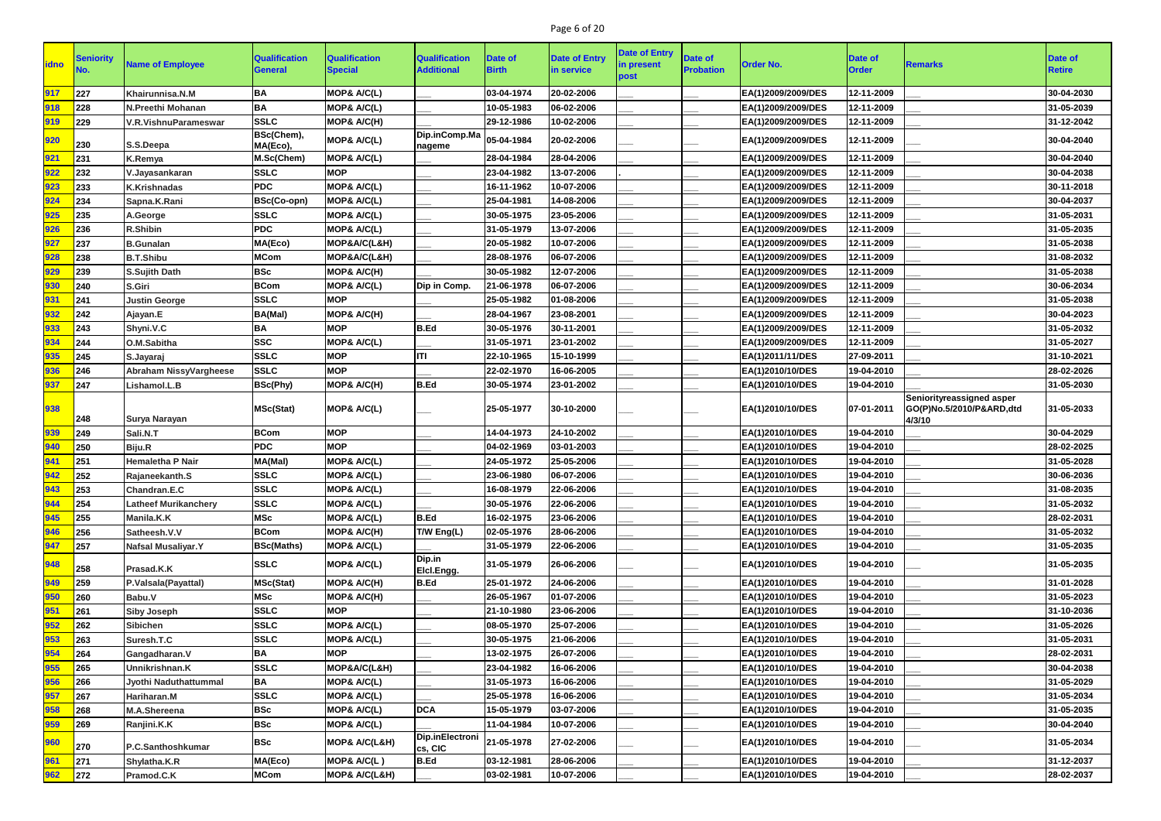# Page 6 of 20

|             |           |                               |                                        |                                        |                                           |                                |                                    | <b>Date of Entry</b> |                                    |                    |                                |                                                                 |                          |
|-------------|-----------|-------------------------------|----------------------------------------|----------------------------------------|-------------------------------------------|--------------------------------|------------------------------------|----------------------|------------------------------------|--------------------|--------------------------------|-----------------------------------------------------------------|--------------------------|
| <b>idno</b> | Seniority | <b>Name of Employee</b>       | <b>Qualification</b><br><b>General</b> | <b>Qualification</b><br><b>Special</b> | <b>Qualification</b><br><b>Additional</b> | <b>Date of</b><br><b>Birth</b> | <b>Date of Entry</b><br>in service | in present           | <b>Date of</b><br><b>Probation</b> | <b>Order No.</b>   | <b>Date of</b><br><b>Order</b> | <b>Remarks</b>                                                  | Date of<br><b>Retire</b> |
|             |           |                               |                                        |                                        |                                           |                                |                                    | post                 |                                    |                    |                                |                                                                 |                          |
| 917         | 227       | Khairunnisa.N.M               | <b>BA</b>                              | MOP& A/C(L)                            |                                           | 03-04-1974                     | 20-02-2006                         |                      |                                    | EA(1)2009/2009/DES | 12-11-2009                     |                                                                 | 30-04-2030               |
| 918         | 228       | <b>N.Preethi Mohanan</b>      | <b>BA</b>                              | MOP& A/C(L)                            |                                           | 10-05-1983                     | 06-02-2006                         |                      |                                    | EA(1)2009/2009/DES | 12-11-2009                     |                                                                 | 31-05-2039               |
| 919         | 229       | V.R.VishnuParameswar          | <b>SSLC</b>                            | MOP& A/C(H)                            |                                           | 29-12-1986                     | 10-02-2006                         |                      |                                    | EA(1)2009/2009/DES | 12-11-2009                     |                                                                 | 31-12-2042               |
| 920         | 230       | S.S.Deepa                     | BSc(Chem),<br>MA(Eco),                 | MOP& A/C(L)                            | Dip.inComp.Ma<br>nageme                   | 05-04-1984                     | 20-02-2006                         |                      |                                    | EA(1)2009/2009/DES | 12-11-2009                     |                                                                 | 30-04-2040               |
| 921         | 231       | K.Remya                       | M.Sc(Chem)                             | MOP& A/C(L)                            |                                           | 28-04-1984                     | 28-04-2006                         |                      |                                    | EA(1)2009/2009/DES | 12-11-2009                     |                                                                 | 30-04-2040               |
| 922         | 232       | V.Jayasankaran                | <b>SSLC</b>                            | <b>MOP</b>                             |                                           | 23-04-1982                     | 13-07-2006                         |                      |                                    | EA(1)2009/2009/DES | 12-11-2009                     |                                                                 | 30-04-2038               |
| 923         | 233       | <b>K.Krishnadas</b>           | <b>PDC</b>                             | MOP& A/C(L)                            |                                           | 16-11-1962                     | 10-07-2006                         |                      |                                    | EA(1)2009/2009/DES | 12-11-2009                     |                                                                 | 30-11-2018               |
| 924         | 234       | Sapna.K.Rani                  | <b>BSc(Co-opn)</b>                     | MOP& A/C(L)                            |                                           | 25-04-1981                     | 14-08-2006                         |                      |                                    | EA(1)2009/2009/DES | 12-11-2009                     |                                                                 | 30-04-2037               |
| 925         | 235       | A.George                      | <b>SSLC</b>                            | MOP& A/C(L)                            |                                           | 30-05-1975                     | 23-05-2006                         |                      |                                    | EA(1)2009/2009/DES | 12-11-2009                     |                                                                 | 31-05-2031               |
| 926         | 236       | <b>R.Shibin</b>               | <b>PDC</b>                             | MOP& A/C(L)                            |                                           | 31-05-1979                     | 13-07-2006                         |                      |                                    | EA(1)2009/2009/DES | 12-11-2009                     |                                                                 | 31-05-2035               |
| 927         | 237       | <b>B.Gunalan</b>              | MA(Eco)                                | MOP&A/C(L&H)                           |                                           | 20-05-1982                     | 10-07-2006                         |                      |                                    | EA(1)2009/2009/DES | 12-11-2009                     |                                                                 | 31-05-2038               |
| 928         | 238       | <b>B.T.Shibu</b>              | <b>MCom</b>                            | MOP&A/C(L&H)                           |                                           | 28-08-1976                     | 06-07-2006                         |                      |                                    | EA(1)2009/2009/DES | 12-11-2009                     |                                                                 | 31-08-2032               |
| 929         | 239       | <b>S.Sujith Dath</b>          | <b>BSc</b>                             | MOP& A/C(H)                            |                                           | 30-05-1982                     | 12-07-2006                         |                      |                                    | EA(1)2009/2009/DES | 12-11-2009                     |                                                                 | 31-05-2038               |
| 930         | 240       | <b>S.Giri</b>                 | <b>BCom</b>                            | MOP& A/C(L)                            | Dip in Comp.                              | 21-06-1978                     | 06-07-2006                         |                      |                                    | EA(1)2009/2009/DES | 12-11-2009                     |                                                                 | 30-06-2034               |
| 931         | 241       | <b>Justin George</b>          | <b>SSLC</b>                            | <b>MOP</b>                             |                                           | 25-05-1982                     | 01-08-2006                         |                      |                                    | EA(1)2009/2009/DES | 12-11-2009                     |                                                                 | 31-05-2038               |
| 932         | 242       | Ajayan.E                      | <b>BA(Mal)</b>                         | MOP& A/C(H)                            |                                           | 28-04-1967                     | 23-08-2001                         |                      |                                    | EA(1)2009/2009/DES | 12-11-2009                     |                                                                 | 30-04-2023               |
| 933         | 243       | Shyni.V.C                     | BA                                     | <b>MOP</b>                             | B.Ed                                      | 30-05-1976                     | 30-11-2001                         |                      |                                    | EA(1)2009/2009/DES | 12-11-2009                     |                                                                 | 31-05-2032               |
| 934         | 244       | O.M.Sabitha                   | <b>SSC</b>                             | MOP& A/C(L)                            |                                           | 31-05-1971                     | 23-01-2002                         |                      |                                    | EA(1)2009/2009/DES | 12-11-2009                     |                                                                 | 31-05-2027               |
| 935         | 245       | S.Jayaraj                     | <b>SSLC</b>                            | <b>MOP</b>                             | <b>ITI</b>                                | 22-10-1965                     | 15-10-1999                         |                      |                                    | EA(1)2011/11/DES   | 27-09-2011                     |                                                                 | 31-10-2021               |
| 936         | 246       | <b>Abraham NissyVargheese</b> | <b>SSLC</b>                            | <b>MOP</b>                             |                                           | 22-02-1970                     | 16-06-2005                         |                      |                                    | EA(1)2010/10/DES   | 19-04-2010                     |                                                                 | 28-02-2026               |
| 937         | 247       | Lishamol.L.B                  | <b>BSc(Phy)</b>                        | MOP& A/C(H)                            | B.Ed                                      | 30-05-1974                     | 23-01-2002                         |                      |                                    | EA(1)2010/10/DES   | 19-04-2010                     |                                                                 | 31-05-2030               |
| 938         | 248       | <b>Surya Narayan</b>          | <b>MSc(Stat)</b>                       | MOP& A/C(L)                            |                                           | 25-05-1977                     | 30-10-2000                         |                      |                                    | EA(1)2010/10/DES   | 07-01-2011                     | Seniorityreassigned asper<br>GO(P)No.5/2010/P&ARD,dtd<br>4/3/10 | 31-05-2033               |
| 939         | 249       | Sali.N.T                      | <b>BCom</b>                            | <b>MOP</b>                             |                                           | 14-04-1973                     | 24-10-2002                         |                      |                                    | EA(1)2010/10/DES   | 19-04-2010                     |                                                                 | 30-04-2029               |
| 940         | 250       | Biju.R                        | <b>PDC</b>                             | <b>MOP</b>                             |                                           | 04-02-1969                     | 03-01-2003                         |                      |                                    | EA(1)2010/10/DES   | 19-04-2010                     |                                                                 | 28-02-2025               |
| 941         | 251       | <b>Hemaletha P Nair</b>       | MA(Mal)                                | MOP& A/C(L)                            |                                           | 24-05-1972                     | 25-05-2006                         |                      |                                    | EA(1)2010/10/DES   | 19-04-2010                     |                                                                 | 31-05-2028               |
| 942         | 252       | Rajaneekanth.S                | <b>SSLC</b>                            | <b>MOP&amp; A/C(L)</b>                 |                                           | 23-06-1980                     | 06-07-2006                         |                      |                                    | EA(1)2010/10/DES   | 19-04-2010                     |                                                                 | 30-06-2036               |
| 943         | 253       | Chandran.E.C                  | <b>SSLC</b>                            | MOP& A/C(L)                            |                                           | 16-08-1979                     | 22-06-2006                         |                      |                                    | EA(1)2010/10/DES   | 19-04-2010                     |                                                                 | 31-08-2035               |
| 944         | 254       | <b>Latheef Murikanchery</b>   | <b>SSLC</b>                            | MOP& A/C(L)                            |                                           | 30-05-1976                     | 22-06-2006                         |                      |                                    | EA(1)2010/10/DES   | 19-04-2010                     |                                                                 | 31-05-2032               |
| 945         | 255       | Manila.K.K                    | <b>MSc</b>                             | MOP& A/C(L)                            | B.Ed                                      | 16-02-1975                     | 23-06-2006                         |                      |                                    | EA(1)2010/10/DES   | 19-04-2010                     |                                                                 | 28-02-2031               |
| 946         | 256       | Satheesh.V.V                  | <b>BCom</b>                            | MOP& A/C(H)                            | T/W Eng(L)                                | 02-05-1976                     | 28-06-2006                         |                      |                                    | EA(1)2010/10/DES   | 19-04-2010                     |                                                                 | 31-05-2032               |
| 947         | 257       | <b>Nafsal Musaliyar.Y</b>     | <b>BSc(Maths)</b>                      | MOP& A/C(L)                            |                                           | 31-05-1979                     | 22-06-2006                         |                      |                                    | EA(1)2010/10/DES   | 19-04-2010                     |                                                                 | 31-05-2035               |
| 948         | 258       | Prasad.K.K                    | <b>SSLC</b>                            | MOP& A/C(L)                            | Dip.in<br>Elcl.Engg.                      | 31-05-1979                     | 26-06-2006                         |                      |                                    | EA(1)2010/10/DES   | 19-04-2010                     |                                                                 | 31-05-2035               |
| 949         | 259       | P.Valsala(Payattal)           | <b>MSc(Stat)</b>                       | MOP& A/C(H)                            | <b>B.Ed</b>                               | 25-01-1972                     | 24-06-2006                         |                      |                                    | EA(1)2010/10/DES   | 19-04-2010                     |                                                                 | 31-01-2028               |
| 950         | 260       | Babu.V                        | <b>MSc</b>                             | MOP& A/C(H)                            |                                           | 26-05-1967                     | 01-07-2006                         |                      |                                    | EA(1)2010/10/DES   | 19-04-2010                     |                                                                 | 31-05-2023               |
| 951         | 261       | <b>Siby Joseph</b>            | <b>SSLC</b>                            | <b>MOP</b>                             |                                           | 21-10-1980                     | 23-06-2006                         |                      |                                    | EA(1)2010/10/DES   | 19-04-2010                     |                                                                 | 31-10-2036               |
| 952         | 262       | <b>Sibichen</b>               | <b>SSLC</b>                            | MOP& A/C(L)                            |                                           | 08-05-1970                     | 25-07-2006                         |                      |                                    | EA(1)2010/10/DES   | 19-04-2010                     |                                                                 | 31-05-2026               |
| 953         | 263       | Suresh.T.C                    | <b>SSLC</b>                            | MOP& A/C(L)                            |                                           | 30-05-1975                     | 21-06-2006                         |                      |                                    | EA(1)2010/10/DES   | 19-04-2010                     |                                                                 | 31-05-2031               |
| 954         | 264       | Gangadharan.V                 | <b>BA</b>                              | <b>MOP</b>                             |                                           | 13-02-1975                     | 26-07-2006                         |                      |                                    | EA(1)2010/10/DES   | 19-04-2010                     |                                                                 | 28-02-2031               |
| 955         | 265       | Unnikrishnan.K                | <b>SSLC</b>                            | MOP&A/C(L&H)                           |                                           | 23-04-1982                     | 16-06-2006                         |                      |                                    | EA(1)2010/10/DES   | 19-04-2010                     |                                                                 | 30-04-2038               |
| 956         | 266       | Jyothi Naduthattummal         | <b>BA</b>                              | MOP& A/C(L)                            |                                           | 31-05-1973                     | 16-06-2006                         |                      |                                    | EA(1)2010/10/DES   | 19-04-2010                     |                                                                 | 31-05-2029               |
| 957         | 267       | Hariharan.M                   | <b>SSLC</b>                            | MOP& A/C(L)                            |                                           | 25-05-1978                     | 16-06-2006                         |                      |                                    | EA(1)2010/10/DES   | 19-04-2010                     |                                                                 | 31-05-2034               |
| 958         | 268       | M.A.Shereena                  | <b>BSc</b>                             | MOP& A/C(L)                            | <b>DCA</b>                                | 15-05-1979                     | 03-07-2006                         |                      |                                    | EA(1)2010/10/DES   | 19-04-2010                     |                                                                 | 31-05-2035               |
| 959         | 269       | Ranjini.K.K                   | <b>BSc</b>                             | <b>MOP&amp; A/C(L)</b>                 |                                           | 11-04-1984                     | 10-07-2006                         |                      |                                    | EA(1)2010/10/DES   | 19-04-2010                     |                                                                 | 30-04-2040               |
| 960         | 270       | P.C.Santhoshkumar             | <b>BSc</b>                             | MOP& A/C(L&H)                          | Dip.inElectroni<br>cs, CIC                | 21-05-1978                     | 27-02-2006                         |                      |                                    | EA(1)2010/10/DES   | 19-04-2010                     |                                                                 | 31-05-2034               |
| 961         | 271       | Shylatha.K.R                  | MA(Eco)                                | MOP& A/C(L)                            | <b>B.Ed</b>                               | 03-12-1981                     | 28-06-2006                         |                      |                                    | EA(1)2010/10/DES   | 19-04-2010                     |                                                                 | 31-12-2037               |
| 962         | 272       | Pramod.C.K                    | <b>MCom</b>                            | <b>MOP&amp; A/C(L&amp;H)</b>           |                                           | 03-02-1981                     | 10-07-2006                         |                      |                                    | EA(1)2010/10/DES   | 19-04-2010                     |                                                                 | 28-02-2037               |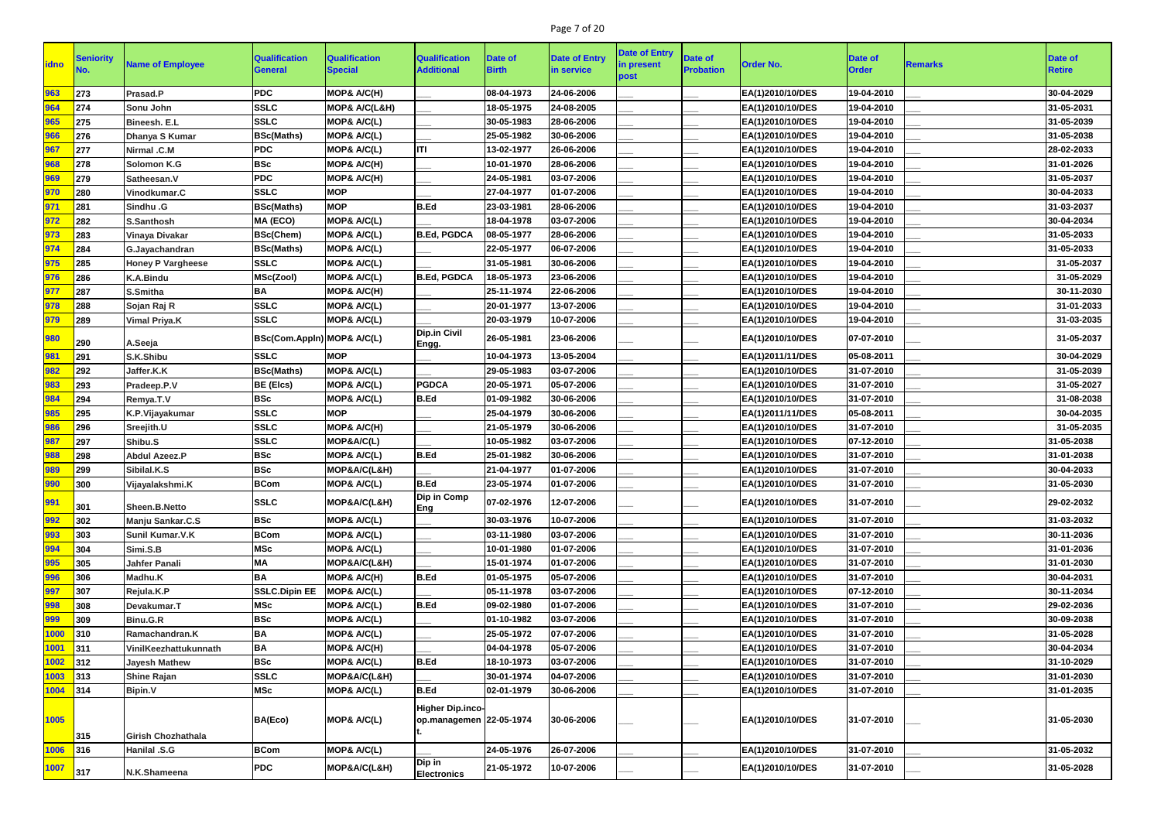# Page 7 of 20

| <b>idno</b> | Seniority  | <b>Name of Employee</b>   | <b>Qualification</b>       | <b>Qualification</b>   | <b>Qualification</b>                                 | Date of      | <b>Date of Entry</b> | <b>Date of Entry</b> | <b>Date of</b>   | <b>Order No.</b>                     | Date of      |                | Date of       |
|-------------|------------|---------------------------|----------------------------|------------------------|------------------------------------------------------|--------------|----------------------|----------------------|------------------|--------------------------------------|--------------|----------------|---------------|
|             |            |                           | <b>General</b>             | <b>Special</b>         | <b>Additional</b>                                    | <b>Birth</b> | in service           | in present<br>post   | <b>Probation</b> |                                      | <b>Order</b> | <b>Remarks</b> | <b>Retire</b> |
| 963         | 273        | Prasad.P                  | <b>PDC</b>                 | MOP& A/C(H)            |                                                      | 08-04-1973   | 24-06-2006           |                      |                  | EA(1)2010/10/DES                     | 19-04-2010   |                | 30-04-2029    |
| 964         | 274        | Sonu John                 | <b>SSLC</b>                | MOP& A/C(L&H)          |                                                      | 18-05-1975   | 24-08-2005           |                      |                  | EA(1)2010/10/DES                     | 19-04-2010   |                | 31-05-2031    |
| 965         | 275        | <b>Bineesh. E.L</b>       | <b>SSLC</b>                | MOP& A/C(L)            |                                                      | 30-05-1983   | 28-06-2006           |                      |                  | EA(1)2010/10/DES                     | 19-04-2010   |                | 31-05-2039    |
| 966         | 276        | Dhanya S Kumar            | <b>BSc(Maths)</b>          | MOP& A/C(L)            |                                                      | 25-05-1982   | 30-06-2006           |                      |                  | EA(1)2010/10/DES                     | 19-04-2010   |                | 31-05-2038    |
| 967         | 277        | Nirmal .C.M               | <b>PDC</b>                 | MOP& A/C(L)            | <b>ITI</b>                                           | 13-02-1977   | 26-06-2006           |                      |                  | EA(1)2010/10/DES                     | 19-04-2010   |                | 28-02-2033    |
| 968         | 278        | <b>Solomon K.G</b>        | <b>BSc</b>                 | MOP& A/C(H)            |                                                      | 10-01-1970   | 28-06-2006           |                      |                  | EA(1)2010/10/DES                     | 19-04-2010   |                | 31-01-2026    |
| 969         | 279        | Satheesan.V               | <b>PDC</b>                 | MOP& A/C(H)            |                                                      | 24-05-1981   | 03-07-2006           |                      |                  | EA(1)2010/10/DES                     | 19-04-2010   |                | 31-05-2037    |
| 970         | 280        | Vinodkumar.C              | <b>SSLC</b>                | <b>MOP</b>             |                                                      | 27-04-1977   | 01-07-2006           |                      |                  | EA(1)2010/10/DES                     | 19-04-2010   |                | 30-04-2033    |
| 971         | 281        | Sindhu .G                 | <b>BSc(Maths)</b>          | <b>MOP</b>             | <b>B.Ed</b>                                          | 23-03-1981   | 28-06-2006           |                      |                  | EA(1)2010/10/DES                     | 19-04-2010   |                | 31-03-2037    |
| 972         | 282        | <b>S.Santhosh</b>         | MA (ECO)                   | MOP& A/C(L)            |                                                      | 18-04-1978   | 03-07-2006           |                      |                  | EA(1)2010/10/DES                     | 19-04-2010   |                | 30-04-2034    |
| 973         | 283        | <b>Vinaya Divakar</b>     | <b>BSc(Chem)</b>           | MOP& A/C(L)            | <b>B.Ed, PGDCA</b>                                   | 08-05-1977   | 28-06-2006           |                      |                  | EA(1)2010/10/DES                     | 19-04-2010   |                | 31-05-2033    |
| 974         | 284        | G.Jayachandran            | <b>BSc(Maths)</b>          | MOP& A/C(L)            |                                                      | 22-05-1977   | 06-07-2006           |                      |                  | EA(1)2010/10/DES                     | 19-04-2010   |                | 31-05-2033    |
| 975         | 285        | <b>Honey P Vargheese</b>  | <b>SSLC</b>                | MOP& A/C(L)            |                                                      | 31-05-1981   | 30-06-2006           |                      |                  | EA(1)2010/10/DES                     | 19-04-2010   |                | 31-05-2037    |
| 976         | 286        | <b>K.A.Bindu</b>          | MSc(Zool)                  | MOP& A/C(L)            | <b>B.Ed, PGDCA</b>                                   | 18-05-1973   | 23-06-2006           |                      |                  | EA(1)2010/10/DES                     | 19-04-2010   |                | 31-05-2029    |
| 977         | 287        | S.Smitha                  | BA                         | <b>MOP&amp; A/C(H)</b> |                                                      | 25-11-1974   | 22-06-2006           |                      |                  | EA(1)2010/10/DES                     | 19-04-2010   |                | 30-11-2030    |
| 978         | 288        | Sojan Raj R               | <b>SSLC</b>                | MOP& A/C(L)            |                                                      | 20-01-1977   | 13-07-2006           |                      |                  | EA(1)2010/10/DES                     | 19-04-2010   |                | 31-01-2033    |
| 979         | 289        | <b>Vimal Priya.K</b>      | <b>SSLC</b>                | MOP& A/C(L)            |                                                      | 20-03-1979   | 10-07-2006           |                      |                  | EA(1)2010/10/DES                     | 19-04-2010   |                | 31-03-2035    |
| 980         | 290        | A.Seeja                   | BSc(Com.Appin) MOP& A/C(L) |                        | <b>Dip.in Civil</b><br> Engg.                        | 26-05-1981   | 23-06-2006           |                      |                  | EA(1)2010/10/DES                     | 07-07-2010   |                | 31-05-2037    |
| 981         | 291        | S.K.Shibu                 | <b>SSLC</b>                | <b>MOP</b>             |                                                      | 10-04-1973   | 13-05-2004           |                      |                  | EA(1)2011/11/DES                     | 05-08-2011   |                | 30-04-2029    |
| 982         | 292        | Jaffer.K.K                | <b>BSc(Maths)</b>          | MOP& A/C(L)            |                                                      | 29-05-1983   | 03-07-2006           |                      |                  | EA(1)2010/10/DES                     | 31-07-2010   |                | 31-05-2039    |
| 983         | 293        | Pradeep.P.V               | <b>BE (Elcs)</b>           | MOP& A/C(L)            | <b>PGDCA</b>                                         | 20-05-1971   | 05-07-2006           |                      |                  | EA(1)2010/10/DES                     | 31-07-2010   |                | 31-05-2027    |
| 984         | 294        | Remya.T.V                 | <b>BSc</b>                 | MOP& A/C(L)            | <b>B.Ed</b>                                          | 01-09-1982   | 30-06-2006           |                      |                  | EA(1)2010/10/DES                     | 31-07-2010   |                | 31-08-2038    |
| 985         | 295        | K.P.Vijayakumar           | <b>SSLC</b>                | <b>MOP</b>             |                                                      | 25-04-1979   | 30-06-2006           |                      |                  | EA(1)2011/11/DES                     | 05-08-2011   |                | 30-04-2035    |
| 986         | 296        | Sreejith.U                | <b>SSLC</b>                | MOP& A/C(H)            |                                                      | 21-05-1979   | 30-06-2006           |                      |                  | EA(1)2010/10/DES                     | 31-07-2010   |                | 31-05-2035    |
| 987         | 297        | Shibu.S                   | <b>SSLC</b>                | MOP&A/C(L)             |                                                      | 10-05-1982   | 03-07-2006           |                      |                  | EA(1)2010/10/DES                     | 07-12-2010   |                | 31-05-2038    |
| 988         | 298        | <b>Abdul Azeez.P</b>      | <b>BSc</b>                 | MOP& A/C(L)            | <b>B.Ed</b>                                          | 25-01-1982   | 30-06-2006           |                      |                  | EA(1)2010/10/DES                     | 31-07-2010   |                | 31-01-2038    |
| 989         | 299        | Sibilal.K.S               | <b>BSc</b>                 | MOP&A/C(L&H)           |                                                      | 21-04-1977   | 01-07-2006           |                      |                  | EA(1)2010/10/DES                     | 31-07-2010   |                | 30-04-2033    |
| 990         | 300        | Vijayalakshmi.K           | <b>BCom</b>                | MOP& A/C(L)            | B.Ed                                                 | 23-05-1974   | 01-07-2006           |                      |                  | EA(1)2010/10/DES                     | 31-07-2010   |                | 31-05-2030    |
| 991         | 301        | <b>Sheen.B.Netto</b>      | <b>SSLC</b>                | MOP&A/C(L&H)           | <b>Dip in Comp</b><br><b>Eng</b>                     | 07-02-1976   | 12-07-2006           |                      |                  | EA(1)2010/10/DES                     | 31-07-2010   |                | 29-02-2032    |
| 992         | 302        | Manju Sankar.C.S          | <b>BSc</b>                 | MOP& A/C(L)            |                                                      | 30-03-1976   | 10-07-2006           |                      |                  | EA(1)2010/10/DES                     | 31-07-2010   |                | 31-03-2032    |
| 993         | 303        | <b>Sunil Kumar.V.K</b>    | <b>BCom</b>                | MOP& A/C(L)            |                                                      | 03-11-1980   | 03-07-2006           |                      |                  | EA(1)2010/10/DES                     | 31-07-2010   |                | 30-11-2036    |
| 994         | 304        | Simi.S.B                  | <b>MSc</b>                 | MOP& A/C(L)            |                                                      | 10-01-1980   | 01-07-2006           |                      |                  | EA(1)2010/10/DES                     | 31-07-2010   |                | 31-01-2036    |
| 995         | 305        | <b>Jahfer Panali</b>      | <b>MA</b>                  | MOP&A/C(L&H)           |                                                      | 15-01-1974   | 01-07-2006           |                      |                  | EA(1)2010/10/DES                     | 31-07-2010   |                | 31-01-2030    |
| 996         | 306        | Madhu.K                   | <b>BA</b>                  | MOP& A/C(H)            | <b>B.Ed</b>                                          | 01-05-1975   | 05-07-2006           |                      |                  | EA(1)2010/10/DES                     | 31-07-2010   |                | 30-04-2031    |
| 997         | 307        | Rejula.K.P                | <b>SSLC.Dipin EE</b>       | MOP& A/C(L)            |                                                      | 05-11-1978   | 03-07-2006           |                      |                  | EA(1)2010/10/DES                     | 07-12-2010   |                | 30-11-2034    |
| 998         | 308        | Devakumar.T               | <b>MSc</b>                 | MOP& A/C(L)            | B.Ed                                                 | 09-02-1980   | 01-07-2006           |                      |                  | EA(1)2010/10/DES                     | 31-07-2010   |                | 29-02-2036    |
| 999         | 309        | Binu.G.R                  | <b>BSc</b>                 | MOP& A/C(L)            |                                                      | 01-10-1982   | 03-07-2006           |                      |                  | EA(1)2010/10/DES                     | 31-07-2010   |                | 30-09-2038    |
| 1000        | 310        | Ramachandran.K            | <b>BA</b>                  | MOP& A/C(L)            |                                                      | 25-05-1972   | 07-07-2006           |                      |                  | EA(1)2010/10/DES                     | 31-07-2010   |                | 31-05-2028    |
| 1001        | 311        | VinilKeezhattukunnath     | <b>BA</b>                  | <b>MOP&amp; A/C(H)</b> |                                                      | 04-04-1978   | 05-07-2006           |                      |                  | EA(1)2010/10/DES                     | 31-07-2010   |                | 30-04-2034    |
| 1002        | 312        | <b>Jayesh Mathew</b>      | <b>BSc</b>                 | MOP& A/C(L)            | <b>B.Ed</b>                                          | 18-10-1973   | 03-07-2006           |                      |                  | EA(1)2010/10/DES                     | 31-07-2010   |                | 31-10-2029    |
| 1003        | 313        | <b>Shine Rajan</b>        | <b>SSLC</b>                | MOP&A/C(L&H)           |                                                      | 30-01-1974   | 04-07-2006           |                      |                  | EA(1)2010/10/DES                     | 31-07-2010   |                | 31-01-2030    |
| 1004        | 314        | <b>Bipin.V</b>            | <b>MSc</b>                 | <b>MOP&amp; A/C(L)</b> | <b>B.Ed</b>                                          | 02-01-1979   | 30-06-2006           |                      |                  | EA(1)2010/10/DES                     | 31-07-2010   |                | 31-01-2035    |
| 1005        |            |                           | BA(Eco)                    | MOP& A/C(L)            | <b>Higher Dip.inco-</b><br>op.managemen   22-05-1974 |              | 30-06-2006           |                      |                  | EA(1)2010/10/DES                     | 31-07-2010   |                | 31-05-2030    |
| 1006        | 315<br>316 | <b>Girish Chozhathala</b> | <b>BCom</b>                | MOP& A/C(L)            |                                                      | 24-05-1976   | 26-07-2006           |                      |                  |                                      | 31-07-2010   |                | 31-05-2032    |
| 1007        |            | <b>Hanilal .S.G</b>       | <b>PDC</b>                 | MOP&A/C(L&H)           | Dip in                                               | 21-05-1972   | 10-07-2006           |                      |                  | EA(1)2010/10/DES<br>EA(1)2010/10/DES | 31-07-2010   |                | 31-05-2028    |
|             | 317        | N.K.Shameena              |                            |                        | <b>Electronics</b>                                   |              |                      |                      |                  |                                      |              |                |               |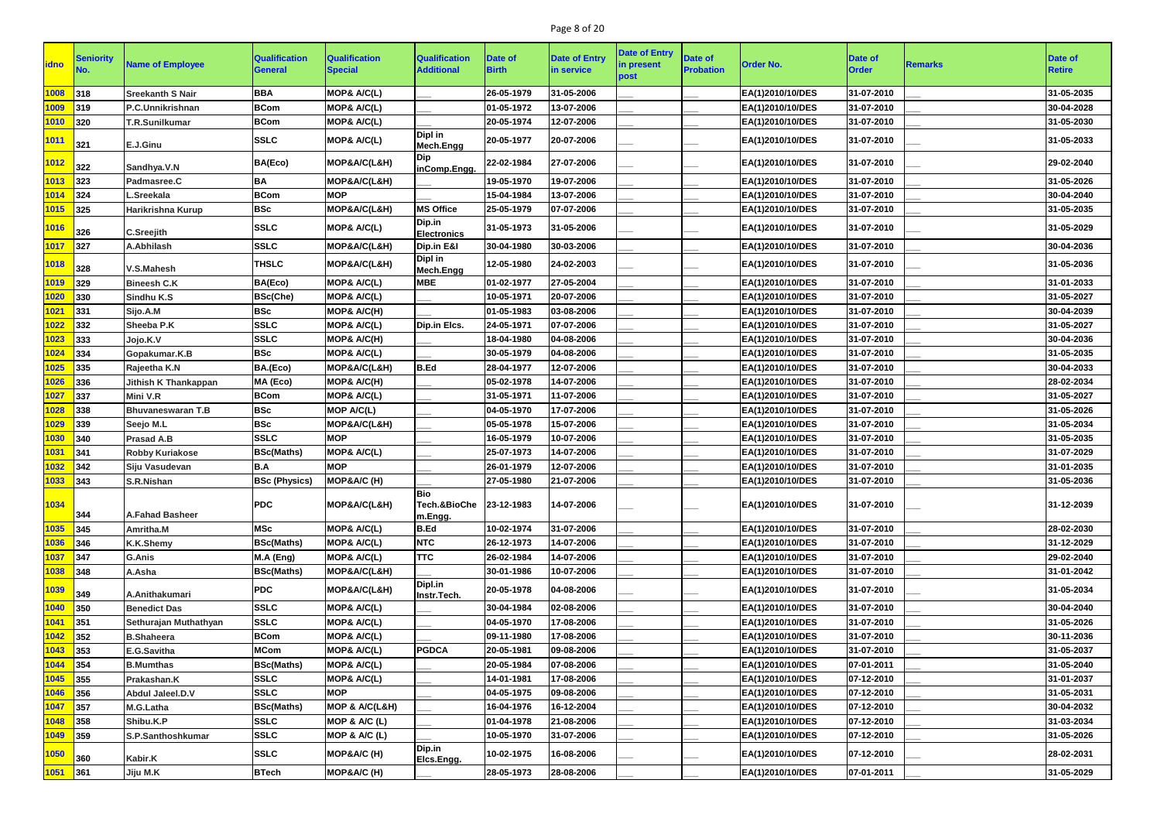# Page 8 of 20

| <b>Date of Entry</b><br><b>Date of</b><br><b>Seniority</b><br><b>Qualification</b><br><b>Qualification</b><br><b>Qualification</b><br><b>Date of</b><br><b>Date of</b><br>Date of<br><b>Name of Employee</b><br><b>Order No.</b><br><b>idno</b><br><b>Remarks</b><br>in present<br><b>Additional</b><br><b>Probation</b><br><b>Order</b><br><b>Birth</b><br><b>General</b><br><b>Special</b><br>in service<br><b>Retire</b><br>post<br><b>BBA</b><br>26-05-1979<br>31-05-2006<br>31-05-2035<br>1008<br>MOP& A/C(L)<br>EA(1)2010/10/DES<br>31-07-2010<br>318<br><b>Sreekanth S Nair</b><br>30-04-2028<br><b>BCom</b><br>MOP& A/C(L)<br>01-05-1972<br>13-07-2006<br>EA(1)2010/10/DES<br>31-07-2010<br>1009<br>319<br>P.C.Unnikrishnan<br><b>BCom</b><br>31-05-2030<br>320<br>MOP& A/C(L)<br>20-05-1974<br>12-07-2006<br>EA(1)2010/10/DES<br>31-07-2010<br>1010<br><b>T.R.Sunilkumar</b><br>Dipl in<br><b>SSLC</b><br>1011<br><b>MOP&amp; A/C(L)</b><br>20-05-1977<br>20-07-2006<br>31-07-2010<br>31-05-2033<br>EA(1)2010/10/DES<br>321<br>E.J.Ginu<br>Mech.Engg<br>Dip<br>BA(Eco)<br>MOP&A/C(L&H)<br>27-07-2006<br><b>1012</b><br>22-02-1984<br>EA(1)2010/10/DES<br>31-07-2010<br>29-02-2040<br>322<br>Sandhya.V.N<br>inComp.Engg.<br><b>BA</b><br>19-05-1970<br>19-07-2006<br>31-05-2026<br>1013<br>323<br>MOP&A/C(L&H)<br>EA(1)2010/10/DES<br>31-07-2010<br>Padmasree.C<br>30-04-2040<br><b>BCom</b><br><b>MOP</b><br>15-04-1984<br>13-07-2006<br>EA(1)2010/10/DES<br>31-07-2010<br>1014<br>324<br>L.Sreekala<br><b>BSc</b><br><b>MS Office</b><br>1015<br>325<br>MOP&A/C(L&H)<br>25-05-1979<br>07-07-2006<br>31-07-2010<br>31-05-2035<br>Harikrishna Kurup<br>EA(1)2010/10/DES<br>Dip.in<br><b>SSLC</b><br>1016<br>MOP& A/C(L)<br>31-05-1973<br>31-05-2006<br>31-07-2010<br>31-05-2029<br>EA(1)2010/10/DES<br>326<br><b>C.Sreejith</b><br><b>Electronics</b><br><b>SSLC</b><br>327<br>Dip.in E&I<br>EA(1)2010/10/DES<br>30-04-2036<br>1017<br>MOP&A/C(L&H)<br>30-04-1980<br>30-03-2006<br>31-07-2010<br>A.Abhilash<br>Dipl in<br><b>THSLC</b><br>12-05-1980<br>24-02-2003<br>31-07-2010<br>31-05-2036<br>1018<br>MOP&A/C(L&H)<br>EA(1)2010/10/DES<br>328<br>V.S.Mahesh<br>Mech.Engg<br>31-01-2033<br>BA(Eco)<br>MOP& A/C(L)<br><b>MBE</b><br>01-02-1977<br>27-05-2004<br>EA(1)2010/10/DES<br>31-07-2010<br>1019<br>329<br><b>Bineesh C.K</b><br><b>BSc(Che)</b><br>20-07-2006<br>31-05-2027<br>MOP& A/C(L)<br>10-05-1971<br>EA(1)2010/10/DES<br>31-07-2010<br>1020<br>330<br>Sindhu K.S<br><b>BSc</b><br>MOP& A/C(H)<br>01-05-1983<br>30-04-2039<br>331<br>03-08-2006<br>EA(1)2010/10/DES<br>31-07-2010<br>1021<br>Sijo.A.M<br><b>SSLC</b><br>31-05-2027<br>332<br>MOP& A/C(L)<br>24-05-1971<br>07-07-2006<br>EA(1)2010/10/DES<br>31-07-2010<br>1022<br>Sheeba P.K<br>Dip.in Elcs.<br><b>SSLC</b><br>333<br>MOP& A/C(H)<br>18-04-1980<br>04-08-2006<br>31-07-2010<br>30-04-2036<br>1023<br>Jojo.K.V<br>EA(1)2010/10/DES<br><b>BSc</b><br>31-05-2035<br>MOP& A/C(L)<br>30-05-1979<br>04-08-2006<br>1024<br>334<br>EA(1)2010/10/DES<br>31-07-2010<br>Gopakumar.K.B<br>BA.(Eco)<br>B.Ed<br>30-04-2033<br>1025<br>335<br>MOP&A/C(L&H)<br>28-04-1977<br>12-07-2006<br>EA(1)2010/10/DES<br>31-07-2010<br>Rajeetha K.N<br>MA (Eco)<br>MOP& A/C(H)<br>14-07-2006<br>EA(1)2010/10/DES<br>28-02-2034<br>336<br>05-02-1978<br>31-07-2010<br>1026<br><b>Jithish K Thankappan</b><br><b>BCom</b><br>MOP& A/C(L)<br>11-07-2006<br>31-05-2027<br>337<br>31-05-1971<br>EA(1)2010/10/DES<br>31-07-2010<br>1027<br>Mini V.R<br><b>BSc</b><br>31-05-2026<br>338<br><b>Bhuvaneswaran T.B</b><br>MOP A/C(L)<br>04-05-1970<br>17-07-2006<br>EA(1)2010/10/DES<br>31-07-2010<br>1028<br><b>BSc</b><br>31-05-2034<br>339<br>05-05-1978<br>15-07-2006<br>31-07-2010<br>1029<br>Seejo M.L<br>MOP&A/C(L&H)<br>EA(1)2010/10/DES<br><b>SSLC</b><br><b>MOP</b><br>31-05-2035<br>340<br>16-05-1979<br>10-07-2006<br>EA(1)2010/10/DES<br>31-07-2010<br>1030<br><b>Prasad A.B</b><br>25-07-1973<br>14-07-2006<br>31-07-2010<br>31-07-2029<br><b>BSc(Maths)</b><br>MOP& A/C(L)<br>EA(1)2010/10/DES<br>1031<br>341<br><b>Robby Kuriakose</b><br>B.A<br>342<br><b>MOP</b><br>26-01-1979<br>12-07-2006<br>EA(1)2010/10/DES<br>31-07-2010<br>31-01-2035<br>1032<br>Siju Vasudevan<br>$1033$ 343<br><b>BSc (Physics)</b><br>MOP&A/C (H)<br>27-05-1980<br>21-07-2006<br>EA(1)2010/10/DES<br>31-07-2010<br>31-05-2036<br>S.R.Nishan<br><b>Bio</b><br>1034<br><b>PDC</b><br>Tech.&BioChe 23-12-1983<br>MOP&A/C(L&H)<br>14-07-2006<br>31-07-2010<br>31-12-2039<br>EA(1)2010/10/DES<br>344<br><b>A.Fahad Basheer</b><br>m.Engg.<br><b>MSc</b><br>MOP& A/C(L)<br>B.Ed<br>31-07-2006<br>31-07-2010<br>28-02-2030<br>1035<br>345<br>10-02-1974<br>EA(1)2010/10/DES<br>Amritha.M<br><b>NTC</b><br>346<br><b>BSc(Maths)</b><br>MOP& A/C(L)<br>26-12-1973<br>14-07-2006<br>EA(1)2010/10/DES<br>31-07-2010<br>31-12-2029<br>1036<br><b>K.K.Shemy</b><br><b>TTC</b><br>29-02-2040<br>1037<br>347<br>M.A (Eng)<br>MOP& A/C(L)<br>14-07-2006<br>EA(1)2010/10/DES<br>31-07-2010<br>26-02-1984<br><b>G.Anis</b><br>348<br><b>BSc(Maths)</b><br>MOP&A/C(L&H)<br>30-01-1986<br>31-01-2042<br>1038<br>10-07-2006<br>EA(1)2010/10/DES<br>31-07-2010<br>A.Asha<br>Dipl.in<br><b>PDC</b><br>MOP&A/C(L&H)<br>20-05-1978<br>04-08-2006<br>31-07-2010<br>31-05-2034<br>1039<br>EA(1)2010/10/DES<br>349<br>A.Anithakumari<br>Instr.Tech.<br><b>SSLC</b><br>30-04-2040<br>1040<br>350<br>MOP& A/C(L)<br>31-07-2010<br><b>Benedict Das</b><br>30-04-1984<br>02-08-2006<br>EA(1)2010/10/DES<br>MOP& A/C(L)<br>31-05-2026<br>1041<br>351<br><b>SSLC</b><br>04-05-1970<br>17-08-2006<br>EA(1)2010/10/DES<br>31-07-2010<br>Sethurajan Muthathyan<br><b>BCom</b><br>1042<br>352<br>MOP& A/C(L)<br>09-11-1980<br>17-08-2006<br>31-07-2010<br>30-11-2036<br><b>B.Shaheera</b><br>EA(1)2010/10/DES<br>31-05-2037<br>1043<br><b>MCom</b><br>MOP& A/C(L)<br><b>PGDCA</b><br>20-05-1981<br>09-08-2006<br>31-07-2010<br>353<br>EA(1)2010/10/DES<br>E.G.Savitha<br>1044<br>354<br><b>BSc(Maths)</b><br>MOP& A/C(L)<br>07-01-2011<br>31-05-2040<br><b>B.Mumthas</b><br>20-05-1984<br>07-08-2006<br>EA(1)2010/10/DES<br><b>SSLC</b><br>1045<br>355<br>MOP& A/C(L)<br>14-01-1981<br>17-08-2006<br>EA(1)2010/10/DES<br>07-12-2010<br>31-01-2037<br>Prakashan.K<br><b>SSLC</b><br>07-12-2010<br>31-05-2031<br>356<br><b>MOP</b><br>EA(1)2010/10/DES<br>1046<br>Abdul Jaleel.D.V<br>04-05-1975<br>09-08-2006<br>1047<br><b>BSc(Maths)</b><br>MOP & A/C(L&H)<br>16-04-1976<br>16-12-2004<br>07-12-2010<br>30-04-2032<br>357<br>EA(1)2010/10/DES<br>M.G.Latha<br>MOP & A/C (L)<br>07-12-2010<br>31-03-2034<br>1048<br>358<br>Shibu.K.P<br><b>SSLC</b><br>01-04-1978<br>21-08-2006<br>EA(1)2010/10/DES<br>31-05-2026<br>1049<br>359<br><b>SSLC</b><br>07-12-2010<br>MOP & $A/C$ (L)<br>10-05-1970<br>31-07-2006<br>EA(1)2010/10/DES<br>S.P.Santhoshkumar<br>Dip.in<br>1050<br><b>SSLC</b><br>MOP&A/C (H)<br>10-02-1975<br>16-08-2006<br>EA(1)2010/10/DES<br>07-12-2010<br>28-02-2031<br>360<br>Kabir.K<br>Elcs.Engg.<br><b>BTech</b><br> 361 <br>28-08-2006<br>07-01-2011<br>31-05-2029<br>28-05-1973 |      |          |             |  | <b>Date of Entry</b> |                  |  |  |
|-------------------------------------------------------------------------------------------------------------------------------------------------------------------------------------------------------------------------------------------------------------------------------------------------------------------------------------------------------------------------------------------------------------------------------------------------------------------------------------------------------------------------------------------------------------------------------------------------------------------------------------------------------------------------------------------------------------------------------------------------------------------------------------------------------------------------------------------------------------------------------------------------------------------------------------------------------------------------------------------------------------------------------------------------------------------------------------------------------------------------------------------------------------------------------------------------------------------------------------------------------------------------------------------------------------------------------------------------------------------------------------------------------------------------------------------------------------------------------------------------------------------------------------------------------------------------------------------------------------------------------------------------------------------------------------------------------------------------------------------------------------------------------------------------------------------------------------------------------------------------------------------------------------------------------------------------------------------------------------------------------------------------------------------------------------------------------------------------------------------------------------------------------------------------------------------------------------------------------------------------------------------------------------------------------------------------------------------------------------------------------------------------------------------------------------------------------------------------------------------------------------------------------------------------------------------------------------------------------------------------------------------------------------------------------------------------------------------------------------------------------------------------------------------------------------------------------------------------------------------------------------------------------------------------------------------------------------------------------------------------------------------------------------------------------------------------------------------------------------------------------------------------------------------------------------------------------------------------------------------------------------------------------------------------------------------------------------------------------------------------------------------------------------------------------------------------------------------------------------------------------------------------------------------------------------------------------------------------------------------------------------------------------------------------------------------------------------------------------------------------------------------------------------------------------------------------------------------------------------------------------------------------------------------------------------------------------------------------------------------------------------------------------------------------------------------------------------------------------------------------------------------------------------------------------------------------------------------------------------------------------------------------------------------------------------------------------------------------------------------------------------------------------------------------------------------------------------------------------------------------------------------------------------------------------------------------------------------------------------------------------------------------------------------------------------------------------------------------------------------------------------------------------------------------------------------------------------------------------------------------------------------------------------------------------------------------------------------------------------------------------------------------------------------------------------------------------------------------------------------------------------------------------------------------------------------------------------------------------------------------------------------------------------------------------------------------------------------------------------------------------------------------------------------------------------------------------------------------------------------------------------------------------------------------------------------------------------------------------------------------------------------------------------------------------------------------------------------------------------------------------------------------------------------------------------------------------------------------------------------------------------------------------------------------------------------------------------------------------------------------------------------------------------------------------------------------------------------------------------------------------------------------------------------------------------------------------------------------------------------------------------------------------------------------------------------------------------------------------------------------------------------------------------------------------------------------------------------------------------------------------------------------------------------------------------------------------------------------------------------------------------------------------------------------------------------------------------------------------------------------------------------------------------------------------------------------------------------------------------------------------------------------------------------------------------------------------------------------------------------------------------------------------------------------------------------------------------------------------------|------|----------|-------------|--|----------------------|------------------|--|--|
|                                                                                                                                                                                                                                                                                                                                                                                                                                                                                                                                                                                                                                                                                                                                                                                                                                                                                                                                                                                                                                                                                                                                                                                                                                                                                                                                                                                                                                                                                                                                                                                                                                                                                                                                                                                                                                                                                                                                                                                                                                                                                                                                                                                                                                                                                                                                                                                                                                                                                                                                                                                                                                                                                                                                                                                                                                                                                                                                                                                                                                                                                                                                                                                                                                                                                                                                                                                                                                                                                                                                                                                                                                                                                                                                                                                                                                                                                                                                                                                                                                                                                                                                                                                                                                                                                                                                                                                                                                                                                                                                                                                                                                                                                                                                                                                                                                                                                                                                                                                                                                                                                                                                                                                                                                                                                                                                                                                                                                                                                                                                                                                                                                                                                                                                                                                                                                                                                                                                                                                                                                                                                                                                                                                                                                                                                                                                                                                                                                                                                                                                                                                                                                                                                                                                                                                                                                                                                                                                                                                                                                                                                                             |      |          |             |  |                      |                  |  |  |
|                                                                                                                                                                                                                                                                                                                                                                                                                                                                                                                                                                                                                                                                                                                                                                                                                                                                                                                                                                                                                                                                                                                                                                                                                                                                                                                                                                                                                                                                                                                                                                                                                                                                                                                                                                                                                                                                                                                                                                                                                                                                                                                                                                                                                                                                                                                                                                                                                                                                                                                                                                                                                                                                                                                                                                                                                                                                                                                                                                                                                                                                                                                                                                                                                                                                                                                                                                                                                                                                                                                                                                                                                                                                                                                                                                                                                                                                                                                                                                                                                                                                                                                                                                                                                                                                                                                                                                                                                                                                                                                                                                                                                                                                                                                                                                                                                                                                                                                                                                                                                                                                                                                                                                                                                                                                                                                                                                                                                                                                                                                                                                                                                                                                                                                                                                                                                                                                                                                                                                                                                                                                                                                                                                                                                                                                                                                                                                                                                                                                                                                                                                                                                                                                                                                                                                                                                                                                                                                                                                                                                                                                                                             |      |          |             |  |                      |                  |  |  |
|                                                                                                                                                                                                                                                                                                                                                                                                                                                                                                                                                                                                                                                                                                                                                                                                                                                                                                                                                                                                                                                                                                                                                                                                                                                                                                                                                                                                                                                                                                                                                                                                                                                                                                                                                                                                                                                                                                                                                                                                                                                                                                                                                                                                                                                                                                                                                                                                                                                                                                                                                                                                                                                                                                                                                                                                                                                                                                                                                                                                                                                                                                                                                                                                                                                                                                                                                                                                                                                                                                                                                                                                                                                                                                                                                                                                                                                                                                                                                                                                                                                                                                                                                                                                                                                                                                                                                                                                                                                                                                                                                                                                                                                                                                                                                                                                                                                                                                                                                                                                                                                                                                                                                                                                                                                                                                                                                                                                                                                                                                                                                                                                                                                                                                                                                                                                                                                                                                                                                                                                                                                                                                                                                                                                                                                                                                                                                                                                                                                                                                                                                                                                                                                                                                                                                                                                                                                                                                                                                                                                                                                                                                             |      |          |             |  |                      |                  |  |  |
|                                                                                                                                                                                                                                                                                                                                                                                                                                                                                                                                                                                                                                                                                                                                                                                                                                                                                                                                                                                                                                                                                                                                                                                                                                                                                                                                                                                                                                                                                                                                                                                                                                                                                                                                                                                                                                                                                                                                                                                                                                                                                                                                                                                                                                                                                                                                                                                                                                                                                                                                                                                                                                                                                                                                                                                                                                                                                                                                                                                                                                                                                                                                                                                                                                                                                                                                                                                                                                                                                                                                                                                                                                                                                                                                                                                                                                                                                                                                                                                                                                                                                                                                                                                                                                                                                                                                                                                                                                                                                                                                                                                                                                                                                                                                                                                                                                                                                                                                                                                                                                                                                                                                                                                                                                                                                                                                                                                                                                                                                                                                                                                                                                                                                                                                                                                                                                                                                                                                                                                                                                                                                                                                                                                                                                                                                                                                                                                                                                                                                                                                                                                                                                                                                                                                                                                                                                                                                                                                                                                                                                                                                                             |      |          |             |  |                      |                  |  |  |
|                                                                                                                                                                                                                                                                                                                                                                                                                                                                                                                                                                                                                                                                                                                                                                                                                                                                                                                                                                                                                                                                                                                                                                                                                                                                                                                                                                                                                                                                                                                                                                                                                                                                                                                                                                                                                                                                                                                                                                                                                                                                                                                                                                                                                                                                                                                                                                                                                                                                                                                                                                                                                                                                                                                                                                                                                                                                                                                                                                                                                                                                                                                                                                                                                                                                                                                                                                                                                                                                                                                                                                                                                                                                                                                                                                                                                                                                                                                                                                                                                                                                                                                                                                                                                                                                                                                                                                                                                                                                                                                                                                                                                                                                                                                                                                                                                                                                                                                                                                                                                                                                                                                                                                                                                                                                                                                                                                                                                                                                                                                                                                                                                                                                                                                                                                                                                                                                                                                                                                                                                                                                                                                                                                                                                                                                                                                                                                                                                                                                                                                                                                                                                                                                                                                                                                                                                                                                                                                                                                                                                                                                                                             |      |          |             |  |                      |                  |  |  |
|                                                                                                                                                                                                                                                                                                                                                                                                                                                                                                                                                                                                                                                                                                                                                                                                                                                                                                                                                                                                                                                                                                                                                                                                                                                                                                                                                                                                                                                                                                                                                                                                                                                                                                                                                                                                                                                                                                                                                                                                                                                                                                                                                                                                                                                                                                                                                                                                                                                                                                                                                                                                                                                                                                                                                                                                                                                                                                                                                                                                                                                                                                                                                                                                                                                                                                                                                                                                                                                                                                                                                                                                                                                                                                                                                                                                                                                                                                                                                                                                                                                                                                                                                                                                                                                                                                                                                                                                                                                                                                                                                                                                                                                                                                                                                                                                                                                                                                                                                                                                                                                                                                                                                                                                                                                                                                                                                                                                                                                                                                                                                                                                                                                                                                                                                                                                                                                                                                                                                                                                                                                                                                                                                                                                                                                                                                                                                                                                                                                                                                                                                                                                                                                                                                                                                                                                                                                                                                                                                                                                                                                                                                             |      |          |             |  |                      |                  |  |  |
|                                                                                                                                                                                                                                                                                                                                                                                                                                                                                                                                                                                                                                                                                                                                                                                                                                                                                                                                                                                                                                                                                                                                                                                                                                                                                                                                                                                                                                                                                                                                                                                                                                                                                                                                                                                                                                                                                                                                                                                                                                                                                                                                                                                                                                                                                                                                                                                                                                                                                                                                                                                                                                                                                                                                                                                                                                                                                                                                                                                                                                                                                                                                                                                                                                                                                                                                                                                                                                                                                                                                                                                                                                                                                                                                                                                                                                                                                                                                                                                                                                                                                                                                                                                                                                                                                                                                                                                                                                                                                                                                                                                                                                                                                                                                                                                                                                                                                                                                                                                                                                                                                                                                                                                                                                                                                                                                                                                                                                                                                                                                                                                                                                                                                                                                                                                                                                                                                                                                                                                                                                                                                                                                                                                                                                                                                                                                                                                                                                                                                                                                                                                                                                                                                                                                                                                                                                                                                                                                                                                                                                                                                                             |      |          |             |  |                      |                  |  |  |
|                                                                                                                                                                                                                                                                                                                                                                                                                                                                                                                                                                                                                                                                                                                                                                                                                                                                                                                                                                                                                                                                                                                                                                                                                                                                                                                                                                                                                                                                                                                                                                                                                                                                                                                                                                                                                                                                                                                                                                                                                                                                                                                                                                                                                                                                                                                                                                                                                                                                                                                                                                                                                                                                                                                                                                                                                                                                                                                                                                                                                                                                                                                                                                                                                                                                                                                                                                                                                                                                                                                                                                                                                                                                                                                                                                                                                                                                                                                                                                                                                                                                                                                                                                                                                                                                                                                                                                                                                                                                                                                                                                                                                                                                                                                                                                                                                                                                                                                                                                                                                                                                                                                                                                                                                                                                                                                                                                                                                                                                                                                                                                                                                                                                                                                                                                                                                                                                                                                                                                                                                                                                                                                                                                                                                                                                                                                                                                                                                                                                                                                                                                                                                                                                                                                                                                                                                                                                                                                                                                                                                                                                                                             |      |          |             |  |                      |                  |  |  |
|                                                                                                                                                                                                                                                                                                                                                                                                                                                                                                                                                                                                                                                                                                                                                                                                                                                                                                                                                                                                                                                                                                                                                                                                                                                                                                                                                                                                                                                                                                                                                                                                                                                                                                                                                                                                                                                                                                                                                                                                                                                                                                                                                                                                                                                                                                                                                                                                                                                                                                                                                                                                                                                                                                                                                                                                                                                                                                                                                                                                                                                                                                                                                                                                                                                                                                                                                                                                                                                                                                                                                                                                                                                                                                                                                                                                                                                                                                                                                                                                                                                                                                                                                                                                                                                                                                                                                                                                                                                                                                                                                                                                                                                                                                                                                                                                                                                                                                                                                                                                                                                                                                                                                                                                                                                                                                                                                                                                                                                                                                                                                                                                                                                                                                                                                                                                                                                                                                                                                                                                                                                                                                                                                                                                                                                                                                                                                                                                                                                                                                                                                                                                                                                                                                                                                                                                                                                                                                                                                                                                                                                                                                             |      |          |             |  |                      |                  |  |  |
|                                                                                                                                                                                                                                                                                                                                                                                                                                                                                                                                                                                                                                                                                                                                                                                                                                                                                                                                                                                                                                                                                                                                                                                                                                                                                                                                                                                                                                                                                                                                                                                                                                                                                                                                                                                                                                                                                                                                                                                                                                                                                                                                                                                                                                                                                                                                                                                                                                                                                                                                                                                                                                                                                                                                                                                                                                                                                                                                                                                                                                                                                                                                                                                                                                                                                                                                                                                                                                                                                                                                                                                                                                                                                                                                                                                                                                                                                                                                                                                                                                                                                                                                                                                                                                                                                                                                                                                                                                                                                                                                                                                                                                                                                                                                                                                                                                                                                                                                                                                                                                                                                                                                                                                                                                                                                                                                                                                                                                                                                                                                                                                                                                                                                                                                                                                                                                                                                                                                                                                                                                                                                                                                                                                                                                                                                                                                                                                                                                                                                                                                                                                                                                                                                                                                                                                                                                                                                                                                                                                                                                                                                                             |      |          |             |  |                      |                  |  |  |
|                                                                                                                                                                                                                                                                                                                                                                                                                                                                                                                                                                                                                                                                                                                                                                                                                                                                                                                                                                                                                                                                                                                                                                                                                                                                                                                                                                                                                                                                                                                                                                                                                                                                                                                                                                                                                                                                                                                                                                                                                                                                                                                                                                                                                                                                                                                                                                                                                                                                                                                                                                                                                                                                                                                                                                                                                                                                                                                                                                                                                                                                                                                                                                                                                                                                                                                                                                                                                                                                                                                                                                                                                                                                                                                                                                                                                                                                                                                                                                                                                                                                                                                                                                                                                                                                                                                                                                                                                                                                                                                                                                                                                                                                                                                                                                                                                                                                                                                                                                                                                                                                                                                                                                                                                                                                                                                                                                                                                                                                                                                                                                                                                                                                                                                                                                                                                                                                                                                                                                                                                                                                                                                                                                                                                                                                                                                                                                                                                                                                                                                                                                                                                                                                                                                                                                                                                                                                                                                                                                                                                                                                                                             |      |          |             |  |                      |                  |  |  |
|                                                                                                                                                                                                                                                                                                                                                                                                                                                                                                                                                                                                                                                                                                                                                                                                                                                                                                                                                                                                                                                                                                                                                                                                                                                                                                                                                                                                                                                                                                                                                                                                                                                                                                                                                                                                                                                                                                                                                                                                                                                                                                                                                                                                                                                                                                                                                                                                                                                                                                                                                                                                                                                                                                                                                                                                                                                                                                                                                                                                                                                                                                                                                                                                                                                                                                                                                                                                                                                                                                                                                                                                                                                                                                                                                                                                                                                                                                                                                                                                                                                                                                                                                                                                                                                                                                                                                                                                                                                                                                                                                                                                                                                                                                                                                                                                                                                                                                                                                                                                                                                                                                                                                                                                                                                                                                                                                                                                                                                                                                                                                                                                                                                                                                                                                                                                                                                                                                                                                                                                                                                                                                                                                                                                                                                                                                                                                                                                                                                                                                                                                                                                                                                                                                                                                                                                                                                                                                                                                                                                                                                                                                             |      |          |             |  |                      |                  |  |  |
|                                                                                                                                                                                                                                                                                                                                                                                                                                                                                                                                                                                                                                                                                                                                                                                                                                                                                                                                                                                                                                                                                                                                                                                                                                                                                                                                                                                                                                                                                                                                                                                                                                                                                                                                                                                                                                                                                                                                                                                                                                                                                                                                                                                                                                                                                                                                                                                                                                                                                                                                                                                                                                                                                                                                                                                                                                                                                                                                                                                                                                                                                                                                                                                                                                                                                                                                                                                                                                                                                                                                                                                                                                                                                                                                                                                                                                                                                                                                                                                                                                                                                                                                                                                                                                                                                                                                                                                                                                                                                                                                                                                                                                                                                                                                                                                                                                                                                                                                                                                                                                                                                                                                                                                                                                                                                                                                                                                                                                                                                                                                                                                                                                                                                                                                                                                                                                                                                                                                                                                                                                                                                                                                                                                                                                                                                                                                                                                                                                                                                                                                                                                                                                                                                                                                                                                                                                                                                                                                                                                                                                                                                                             |      |          |             |  |                      |                  |  |  |
|                                                                                                                                                                                                                                                                                                                                                                                                                                                                                                                                                                                                                                                                                                                                                                                                                                                                                                                                                                                                                                                                                                                                                                                                                                                                                                                                                                                                                                                                                                                                                                                                                                                                                                                                                                                                                                                                                                                                                                                                                                                                                                                                                                                                                                                                                                                                                                                                                                                                                                                                                                                                                                                                                                                                                                                                                                                                                                                                                                                                                                                                                                                                                                                                                                                                                                                                                                                                                                                                                                                                                                                                                                                                                                                                                                                                                                                                                                                                                                                                                                                                                                                                                                                                                                                                                                                                                                                                                                                                                                                                                                                                                                                                                                                                                                                                                                                                                                                                                                                                                                                                                                                                                                                                                                                                                                                                                                                                                                                                                                                                                                                                                                                                                                                                                                                                                                                                                                                                                                                                                                                                                                                                                                                                                                                                                                                                                                                                                                                                                                                                                                                                                                                                                                                                                                                                                                                                                                                                                                                                                                                                                                             |      |          |             |  |                      |                  |  |  |
|                                                                                                                                                                                                                                                                                                                                                                                                                                                                                                                                                                                                                                                                                                                                                                                                                                                                                                                                                                                                                                                                                                                                                                                                                                                                                                                                                                                                                                                                                                                                                                                                                                                                                                                                                                                                                                                                                                                                                                                                                                                                                                                                                                                                                                                                                                                                                                                                                                                                                                                                                                                                                                                                                                                                                                                                                                                                                                                                                                                                                                                                                                                                                                                                                                                                                                                                                                                                                                                                                                                                                                                                                                                                                                                                                                                                                                                                                                                                                                                                                                                                                                                                                                                                                                                                                                                                                                                                                                                                                                                                                                                                                                                                                                                                                                                                                                                                                                                                                                                                                                                                                                                                                                                                                                                                                                                                                                                                                                                                                                                                                                                                                                                                                                                                                                                                                                                                                                                                                                                                                                                                                                                                                                                                                                                                                                                                                                                                                                                                                                                                                                                                                                                                                                                                                                                                                                                                                                                                                                                                                                                                                                             |      |          |             |  |                      |                  |  |  |
|                                                                                                                                                                                                                                                                                                                                                                                                                                                                                                                                                                                                                                                                                                                                                                                                                                                                                                                                                                                                                                                                                                                                                                                                                                                                                                                                                                                                                                                                                                                                                                                                                                                                                                                                                                                                                                                                                                                                                                                                                                                                                                                                                                                                                                                                                                                                                                                                                                                                                                                                                                                                                                                                                                                                                                                                                                                                                                                                                                                                                                                                                                                                                                                                                                                                                                                                                                                                                                                                                                                                                                                                                                                                                                                                                                                                                                                                                                                                                                                                                                                                                                                                                                                                                                                                                                                                                                                                                                                                                                                                                                                                                                                                                                                                                                                                                                                                                                                                                                                                                                                                                                                                                                                                                                                                                                                                                                                                                                                                                                                                                                                                                                                                                                                                                                                                                                                                                                                                                                                                                                                                                                                                                                                                                                                                                                                                                                                                                                                                                                                                                                                                                                                                                                                                                                                                                                                                                                                                                                                                                                                                                                             |      |          |             |  |                      |                  |  |  |
|                                                                                                                                                                                                                                                                                                                                                                                                                                                                                                                                                                                                                                                                                                                                                                                                                                                                                                                                                                                                                                                                                                                                                                                                                                                                                                                                                                                                                                                                                                                                                                                                                                                                                                                                                                                                                                                                                                                                                                                                                                                                                                                                                                                                                                                                                                                                                                                                                                                                                                                                                                                                                                                                                                                                                                                                                                                                                                                                                                                                                                                                                                                                                                                                                                                                                                                                                                                                                                                                                                                                                                                                                                                                                                                                                                                                                                                                                                                                                                                                                                                                                                                                                                                                                                                                                                                                                                                                                                                                                                                                                                                                                                                                                                                                                                                                                                                                                                                                                                                                                                                                                                                                                                                                                                                                                                                                                                                                                                                                                                                                                                                                                                                                                                                                                                                                                                                                                                                                                                                                                                                                                                                                                                                                                                                                                                                                                                                                                                                                                                                                                                                                                                                                                                                                                                                                                                                                                                                                                                                                                                                                                                             |      |          |             |  |                      |                  |  |  |
|                                                                                                                                                                                                                                                                                                                                                                                                                                                                                                                                                                                                                                                                                                                                                                                                                                                                                                                                                                                                                                                                                                                                                                                                                                                                                                                                                                                                                                                                                                                                                                                                                                                                                                                                                                                                                                                                                                                                                                                                                                                                                                                                                                                                                                                                                                                                                                                                                                                                                                                                                                                                                                                                                                                                                                                                                                                                                                                                                                                                                                                                                                                                                                                                                                                                                                                                                                                                                                                                                                                                                                                                                                                                                                                                                                                                                                                                                                                                                                                                                                                                                                                                                                                                                                                                                                                                                                                                                                                                                                                                                                                                                                                                                                                                                                                                                                                                                                                                                                                                                                                                                                                                                                                                                                                                                                                                                                                                                                                                                                                                                                                                                                                                                                                                                                                                                                                                                                                                                                                                                                                                                                                                                                                                                                                                                                                                                                                                                                                                                                                                                                                                                                                                                                                                                                                                                                                                                                                                                                                                                                                                                                             |      |          |             |  |                      |                  |  |  |
|                                                                                                                                                                                                                                                                                                                                                                                                                                                                                                                                                                                                                                                                                                                                                                                                                                                                                                                                                                                                                                                                                                                                                                                                                                                                                                                                                                                                                                                                                                                                                                                                                                                                                                                                                                                                                                                                                                                                                                                                                                                                                                                                                                                                                                                                                                                                                                                                                                                                                                                                                                                                                                                                                                                                                                                                                                                                                                                                                                                                                                                                                                                                                                                                                                                                                                                                                                                                                                                                                                                                                                                                                                                                                                                                                                                                                                                                                                                                                                                                                                                                                                                                                                                                                                                                                                                                                                                                                                                                                                                                                                                                                                                                                                                                                                                                                                                                                                                                                                                                                                                                                                                                                                                                                                                                                                                                                                                                                                                                                                                                                                                                                                                                                                                                                                                                                                                                                                                                                                                                                                                                                                                                                                                                                                                                                                                                                                                                                                                                                                                                                                                                                                                                                                                                                                                                                                                                                                                                                                                                                                                                                                             |      |          |             |  |                      |                  |  |  |
|                                                                                                                                                                                                                                                                                                                                                                                                                                                                                                                                                                                                                                                                                                                                                                                                                                                                                                                                                                                                                                                                                                                                                                                                                                                                                                                                                                                                                                                                                                                                                                                                                                                                                                                                                                                                                                                                                                                                                                                                                                                                                                                                                                                                                                                                                                                                                                                                                                                                                                                                                                                                                                                                                                                                                                                                                                                                                                                                                                                                                                                                                                                                                                                                                                                                                                                                                                                                                                                                                                                                                                                                                                                                                                                                                                                                                                                                                                                                                                                                                                                                                                                                                                                                                                                                                                                                                                                                                                                                                                                                                                                                                                                                                                                                                                                                                                                                                                                                                                                                                                                                                                                                                                                                                                                                                                                                                                                                                                                                                                                                                                                                                                                                                                                                                                                                                                                                                                                                                                                                                                                                                                                                                                                                                                                                                                                                                                                                                                                                                                                                                                                                                                                                                                                                                                                                                                                                                                                                                                                                                                                                                                             |      |          |             |  |                      |                  |  |  |
|                                                                                                                                                                                                                                                                                                                                                                                                                                                                                                                                                                                                                                                                                                                                                                                                                                                                                                                                                                                                                                                                                                                                                                                                                                                                                                                                                                                                                                                                                                                                                                                                                                                                                                                                                                                                                                                                                                                                                                                                                                                                                                                                                                                                                                                                                                                                                                                                                                                                                                                                                                                                                                                                                                                                                                                                                                                                                                                                                                                                                                                                                                                                                                                                                                                                                                                                                                                                                                                                                                                                                                                                                                                                                                                                                                                                                                                                                                                                                                                                                                                                                                                                                                                                                                                                                                                                                                                                                                                                                                                                                                                                                                                                                                                                                                                                                                                                                                                                                                                                                                                                                                                                                                                                                                                                                                                                                                                                                                                                                                                                                                                                                                                                                                                                                                                                                                                                                                                                                                                                                                                                                                                                                                                                                                                                                                                                                                                                                                                                                                                                                                                                                                                                                                                                                                                                                                                                                                                                                                                                                                                                                                             |      |          |             |  |                      |                  |  |  |
|                                                                                                                                                                                                                                                                                                                                                                                                                                                                                                                                                                                                                                                                                                                                                                                                                                                                                                                                                                                                                                                                                                                                                                                                                                                                                                                                                                                                                                                                                                                                                                                                                                                                                                                                                                                                                                                                                                                                                                                                                                                                                                                                                                                                                                                                                                                                                                                                                                                                                                                                                                                                                                                                                                                                                                                                                                                                                                                                                                                                                                                                                                                                                                                                                                                                                                                                                                                                                                                                                                                                                                                                                                                                                                                                                                                                                                                                                                                                                                                                                                                                                                                                                                                                                                                                                                                                                                                                                                                                                                                                                                                                                                                                                                                                                                                                                                                                                                                                                                                                                                                                                                                                                                                                                                                                                                                                                                                                                                                                                                                                                                                                                                                                                                                                                                                                                                                                                                                                                                                                                                                                                                                                                                                                                                                                                                                                                                                                                                                                                                                                                                                                                                                                                                                                                                                                                                                                                                                                                                                                                                                                                                             |      |          |             |  |                      |                  |  |  |
|                                                                                                                                                                                                                                                                                                                                                                                                                                                                                                                                                                                                                                                                                                                                                                                                                                                                                                                                                                                                                                                                                                                                                                                                                                                                                                                                                                                                                                                                                                                                                                                                                                                                                                                                                                                                                                                                                                                                                                                                                                                                                                                                                                                                                                                                                                                                                                                                                                                                                                                                                                                                                                                                                                                                                                                                                                                                                                                                                                                                                                                                                                                                                                                                                                                                                                                                                                                                                                                                                                                                                                                                                                                                                                                                                                                                                                                                                                                                                                                                                                                                                                                                                                                                                                                                                                                                                                                                                                                                                                                                                                                                                                                                                                                                                                                                                                                                                                                                                                                                                                                                                                                                                                                                                                                                                                                                                                                                                                                                                                                                                                                                                                                                                                                                                                                                                                                                                                                                                                                                                                                                                                                                                                                                                                                                                                                                                                                                                                                                                                                                                                                                                                                                                                                                                                                                                                                                                                                                                                                                                                                                                                             |      |          |             |  |                      |                  |  |  |
|                                                                                                                                                                                                                                                                                                                                                                                                                                                                                                                                                                                                                                                                                                                                                                                                                                                                                                                                                                                                                                                                                                                                                                                                                                                                                                                                                                                                                                                                                                                                                                                                                                                                                                                                                                                                                                                                                                                                                                                                                                                                                                                                                                                                                                                                                                                                                                                                                                                                                                                                                                                                                                                                                                                                                                                                                                                                                                                                                                                                                                                                                                                                                                                                                                                                                                                                                                                                                                                                                                                                                                                                                                                                                                                                                                                                                                                                                                                                                                                                                                                                                                                                                                                                                                                                                                                                                                                                                                                                                                                                                                                                                                                                                                                                                                                                                                                                                                                                                                                                                                                                                                                                                                                                                                                                                                                                                                                                                                                                                                                                                                                                                                                                                                                                                                                                                                                                                                                                                                                                                                                                                                                                                                                                                                                                                                                                                                                                                                                                                                                                                                                                                                                                                                                                                                                                                                                                                                                                                                                                                                                                                                             |      |          |             |  |                      |                  |  |  |
|                                                                                                                                                                                                                                                                                                                                                                                                                                                                                                                                                                                                                                                                                                                                                                                                                                                                                                                                                                                                                                                                                                                                                                                                                                                                                                                                                                                                                                                                                                                                                                                                                                                                                                                                                                                                                                                                                                                                                                                                                                                                                                                                                                                                                                                                                                                                                                                                                                                                                                                                                                                                                                                                                                                                                                                                                                                                                                                                                                                                                                                                                                                                                                                                                                                                                                                                                                                                                                                                                                                                                                                                                                                                                                                                                                                                                                                                                                                                                                                                                                                                                                                                                                                                                                                                                                                                                                                                                                                                                                                                                                                                                                                                                                                                                                                                                                                                                                                                                                                                                                                                                                                                                                                                                                                                                                                                                                                                                                                                                                                                                                                                                                                                                                                                                                                                                                                                                                                                                                                                                                                                                                                                                                                                                                                                                                                                                                                                                                                                                                                                                                                                                                                                                                                                                                                                                                                                                                                                                                                                                                                                                                             |      |          |             |  |                      |                  |  |  |
|                                                                                                                                                                                                                                                                                                                                                                                                                                                                                                                                                                                                                                                                                                                                                                                                                                                                                                                                                                                                                                                                                                                                                                                                                                                                                                                                                                                                                                                                                                                                                                                                                                                                                                                                                                                                                                                                                                                                                                                                                                                                                                                                                                                                                                                                                                                                                                                                                                                                                                                                                                                                                                                                                                                                                                                                                                                                                                                                                                                                                                                                                                                                                                                                                                                                                                                                                                                                                                                                                                                                                                                                                                                                                                                                                                                                                                                                                                                                                                                                                                                                                                                                                                                                                                                                                                                                                                                                                                                                                                                                                                                                                                                                                                                                                                                                                                                                                                                                                                                                                                                                                                                                                                                                                                                                                                                                                                                                                                                                                                                                                                                                                                                                                                                                                                                                                                                                                                                                                                                                                                                                                                                                                                                                                                                                                                                                                                                                                                                                                                                                                                                                                                                                                                                                                                                                                                                                                                                                                                                                                                                                                                             |      |          |             |  |                      |                  |  |  |
|                                                                                                                                                                                                                                                                                                                                                                                                                                                                                                                                                                                                                                                                                                                                                                                                                                                                                                                                                                                                                                                                                                                                                                                                                                                                                                                                                                                                                                                                                                                                                                                                                                                                                                                                                                                                                                                                                                                                                                                                                                                                                                                                                                                                                                                                                                                                                                                                                                                                                                                                                                                                                                                                                                                                                                                                                                                                                                                                                                                                                                                                                                                                                                                                                                                                                                                                                                                                                                                                                                                                                                                                                                                                                                                                                                                                                                                                                                                                                                                                                                                                                                                                                                                                                                                                                                                                                                                                                                                                                                                                                                                                                                                                                                                                                                                                                                                                                                                                                                                                                                                                                                                                                                                                                                                                                                                                                                                                                                                                                                                                                                                                                                                                                                                                                                                                                                                                                                                                                                                                                                                                                                                                                                                                                                                                                                                                                                                                                                                                                                                                                                                                                                                                                                                                                                                                                                                                                                                                                                                                                                                                                                             |      |          |             |  |                      |                  |  |  |
|                                                                                                                                                                                                                                                                                                                                                                                                                                                                                                                                                                                                                                                                                                                                                                                                                                                                                                                                                                                                                                                                                                                                                                                                                                                                                                                                                                                                                                                                                                                                                                                                                                                                                                                                                                                                                                                                                                                                                                                                                                                                                                                                                                                                                                                                                                                                                                                                                                                                                                                                                                                                                                                                                                                                                                                                                                                                                                                                                                                                                                                                                                                                                                                                                                                                                                                                                                                                                                                                                                                                                                                                                                                                                                                                                                                                                                                                                                                                                                                                                                                                                                                                                                                                                                                                                                                                                                                                                                                                                                                                                                                                                                                                                                                                                                                                                                                                                                                                                                                                                                                                                                                                                                                                                                                                                                                                                                                                                                                                                                                                                                                                                                                                                                                                                                                                                                                                                                                                                                                                                                                                                                                                                                                                                                                                                                                                                                                                                                                                                                                                                                                                                                                                                                                                                                                                                                                                                                                                                                                                                                                                                                             |      |          |             |  |                      |                  |  |  |
|                                                                                                                                                                                                                                                                                                                                                                                                                                                                                                                                                                                                                                                                                                                                                                                                                                                                                                                                                                                                                                                                                                                                                                                                                                                                                                                                                                                                                                                                                                                                                                                                                                                                                                                                                                                                                                                                                                                                                                                                                                                                                                                                                                                                                                                                                                                                                                                                                                                                                                                                                                                                                                                                                                                                                                                                                                                                                                                                                                                                                                                                                                                                                                                                                                                                                                                                                                                                                                                                                                                                                                                                                                                                                                                                                                                                                                                                                                                                                                                                                                                                                                                                                                                                                                                                                                                                                                                                                                                                                                                                                                                                                                                                                                                                                                                                                                                                                                                                                                                                                                                                                                                                                                                                                                                                                                                                                                                                                                                                                                                                                                                                                                                                                                                                                                                                                                                                                                                                                                                                                                                                                                                                                                                                                                                                                                                                                                                                                                                                                                                                                                                                                                                                                                                                                                                                                                                                                                                                                                                                                                                                                                             |      |          |             |  |                      |                  |  |  |
|                                                                                                                                                                                                                                                                                                                                                                                                                                                                                                                                                                                                                                                                                                                                                                                                                                                                                                                                                                                                                                                                                                                                                                                                                                                                                                                                                                                                                                                                                                                                                                                                                                                                                                                                                                                                                                                                                                                                                                                                                                                                                                                                                                                                                                                                                                                                                                                                                                                                                                                                                                                                                                                                                                                                                                                                                                                                                                                                                                                                                                                                                                                                                                                                                                                                                                                                                                                                                                                                                                                                                                                                                                                                                                                                                                                                                                                                                                                                                                                                                                                                                                                                                                                                                                                                                                                                                                                                                                                                                                                                                                                                                                                                                                                                                                                                                                                                                                                                                                                                                                                                                                                                                                                                                                                                                                                                                                                                                                                                                                                                                                                                                                                                                                                                                                                                                                                                                                                                                                                                                                                                                                                                                                                                                                                                                                                                                                                                                                                                                                                                                                                                                                                                                                                                                                                                                                                                                                                                                                                                                                                                                                             |      |          |             |  |                      |                  |  |  |
|                                                                                                                                                                                                                                                                                                                                                                                                                                                                                                                                                                                                                                                                                                                                                                                                                                                                                                                                                                                                                                                                                                                                                                                                                                                                                                                                                                                                                                                                                                                                                                                                                                                                                                                                                                                                                                                                                                                                                                                                                                                                                                                                                                                                                                                                                                                                                                                                                                                                                                                                                                                                                                                                                                                                                                                                                                                                                                                                                                                                                                                                                                                                                                                                                                                                                                                                                                                                                                                                                                                                                                                                                                                                                                                                                                                                                                                                                                                                                                                                                                                                                                                                                                                                                                                                                                                                                                                                                                                                                                                                                                                                                                                                                                                                                                                                                                                                                                                                                                                                                                                                                                                                                                                                                                                                                                                                                                                                                                                                                                                                                                                                                                                                                                                                                                                                                                                                                                                                                                                                                                                                                                                                                                                                                                                                                                                                                                                                                                                                                                                                                                                                                                                                                                                                                                                                                                                                                                                                                                                                                                                                                                             |      |          |             |  |                      |                  |  |  |
|                                                                                                                                                                                                                                                                                                                                                                                                                                                                                                                                                                                                                                                                                                                                                                                                                                                                                                                                                                                                                                                                                                                                                                                                                                                                                                                                                                                                                                                                                                                                                                                                                                                                                                                                                                                                                                                                                                                                                                                                                                                                                                                                                                                                                                                                                                                                                                                                                                                                                                                                                                                                                                                                                                                                                                                                                                                                                                                                                                                                                                                                                                                                                                                                                                                                                                                                                                                                                                                                                                                                                                                                                                                                                                                                                                                                                                                                                                                                                                                                                                                                                                                                                                                                                                                                                                                                                                                                                                                                                                                                                                                                                                                                                                                                                                                                                                                                                                                                                                                                                                                                                                                                                                                                                                                                                                                                                                                                                                                                                                                                                                                                                                                                                                                                                                                                                                                                                                                                                                                                                                                                                                                                                                                                                                                                                                                                                                                                                                                                                                                                                                                                                                                                                                                                                                                                                                                                                                                                                                                                                                                                                                             |      |          |             |  |                      |                  |  |  |
|                                                                                                                                                                                                                                                                                                                                                                                                                                                                                                                                                                                                                                                                                                                                                                                                                                                                                                                                                                                                                                                                                                                                                                                                                                                                                                                                                                                                                                                                                                                                                                                                                                                                                                                                                                                                                                                                                                                                                                                                                                                                                                                                                                                                                                                                                                                                                                                                                                                                                                                                                                                                                                                                                                                                                                                                                                                                                                                                                                                                                                                                                                                                                                                                                                                                                                                                                                                                                                                                                                                                                                                                                                                                                                                                                                                                                                                                                                                                                                                                                                                                                                                                                                                                                                                                                                                                                                                                                                                                                                                                                                                                                                                                                                                                                                                                                                                                                                                                                                                                                                                                                                                                                                                                                                                                                                                                                                                                                                                                                                                                                                                                                                                                                                                                                                                                                                                                                                                                                                                                                                                                                                                                                                                                                                                                                                                                                                                                                                                                                                                                                                                                                                                                                                                                                                                                                                                                                                                                                                                                                                                                                                             |      |          |             |  |                      |                  |  |  |
|                                                                                                                                                                                                                                                                                                                                                                                                                                                                                                                                                                                                                                                                                                                                                                                                                                                                                                                                                                                                                                                                                                                                                                                                                                                                                                                                                                                                                                                                                                                                                                                                                                                                                                                                                                                                                                                                                                                                                                                                                                                                                                                                                                                                                                                                                                                                                                                                                                                                                                                                                                                                                                                                                                                                                                                                                                                                                                                                                                                                                                                                                                                                                                                                                                                                                                                                                                                                                                                                                                                                                                                                                                                                                                                                                                                                                                                                                                                                                                                                                                                                                                                                                                                                                                                                                                                                                                                                                                                                                                                                                                                                                                                                                                                                                                                                                                                                                                                                                                                                                                                                                                                                                                                                                                                                                                                                                                                                                                                                                                                                                                                                                                                                                                                                                                                                                                                                                                                                                                                                                                                                                                                                                                                                                                                                                                                                                                                                                                                                                                                                                                                                                                                                                                                                                                                                                                                                                                                                                                                                                                                                                                             |      |          |             |  |                      |                  |  |  |
|                                                                                                                                                                                                                                                                                                                                                                                                                                                                                                                                                                                                                                                                                                                                                                                                                                                                                                                                                                                                                                                                                                                                                                                                                                                                                                                                                                                                                                                                                                                                                                                                                                                                                                                                                                                                                                                                                                                                                                                                                                                                                                                                                                                                                                                                                                                                                                                                                                                                                                                                                                                                                                                                                                                                                                                                                                                                                                                                                                                                                                                                                                                                                                                                                                                                                                                                                                                                                                                                                                                                                                                                                                                                                                                                                                                                                                                                                                                                                                                                                                                                                                                                                                                                                                                                                                                                                                                                                                                                                                                                                                                                                                                                                                                                                                                                                                                                                                                                                                                                                                                                                                                                                                                                                                                                                                                                                                                                                                                                                                                                                                                                                                                                                                                                                                                                                                                                                                                                                                                                                                                                                                                                                                                                                                                                                                                                                                                                                                                                                                                                                                                                                                                                                                                                                                                                                                                                                                                                                                                                                                                                                                             |      |          |             |  |                      |                  |  |  |
|                                                                                                                                                                                                                                                                                                                                                                                                                                                                                                                                                                                                                                                                                                                                                                                                                                                                                                                                                                                                                                                                                                                                                                                                                                                                                                                                                                                                                                                                                                                                                                                                                                                                                                                                                                                                                                                                                                                                                                                                                                                                                                                                                                                                                                                                                                                                                                                                                                                                                                                                                                                                                                                                                                                                                                                                                                                                                                                                                                                                                                                                                                                                                                                                                                                                                                                                                                                                                                                                                                                                                                                                                                                                                                                                                                                                                                                                                                                                                                                                                                                                                                                                                                                                                                                                                                                                                                                                                                                                                                                                                                                                                                                                                                                                                                                                                                                                                                                                                                                                                                                                                                                                                                                                                                                                                                                                                                                                                                                                                                                                                                                                                                                                                                                                                                                                                                                                                                                                                                                                                                                                                                                                                                                                                                                                                                                                                                                                                                                                                                                                                                                                                                                                                                                                                                                                                                                                                                                                                                                                                                                                                                             |      |          |             |  |                      |                  |  |  |
|                                                                                                                                                                                                                                                                                                                                                                                                                                                                                                                                                                                                                                                                                                                                                                                                                                                                                                                                                                                                                                                                                                                                                                                                                                                                                                                                                                                                                                                                                                                                                                                                                                                                                                                                                                                                                                                                                                                                                                                                                                                                                                                                                                                                                                                                                                                                                                                                                                                                                                                                                                                                                                                                                                                                                                                                                                                                                                                                                                                                                                                                                                                                                                                                                                                                                                                                                                                                                                                                                                                                                                                                                                                                                                                                                                                                                                                                                                                                                                                                                                                                                                                                                                                                                                                                                                                                                                                                                                                                                                                                                                                                                                                                                                                                                                                                                                                                                                                                                                                                                                                                                                                                                                                                                                                                                                                                                                                                                                                                                                                                                                                                                                                                                                                                                                                                                                                                                                                                                                                                                                                                                                                                                                                                                                                                                                                                                                                                                                                                                                                                                                                                                                                                                                                                                                                                                                                                                                                                                                                                                                                                                                             |      |          |             |  |                      |                  |  |  |
|                                                                                                                                                                                                                                                                                                                                                                                                                                                                                                                                                                                                                                                                                                                                                                                                                                                                                                                                                                                                                                                                                                                                                                                                                                                                                                                                                                                                                                                                                                                                                                                                                                                                                                                                                                                                                                                                                                                                                                                                                                                                                                                                                                                                                                                                                                                                                                                                                                                                                                                                                                                                                                                                                                                                                                                                                                                                                                                                                                                                                                                                                                                                                                                                                                                                                                                                                                                                                                                                                                                                                                                                                                                                                                                                                                                                                                                                                                                                                                                                                                                                                                                                                                                                                                                                                                                                                                                                                                                                                                                                                                                                                                                                                                                                                                                                                                                                                                                                                                                                                                                                                                                                                                                                                                                                                                                                                                                                                                                                                                                                                                                                                                                                                                                                                                                                                                                                                                                                                                                                                                                                                                                                                                                                                                                                                                                                                                                                                                                                                                                                                                                                                                                                                                                                                                                                                                                                                                                                                                                                                                                                                                             |      |          |             |  |                      |                  |  |  |
|                                                                                                                                                                                                                                                                                                                                                                                                                                                                                                                                                                                                                                                                                                                                                                                                                                                                                                                                                                                                                                                                                                                                                                                                                                                                                                                                                                                                                                                                                                                                                                                                                                                                                                                                                                                                                                                                                                                                                                                                                                                                                                                                                                                                                                                                                                                                                                                                                                                                                                                                                                                                                                                                                                                                                                                                                                                                                                                                                                                                                                                                                                                                                                                                                                                                                                                                                                                                                                                                                                                                                                                                                                                                                                                                                                                                                                                                                                                                                                                                                                                                                                                                                                                                                                                                                                                                                                                                                                                                                                                                                                                                                                                                                                                                                                                                                                                                                                                                                                                                                                                                                                                                                                                                                                                                                                                                                                                                                                                                                                                                                                                                                                                                                                                                                                                                                                                                                                                                                                                                                                                                                                                                                                                                                                                                                                                                                                                                                                                                                                                                                                                                                                                                                                                                                                                                                                                                                                                                                                                                                                                                                                             |      |          |             |  |                      |                  |  |  |
|                                                                                                                                                                                                                                                                                                                                                                                                                                                                                                                                                                                                                                                                                                                                                                                                                                                                                                                                                                                                                                                                                                                                                                                                                                                                                                                                                                                                                                                                                                                                                                                                                                                                                                                                                                                                                                                                                                                                                                                                                                                                                                                                                                                                                                                                                                                                                                                                                                                                                                                                                                                                                                                                                                                                                                                                                                                                                                                                                                                                                                                                                                                                                                                                                                                                                                                                                                                                                                                                                                                                                                                                                                                                                                                                                                                                                                                                                                                                                                                                                                                                                                                                                                                                                                                                                                                                                                                                                                                                                                                                                                                                                                                                                                                                                                                                                                                                                                                                                                                                                                                                                                                                                                                                                                                                                                                                                                                                                                                                                                                                                                                                                                                                                                                                                                                                                                                                                                                                                                                                                                                                                                                                                                                                                                                                                                                                                                                                                                                                                                                                                                                                                                                                                                                                                                                                                                                                                                                                                                                                                                                                                                             |      |          |             |  |                      |                  |  |  |
|                                                                                                                                                                                                                                                                                                                                                                                                                                                                                                                                                                                                                                                                                                                                                                                                                                                                                                                                                                                                                                                                                                                                                                                                                                                                                                                                                                                                                                                                                                                                                                                                                                                                                                                                                                                                                                                                                                                                                                                                                                                                                                                                                                                                                                                                                                                                                                                                                                                                                                                                                                                                                                                                                                                                                                                                                                                                                                                                                                                                                                                                                                                                                                                                                                                                                                                                                                                                                                                                                                                                                                                                                                                                                                                                                                                                                                                                                                                                                                                                                                                                                                                                                                                                                                                                                                                                                                                                                                                                                                                                                                                                                                                                                                                                                                                                                                                                                                                                                                                                                                                                                                                                                                                                                                                                                                                                                                                                                                                                                                                                                                                                                                                                                                                                                                                                                                                                                                                                                                                                                                                                                                                                                                                                                                                                                                                                                                                                                                                                                                                                                                                                                                                                                                                                                                                                                                                                                                                                                                                                                                                                                                             |      |          |             |  |                      |                  |  |  |
|                                                                                                                                                                                                                                                                                                                                                                                                                                                                                                                                                                                                                                                                                                                                                                                                                                                                                                                                                                                                                                                                                                                                                                                                                                                                                                                                                                                                                                                                                                                                                                                                                                                                                                                                                                                                                                                                                                                                                                                                                                                                                                                                                                                                                                                                                                                                                                                                                                                                                                                                                                                                                                                                                                                                                                                                                                                                                                                                                                                                                                                                                                                                                                                                                                                                                                                                                                                                                                                                                                                                                                                                                                                                                                                                                                                                                                                                                                                                                                                                                                                                                                                                                                                                                                                                                                                                                                                                                                                                                                                                                                                                                                                                                                                                                                                                                                                                                                                                                                                                                                                                                                                                                                                                                                                                                                                                                                                                                                                                                                                                                                                                                                                                                                                                                                                                                                                                                                                                                                                                                                                                                                                                                                                                                                                                                                                                                                                                                                                                                                                                                                                                                                                                                                                                                                                                                                                                                                                                                                                                                                                                                                             |      |          |             |  |                      |                  |  |  |
|                                                                                                                                                                                                                                                                                                                                                                                                                                                                                                                                                                                                                                                                                                                                                                                                                                                                                                                                                                                                                                                                                                                                                                                                                                                                                                                                                                                                                                                                                                                                                                                                                                                                                                                                                                                                                                                                                                                                                                                                                                                                                                                                                                                                                                                                                                                                                                                                                                                                                                                                                                                                                                                                                                                                                                                                                                                                                                                                                                                                                                                                                                                                                                                                                                                                                                                                                                                                                                                                                                                                                                                                                                                                                                                                                                                                                                                                                                                                                                                                                                                                                                                                                                                                                                                                                                                                                                                                                                                                                                                                                                                                                                                                                                                                                                                                                                                                                                                                                                                                                                                                                                                                                                                                                                                                                                                                                                                                                                                                                                                                                                                                                                                                                                                                                                                                                                                                                                                                                                                                                                                                                                                                                                                                                                                                                                                                                                                                                                                                                                                                                                                                                                                                                                                                                                                                                                                                                                                                                                                                                                                                                                             |      |          |             |  |                      |                  |  |  |
|                                                                                                                                                                                                                                                                                                                                                                                                                                                                                                                                                                                                                                                                                                                                                                                                                                                                                                                                                                                                                                                                                                                                                                                                                                                                                                                                                                                                                                                                                                                                                                                                                                                                                                                                                                                                                                                                                                                                                                                                                                                                                                                                                                                                                                                                                                                                                                                                                                                                                                                                                                                                                                                                                                                                                                                                                                                                                                                                                                                                                                                                                                                                                                                                                                                                                                                                                                                                                                                                                                                                                                                                                                                                                                                                                                                                                                                                                                                                                                                                                                                                                                                                                                                                                                                                                                                                                                                                                                                                                                                                                                                                                                                                                                                                                                                                                                                                                                                                                                                                                                                                                                                                                                                                                                                                                                                                                                                                                                                                                                                                                                                                                                                                                                                                                                                                                                                                                                                                                                                                                                                                                                                                                                                                                                                                                                                                                                                                                                                                                                                                                                                                                                                                                                                                                                                                                                                                                                                                                                                                                                                                                                             |      |          |             |  |                      |                  |  |  |
|                                                                                                                                                                                                                                                                                                                                                                                                                                                                                                                                                                                                                                                                                                                                                                                                                                                                                                                                                                                                                                                                                                                                                                                                                                                                                                                                                                                                                                                                                                                                                                                                                                                                                                                                                                                                                                                                                                                                                                                                                                                                                                                                                                                                                                                                                                                                                                                                                                                                                                                                                                                                                                                                                                                                                                                                                                                                                                                                                                                                                                                                                                                                                                                                                                                                                                                                                                                                                                                                                                                                                                                                                                                                                                                                                                                                                                                                                                                                                                                                                                                                                                                                                                                                                                                                                                                                                                                                                                                                                                                                                                                                                                                                                                                                                                                                                                                                                                                                                                                                                                                                                                                                                                                                                                                                                                                                                                                                                                                                                                                                                                                                                                                                                                                                                                                                                                                                                                                                                                                                                                                                                                                                                                                                                                                                                                                                                                                                                                                                                                                                                                                                                                                                                                                                                                                                                                                                                                                                                                                                                                                                                                             |      |          |             |  |                      |                  |  |  |
|                                                                                                                                                                                                                                                                                                                                                                                                                                                                                                                                                                                                                                                                                                                                                                                                                                                                                                                                                                                                                                                                                                                                                                                                                                                                                                                                                                                                                                                                                                                                                                                                                                                                                                                                                                                                                                                                                                                                                                                                                                                                                                                                                                                                                                                                                                                                                                                                                                                                                                                                                                                                                                                                                                                                                                                                                                                                                                                                                                                                                                                                                                                                                                                                                                                                                                                                                                                                                                                                                                                                                                                                                                                                                                                                                                                                                                                                                                                                                                                                                                                                                                                                                                                                                                                                                                                                                                                                                                                                                                                                                                                                                                                                                                                                                                                                                                                                                                                                                                                                                                                                                                                                                                                                                                                                                                                                                                                                                                                                                                                                                                                                                                                                                                                                                                                                                                                                                                                                                                                                                                                                                                                                                                                                                                                                                                                                                                                                                                                                                                                                                                                                                                                                                                                                                                                                                                                                                                                                                                                                                                                                                                             | 1051 | Jiju M.K | MOP&A/C (H) |  |                      | EA(1)2010/10/DES |  |  |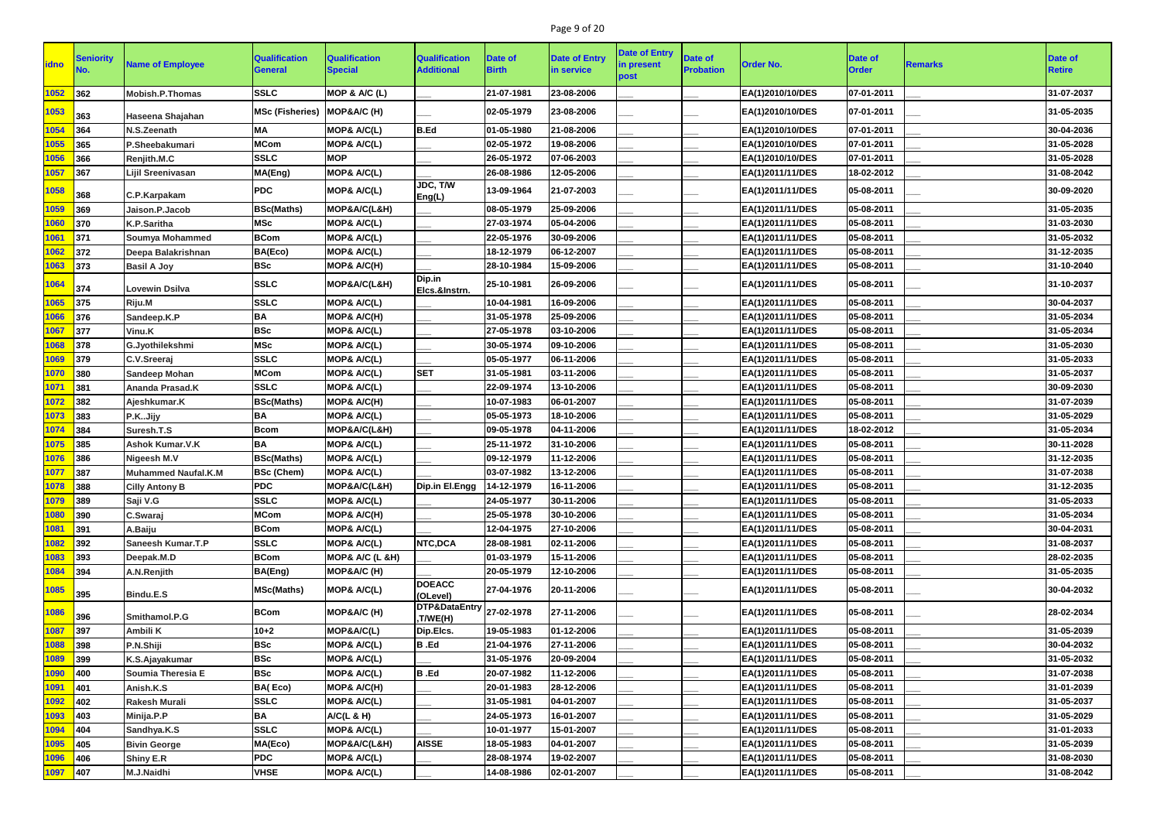# Page 9 of 20

|              | <b>Seniority</b> |                            | <b>Qualification</b>        | <b>Qualification</b>   | <b>Qualification</b>                 |                         | <b>Date of Entry</b> | <b>Date of Entry</b> | <b>Date of</b>   |                  | <b>Date of</b> |                | Date of       |
|--------------|------------------|----------------------------|-----------------------------|------------------------|--------------------------------------|-------------------------|----------------------|----------------------|------------------|------------------|----------------|----------------|---------------|
| <b>lidno</b> |                  | <b>Name of Employee</b>    | <b>General</b>              | <b>Special</b>         | <b>Additional</b>                    | Date of<br><b>Birth</b> | in service           | in present<br>post   | <b>Probation</b> | <b>Order No.</b> | <b>Order</b>   | <b>Remarks</b> | <b>Retire</b> |
| 1052         | 362              | <b>Mobish.P.Thomas</b>     | <b>SSLC</b>                 | MOP & A/C (L)          |                                      | 21-07-1981              | 23-08-2006           |                      |                  | EA(1)2010/10/DES | 07-01-2011     |                | 31-07-2037    |
| 1053         | 363              | Haseena Shajahan           | MSc (Fisheries) MOP&A/C (H) |                        |                                      | 02-05-1979              | 23-08-2006           |                      |                  | EA(1)2010/10/DES | 07-01-2011     |                | 31-05-2035    |
| 1054         | 364              | N.S.Zeenath                | <b>MA</b>                   | MOP& A/C(L)            | <b>B.Ed</b>                          | 01-05-1980              | 21-08-2006           |                      |                  | EA(1)2010/10/DES | 07-01-2011     |                | 30-04-2036    |
| 1055         | 365              | P.Sheebakumari             | <b>MCom</b>                 | MOP& A/C(L)            |                                      | 02-05-1972              | 19-08-2006           |                      |                  | EA(1)2010/10/DES | 07-01-2011     |                | 31-05-2028    |
| 1056         | 366              | Renjith.M.C                | <b>SSLC</b>                 | <b>MOP</b>             |                                      | 26-05-1972              | 07-06-2003           |                      |                  | EA(1)2010/10/DES | 07-01-2011     |                | 31-05-2028    |
| 1057         | 367              | Lijil Sreenivasan          | MA(Eng)                     | MOP& A/C(L)            |                                      | 26-08-1986              | 12-05-2006           |                      |                  | EA(1)2011/11/DES | 18-02-2012     |                | 31-08-2042    |
| 1058         | 368              | C.P.Karpakam               | <b>PDC</b>                  | <b>MOP&amp; A/C(L)</b> | JDC, T/W<br>Eng(L)                   | 13-09-1964              | 21-07-2003           |                      |                  | EA(1)2011/11/DES | 05-08-2011     |                | 30-09-2020    |
| 1059         | 369              | Jaison.P.Jacob             | <b>BSc(Maths)</b>           | MOP&A/C(L&H)           |                                      | 08-05-1979              | 25-09-2006           |                      |                  | EA(1)2011/11/DES | 05-08-2011     |                | 31-05-2035    |
| 1060         | 370              | K.P.Saritha                | <b>MSc</b>                  | MOP& A/C(L)            |                                      | 27-03-1974              | 05-04-2006           |                      |                  | EA(1)2011/11/DES | 05-08-2011     |                | 31-03-2030    |
| 1061         | 371              | <b>Soumya Mohammed</b>     | <b>BCom</b>                 | MOP& A/C(L)            |                                      | 22-05-1976              | 30-09-2006           |                      |                  | EA(1)2011/11/DES | 05-08-2011     |                | 31-05-2032    |
| 1062         | 372              | Deepa Balakrishnan         | BA(Eco)                     | MOP& A/C(L)            |                                      | 18-12-1979              | 06-12-2007           |                      |                  | EA(1)2011/11/DES | 05-08-2011     |                | 31-12-2035    |
| 1063         | 373              | <b>Basil A Joy</b>         | <b>BSc</b>                  | <b>MOP&amp; A/C(H)</b> |                                      | 28-10-1984              | 15-09-2006           |                      |                  | EA(1)2011/11/DES | 05-08-2011     |                | 31-10-2040    |
| 1064         | 374              | <b>Lovewin Dsilva</b>      | <b>SSLC</b>                 | MOP&A/C(L&H)           | Dip.in<br>Elcs.&Instrn.              | 25-10-1981              | 26-09-2006           |                      |                  | EA(1)2011/11/DES | 05-08-2011     |                | 31-10-2037    |
| 1065         | 375              | Riju.M                     | <b>SSLC</b>                 | MOP& A/C(L)            |                                      | 10-04-1981              | 16-09-2006           |                      |                  | EA(1)2011/11/DES | 05-08-2011     |                | 30-04-2037    |
| 1066         | 376              | Sandeep.K.P                | <b>BA</b>                   | <b>MOP&amp; A/C(H)</b> |                                      | 31-05-1978              | 25-09-2006           |                      |                  | EA(1)2011/11/DES | 05-08-2011     |                | 31-05-2034    |
| 1067         | 377              | Vinu.K                     | <b>BSc</b>                  | <b>MOP&amp; A/C(L)</b> |                                      | 27-05-1978              | 03-10-2006           |                      |                  | EA(1)2011/11/DES | 05-08-2011     |                | 31-05-2034    |
| 1068         | 378              | G.Jyothilekshmi            | <b>MSc</b>                  | <b>MOP&amp; A/C(L)</b> |                                      | 30-05-1974              | 09-10-2006           |                      |                  | EA(1)2011/11/DES | 05-08-2011     |                | 31-05-2030    |
| 1069         | 379              | C.V.Sreeraj                | <b>SSLC</b>                 | MOP& A/C(L)            |                                      | 05-05-1977              | 06-11-2006           |                      |                  | EA(1)2011/11/DES | 05-08-2011     |                | 31-05-2033    |
| 1070         | 380              | <b>Sandeep Mohan</b>       | <b>MCom</b>                 | <b>MOP&amp; A/C(L)</b> | <b>SET</b>                           | 31-05-1981              | 03-11-2006           |                      |                  | EA(1)2011/11/DES | 05-08-2011     |                | 31-05-2037    |
| 1071         | 381              | Ananda Prasad.K            | <b>SSLC</b>                 | MOP& A/C(L)            |                                      | 22-09-1974              | 13-10-2006           |                      |                  | EA(1)2011/11/DES | 05-08-2011     |                | 30-09-2030    |
| 1072         | 382              | Ajeshkumar.K               | <b>BSc(Maths)</b>           | MOP& A/C(H)            |                                      | 10-07-1983              | 06-01-2007           |                      |                  | EA(1)2011/11/DES | 05-08-2011     |                | 31-07-2039    |
| 1073         | 383              | P.KJijy                    | <b>BA</b>                   | <b>MOP&amp; A/C(L)</b> |                                      | 05-05-1973              | 18-10-2006           |                      |                  | EA(1)2011/11/DES | 05-08-2011     |                | 31-05-2029    |
| 1074         | 384              | Suresh.T.S                 | <b>Bcom</b>                 | MOP&A/C(L&H)           |                                      | 09-05-1978              | 04-11-2006           |                      |                  | EA(1)2011/11/DES | 18-02-2012     |                | 31-05-2034    |
| 1075         | 385              | <b>Ashok Kumar.V.K</b>     | <b>BA</b>                   | <b>MOP&amp; A/C(L)</b> |                                      | 25-11-1972              | 31-10-2006           |                      |                  | EA(1)2011/11/DES | 05-08-2011     |                | 30-11-2028    |
| 1076         | 386              | <b>Nigeesh M.V</b>         | <b>BSc(Maths)</b>           | MOP& A/C(L)            |                                      | 09-12-1979              | 11-12-2006           |                      |                  | EA(1)2011/11/DES | 05-08-2011     |                | 31-12-2035    |
| 1077         | 387              | <b>Muhammed Naufal.K.M</b> | <b>BSc (Chem)</b>           | MOP& A/C(L)            |                                      | 03-07-1982              | 13-12-2006           |                      |                  | EA(1)2011/11/DES | 05-08-2011     |                | 31-07-2038    |
| 1078         | 388              | <b>Cilly Antony B</b>      | <b>PDC</b>                  | MOP&A/C(L&H)           | Dip.in El.Engg                       | 14-12-1979              | 16-11-2006           |                      |                  | EA(1)2011/11/DES | 05-08-2011     |                | 31-12-2035    |
| 1079         | $ 389\rangle$    | Saji V.G                   | <b>SSLC</b>                 | MOP& A/C(L)            |                                      | 24-05-1977              | 30-11-2006           |                      |                  | EA(1)2011/11/DES | 05-08-2011     |                | 31-05-2033    |
| 1080         | 390              | C.Swaraj                   | <b>MCom</b>                 | <b>MOP&amp; A/C(H)</b> |                                      | 25-05-1978              | 30-10-2006           |                      |                  | EA(1)2011/11/DES | 05-08-2011     |                | 31-05-2034    |
| 1081         | 391              | A.Baiju                    | <b>BCom</b>                 | MOP& A/C(L)            |                                      | 12-04-1975              | 27-10-2006           |                      |                  | EA(1)2011/11/DES | 05-08-2011     |                | 30-04-2031    |
| 1082         | 392              | <b>Saneesh Kumar.T.P</b>   | <b>SSLC</b>                 | MOP& A/C(L)            | NTC, DCA                             | 28-08-1981              | 02-11-2006           |                      |                  | EA(1)2011/11/DES | 05-08-2011     |                | 31-08-2037    |
| 1083         | $ 393 $          | Deepak.M.D                 | <b>BCom</b>                 | MOP& A/C (L &H)        |                                      | 01-03-1979              | 15-11-2006           |                      |                  | EA(1)2011/11/DES | 05-08-2011     |                | 28-02-2035    |
| 1084         | 394              | A.N.Renjith                | BA(Eng)                     | MOP&A/C (H)            |                                      | 20-05-1979              | 12-10-2006           |                      |                  | EA(1)2011/11/DES | 05-08-2011     |                | 31-05-2035    |
| 1085         | 395              | Bindu.E.S                  | <b>MSc(Maths)</b>           | MOP& A/C(L)            | <b>DOEACC</b><br>(OLevel)            | 27-04-1976              | 20-11-2006           |                      |                  | EA(1)2011/11/DES | 05-08-2011     |                | 30-04-2032    |
| 1086         | 396              | Smithamol.P.G              | <b>BCom</b>                 | MOP&A/C (H)            | DTP&DataEntry 27-02-1978<br>,T/WE(H) |                         | 27-11-2006           |                      |                  | EA(1)2011/11/DES | 05-08-2011     |                | 28-02-2034    |
| 1087         | 397              | Ambili K                   | $10 + 2$                    | MOP&A/C(L)             | Dip.Elcs.                            | 19-05-1983              | 01-12-2006           |                      |                  | EA(1)2011/11/DES | 05-08-2011     |                | 31-05-2039    |
| 1088         | 398              | P.N.Shiji                  | <b>BSc</b>                  | <b>MOP&amp; A/C(L)</b> | B.Ed                                 | 21-04-1976              | 27-11-2006           |                      |                  | EA(1)2011/11/DES | 05-08-2011     |                | 30-04-2032    |
| 1089         | 399              | K.S.Ajayakumar             | <b>BSc</b>                  | MOP& A/C(L)            |                                      | 31-05-1976              | 20-09-2004           |                      |                  | EA(1)2011/11/DES | 05-08-2011     |                | 31-05-2032    |
| 1090         | 400              | Soumia Theresia E          | <b>BSc</b>                  | <b>MOP&amp; A/C(L)</b> | <b>B</b> .Ed                         | 20-07-1982              | 11-12-2006           |                      |                  | EA(1)2011/11/DES | 05-08-2011     |                | 31-07-2038    |
| 1091         | 401              | Anish.K.S                  | BA(Eco)                     | MOP& A/C(H)            |                                      | 20-01-1983              | 28-12-2006           |                      |                  | EA(1)2011/11/DES | 05-08-2011     |                | 31-01-2039    |
| 1092         | 402              | <b>Rakesh Murali</b>       | <b>SSLC</b>                 | <b>MOP&amp; A/C(L)</b> |                                      | 31-05-1981              | 04-01-2007           |                      |                  | EA(1)2011/11/DES | 05-08-2011     |                | 31-05-2037    |
| 1093         | 403              | Minija.P.P                 | <b>BA</b>                   | A/C(L & H)             |                                      | 24-05-1973              | 16-01-2007           |                      |                  | EA(1)2011/11/DES | 05-08-2011     |                | 31-05-2029    |
| 1094         | 404              | Sandhya.K.S                | <b>SSLC</b>                 | MOP& A/C(L)            |                                      | 10-01-1977              | 15-01-2007           |                      |                  | EA(1)2011/11/DES | 05-08-2011     |                | 31-01-2033    |
| 1095         | 405              | <b>Bivin George</b>        | MA(Eco)                     | MOP&A/C(L&H)           | <b>AISSE</b>                         | 18-05-1983              | 04-01-2007           |                      |                  | EA(1)2011/11/DES | 05-08-2011     |                | 31-05-2039    |
| 1096         | 406              | <b>Shiny E.R</b>           | <b>PDC</b>                  | MOP& A/C(L)            |                                      | 28-08-1974              | 19-02-2007           |                      |                  | EA(1)2011/11/DES | 05-08-2011     |                | 31-08-2030    |
| 1097         | $\vert$ 407      | M.J.Naidhi                 | <b>VHSE</b>                 | MOP& A/C(L)            |                                      | 14-08-1986              | 02-01-2007           |                      |                  | EA(1)2011/11/DES | 05-08-2011     |                | 31-08-2042    |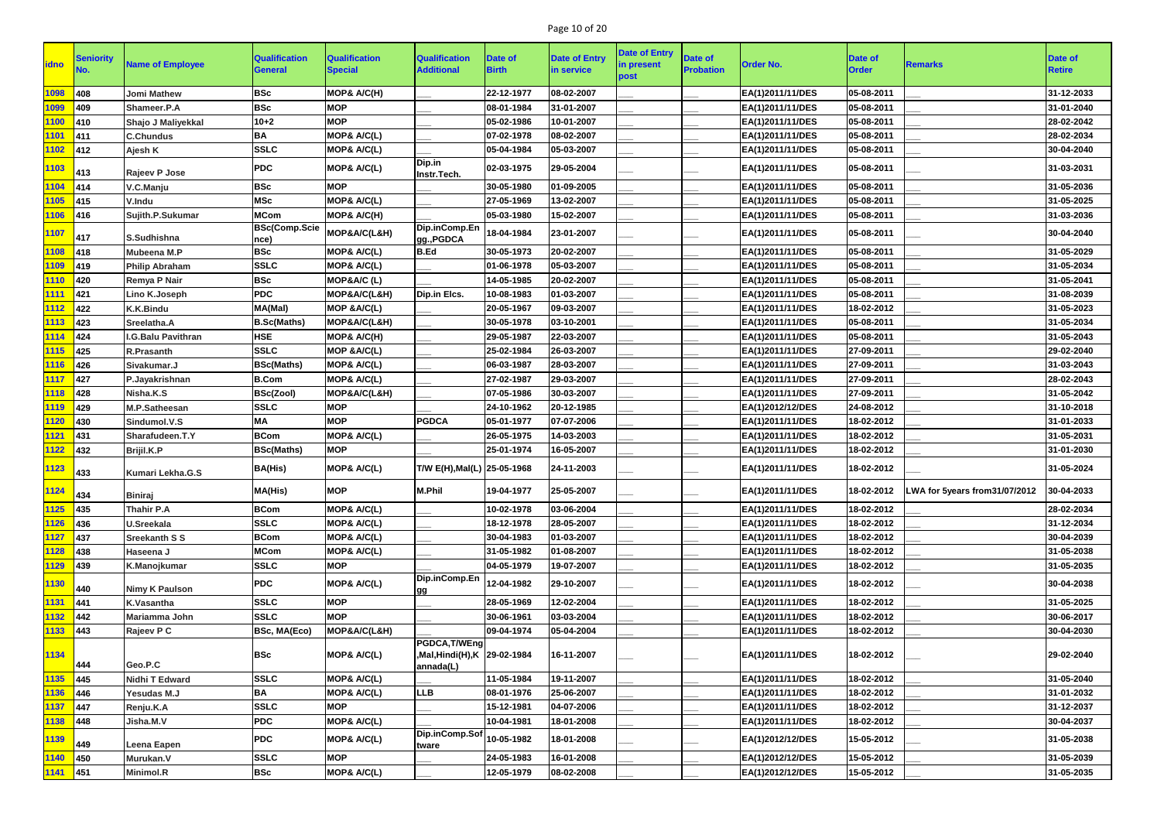# Page 10 of 20

| <b>idno</b> | Seniority | <b>Name of Employee</b>   | <b>Qualification</b><br><b>General</b> | <b>Qualification</b><br><b>Special</b> | <b>Qualification</b><br><b>Additional</b>     | Date of<br><b>Birth</b> | <b>Date of Entry</b><br>in service | <b>Date of Entry</b><br>in present<br>post | Date of<br><b>Probation</b> | <b>Order No.</b> | <b>Date of</b><br><b>Order</b> | <b>Remarks</b>                | Date of<br><b>Retire</b> |
|-------------|-----------|---------------------------|----------------------------------------|----------------------------------------|-----------------------------------------------|-------------------------|------------------------------------|--------------------------------------------|-----------------------------|------------------|--------------------------------|-------------------------------|--------------------------|
| 1098        | 408       | <b>Jomi Mathew</b>        | <b>BSc</b>                             | MOP& A/C(H)                            |                                               | 22-12-1977              | 08-02-2007                         |                                            |                             | EA(1)2011/11/DES | 05-08-2011                     |                               | 31-12-2033               |
| 1099        | 409       | Shameer.P.A               | <b>BSc</b>                             | <b>MOP</b>                             |                                               | 08-01-1984              | 31-01-2007                         |                                            |                             | EA(1)2011/11/DES | 05-08-2011                     |                               | 31-01-2040               |
| 1100        | 410       | Shajo J Maliyekkal        | $10 + 2$                               | <b>MOP</b>                             |                                               | 05-02-1986              | 10-01-2007                         |                                            |                             | EA(1)2011/11/DES | 05-08-2011                     |                               | 28-02-2042               |
| 1101        | 411       | <b>C.Chundus</b>          | <b>BA</b>                              | <b>MOP&amp; A/C(L)</b>                 |                                               | 07-02-1978              | 08-02-2007                         |                                            |                             | EA(1)2011/11/DES | 05-08-2011                     |                               | 28-02-2034               |
| 1102        | 412       | Ajesh K                   | <b>SSLC</b>                            | MOP& A/C(L)                            |                                               | 05-04-1984              | 05-03-2007                         |                                            |                             | EA(1)2011/11/DES | 05-08-2011                     |                               | 30-04-2040               |
| 1103        | 413       | <b>Rajeev P Jose</b>      | <b>PDC</b>                             | <b>MOP&amp; A/C(L)</b>                 | Dip.in<br>Instr.Tech.                         | 02-03-1975              | 29-05-2004                         |                                            |                             | EA(1)2011/11/DES | 05-08-2011                     |                               | 31-03-2031               |
| 1104        | 414       | V.C.Manju                 | <b>BSc</b>                             | <b>MOP</b>                             |                                               | 30-05-1980              | 01-09-2005                         |                                            |                             | EA(1)2011/11/DES | 05-08-2011                     |                               | 31-05-2036               |
| 1105        | 415       | V.Indu                    | <b>MSc</b>                             | MOP& A/C(L)                            |                                               | 27-05-1969              | 13-02-2007                         |                                            |                             | EA(1)2011/11/DES | 05-08-2011                     |                               | 31-05-2025               |
| 1106        | 416       | Sujith.P.Sukumar          | <b>MCom</b>                            | <b>MOP&amp; A/C(H)</b>                 |                                               | 05-03-1980              | 15-02-2007                         |                                            |                             | EA(1)2011/11/DES | 05-08-2011                     |                               | 31-03-2036               |
| 1107        | 417       | S.Sudhishna               | <b>BSc(Comp.Scie</b><br>nce)           | MOP&A/C(L&H)                           | Dip.inComp.En<br>gg., PGDCA                   | 18-04-1984              | 23-01-2007                         |                                            |                             | EA(1)2011/11/DES | 05-08-2011                     |                               | 30-04-2040               |
| 1108        | 418       | Mubeena M.P               | <b>BSc</b>                             | <b>MOP&amp; A/C(L)</b>                 | <b>B.Ed</b>                                   | 30-05-1973              | 20-02-2007                         |                                            |                             | EA(1)2011/11/DES | 05-08-2011                     |                               | 31-05-2029               |
| 1109        | 419       | <b>Philip Abraham</b>     | <b>SSLC</b>                            | MOP& A/C(L)                            |                                               | 01-06-1978              | 05-03-2007                         |                                            |                             | EA(1)2011/11/DES | 05-08-2011                     |                               | 31-05-2034               |
| <b>1110</b> | 420       | <b>Remya P Nair</b>       | <b>BSc</b>                             | MOP&A/C (L)                            |                                               | 14-05-1985              | 20-02-2007                         |                                            |                             | EA(1)2011/11/DES | 05-08-2011                     |                               | 31-05-2041               |
| 1111        | 421       | Lino K.Joseph             | <b>PDC</b>                             | MOP&A/C(L&H)                           | Dip.in Elcs.                                  | 10-08-1983              | 01-03-2007                         |                                            |                             | EA(1)2011/11/DES | 05-08-2011                     |                               | 31-08-2039               |
| 1112        | 422       | <b>K.K.Bindu</b>          | MA(Mal)                                | MOP & A/C(L)                           |                                               | 20-05-1967              | 09-03-2007                         |                                            |                             | EA(1)2011/11/DES | 18-02-2012                     |                               | 31-05-2023               |
| 1113        | 423       | Sreelatha.A               | <b>B.Sc(Maths)</b>                     | MOP&A/C(L&H)                           |                                               | 30-05-1978              | 03-10-2001                         |                                            |                             | EA(1)2011/11/DES | 05-08-2011                     |                               | 31-05-2034               |
| 1114        | 424       | <b>I.G.Balu Pavithran</b> | <b>HSE</b>                             | MOP& A/C(H)                            |                                               | 29-05-1987              | 22-03-2007                         |                                            |                             | EA(1)2011/11/DES | 05-08-2011                     |                               | 31-05-2043               |
| 1115        | 425       | R.Prasanth                | <b>SSLC</b>                            | MOP & A/C(L)                           |                                               | 25-02-1984              | 26-03-2007                         |                                            |                             | EA(1)2011/11/DES | 27-09-2011                     |                               | 29-02-2040               |
| 1116        | 426       | Sivakumar.J               | <b>BSc(Maths)</b>                      | MOP& A/C(L)                            |                                               | 06-03-1987              | 28-03-2007                         |                                            |                             | EA(1)2011/11/DES | 27-09-2011                     |                               | 31-03-2043               |
| 1117        | 427       | P.Jayakrishnan            | <b>B.Com</b>                           | MOP& A/C(L)                            |                                               | 27-02-1987              | 29-03-2007                         |                                            |                             | EA(1)2011/11/DES | 27-09-2011                     |                               | 28-02-2043               |
| 1118        | 428       | Nisha.K.S                 | <b>BSc(Zool)</b>                       | MOP&A/C(L&H)                           |                                               | 07-05-1986              | 30-03-2007                         |                                            |                             | EA(1)2011/11/DES | 27-09-2011                     |                               | 31-05-2042               |
| 1119        | 429       | M.P.Satheesan             | <b>SSLC</b>                            | <b>MOP</b>                             |                                               | 24-10-1962              | 20-12-1985                         |                                            |                             | EA(1)2012/12/DES | 24-08-2012                     |                               | 31-10-2018               |
| 120         | 430       | Sindumol.V.S              | <b>MA</b>                              | <b>MOP</b>                             | <b>PGDCA</b>                                  | 05-01-1977              | 07-07-2006                         |                                            |                             | EA(1)2011/11/DES | 18-02-2012                     |                               | 31-01-2033               |
| 1121        | 431       | Sharafudeen.T.Y           | <b>BCom</b>                            | MOP& A/C(L)                            |                                               | 26-05-1975              | 14-03-2003                         |                                            |                             | EA(1)2011/11/DES | 18-02-2012                     |                               | 31-05-2031               |
| 1122        | 432       | Brijil.K.P                | <b>BSc(Maths)</b>                      | <b>MOP</b>                             |                                               | 25-01-1974              | 16-05-2007                         |                                            |                             | EA(1)2011/11/DES | 18-02-2012                     |                               | 31-01-2030               |
| 1123        | 433       | <b>Kumari Lekha.G.S</b>   | <b>BA(His)</b>                         | MOP& A/C(L)                            | T/W E(H), Mal(L) 25-05-1968                   |                         | 24-11-2003                         |                                            |                             | EA(1)2011/11/DES | 18-02-2012                     |                               | 31-05-2024               |
| 1124        | 434       | <b>Biniraj</b>            | <b>MA(His)</b>                         | <b>MOP</b>                             | <b>M.Phil</b>                                 | 19-04-1977              | 25-05-2007                         |                                            |                             | EA(1)2011/11/DES | 18-02-2012                     | LWA for 5years from31/07/2012 | 30-04-2033               |
| 1125        | 435       | <b>Thahir P.A</b>         | <b>BCom</b>                            | MOP& A/C(L)                            |                                               | 10-02-1978              | 03-06-2004                         |                                            |                             | EA(1)2011/11/DES | 18-02-2012                     |                               | 28-02-2034               |
| 1126        | 436       | <b>U.Sreekala</b>         | <b>SSLC</b>                            | MOP& A/C(L)                            |                                               | 18-12-1978              | 28-05-2007                         |                                            |                             | EA(1)2011/11/DES | 18-02-2012                     |                               | 31-12-2034               |
| 1127        | 437       | <b>Sreekanth S S</b>      | <b>BCom</b>                            | MOP& A/C(L)                            |                                               | 30-04-1983              | 01-03-2007                         |                                            |                             | EA(1)2011/11/DES | 18-02-2012                     |                               | 30-04-2039               |
| 1128        | 438       | Haseena J                 | <b>MCom</b>                            | MOP& A/C(L)                            |                                               | 31-05-1982              | 01-08-2007                         |                                            |                             | EA(1)2011/11/DES | 18-02-2012                     |                               | 31-05-2038               |
| 1129        | 439       | K.Manojkumar              | <b>SSLC</b>                            | <b>MOP</b>                             |                                               | 04-05-1979              | 19-07-2007                         |                                            |                             | EA(1)2011/11/DES | 18-02-2012                     |                               | 31-05-2035               |
| 1130        | 440       | <b>Nimy K Paulson</b>     | <b>PDC</b>                             | MOP& A/C(L)                            | Dip.inComp.En<br>gg                           | 12-04-1982              | 29-10-2007                         |                                            |                             | EA(1)2011/11/DES | 18-02-2012                     |                               | 30-04-2038               |
| 1131        | 441       | K.Vasantha                | <b>SSLC</b>                            | <b>MOP</b>                             |                                               | 28-05-1969              | 12-02-2004                         |                                            |                             | EA(1)2011/11/DES | 18-02-2012                     |                               | 31-05-2025               |
| 1132        | 442       | Mariamma John             | <b>SSLC</b>                            | <b>MOP</b>                             |                                               | 30-06-1961              | 03-03-2004                         |                                            |                             | EA(1)2011/11/DES | 18-02-2012                     |                               | 30-06-2017               |
| 1133        | 443       | Rajeev P C                | <b>BSc, MA(Eco)</b>                    | MOP&A/C(L&H)                           |                                               | 09-04-1974              | 05-04-2004                         |                                            |                             | EA(1)2011/11/DES | 18-02-2012                     |                               | 30-04-2030               |
| 1134        | 444       | Geo.P.C                   | <b>BSc</b>                             | MOP& A/C(L)                            | PGDCA, T/WEng<br>Mal, Hindi(H), K 29-02-1984, |                         | 16-11-2007                         |                                            |                             | EA(1)2011/11/DES | 18-02-2012                     |                               | 29-02-2040               |
| 1135        | 445       | <b>Nidhi T Edward</b>     | <b>SSLC</b>                            | MOP& A/C(L)                            | annada(L)                                     | 11-05-1984              | 19-11-2007                         |                                            |                             | EA(1)2011/11/DES | 18-02-2012                     |                               | 31-05-2040               |
| 1136        | 446       | <b>Yesudas M.J</b>        | <b>BA</b>                              | MOP& A/C(L)                            | <b>LLB</b>                                    | 08-01-1976              | 25-06-2007                         |                                            |                             | EA(1)2011/11/DES | 18-02-2012                     |                               | 31-01-2032               |
| 1137        | 447       | Renju.K.A                 | <b>SSLC</b>                            | <b>MOP</b>                             |                                               | 15-12-1981              | 04-07-2006                         |                                            |                             | EA(1)2011/11/DES | 18-02-2012                     |                               | 31-12-2037               |
| 1138        | 448       | Jisha.M.V                 | <b>PDC</b>                             | MOP& A/C(L)                            |                                               | 10-04-1981              | 18-01-2008                         |                                            |                             | EA(1)2011/11/DES | 18-02-2012                     |                               | 30-04-2037               |
| 1139        |           |                           | <b>PDC</b>                             | MOP& A/C(L)                            | Dip.inComp.Sof                                | 10-05-1982              | 18-01-2008                         |                                            |                             | EA(1)2012/12/DES | 15-05-2012                     |                               | 31-05-2038               |
|             | 449       | Leena Eapen               |                                        |                                        | tware                                         |                         |                                    |                                            |                             |                  |                                |                               |                          |
| 1140        | 450       | Murukan.V                 | <b>SSLC</b>                            | <b>MOP</b>                             |                                               | 24-05-1983              | 16-01-2008                         |                                            |                             | EA(1)2012/12/DES | 15-05-2012                     |                               | 31-05-2039               |
| 1141        | 451       | <b>Minimol.R</b>          | <b>BSc</b>                             | MOP& A/C(L)                            |                                               | 12-05-1979              | 08-02-2008                         |                                            |                             | EA(1)2012/12/DES | 15-05-2012                     |                               | 31-05-2035               |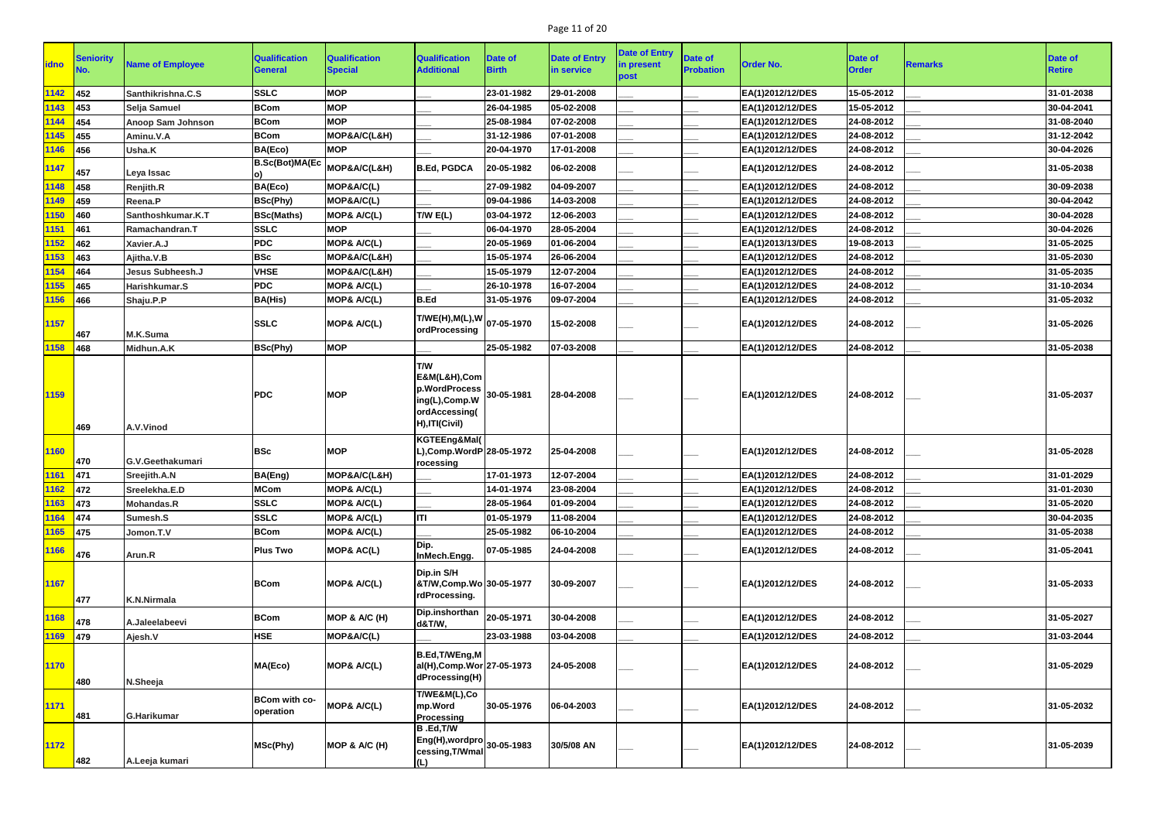# Page 11 of 20

| <b>idno</b> | <b>Seniority</b> | <b>Name of Employee</b>  | <b>Qualification</b><br><b>General</b> | <b>Qualification</b><br><b>Special</b> | <b>Qualification</b><br><b>Additional</b>                                                                | <b>Date of</b><br><b>Birth</b> | <b>Date of Entry</b><br>in service | <b>Date of Entry</b><br>in present<br>post | Date of<br><b>Probation</b> | <b>Order No.</b> | <b>Date of</b><br><b>Order</b> | <b>Remarks</b> | <b>Date of</b><br><b>Retire</b> |
|-------------|------------------|--------------------------|----------------------------------------|----------------------------------------|----------------------------------------------------------------------------------------------------------|--------------------------------|------------------------------------|--------------------------------------------|-----------------------------|------------------|--------------------------------|----------------|---------------------------------|
| 1142        | 452              | Santhikrishna.C.S        | <b>SSLC</b>                            | <b>MOP</b>                             |                                                                                                          | 23-01-1982                     | 29-01-2008                         |                                            |                             | EA(1)2012/12/DES | 15-05-2012                     |                | 31-01-2038                      |
| 1143        | 453              | Selja Samuel             | <b>BCom</b>                            | <b>MOP</b>                             |                                                                                                          | 26-04-1985                     | 05-02-2008                         |                                            |                             | EA(1)2012/12/DES | 15-05-2012                     |                | 30-04-2041                      |
| 1144        | 454              | <b>Anoop Sam Johnson</b> | <b>BCom</b>                            | <b>MOP</b>                             |                                                                                                          | 25-08-1984                     | 07-02-2008                         |                                            |                             | EA(1)2012/12/DES | 24-08-2012                     |                | 31-08-2040                      |
| 1145        | 455              | Aminu.V.A                | <b>BCom</b>                            | MOP&A/C(L&H)                           |                                                                                                          | 31-12-1986                     | 07-01-2008                         |                                            |                             | EA(1)2012/12/DES | 24-08-2012                     |                | 31-12-2042                      |
| 1146        | 456              | Usha.K                   | BA(Eco)                                | <b>MOP</b>                             |                                                                                                          | 20-04-1970                     | 17-01-2008                         |                                            |                             | EA(1)2012/12/DES | 24-08-2012                     |                | 30-04-2026                      |
| 1147        | 457              | Leya Issac               | <b>B.Sc(Bot)MA(Ec</b>                  | MOP&A/C(L&H)                           | <b>B.Ed, PGDCA</b>                                                                                       | 20-05-1982                     | 06-02-2008                         |                                            |                             | EA(1)2012/12/DES | 24-08-2012                     |                | 31-05-2038                      |
| 1148        | 458              | <b>Renjith.R</b>         | BA(Eco)                                | MOP&A/C(L)                             |                                                                                                          | 27-09-1982                     | 04-09-2007                         |                                            |                             | EA(1)2012/12/DES | 24-08-2012                     |                | 30-09-2038                      |
| 1149        | 459              | Reena.P                  | <b>BSc(Phy)</b>                        | MOP&A/C(L)                             |                                                                                                          | 09-04-1986                     | 14-03-2008                         |                                            |                             | EA(1)2012/12/DES | 24-08-2012                     |                | 30-04-2042                      |
| 1150        | 460              | Santhoshkumar.K.T        | <b>BSc(Maths)</b>                      | MOP& A/C(L)                            | T/W E(L)                                                                                                 | 03-04-1972                     | 12-06-2003                         |                                            |                             | EA(1)2012/12/DES | 24-08-2012                     |                | 30-04-2028                      |
| 1151        | 461              | Ramachandran.T           | <b>SSLC</b>                            | <b>MOP</b>                             |                                                                                                          | 06-04-1970                     | 28-05-2004                         |                                            |                             | EA(1)2012/12/DES | 24-08-2012                     |                | 30-04-2026                      |
| 1152        | 462              | Xavier.A.J               | <b>PDC</b>                             | MOP& A/C(L)                            |                                                                                                          | 20-05-1969                     | 01-06-2004                         |                                            |                             | EA(1)2013/13/DES | 19-08-2013                     |                | 31-05-2025                      |
| 1153        | 463              | Ajitha.V.B               | <b>BSc</b>                             | MOP&A/C(L&H)                           |                                                                                                          | 15-05-1974                     | 26-06-2004                         |                                            |                             | EA(1)2012/12/DES | 24-08-2012                     |                | 31-05-2030                      |
| 1154        | 464              | Jesus Subheesh.J         | <b>VHSE</b>                            | MOP&A/C(L&H)                           |                                                                                                          | 15-05-1979                     | 12-07-2004                         |                                            |                             | EA(1)2012/12/DES | 24-08-2012                     |                | 31-05-2035                      |
| 1155        | 465              | Harishkumar.S            | <b>PDC</b>                             | MOP& A/C(L)                            |                                                                                                          | 26-10-1978                     | 16-07-2004                         |                                            |                             | EA(1)2012/12/DES | 24-08-2012                     |                | 31-10-2034                      |
| 1156        | 466              | Shaju.P.P                | <b>BA(His)</b>                         | MOP& A/C(L)                            | <b>B.Ed</b>                                                                                              | 31-05-1976                     | 09-07-2004                         |                                            |                             | EA(1)2012/12/DES | 24-08-2012                     |                | 31-05-2032                      |
| 1157        | 467              | M.K.Suma                 | <b>SSLC</b>                            | MOP& A/C(L)                            | $ {\sf TWE}({\sf H}), {\sf M}({\sf L}), {\sf W}\Big _{07\text{-}05\text{-}1970}$<br>ordProcessing        |                                | 15-02-2008                         |                                            |                             | EA(1)2012/12/DES | 24-08-2012                     |                | 31-05-2026                      |
| 1158        | 468              | Midhun.A.K               | <b>BSc(Phy)</b>                        | <b>MOP</b>                             |                                                                                                          | 25-05-1982                     | 07-03-2008                         |                                            |                             | EA(1)2012/12/DES | 24-08-2012                     |                | 31-05-2038                      |
| 1159        | 469              | A.V.Vinod                | <b>PDC</b>                             | <b>MOP</b>                             | <b>T/W</b><br>E&M(L&H),Com<br>p.WordProcess<br>ing(L), Comp.W<br>ordAccessing(<br>H), ITI(Civil)         | 30-05-1981                     | 28-04-2008                         |                                            |                             | EA(1)2012/12/DES | 24-08-2012                     |                | 31-05-2037                      |
| 1160        | 470              | G.V.Geethakumari         | <b>BSc</b>                             | <b>MOP</b>                             | KGTEEng&Mal(<br>L), Comp. Word P 28-05-1972<br>rocessing                                                 |                                | 25-04-2008                         |                                            |                             | EA(1)2012/12/DES | 24-08-2012                     |                | 31-05-2028                      |
| 1161        | $ 471\rangle$    | Sreejith.A.N             | BA(Eng)                                | MOP&A/C(L&H)                           |                                                                                                          | 17-01-1973                     | 12-07-2004                         |                                            |                             | EA(1)2012/12/DES | 24-08-2012                     |                | 31-01-2029                      |
| 1162        | $\vert$ 472      | Sreelekha.E.D            | <b>MCom</b>                            | MOP& A/C(L)                            |                                                                                                          | 14-01-1974                     | 23-08-2004                         |                                            |                             | EA(1)2012/12/DES | 24-08-2012                     |                | 31-01-2030                      |
| 1163        | 473              | <b>Mohandas.R</b>        | <b>SSLC</b>                            | MOP& A/C(L)                            |                                                                                                          | 28-05-1964                     | 01-09-2004                         |                                            |                             | EA(1)2012/12/DES | 24-08-2012                     |                | 31-05-2020                      |
| 1164        | 474              | Sumesh.S                 | <b>SSLC</b>                            | MOP& A/C(L)                            | ITI                                                                                                      | 01-05-1979                     | 11-08-2004                         |                                            |                             | EA(1)2012/12/DES | 24-08-2012                     |                | 30-04-2035                      |
| 1165        | 475              | Jomon.T.V                | <b>BCom</b>                            | MOP& A/C(L)                            |                                                                                                          | 25-05-1982                     | 06-10-2004                         |                                            |                             | EA(1)2012/12/DES | 24-08-2012                     |                | 31-05-2038                      |
| 1166        | 476              | Arun.R                   | <b>Plus Two</b>                        | <b>MOP&amp; AC(L)</b>                  | Dip.<br>InMech.Engg.                                                                                     | 07-05-1985                     | 24-04-2008                         |                                            |                             | EA(1)2012/12/DES | 24-08-2012                     |                | 31-05-2041                      |
| 1167        | 477              | <b>K.N.Nirmala</b>       | <b>BCom</b>                            | MOP& A/C(L)                            | Dip.in S/H<br>8T/W,Comp.Wo 30-05-1977<br>rdProcessing.                                                   |                                | 30-09-2007                         |                                            |                             | EA(1)2012/12/DES | 24-08-2012                     |                | 31-05-2033                      |
| 1168        | 478              | A.Jaleelabeevi           | <b>BCom</b>                            | MOP & A/C (H)                          | Dip.inshorthan 20-05-1971<br>d&T/W,                                                                      |                                | 30-04-2008                         |                                            |                             | EA(1)2012/12/DES | 24-08-2012                     |                | 31-05-2027                      |
| 1169 479    |                  | Ajesh.V                  | <b>HSE</b>                             | MOP&A/C(L)                             |                                                                                                          | 23-03-1988                     | 03-04-2008                         |                                            |                             | EA(1)2012/12/DES | 24-08-2012                     |                | 31-03-2044                      |
| 1170        | 480              | N.Sheeja                 | MA(Eco)                                | MOP& A/C(L)                            | B.Ed,T/WEng,M<br>al(H), Comp. Wor 27-05-1973<br>dProcessing(H)                                           |                                | 24-05-2008                         |                                            |                             | EA(1)2012/12/DES | 24-08-2012                     |                | 31-05-2029                      |
| 1171        | 481              | G.Harikumar              | <b>BCom with co-</b><br>operation      | MOP& A/C(L)                            | T/WE&M(L),Co<br>mp.Word<br>Processing                                                                    | 30-05-1976                     | 06-04-2003                         |                                            |                             | EA(1)2012/12/DES | 24-08-2012                     |                | 31-05-2032                      |
| <b>1172</b> | 482              | A.Leeja kumari           | MSc(Phy)                               | $MOP$ & $A/C$ $(H)$                    | B.Ed,T/W<br>$\left \frac{\text{Eng(H)}, \text{wordpro}}{\text{cessing,T/Wmal}}\right $ 30-05-1983<br>(L) |                                | 30/5/08 AN                         |                                            |                             | EA(1)2012/12/DES | 24-08-2012                     |                | 31-05-2039                      |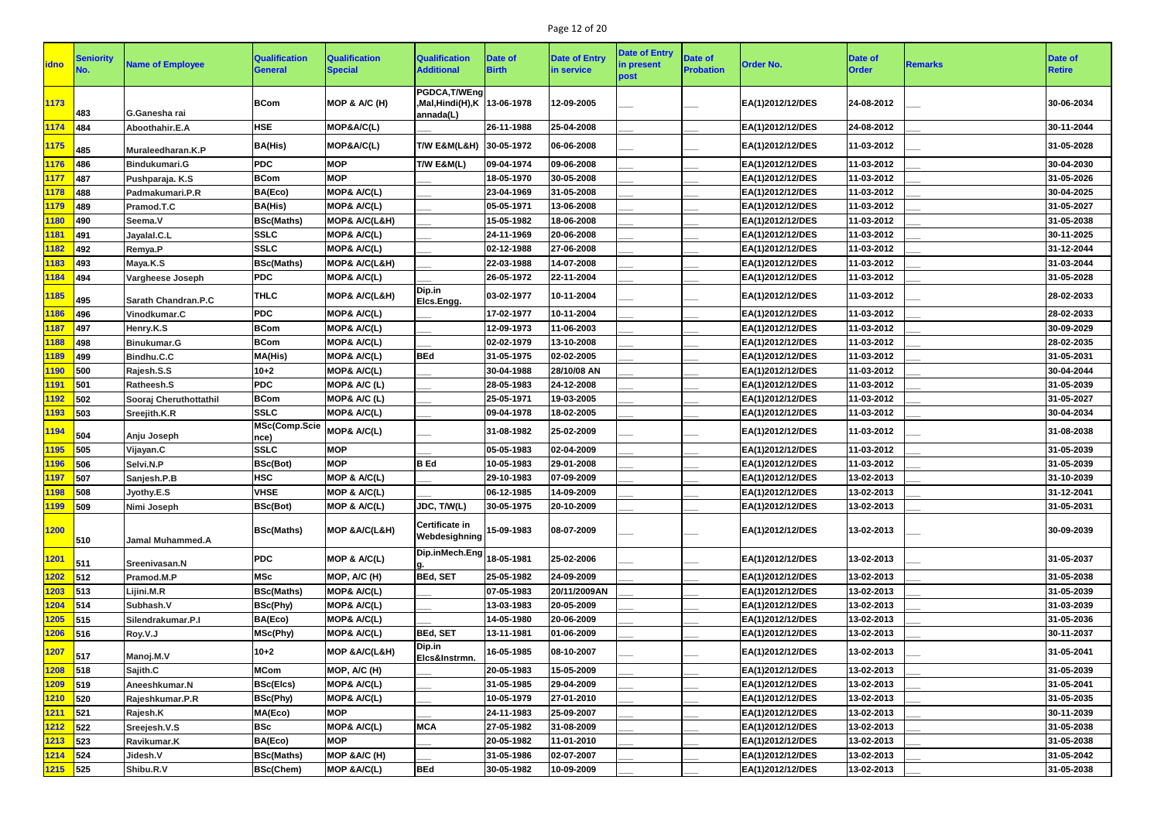# Page 12 of 20

| <b>idno</b> | Seniority     | <b>Name of Employee</b>    | <b>Qualification</b><br><b>General</b> | <b>Qualification</b><br><b>Special</b> | <b>Qualification</b><br><b>Additional</b>                 | <b>Date of</b><br><b>Birth</b> | <b>Date of Entry</b><br>in service | <b>Date of Entry</b><br>in present<br>post | <b>Date of</b><br><b>Probation</b> | <b>Order No.</b> | <b>Date of</b><br><b>Order</b> | <b>Remarks</b> | Date of<br><b>Retire</b> |
|-------------|---------------|----------------------------|----------------------------------------|----------------------------------------|-----------------------------------------------------------|--------------------------------|------------------------------------|--------------------------------------------|------------------------------------|------------------|--------------------------------|----------------|--------------------------|
| 1173        | 483           | G.Ganesha rai              | <b>BCom</b>                            | MOP & $A/C(H)$                         | PGDCA, T/WEng<br>Mal,Hindi(H),K  13-06-1978,<br>annada(L) |                                | 12-09-2005                         |                                            |                                    | EA(1)2012/12/DES | 24-08-2012                     |                | 30-06-2034               |
| 1174        | 484           | Aboothahir.E.A             | <b>HSE</b>                             | MOP&A/C(L)                             |                                                           | 26-11-1988                     | 25-04-2008                         |                                            |                                    | EA(1)2012/12/DES | 24-08-2012                     |                | 30-11-2044               |
| 1175        | 485           | Muraleedharan.K.P          | <b>BA(His)</b>                         | MOP&A/C(L)                             | T/W E&M(L&H) 30-05-1972                                   |                                | 06-06-2008                         |                                            |                                    | EA(1)2012/12/DES | 11-03-2012                     |                | 31-05-2028               |
| 1176        | 486           | Bindukumari.G              | <b>PDC</b>                             | <b>MOP</b>                             | T/W E&M(L)                                                | 09-04-1974                     | 09-06-2008                         |                                            |                                    | EA(1)2012/12/DES | 11-03-2012                     |                | 30-04-2030               |
| 1177        | 487           | Pushparaja. K.S            | <b>BCom</b>                            | <b>MOP</b>                             |                                                           | 18-05-1970                     | 30-05-2008                         |                                            |                                    | EA(1)2012/12/DES | 11-03-2012                     |                | 31-05-2026               |
| 1178        | 488           | Padmakumari.P.R            | BA(Eco)                                | MOP& A/C(L)                            |                                                           | 23-04-1969                     | 31-05-2008                         |                                            |                                    | EA(1)2012/12/DES | 11-03-2012                     |                | 30-04-2025               |
| 1179        | 489           | Pramod.T.C                 | <b>BA(His)</b>                         | MOP& A/C(L)                            |                                                           | 05-05-1971                     | 13-06-2008                         |                                            |                                    | EA(1)2012/12/DES | 11-03-2012                     |                | 31-05-2027               |
| 1180        | 490           | Seema.V                    | <b>BSc(Maths)</b>                      | <b>MOP&amp; A/C(L&amp;H)</b>           |                                                           | 15-05-1982                     | 18-06-2008                         |                                            |                                    | EA(1)2012/12/DES | 11-03-2012                     |                | 31-05-2038               |
| 1181        | 491           | Jayalal.C.L                | <b>SSLC</b>                            | MOP& A/C(L)                            |                                                           | 24-11-1969                     | 20-06-2008                         |                                            |                                    | EA(1)2012/12/DES | 11-03-2012                     |                | 30-11-2025               |
| 1182        | 492           | Remya.P                    | <b>SSLC</b>                            | MOP& A/C(L)                            |                                                           | 02-12-1988                     | 27-06-2008                         |                                            |                                    | EA(1)2012/12/DES | 11-03-2012                     |                | 31-12-2044               |
| 1183        | 493           | Maya.K.S                   | <b>BSc(Maths)</b>                      | MOP& A/C(L&H)                          |                                                           | 22-03-1988                     | 14-07-2008                         |                                            |                                    | EA(1)2012/12/DES | 11-03-2012                     |                | 31-03-2044               |
| 1184        | 494           | <b>Vargheese Joseph</b>    | <b>PDC</b>                             | MOP& A/C(L)                            |                                                           | 26-05-1972                     | 22-11-2004                         |                                            |                                    | EA(1)2012/12/DES | 11-03-2012                     |                | 31-05-2028               |
| 1185        | 495           | <b>Sarath Chandran.P.C</b> | <b>THLC</b>                            | <b>MOP&amp; A/C(L&amp;H)</b>           | Dip.in<br>Elcs.Engg.                                      | 03-02-1977                     | 10-11-2004                         |                                            |                                    | EA(1)2012/12/DES | 11-03-2012                     |                | 28-02-2033               |
| 1186        | 496           | Vinodkumar.C               | <b>PDC</b>                             | MOP& A/C(L)                            |                                                           | 17-02-1977                     | 10-11-2004                         |                                            |                                    | EA(1)2012/12/DES | 11-03-2012                     |                | 28-02-2033               |
| 1187        | 497           | Henry.K.S                  | <b>BCom</b>                            | MOP& A/C(L)                            |                                                           | 12-09-1973                     | 11-06-2003                         |                                            |                                    | EA(1)2012/12/DES | 11-03-2012                     |                | 30-09-2029               |
| 1188        | 498           | Binukumar.G                | <b>BCom</b>                            | MOP& A/C(L)                            |                                                           | 02-02-1979                     | 13-10-2008                         |                                            |                                    | EA(1)2012/12/DES | 11-03-2012                     |                | 28-02-2035               |
| 1189        | 499           | Bindhu.C.C                 | <b>MA(His)</b>                         | MOP& A/C(L)                            | <b>BEd</b>                                                | 31-05-1975                     | 02-02-2005                         |                                            |                                    | EA(1)2012/12/DES | 11-03-2012                     |                | 31-05-2031               |
| <b>1190</b> | 500           | Rajesh.S.S                 | $10 + 2$                               | MOP& A/C(L)                            |                                                           | 30-04-1988                     | 28/10/08 AN                        |                                            |                                    | EA(1)2012/12/DES | 11-03-2012                     |                | 30-04-2044               |
| 1191        | 501           | Ratheesh.S                 | <b>PDC</b>                             | MOP& A/C (L)                           |                                                           | 28-05-1983                     | 24-12-2008                         |                                            |                                    | EA(1)2012/12/DES | 11-03-2012                     |                | 31-05-2039               |
| 1192        | 502           | Sooraj Cheruthottathil     | <b>BCom</b>                            | MOP& A/C (L)                           |                                                           | 25-05-1971                     | 19-03-2005                         |                                            |                                    | EA(1)2012/12/DES | 11-03-2012                     |                | 31-05-2027               |
| 1193        | 503           | Sreejith.K.R               | <b>SSLC</b>                            | MOP& A/C(L)                            |                                                           | 09-04-1978                     | 18-02-2005                         |                                            |                                    | EA(1)2012/12/DES | 11-03-2012                     |                | 30-04-2034               |
| 1194        | 504           | Anju Joseph                | MSc(Comp.Scie<br>nce)                  | MOP& A/C(L)                            |                                                           | 31-08-1982                     | 25-02-2009                         |                                            |                                    | EA(1)2012/12/DES | 11-03-2012                     |                | 31-08-2038               |
| 1195        | 505           | Vijayan.C                  | <b>SSLC</b>                            | <b>MOP</b>                             |                                                           | 05-05-1983                     | 02-04-2009                         |                                            |                                    | EA(1)2012/12/DES | 11-03-2012                     |                | 31-05-2039               |
| 1196        | 506           | Selvi.N.P                  | <b>BSc(Bot)</b>                        | <b>MOP</b>                             | <b>B</b> Ed                                               | 10-05-1983                     | 29-01-2008                         |                                            |                                    | EA(1)2012/12/DES | 11-03-2012                     |                | 31-05-2039               |
| 1197        | $\vert$ 507   | Sanjesh.P.B                | <b>HSC</b>                             | MOP & A/C(L)                           |                                                           | 29-10-1983                     | 07-09-2009                         |                                            |                                    | EA(1)2012/12/DES | 13-02-2013                     |                | 31-10-2039               |
| 1198        | 508           | Jyothy.E.S                 | <b>VHSE</b>                            | MOP & A/C(L)                           |                                                           | 06-12-1985                     | 14-09-2009                         |                                            |                                    | EA(1)2012/12/DES | 13-02-2013                     |                | 31-12-2041               |
| 1199        | 509           | Nimi Joseph                | <b>BSc(Bot)</b>                        | MOP & A/C(L)                           | JDC, T/W(L)                                               | 30-05-1975                     | 20-10-2009                         |                                            |                                    | EA(1)2012/12/DES | 13-02-2013                     |                | 31-05-2031               |
| 1200        | 510           | <b>Jamal Muhammed.A</b>    | <b>BSc(Maths)</b>                      | MOP & A/C(L&H)                         | <b>Certificate in</b><br>Webdesighning                    | 15-09-1983                     | 08-07-2009                         |                                            |                                    | EA(1)2012/12/DES | 13-02-2013                     |                | 30-09-2039               |
| 1201        | 511           | Sreenivasan.N              | <b>PDC</b>                             | MOP & A/C(L)                           | Dip.inMech.Eng <sub>18-05-1981</sub>                      |                                | 25-02-2006                         |                                            |                                    | EA(1)2012/12/DES | 13-02-2013                     |                | 31-05-2037               |
| 1202        | 512           | Pramod.M.P                 | <b>MSc</b>                             | MOP, A/C (H)                           | <b>BEd, SET</b>                                           | 25-05-1982                     | 24-09-2009                         |                                            |                                    | EA(1)2012/12/DES | 13-02-2013                     |                | 31-05-2038               |
| 1203        | 513           | Lijini.M.R                 | <b>BSc(Maths)</b>                      | MOP& A/C(L)                            |                                                           | 07-05-1983                     | 20/11/2009AN                       |                                            |                                    | EA(1)2012/12/DES | 13-02-2013                     |                | 31-05-2039               |
| 1204        | $ 514\rangle$ | Subhash.V                  | <b>BSc(Phy)</b>                        | MOP& A/C(L)                            |                                                           | 13-03-1983                     | 20-05-2009                         |                                            |                                    | EA(1)2012/12/DES | 13-02-2013                     |                | 31-03-2039               |
| 1205        | 515           | Silendrakumar.P.I          | BA(Eco)                                | MOP& A/C(L)                            |                                                           | 14-05-1980                     | 20-06-2009                         |                                            |                                    | EA(1)2012/12/DES | 13-02-2013                     |                | 31-05-2036               |
| 1206        | 516           | Roy.V.J                    | MSc(Phy)                               | MOP& A/C(L)                            | <b>BEd, SET</b>                                           | 13-11-1981                     | 01-06-2009                         |                                            |                                    | EA(1)2012/12/DES | 13-02-2013                     |                | 30-11-2037               |
| 1207        | 517           | Manoj.M.V                  | $10 + 2$                               | MOP & A/C(L&H)                         | Dip.in<br>Elcs&Instrmn.                                   | 16-05-1985                     | 08-10-2007                         |                                            |                                    | EA(1)2012/12/DES | 13-02-2013                     |                | 31-05-2041               |
| 1208        | 518           | Sajith.C                   | <b>MCom</b>                            | MOP, A/C (H)                           |                                                           | 20-05-1983                     | 15-05-2009                         |                                            |                                    | EA(1)2012/12/DES | 13-02-2013                     |                | 31-05-2039               |
| 1209        | 519           | Aneeshkumar.N              | <b>BSc(Elcs)</b>                       | MOP& A/C(L)                            |                                                           | 31-05-1985                     | 29-04-2009                         |                                            |                                    | EA(1)2012/12/DES | 13-02-2013                     |                | 31-05-2041               |
| 1210        | 520           | Rajeshkumar.P.R            | <b>BSc(Phy)</b>                        | MOP& A/C(L)                            |                                                           | 10-05-1979                     | 27-01-2010                         |                                            |                                    | EA(1)2012/12/DES | 13-02-2013                     |                | 31-05-2035               |
| 1211        | 521           | Rajesh.K                   | MA(Eco)                                | <b>MOP</b>                             |                                                           | 24-11-1983                     | 25-09-2007                         |                                            |                                    | EA(1)2012/12/DES | 13-02-2013                     |                | 30-11-2039               |
| 1212        | 522           | Sreejesh.V.S               | <b>BSc</b>                             | MOP& A/C(L)                            | <b>MCA</b>                                                | 27-05-1982                     | 31-08-2009                         |                                            |                                    | EA(1)2012/12/DES | 13-02-2013                     |                | 31-05-2038               |
| 1213        | 523           | Ravikumar.K                | BA(Eco)                                | <b>MOP</b>                             |                                                           | 20-05-1982                     | 11-01-2010                         |                                            |                                    | EA(1)2012/12/DES | 13-02-2013                     |                | 31-05-2038               |
| 1214        | 524           | Jidesh.V                   | <b>BSc(Maths)</b>                      | MOP & A/C (H)                          |                                                           | 31-05-1986                     | 02-07-2007                         |                                            |                                    | EA(1)2012/12/DES | 13-02-2013                     |                | 31-05-2042               |
| $1215$ 525  |               | Shibu.R.V                  | <b>BSc(Chem)</b>                       | MOP & A/C(L)                           | <b>BEd</b>                                                | 30-05-1982                     | 10-09-2009                         |                                            |                                    | EA(1)2012/12/DES | 13-02-2013                     |                | 31-05-2038               |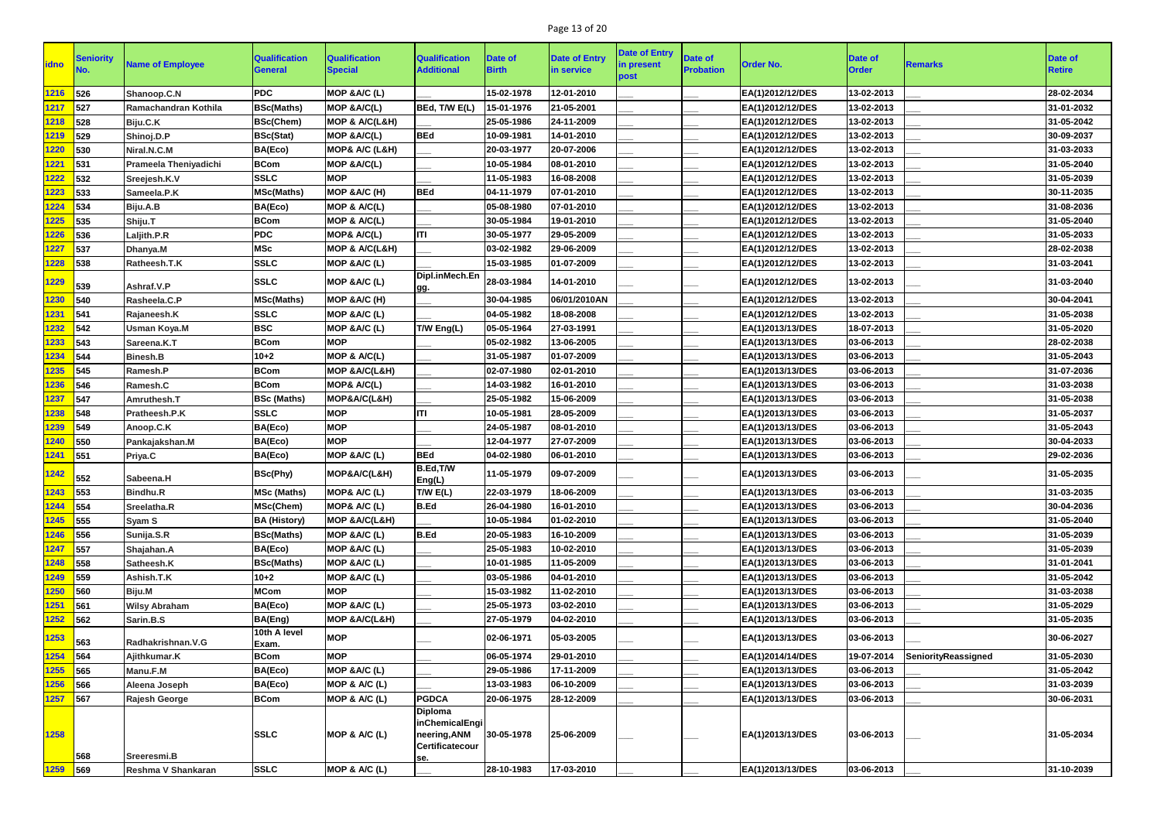# Page 13 of 20

| <b>idno</b>   | Seniority                    | <b>Name of Employee</b> | <b>Qualification</b><br><b>General</b> | <b>Qualification</b><br><b>Special</b> | <b>Qualification</b><br><b>Additional</b>                                         | Date of<br>Birth | <b>Date of Entry</b><br>in service | <b>Date of Entry</b><br>in present<br>post | Date of<br><b>Probation</b> | <b>Order No.</b> | <b>Date of</b><br><b>Order</b> | Remarks             | <b>Date of</b><br><b>Retire</b> |
|---------------|------------------------------|-------------------------|----------------------------------------|----------------------------------------|-----------------------------------------------------------------------------------|------------------|------------------------------------|--------------------------------------------|-----------------------------|------------------|--------------------------------|---------------------|---------------------------------|
| 1216          | 526                          | Shanoop.C.N             | <b>PDC</b>                             | MOP &A/C (L)                           |                                                                                   | 15-02-1978       | 12-01-2010                         |                                            |                             | EA(1)2012/12/DES | 13-02-2013                     |                     | 28-02-2034                      |
| 1217          | 527                          | Ramachandran Kothila    | <b>BSc(Maths)</b>                      | MOP & A/C(L)                           | BEd, T/W E(L)                                                                     | 15-01-1976       | 21-05-2001                         |                                            |                             | EA(1)2012/12/DES | 13-02-2013                     |                     | 31-01-2032                      |
| 1218          | 528                          | Biju.C.K                | <b>BSc(Chem)</b>                       | MOP & A/C(L&H)                         |                                                                                   | 25-05-1986       | 24-11-2009                         |                                            |                             | EA(1)2012/12/DES | 13-02-2013                     |                     | 31-05-2042                      |
| 1219          | 529                          | Shinoj.D.P              | <b>BSc(Stat)</b>                       | MOP & A/C(L)                           | <b>BEd</b>                                                                        | 10-09-1981       | 14-01-2010                         |                                            |                             | EA(1)2012/12/DES | 13-02-2013                     |                     | 30-09-2037                      |
| 1220          | 530                          | Niral.N.C.M             | BA(Eco)                                | MOP& A/C (L&H)                         |                                                                                   | 20-03-1977       | 20-07-2006                         |                                            |                             | EA(1)2012/12/DES | 13-02-2013                     |                     | 31-03-2033                      |
| 1221          | 531                          | Prameela Theniyadichi   | <b>BCom</b>                            | MOP & A/C(L)                           |                                                                                   | 10-05-1984       | 08-01-2010                         |                                            |                             | EA(1)2012/12/DES | 13-02-2013                     |                     | 31-05-2040                      |
| 1222          | 532                          | Sreejesh.K.V            | <b>SSLC</b>                            | <b>MOP</b>                             |                                                                                   | 11-05-1983       | 16-08-2008                         |                                            |                             | EA(1)2012/12/DES | 13-02-2013                     |                     | 31-05-2039                      |
| 1223          | 533                          | Sameela.P.K             | <b>MSc(Maths)</b>                      | MOP &A/C (H)                           | <b>BEd</b>                                                                        | 04-11-1979       | 07-01-2010                         |                                            |                             | EA(1)2012/12/DES | 13-02-2013                     |                     | 30-11-2035                      |
| 1224          | 534                          | Biju.A.B                | BA(Eco)                                | MOP & A/C(L)                           |                                                                                   | 05-08-1980       | 07-01-2010                         |                                            |                             | EA(1)2012/12/DES | 13-02-2013                     |                     | 31-08-2036                      |
| 1225          | 535                          | Shiju.T                 | <b>BCom</b>                            | MOP & A/C(L)                           |                                                                                   | 30-05-1984       | 19-01-2010                         |                                            |                             | EA(1)2012/12/DES | 13-02-2013                     |                     | 31-05-2040                      |
| 226           | 536                          | Laljith.P.R             | <b>PDC</b>                             | MOP& A/C(L)                            | ITI                                                                               | 30-05-1977       | 29-05-2009                         |                                            |                             | EA(1)2012/12/DES | 13-02-2013                     |                     | 31-05-2033                      |
| <b>227</b>    | 537                          | Dhanya.M                | <b>MSc</b>                             | MOP & A/C(L&H)                         |                                                                                   | 03-02-1982       | 29-06-2009                         |                                            |                             | EA(1)2012/12/DES | 13-02-2013                     |                     | 28-02-2038                      |
| 1228          | 538                          | Ratheesh.T.K            | <b>SSLC</b>                            | MOP & A/C (L)                          |                                                                                   | 15-03-1985       | 01-07-2009                         |                                            |                             | EA(1)2012/12/DES | 13-02-2013                     |                     | 31-03-2041                      |
| 1229          | 539                          | Ashraf.V.P              | <b>SSLC</b>                            | MOP & A/C (L)                          | Dipl.inMech.En<br>gg.                                                             | 28-03-1984       | 14-01-2010                         |                                            |                             | EA(1)2012/12/DES | 13-02-2013                     |                     | 31-03-2040                      |
| 1230          | 540                          | Rasheela.C.P            | <b>MSc(Maths)</b>                      | MOP & A/C (H)                          |                                                                                   | 30-04-1985       | 06/01/2010AN                       |                                            |                             | EA(1)2012/12/DES | 13-02-2013                     |                     | 30-04-2041                      |
| 1231          | 541                          | Rajaneesh.K             | <b>SSLC</b>                            | MOP & A/C (L)                          |                                                                                   | 04-05-1982       | 18-08-2008                         |                                            |                             | EA(1)2012/12/DES | 13-02-2013                     |                     | 31-05-2038                      |
| 1232          | 542                          | <b>Usman Koya.M</b>     | <b>BSC</b>                             | MOP & A/C (L)                          | T/W Eng(L)                                                                        | 05-05-1964       | 27-03-1991                         |                                            |                             | EA(1)2013/13/DES | 18-07-2013                     |                     | 31-05-2020                      |
| 233           | 543                          | Sareena.K.T             | <b>BCom</b>                            | <b>MOP</b>                             |                                                                                   | 05-02-1982       | 13-06-2005                         |                                            |                             | EA(1)2013/13/DES | 03-06-2013                     |                     | 28-02-2038                      |
| 1234          | 544                          | <b>Binesh.B</b>         | $10 + 2$                               | MOP & A/C(L)                           |                                                                                   | 31-05-1987       | 01-07-2009                         |                                            |                             | EA(1)2013/13/DES | 03-06-2013                     |                     | 31-05-2043                      |
| 1235          | 545                          | Ramesh.P                | <b>BCom</b>                            | MOP & A/C(L&H)                         |                                                                                   | 02-07-1980       | 02-01-2010                         |                                            |                             | EA(1)2013/13/DES | 03-06-2013                     |                     | 31-07-2036                      |
| 1236          | 546                          | Ramesh.C                | <b>BCom</b>                            | MOP& A/C(L)                            |                                                                                   | 14-03-1982       | 16-01-2010                         |                                            |                             | EA(1)2013/13/DES | 03-06-2013                     |                     | 31-03-2038                      |
| 1237          | 547                          | Amruthesh.T             | <b>BSc (Maths)</b>                     | MOP&A/C(L&H)                           |                                                                                   | 25-05-1982       | 15-06-2009                         |                                            |                             | EA(1)2013/13/DES | 03-06-2013                     |                     | 31-05-2038                      |
| 1238          | 548                          | Pratheesh.P.K           | <b>SSLC</b>                            | <b>MOP</b>                             | ITI                                                                               | 10-05-1981       | 28-05-2009                         |                                            |                             | EA(1)2013/13/DES | 03-06-2013                     |                     | 31-05-2037                      |
| 1239          | 549                          | Anoop.C.K               | BA(Eco)                                | <b>MOP</b>                             |                                                                                   | 24-05-1987       | 08-01-2010                         |                                            |                             | EA(1)2013/13/DES | 03-06-2013                     |                     | 31-05-2043                      |
| 1240          | 550                          | Pankajakshan.M          | BA(Eco)                                | <b>MOP</b>                             |                                                                                   | 12-04-1977       | 27-07-2009                         |                                            |                             | EA(1)2013/13/DES | 03-06-2013                     |                     | 30-04-2033                      |
| 1241          | 551                          | Priya.C                 | BA(Eco)                                | MOP &A/C (L)                           | <b>BEd</b>                                                                        | 04-02-1980       | 06-01-2010                         |                                            |                             | EA(1)2013/13/DES | 03-06-2013                     |                     | 29-02-2036                      |
| 1242          | 552                          | Sabeena.H               | <b>BSc(Phy)</b>                        | MOP&A/C(L&H)                           | B.Ed,T/W<br>Eng(L)                                                                | 11-05-1979       | 09-07-2009                         |                                            |                             | EA(1)2013/13/DES | 03-06-2013                     |                     | 31-05-2035                      |
| 1243          | 553                          | <b>Bindhu.R</b>         | <b>MSc (Maths)</b>                     | MOP& A/C (L)                           | T/W E(L)                                                                          | 22-03-1979       | 18-06-2009                         |                                            |                             | EA(1)2013/13/DES | 03-06-2013                     |                     | 31-03-2035                      |
| 1244          | $\frac{1}{554}$              | Sreelatha.R             | MSc(Chem)                              | MOP& A/C (L)                           | <b>B.Ed</b>                                                                       | 26-04-1980       | 16-01-2010                         |                                            |                             | EA(1)2013/13/DES | 03-06-2013                     |                     | 30-04-2036                      |
| 1245          | 555                          | Syam S                  | <b>BA (History)</b>                    | MOP & A/C(L&H)                         |                                                                                   | 10-05-1984       | 01-02-2010                         |                                            |                             | EA(1)2013/13/DES | 03-06-2013                     |                     | 31-05-2040                      |
| 1246          | 556                          | Sunija.S.R              | <b>BSc(Maths)</b>                      | MOP &A/C (L)                           | <b>B.Ed</b>                                                                       | 20-05-1983       | 16-10-2009                         |                                            |                             | EA(1)2013/13/DES | 03-06-2013                     |                     | 31-05-2039                      |
| 1247          | $\vert$ 557                  | Shajahan.A              | BA(Eco)                                | MOP &A/C (L)                           |                                                                                   | 25-05-1983       | 10-02-2010                         |                                            |                             | EA(1)2013/13/DES | 03-06-2013                     |                     | 31-05-2039                      |
| 1248          | $\overline{\phantom{1}}$ 558 | Satheesh.K              | <b>BSc(Maths)</b>                      | MOP &A/C (L)                           |                                                                                   | 10-01-1985       | 11-05-2009                         |                                            |                             | EA(1)2013/13/DES | 03-06-2013                     |                     | 31-01-2041                      |
| 1249          | $\frac{1}{559}$              | Ashish.T.K              | $10 + 2$                               | MOP &A/C (L)                           |                                                                                   | 03-05-1986       | 04-01-2010                         |                                            |                             | EA(1)2013/13/DES | 03-06-2013                     |                     | 31-05-2042                      |
| 1250          | 560                          | Biju.M                  | <b>MCom</b>                            | <b>MOP</b>                             |                                                                                   | 15-03-1982       | 11-02-2010                         |                                            |                             | EA(1)2013/13/DES | 03-06-2013                     |                     | 31-03-2038                      |
| 1251          | $\vert$ 561                  | <b>Wilsy Abraham</b>    | BA(Eco)                                | MOP &A/C (L)                           |                                                                                   | 25-05-1973       | 03-02-2010                         |                                            |                             | EA(1)2013/13/DES | 03-06-2013                     |                     | 31-05-2029                      |
| 1252          | $\sqrt{562}$                 | Sarin.B.S               | BA(Eng)                                | MOP & A/C(L&H)                         |                                                                                   | 27-05-1979       | 04-02-2010                         |                                            |                             | EA(1)2013/13/DES | 03-06-2013                     |                     | 31-05-2035                      |
| <u> 1253 </u> | 563                          | Radhakrishnan.V.G       | 10th A level<br>Exam.                  | <b>MOP</b>                             |                                                                                   | 02-06-1971       | 05-03-2005                         |                                            |                             | EA(1)2013/13/DES | 03-06-2013                     |                     | 30-06-2027                      |
| 1254          | 564                          | Ajithkumar.K            | <b>BCom</b>                            | <b>MOP</b>                             |                                                                                   | 06-05-1974       | 29-01-2010                         |                                            |                             | EA(1)2014/14/DES | 19-07-2014                     | SeniorityReassigned | 31-05-2030                      |
| 1255          | $\sqrt{565}$                 | Manu.F.M                | BA(Eco)                                | MOP & A/C (L)                          |                                                                                   | 29-05-1986       | 17-11-2009                         |                                            |                             | EA(1)2013/13/DES | 03-06-2013                     |                     | 31-05-2042                      |
| 256           | 566                          | Aleena Joseph           | BA(Eco)                                | MOP & A/C (L)                          |                                                                                   | 13-03-1983       | 06-10-2009                         |                                            |                             | EA(1)2013/13/DES | 03-06-2013                     |                     | 31-03-2039                      |
| 1257          | $\frac{1}{567}$              | <b>Rajesh George</b>    | <b>BCom</b>                            | MOP & A/C (L)                          | <b>PGDCA</b>                                                                      | 20-06-1975       | 28-12-2009                         |                                            |                             | EA(1)2013/13/DES | 03-06-2013                     |                     | 30-06-2031                      |
| 1258          | 568                          | Sreeresmi.B             | <b>SSLC</b>                            | MOP & A/C (L)                          | <b>Diploma</b><br>inChemicalEngi<br>neering, ANM<br><b>Certificatecour</b><br>se. | 30-05-1978       | 25-06-2009                         |                                            |                             | EA(1)2013/13/DES | 03-06-2013                     |                     | 31-05-2034                      |
| 1259 569      |                              | Reshma V Shankaran      | <b>SSLC</b>                            | MOP & A/C (L)                          |                                                                                   | 28-10-1983       | 17-03-2010                         |                                            |                             | EA(1)2013/13/DES | 03-06-2013                     |                     | 31-10-2039                      |
|               |                              |                         |                                        |                                        |                                                                                   |                  |                                    |                                            |                             |                  |                                |                     |                                 |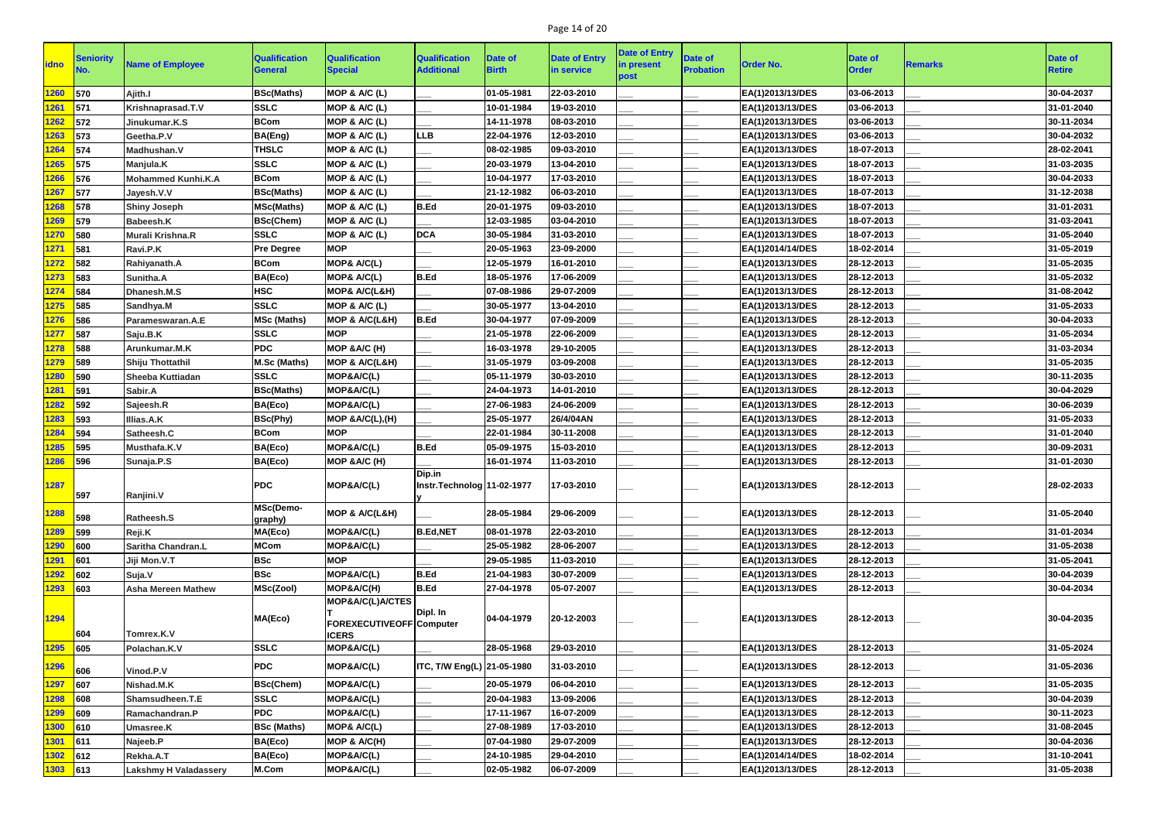# Page 14 of 20

| <b>idno</b>   | <b>Seniority</b> | <b>Name of Employee</b>      | <b>Qualification</b><br><b>General</b> | <b>Qualification</b><br><b>Special</b> | <b>Qualification</b><br><b>Additional</b> | <b>Date of</b><br><b>Birth</b> | <b>Date of Entry</b><br>in service | <b>Date of Entry</b><br>in present<br>post | <b>Date of</b><br><b>Probation</b> | <b>Order No.</b> | <b>Date of</b><br><b>Order</b> | <b>Remarks</b> | <b>Date of</b><br><b>Retire</b> |
|---------------|------------------|------------------------------|----------------------------------------|----------------------------------------|-------------------------------------------|--------------------------------|------------------------------------|--------------------------------------------|------------------------------------|------------------|--------------------------------|----------------|---------------------------------|
| 1260          | 570              | Ajith.I                      | <b>BSc(Maths)</b>                      | MOP & A/C (L)                          |                                           | 01-05-1981                     | 22-03-2010                         |                                            |                                    | EA(1)2013/13/DES | 03-06-2013                     |                | 30-04-2037                      |
| 1261          | 571              | Krishnaprasad.T.V            | <b>SSLC</b>                            | MOP & A/C (L)                          |                                           | 10-01-1984                     | 19-03-2010                         |                                            |                                    | EA(1)2013/13/DES | 03-06-2013                     |                | 31-01-2040                      |
| 1262          | 572              | Jinukumar.K.S                | <b>BCom</b>                            | MOP & A/C (L)                          |                                           | 14-11-1978                     | 08-03-2010                         |                                            |                                    | EA(1)2013/13/DES | 03-06-2013                     |                | 30-11-2034                      |
| 1263          | 573              | Geetha.P.V                   | BA(Eng)                                | MOP & A/C (L)                          | <b>LLB</b>                                | 22-04-1976                     | 12-03-2010                         |                                            |                                    | EA(1)2013/13/DES | 03-06-2013                     |                | 30-04-2032                      |
| 1264          | 574              | Madhushan.V                  | <b>THSLC</b>                           | MOP & A/C (L)                          |                                           | 08-02-1985                     | 09-03-2010                         |                                            |                                    | EA(1)2013/13/DES | 18-07-2013                     |                | 28-02-2041                      |
| 1265          | 575              | Manjula.K                    | <b>SSLC</b>                            | MOP & A/C (L)                          |                                           | 20-03-1979                     | 13-04-2010                         |                                            |                                    | EA(1)2013/13/DES | 18-07-2013                     |                | 31-03-2035                      |
| 1266          | 576              | <b>Mohammed Kunhi.K.A</b>    | <b>BCom</b>                            | MOP & A/C (L)                          |                                           | 10-04-1977                     | 17-03-2010                         |                                            |                                    | EA(1)2013/13/DES | 18-07-2013                     |                | 30-04-2033                      |
| 1267          | 577              | Jayesh.V.V                   | <b>BSc(Maths)</b>                      | MOP & A/C (L)                          |                                           | 21-12-1982                     | 06-03-2010                         |                                            |                                    | EA(1)2013/13/DES | 18-07-2013                     |                | 31-12-2038                      |
| 1268          | 578              | <b>Shiny Joseph</b>          | <b>MSc(Maths)</b>                      | MOP & A/C (L)                          | <b>B.Ed</b>                               | 20-01-1975                     | 09-03-2010                         |                                            |                                    | EA(1)2013/13/DES | 18-07-2013                     |                | 31-01-2031                      |
| 1269          | 579              | <b>Babeesh.K</b>             | <b>BSc(Chem)</b>                       | MOP & A/C (L)                          |                                           | 12-03-1985                     | 03-04-2010                         |                                            |                                    | EA(1)2013/13/DES | 18-07-2013                     |                | 31-03-2041                      |
| 1270          | 580              | Murali Krishna.R             | <b>SSLC</b>                            | MOP & A/C (L)                          | <b>DCA</b>                                | 30-05-1984                     | 31-03-2010                         |                                            |                                    | EA(1)2013/13/DES | 18-07-2013                     |                | 31-05-2040                      |
| 1271          | 581              | Ravi.P.K                     | <b>Pre Degree</b>                      | <b>MOP</b>                             |                                           | 20-05-1963                     | 23-09-2000                         |                                            |                                    | EA(1)2014/14/DES | 18-02-2014                     |                | 31-05-2019                      |
| 1272          | 582              | Rahiyanath.A                 | <b>BCom</b>                            | MOP& A/C(L)                            |                                           | 12-05-1979                     | 16-01-2010                         |                                            |                                    | EA(1)2013/13/DES | 28-12-2013                     |                | 31-05-2035                      |
| 1273          | 583              | Sunitha.A                    | BA(Eco)                                | MOP& A/C(L)                            | <b>B.Ed</b>                               | 18-05-1976                     | 17-06-2009                         |                                            |                                    | EA(1)2013/13/DES | 28-12-2013                     |                | 31-05-2032                      |
| 1274          | 584              | Dhanesh.M.S                  | <b>HSC</b>                             | MOP& A/C(L&H)                          |                                           | 07-08-1986                     | 29-07-2009                         |                                            |                                    | EA(1)2013/13/DES | 28-12-2013                     |                | 31-08-2042                      |
| 1275          | 585              | Sandhya.M                    | <b>SSLC</b>                            | MOP & A/C (L)                          |                                           | 30-05-1977                     | 13-04-2010                         |                                            |                                    | EA(1)2013/13/DES | 28-12-2013                     |                | 31-05-2033                      |
| 1276          | 586              | Parameswaran.A.E             | <b>MSc (Maths)</b>                     | MOP & A/C(L&H)                         | <b>B.Ed</b>                               | 30-04-1977                     | 07-09-2009                         |                                            |                                    | EA(1)2013/13/DES | 28-12-2013                     |                | 30-04-2033                      |
| 1277          | 587              | Saju.B.K                     | <b>SSLC</b>                            | <b>MOP</b>                             |                                           | 21-05-1978                     | 22-06-2009                         |                                            |                                    | EA(1)2013/13/DES | 28-12-2013                     |                | 31-05-2034                      |
| 1278          | 588              | Arunkumar.M.K                | <b>PDC</b>                             | MOP &A/C (H)                           |                                           | 16-03-1978                     | 29-10-2005                         |                                            |                                    | EA(1)2013/13/DES | 28-12-2013                     |                | 31-03-2034                      |
| 1279          | 589              | <b>Shiju Thottathil</b>      | M.Sc (Maths)                           | MOP & A/C(L&H)                         |                                           | 31-05-1979                     | 03-09-2008                         |                                            |                                    | EA(1)2013/13/DES | 28-12-2013                     |                | 31-05-2035                      |
| 1280          | 590              | <b>Sheeba Kuttiadan</b>      | <b>SSLC</b>                            | MOP&A/C(L)                             |                                           | 05-11-1979                     | 30-03-2010                         |                                            |                                    | EA(1)2013/13/DES | 28-12-2013                     |                | 30-11-2035                      |
| <u> 1281</u>  | 591              | Sabir.A                      | <b>BSc(Maths)</b>                      | MOP&A/C(L)                             |                                           | 24-04-1973                     | 14-01-2010                         |                                            |                                    | EA(1)2013/13/DES | 28-12-2013                     |                | 30-04-2029                      |
| 1282          | 592              | Sajeesh.R                    | BA(Eco)                                | MOP&A/C(L)                             |                                           | 27-06-1983                     | 24-06-2009                         |                                            |                                    | EA(1)2013/13/DES | 28-12-2013                     |                | 30-06-2039                      |
| 1283          | 593              | Illias.A.K                   | <b>BSc(Phy)</b>                        | MOP & A/C(L),(H)                       |                                           | 25-05-1977                     | 26/4/04AN                          |                                            |                                    | EA(1)2013/13/DES | 28-12-2013                     |                | 31-05-2033                      |
| 1284          | 594              | Satheesh.C                   | <b>BCom</b>                            | <b>MOP</b>                             |                                           | 22-01-1984                     | 30-11-2008                         |                                            |                                    | EA(1)2013/13/DES | 28-12-2013                     |                | 31-01-2040                      |
| 1285          | 595              | Musthafa.K.V                 | BA(Eco)                                | MOP&A/C(L)                             | <b>B.Ed</b>                               | 05-09-1975                     | 15-03-2010                         |                                            |                                    | EA(1)2013/13/DES | 28-12-2013                     |                | 30-09-2031                      |
| 1286          | 596              | Sunaja.P.S                   | BA(Eco)                                | MOP &A/C (H)                           |                                           | 16-01-1974                     | 11-03-2010                         |                                            |                                    | EA(1)2013/13/DES | 28-12-2013                     |                | 31-01-2030                      |
| 1287          | 597              | Ranjini.V                    | PDC                                    | MOP&A/C(L)                             | Dip.in<br>Instr.Technolog 11-02-1977      |                                | 17-03-2010                         |                                            |                                    | EA(1)2013/13/DES | 28-12-2013                     |                | 28-02-2033                      |
| 1288          | 598              | Ratheesh.S                   | MSc(Demo-<br>graphy)                   | MOP & A/C(L&H)                         |                                           | 28-05-1984                     | 29-06-2009                         |                                            |                                    | EA(1)2013/13/DES | 28-12-2013                     |                | 31-05-2040                      |
| 1289          | 599              | Reji.K                       | MA(Eco)                                | MOP&A/C(L)                             | <b>B.Ed,NET</b>                           | 08-01-1978                     | 22-03-2010                         |                                            |                                    | EA(1)2013/13/DES | 28-12-2013                     |                | 31-01-2034                      |
| 1290          | 600              | Saritha Chandran.L           | <b>MCom</b>                            | MOP&A/C(L)                             |                                           | 25-05-1982                     | 28-06-2007                         |                                            |                                    | EA(1)2013/13/DES | 28-12-2013                     |                | 31-05-2038                      |
| 1291          | 601              | Jiji Mon.V.T                 | <b>BSc</b>                             | <b>MOP</b>                             |                                           | 29-05-1985                     | 11-03-2010                         |                                            |                                    | EA(1)2013/13/DES | 28-12-2013                     |                | 31-05-2041                      |
| <u> 1292 </u> | 602              | Suja.V                       | <b>BSc</b>                             | MOP&A/C(L)                             | <b>B.Ed</b>                               | 21-04-1983                     | 30-07-2009                         |                                            |                                    | EA(1)2013/13/DES | 28-12-2013                     |                | 30-04-2039                      |
| 1293          | 603              | <b>Asha Mereen Mathew</b>    | MSc(Zool)                              | MOP&A/C(H)                             | <b>B.Ed</b>                               | 27-04-1978                     | 05-07-2007                         |                                            |                                    | EA(1)2013/13/DES | 28-12-2013                     |                | 30-04-2034                      |
|               |                  |                              |                                        | MOP&A/C(L)A/CTES                       |                                           |                                |                                    |                                            |                                    |                  |                                |                |                                 |
| 1294          |                  |                              | MA(Eco)                                | <b>FOREXECUTIVEOFF Computer</b>        | Dipl. In                                  | 04-04-1979                     | 20-12-2003                         |                                            |                                    | EA(1)2013/13/DES | 28-12-2013                     |                | 30-04-2035                      |
|               | 604              | Tomrex.K.V                   |                                        | <b>ICERS</b>                           |                                           |                                |                                    |                                            |                                    |                  |                                |                |                                 |
| 1295          | 605              | Polachan.K.V                 | <b>SSLC</b>                            | MOP&A/C(L)                             |                                           | 28-05-1968                     | 29-03-2010                         |                                            |                                    | EA(1)2013/13/DES | 28-12-2013                     |                | 31-05-2024                      |
| 1296          | 606              | Vinod.P.V                    | <b>PDC</b>                             | MOP&A/C(L)                             | ITC, T/W Eng(L) 21-05-1980                |                                | 31-03-2010                         |                                            |                                    | EA(1)2013/13/DES | 28-12-2013                     |                | 31-05-2036                      |
| 1297          | 607              | Nishad.M.K                   | <b>BSc(Chem)</b>                       | MOP&A/C(L)                             |                                           | 20-05-1979                     | 06-04-2010                         |                                            |                                    | EA(1)2013/13/DES | 28-12-2013                     |                | 31-05-2035                      |
| 1298          | 608              | Shamsudheen.T.E              | <b>SSLC</b>                            | MOP&A/C(L)                             |                                           | 20-04-1983                     | 13-09-2006                         |                                            |                                    | EA(1)2013/13/DES | 28-12-2013                     |                | 30-04-2039                      |
| 1299          | 609              | Ramachandran.P               | <b>PDC</b>                             | MOP&A/C(L)                             |                                           | 17-11-1967                     | 16-07-2009                         |                                            |                                    | EA(1)2013/13/DES | 28-12-2013                     |                | 30-11-2023                      |
| 1300          | $ 610\rangle$    | <b>Umasree.K</b>             | <b>BSc (Maths)</b>                     | MOP& A/C(L)                            |                                           | 27-08-1989                     | 17-03-2010                         |                                            |                                    | EA(1)2013/13/DES | 28-12-2013                     |                | 31-08-2045                      |
| 1301          | 611              | Najeeb.P                     | BA(Eco)                                | MOP & A/C(H)                           |                                           | 07-04-1980                     | 29-07-2009                         |                                            |                                    | EA(1)2013/13/DES | 28-12-2013                     |                | 30-04-2036                      |
| 1302          | 612              | Rekha.A.T                    | BA(Eco)                                | MOP&A/C(L)                             |                                           | 24-10-1985                     | 29-04-2010                         |                                            |                                    | EA(1)2014/14/DES | 18-02-2014                     |                | 31-10-2041                      |
| $1303$ 613    |                  | <b>Lakshmy H Valadassery</b> | M.Com                                  | MOP&A/C(L)                             |                                           | 02-05-1982                     | 06-07-2009                         |                                            |                                    | EA(1)2013/13/DES | 28-12-2013                     |                | 31-05-2038                      |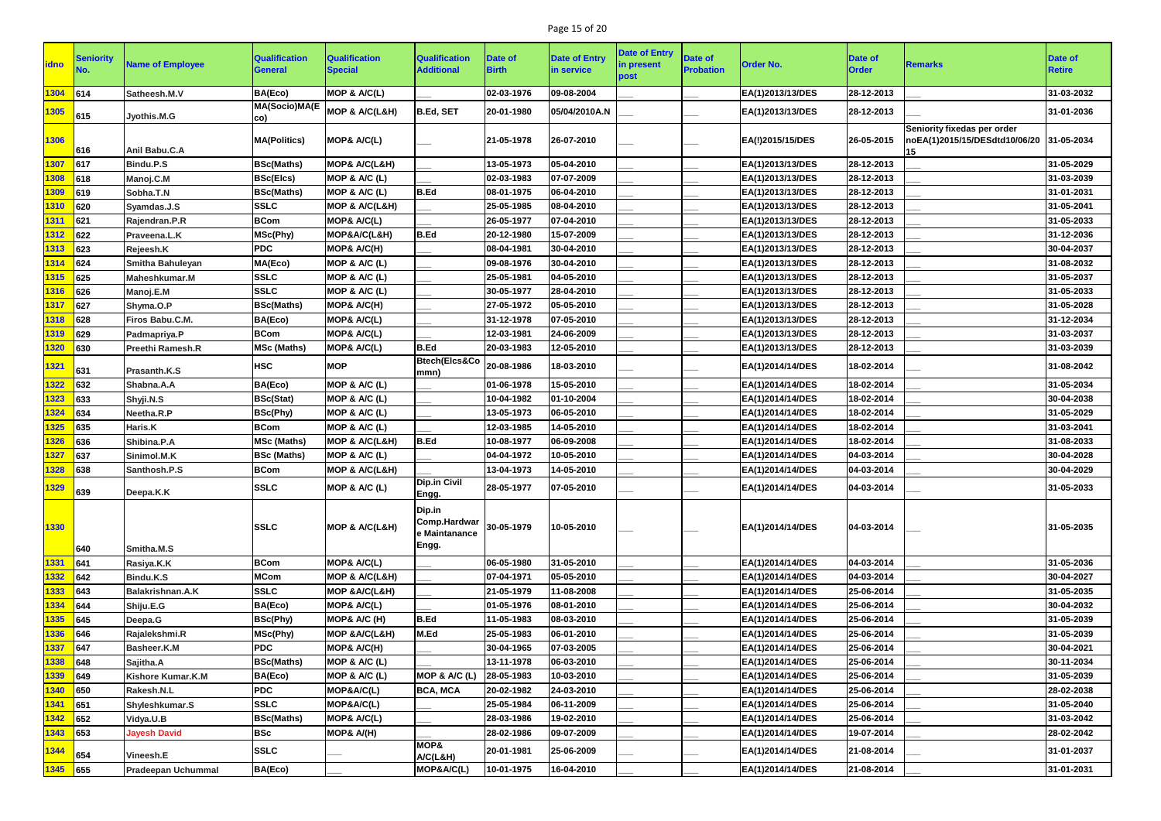# Page 15 of 20

| <b>idno</b> | Seniority     | <b>Name of Employee</b>   | <b>Qualification</b><br>General | <b>Qualification</b><br><b>Special</b> | <b>Qualification</b><br><b>Additional</b>                             | Date of<br><b>Birth</b> | Date of Entry<br>in service | <b>Date of Entry</b><br>in present<br>post | Date of<br><b>Probation</b> | <b>Order No.</b> | <b>Date of</b><br><b>Order</b> | <b>Remarks</b>                                                                 | Date of<br><b>Retire</b> |
|-------------|---------------|---------------------------|---------------------------------|----------------------------------------|-----------------------------------------------------------------------|-------------------------|-----------------------------|--------------------------------------------|-----------------------------|------------------|--------------------------------|--------------------------------------------------------------------------------|--------------------------|
| 1304        | 614           | Satheesh.M.V              | BA(Eco)                         | MOP & A/C(L)                           |                                                                       | 02-03-1976              | 09-08-2004                  |                                            |                             | EA(1)2013/13/DES | 28-12-2013                     |                                                                                | 31-03-2032               |
| 1305        | 615           | Jyothis.M.G               | <b>MA(Socio)MA(E</b><br>CO)     | MOP & A/C(L&H)                         | <b>B.Ed, SET</b>                                                      | 20-01-1980              | 05/04/2010A.N               |                                            |                             | EA(1)2013/13/DES | 28-12-2013                     |                                                                                | 31-01-2036               |
| 1306        | 616           | Anil Babu.C.A             | <b>MA(Politics)</b>             | MOP& A/C(L)                            |                                                                       | 21-05-1978              | 26-07-2010                  |                                            |                             | EA(!)2015/15/DES | 26-05-2015                     | Seniority fixedas per order<br>noEA(1)2015/15/DESdtd10/06/20  31-05-2034<br>15 |                          |
| 1307        | 617           | Bindu.P.S                 | <b>BSc(Maths)</b>               | <b>MOP&amp; A/C(L&amp;H)</b>           |                                                                       | 13-05-1973              | 05-04-2010                  |                                            |                             | EA(1)2013/13/DES | 28-12-2013                     |                                                                                | 31-05-2029               |
| 1308        | 618           | Manoj.C.M                 | <b>BSc(Elcs)</b>                | MOP & A/C (L)                          |                                                                       | 02-03-1983              | 07-07-2009                  |                                            |                             | EA(1)2013/13/DES | 28-12-2013                     |                                                                                | 31-03-2039               |
| 1309        | 619           | Sobha.T.N                 | <b>BSc(Maths)</b>               | MOP & A/C (L)                          | <b>B.Ed</b>                                                           | 08-01-1975              | 06-04-2010                  |                                            |                             | EA(1)2013/13/DES | 28-12-2013                     |                                                                                | 31-01-2031               |
| 1310        | 620           | Syamdas.J.S               | <b>SSLC</b>                     | MOP & A/C(L&H)                         |                                                                       | 25-05-1985              | 08-04-2010                  |                                            |                             | EA(1)2013/13/DES | 28-12-2013                     |                                                                                | 31-05-2041               |
| 1311        | 621           | Rajendran.P.R             | <b>BCom</b>                     | MOP& A/C(L)                            |                                                                       | 26-05-1977              | 07-04-2010                  |                                            |                             | EA(1)2013/13/DES | 28-12-2013                     |                                                                                | 31-05-2033               |
| 1312        | 622           | Praveena.L.K              | MSc(Phy)                        | MOP&A/C(L&H)                           | <b>B.Ed</b>                                                           | 20-12-1980              | 15-07-2009                  |                                            |                             | EA(1)2013/13/DES | 28-12-2013                     |                                                                                | 31-12-2036               |
| 1313        | 623           | Rejeesh.K                 | <b>PDC</b>                      | MOP& A/C(H)                            |                                                                       | 08-04-1981              | 30-04-2010                  |                                            |                             | EA(1)2013/13/DES | 28-12-2013                     |                                                                                | 30-04-2037               |
| 1314        | 624           | Smitha Bahuleyan          | MA(Eco)                         | MOP & A/C (L)                          |                                                                       | 09-08-1976              | 30-04-2010                  |                                            |                             | EA(1)2013/13/DES | 28-12-2013                     |                                                                                | 31-08-2032               |
| 1315        | 625           | <b>Maheshkumar.M</b>      | <b>SSLC</b>                     | MOP & A/C (L)                          |                                                                       | 25-05-1981              | 04-05-2010                  |                                            |                             | EA(1)2013/13/DES | 28-12-2013                     |                                                                                | 31-05-2037               |
| 1316        | 626           | Manoj.E.M                 | <b>SSLC</b>                     | MOP & A/C (L)                          |                                                                       | 30-05-1977              | 28-04-2010                  |                                            |                             | EA(1)2013/13/DES | 28-12-2013                     |                                                                                | 31-05-2033               |
| 1317        | 627           | Shyma.O.P                 | <b>BSc(Maths)</b>               | MOP& A/C(H)                            |                                                                       | 27-05-1972              | 05-05-2010                  |                                            |                             | EA(1)2013/13/DES | 28-12-2013                     |                                                                                | 31-05-2028               |
| 1318        | 628           | Firos Babu.C.M.           | BA(Eco)                         | MOP& A/C(L)                            |                                                                       | 31-12-1978              | 07-05-2010                  |                                            |                             | EA(1)2013/13/DES | 28-12-2013                     |                                                                                | 31-12-2034               |
| 1319        | 629           | Padmapriya.P              | <b>BCom</b>                     | <b>MOP&amp; A/C(L)</b>                 |                                                                       | 12-03-1981              | 24-06-2009                  |                                            |                             | EA(1)2013/13/DES | 28-12-2013                     |                                                                                | 31-03-2037               |
| 1320        | 630           | Preethi Ramesh.R          | <b>MSc (Maths)</b>              | MOP& A/C(L)                            | <b>B.Ed</b>                                                           | 20-03-1983              | 12-05-2010                  |                                            |                             | EA(1)2013/13/DES | 28-12-2013                     |                                                                                | 31-03-2039               |
| 1321        | 631           | Prasanth.K.S              | <b>HSC</b>                      | <b>MOP</b>                             | <b>Btech(Elcs&amp;Co</b><br>mmn)                                      | 20-08-1986              | 18-03-2010                  |                                            |                             | EA(1)2014/14/DES | 18-02-2014                     |                                                                                | 31-08-2042               |
| 1322        | 632           | Shabna.A.A                | BA(Eco)                         | MOP & A/C (L)                          |                                                                       | 01-06-1978              | 15-05-2010                  |                                            |                             | EA(1)2014/14/DES | 18-02-2014                     |                                                                                | 31-05-2034               |
| 1323        | 633           | Shyji.N.S                 | <b>BSc(Stat)</b>                | MOP & A/C (L)                          |                                                                       | 10-04-1982              | 01-10-2004                  |                                            |                             | EA(1)2014/14/DES | 18-02-2014                     |                                                                                | 30-04-2038               |
| 1324        | 634           | Neetha.R.P                | <b>BSc(Phy)</b>                 | MOP & A/C (L)                          |                                                                       | 13-05-1973              | 06-05-2010                  |                                            |                             | EA(1)2014/14/DES | 18-02-2014                     |                                                                                | 31-05-2029               |
| 1325        | 635           | Haris.K                   | <b>BCom</b>                     | MOP & A/C (L)                          |                                                                       | 12-03-1985              | 14-05-2010                  |                                            |                             | EA(1)2014/14/DES | 18-02-2014                     |                                                                                | 31-03-2041               |
| 1326        | 636           | Shibina.P.A               | <b>MSc (Maths)</b>              | MOP & A/C(L&H)                         | <b>B.Ed</b>                                                           | 10-08-1977              | 06-09-2008                  |                                            |                             | EA(1)2014/14/DES | 18-02-2014                     |                                                                                | 31-08-2033               |
| <u>327</u>  | 637           | Sinimol.M.K               | <b>BSc (Maths)</b>              | MOP & A/C (L)                          |                                                                       | 04-04-1972              | 10-05-2010                  |                                            |                             | EA(1)2014/14/DES | 04-03-2014                     |                                                                                | 30-04-2028               |
| 1328        | 638           | Santhosh.P.S              | <b>BCom</b>                     | MOP & A/C(L&H)                         |                                                                       | 13-04-1973              | 14-05-2010                  |                                            |                             | EA(1)2014/14/DES | 04-03-2014                     |                                                                                | 30-04-2029               |
| 1329        | 639           | Deepa.K.K                 | <b>SSLC</b>                     | MOP & A/C (L)                          | <b>Dip.in Civil</b><br>Engg.                                          | 28-05-1977              | 07-05-2010                  |                                            |                             | EA(1)2014/14/DES | 04-03-2014                     |                                                                                | 31-05-2033               |
| 1330        | 640           | Smitha.M.S                | <b>SSLC</b>                     | MOP & A/C(L&H)                         | Dip.in<br>Comp.Hardwar $ 30-05-1979\rangle$<br>e Maintanance<br>Engg. |                         | 10-05-2010                  |                                            |                             | EA(1)2014/14/DES | 04-03-2014                     |                                                                                | 31-05-2035               |
| 1331        | 641           | Rasiya.K.K                | <b>BCom</b>                     | MOP& A/C(L)                            |                                                                       | 06-05-1980              | 31-05-2010                  |                                            |                             | EA(1)2014/14/DES | 04-03-2014                     |                                                                                | 31-05-2036               |
| 1332        | $ 642\rangle$ | Bindu.K.S                 | <b>MCom</b>                     | MOP & A/C(L&H)                         |                                                                       | 07-04-1971              | 05-05-2010                  |                                            |                             | EA(1)2014/14/DES | 04-03-2014                     |                                                                                | 30-04-2027               |
| 1333        | 643           | Balakrishnan.A.K          | <b>SSLC</b>                     | MOP & A/C(L&H)                         |                                                                       | 21-05-1979              | 11-08-2008                  |                                            |                             | EA(1)2014/14/DES | 25-06-2014                     |                                                                                | 31-05-2035               |
| 1334        | 644           | Shiju.E.G                 | BA(Eco)                         | MOP& A/C(L)                            |                                                                       | 01-05-1976              | 08-01-2010                  |                                            |                             | EA(1)2014/14/DES | 25-06-2014                     |                                                                                | 30-04-2032               |
| 1335        | 645           | Deepa.G                   | <b>BSc(Phy)</b>                 | MOP& A/C (H)                           | <b>B.Ed</b>                                                           | 11-05-1983              | 08-03-2010                  |                                            |                             | EA(1)2014/14/DES | 25-06-2014                     |                                                                                | 31-05-2039               |
| 1336        | 646           | Rajalekshmi.R             | MSc(Phy)                        | MOP & A/C(L&H)                         | M.Ed                                                                  | 25-05-1983              | 06-01-2010                  |                                            |                             | EA(1)2014/14/DES | 25-06-2014                     |                                                                                | 31-05-2039               |
| 1337        | 647           | Basheer.K.M               | <b>PDC</b>                      | MOP& A/C(H)                            |                                                                       | 30-04-1965              | 07-03-2005                  |                                            |                             | EA(1)2014/14/DES | 25-06-2014                     |                                                                                | 30-04-2021               |
| 1338        | 648           | Sajitha.A                 | <b>BSc(Maths)</b>               | MOP & A/C (L)                          |                                                                       | 13-11-1978              | 06-03-2010                  |                                            |                             | EA(1)2014/14/DES | 25-06-2014                     |                                                                                | 30-11-2034               |
| 1339        | $ 649\rangle$ | <b>Kishore Kumar.K.M</b>  | BA(Eco)                         | MOP & A/C (L)                          | MOP & A/C (L)                                                         | 28-05-1983              | 10-03-2010                  |                                            |                             | EA(1)2014/14/DES | 25-06-2014                     |                                                                                | 31-05-2039               |
| 1340        | 650           | Rakesh.N.L                | <b>PDC</b>                      | MOP&A/C(L)                             | <b>BCA, MCA</b>                                                       | 20-02-1982              | 24-03-2010                  |                                            |                             | EA(1)2014/14/DES | 25-06-2014                     |                                                                                | 28-02-2038               |
| 1341        | 651           | Shyleshkumar.S            | <b>SSLC</b>                     | MOP&A/C(L)                             |                                                                       | 25-05-1984              | 06-11-2009                  |                                            |                             | EA(1)2014/14/DES | 25-06-2014                     |                                                                                | 31-05-2040               |
| 1342        | 652           | Vidya.U.B                 | <b>BSc(Maths)</b>               | MOP& A/C(L)                            |                                                                       | 28-03-1986              | 19-02-2010                  |                                            |                             | EA(1)2014/14/DES | 25-06-2014                     |                                                                                | 31-03-2042               |
| 1343        | $\vert$ 653   | <b>Jayesh David</b>       | <b>BSc</b>                      | MOP& A/(H)                             |                                                                       | 28-02-1986              | 09-07-2009                  |                                            |                             | EA(1)2014/14/DES | 19-07-2014                     |                                                                                | 28-02-2042               |
| 1344        | 654           | Vineesh.E                 | <b>SSLC</b>                     |                                        | MOP&<br>A/C(L&H)                                                      | 20-01-1981              | 25-06-2009                  |                                            |                             | EA(1)2014/14/DES | 21-08-2014                     |                                                                                | 31-01-2037               |
| 1345 655    |               | <b>Pradeepan Uchummal</b> | BA(Eco)                         |                                        | MOP&A/C(L)                                                            | 10-01-1975              | 16-04-2010                  |                                            |                             | EA(1)2014/14/DES | 21-08-2014                     |                                                                                | 31-01-2031               |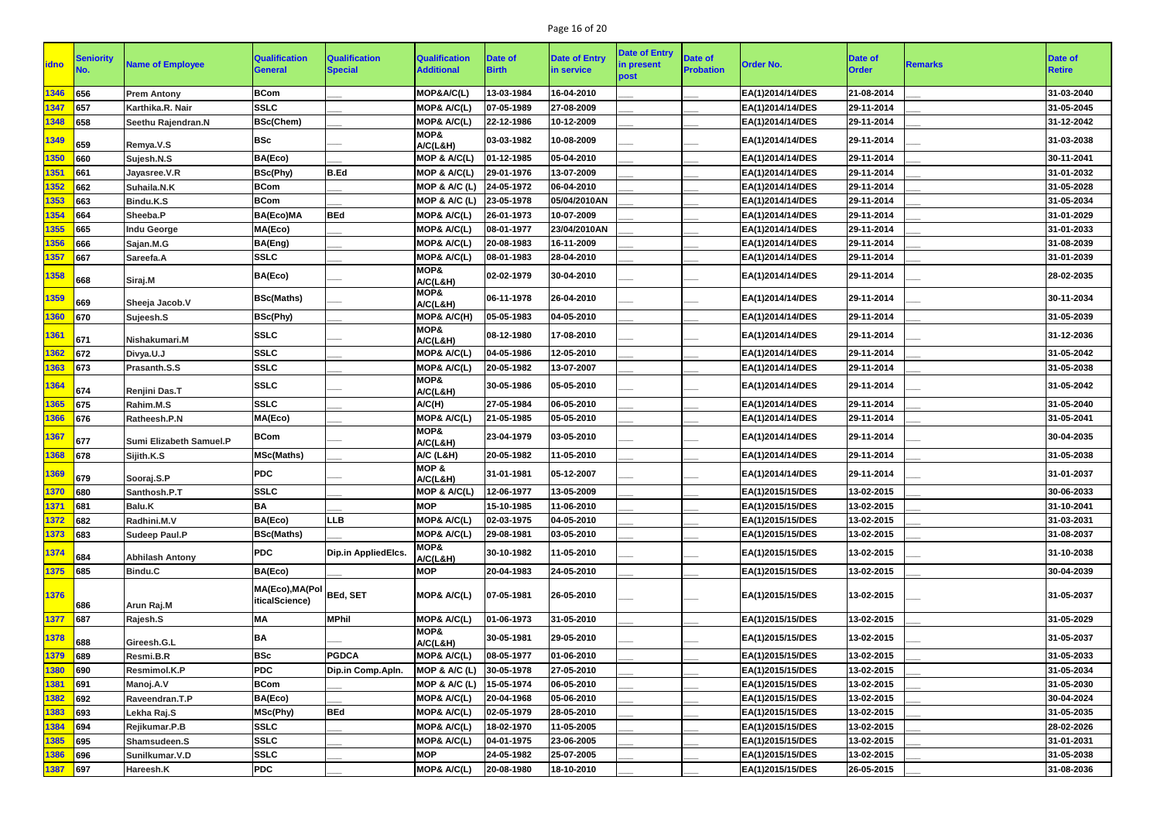# Page 16 of 20

| <b>lidno</b> | <b>Seniority</b> | <b>Name of Employee</b> | <b>Qualification</b><br><b>General</b>    | <b>Qualification</b><br><b>Special</b> | <b>Qualification</b><br><b>Additional</b> | Date of<br><b>Birth</b> | <b>Date of Entry</b><br>in service | <b>Date of Entry</b><br>in present | <b>Date of</b><br><b>Probation</b> | <b>Order No.</b> | <b>Date of</b><br><b>Order</b> | <b>Remarks</b> | Date of<br><b>Retire</b> |
|--------------|------------------|-------------------------|-------------------------------------------|----------------------------------------|-------------------------------------------|-------------------------|------------------------------------|------------------------------------|------------------------------------|------------------|--------------------------------|----------------|--------------------------|
|              |                  |                         |                                           |                                        |                                           |                         |                                    | post                               |                                    |                  |                                |                |                          |
| 1346         | 656              | <b>Prem Antony</b>      | <b>BCom</b>                               |                                        | MOP&A/C(L)                                | 13-03-1984              | 16-04-2010                         |                                    |                                    | EA(1)2014/14/DES | 21-08-2014                     |                | 31-03-2040               |
| 1347         | 657              | Karthika.R. Nair        | <b>SSLC</b>                               |                                        | MOP& A/C(L)                               | 07-05-1989              | 27-08-2009                         |                                    |                                    | EA(1)2014/14/DES | 29-11-2014                     |                | 31-05-2045               |
| 1348         | 658              | Seethu Rajendran.N      | <b>BSc(Chem)</b>                          |                                        | MOP& A/C(L)                               | 22-12-1986              | 10-12-2009                         |                                    |                                    | EA(1)2014/14/DES | 29-11-2014                     |                | 31-12-2042               |
| 1349         | 659              | Remya.V.S               | <b>BSc</b>                                |                                        | MOP&<br>A/C(L&H)                          | 03-03-1982              | 10-08-2009                         |                                    |                                    | EA(1)2014/14/DES | 29-11-2014                     |                | 31-03-2038               |
| 1350         | 660              | Sujesh.N.S              | BA(Eco)                                   |                                        | MOP & A/C(L)                              | 01-12-1985              | 05-04-2010                         |                                    |                                    | EA(1)2014/14/DES | 29-11-2014                     |                | 30-11-2041               |
| 1351         | 661              | Jayasree.V.R            | <b>BSc(Phy)</b>                           | <b>B.Ed</b>                            | MOP & A/C(L)                              | 29-01-1976              | 13-07-2009                         |                                    |                                    | EA(1)2014/14/DES | 29-11-2014                     |                | 31-01-2032               |
| 1352         | 662              | Suhaila.N.K             | <b>BCom</b>                               |                                        | MOP & A/C (L)                             | 24-05-1972              | 06-04-2010                         |                                    |                                    | EA(1)2014/14/DES | 29-11-2014                     |                | 31-05-2028               |
| 1353         | 663              | Bindu.K.S               | <b>BCom</b>                               |                                        | MOP & A/C (L)                             | 23-05-1978              | 05/04/2010AN                       |                                    |                                    | EA(1)2014/14/DES | 29-11-2014                     |                | 31-05-2034               |
| 1354         | 664              | Sheeba.P                | BA(Eco)MA                                 | <b>BEd</b>                             | MOP& A/C(L)                               | 26-01-1973              | 10-07-2009                         |                                    |                                    | EA(1)2014/14/DES | 29-11-2014                     |                | 31-01-2029               |
| 1355         | 665              | <b>Indu George</b>      | MA(Eco)                                   |                                        | MOP& A/C(L)                               | 08-01-1977              | 23/04/2010AN                       |                                    |                                    | EA(1)2014/14/DES | 29-11-2014                     |                | 31-01-2033               |
| 1356         | 666              | Sajan.M.G               | BA(Eng)                                   |                                        | MOP& A/C(L)                               | 20-08-1983              | 16-11-2009                         |                                    |                                    | EA(1)2014/14/DES | 29-11-2014                     |                | 31-08-2039               |
| 1357         | 667              | Sareefa.A               | <b>SSLC</b>                               |                                        | MOP& A/C(L)                               | 08-01-1983              | 28-04-2010                         |                                    |                                    | EA(1)2014/14/DES | 29-11-2014                     |                | 31-01-2039               |
| 1358         | 668              | Siraj.M                 | BA(Eco)                                   |                                        | MOP&<br>A/C(L&H)                          | 02-02-1979              | 30-04-2010                         |                                    |                                    | EA(1)2014/14/DES | 29-11-2014                     |                | 28-02-2035               |
| 1359         | 669              | Sheeja Jacob.V          | <b>BSc(Maths)</b>                         |                                        | MOP&<br>A/C(L&H)                          | 06-11-1978              | 26-04-2010                         |                                    |                                    | EA(1)2014/14/DES | 29-11-2014                     |                | 30-11-2034               |
| 1360         | 670              | Sujeesh.S               | <b>BSc(Phy)</b>                           |                                        | MOP& A/C(H)                               | 05-05-1983              | 04-05-2010                         |                                    |                                    | EA(1)2014/14/DES | 29-11-2014                     |                | 31-05-2039               |
| 1361         | 671              | Nishakumari.M           | <b>SSLC</b>                               |                                        | MOP&<br>A/C(L&H)                          | 08-12-1980              | 17-08-2010                         |                                    |                                    | EA(1)2014/14/DES | 29-11-2014                     |                | 31-12-2036               |
| 1362         | 672              | Divya.U.J               | <b>SSLC</b>                               |                                        | MOP& A/C(L)                               | 04-05-1986              | 12-05-2010                         |                                    |                                    | EA(1)2014/14/DES | 29-11-2014                     |                | 31-05-2042               |
| 1363         | 673              | Prasanth.S.S            | <b>SSLC</b>                               |                                        | MOP& A/C(L)                               | 20-05-1982              | 13-07-2007                         |                                    |                                    | EA(1)2014/14/DES | 29-11-2014                     |                | 31-05-2038               |
|              |                  |                         |                                           |                                        | MOP&                                      |                         |                                    |                                    |                                    |                  |                                |                |                          |
| 1364         | 674              | Renjini Das.T           | <b>SSLC</b>                               |                                        | A/C(L&H)                                  | 30-05-1986              | 05-05-2010                         |                                    |                                    | EA(1)2014/14/DES | 29-11-2014                     |                | 31-05-2042               |
| 1365         | 675              | Rahim.M.S               | <b>SSLC</b>                               |                                        | A/C(H)                                    | 27-05-1984              | 06-05-2010                         |                                    |                                    | EA(1)2014/14/DES | 29-11-2014                     |                | 31-05-2040               |
| 1366         | 676              | Ratheesh.P.N            | MA(Eco)                                   |                                        | MOP& A/C(L)                               | 21-05-1985              | 05-05-2010                         |                                    |                                    | EA(1)2014/14/DES | 29-11-2014                     |                | 31-05-2041               |
| 1367         | 677              | Sumi Elizabeth Samuel.P | <b>BCom</b>                               |                                        | MOP&<br>A/C(L&H)                          | 23-04-1979              | 03-05-2010                         |                                    |                                    | EA(1)2014/14/DES | 29-11-2014                     |                | 30-04-2035               |
| 1368         | 678              | Sijith.K.S              | <b>MSc(Maths)</b>                         |                                        | <b>A/C (L&amp;H)</b>                      | 20-05-1982              | 11-05-2010                         |                                    |                                    | EA(1)2014/14/DES | 29-11-2014                     |                | 31-05-2038               |
| <b>1369</b>  | 679              | Sooraj.S.P              | <b>PDC</b>                                |                                        | MOP&<br>A/C(L&H)                          | 31-01-1981              | 05-12-2007                         |                                    |                                    | EA(1)2014/14/DES | 29-11-2014                     |                | 31-01-2037               |
| 1370         | 680              | Santhosh.P.T            | <b>SSLC</b>                               |                                        | MOP & A/C(L)                              | 12-06-1977              | 13-05-2009                         |                                    |                                    | EA(1)2015/15/DES | 13-02-2015                     |                | 30-06-2033               |
| 1371         | 681              | Balu.K                  | <b>BA</b>                                 |                                        | <b>MOP</b>                                | 15-10-1985              | 11-06-2010                         |                                    |                                    | EA(1)2015/15/DES | 13-02-2015                     |                | 31-10-2041               |
| 1372         | 682              | Radhini.M.V             | BA(Eco)                                   | <b>LLB</b>                             | MOP& A/C(L)                               | 02-03-1975              | 04-05-2010                         |                                    |                                    | EA(1)2015/15/DES | 13-02-2015                     |                | 31-03-2031               |
| 1373         | 683              | <b>Sudeep Paul.P</b>    | <b>BSc(Maths)</b>                         |                                        | MOP& A/C(L)                               | 29-08-1981              | 03-05-2010                         |                                    |                                    | EA(1)2015/15/DES | 13-02-2015                     |                | 31-08-2037               |
| 1374         | 684              | <b>Abhilash Antony</b>  | <b>PDC</b>                                | Dip.in AppliedElcs.                    | MOP&<br>A/C(L&H)                          | 30-10-1982              | 11-05-2010                         |                                    |                                    | EA(1)2015/15/DES | 13-02-2015                     |                | 31-10-2038               |
| 1375         | 685              | <b>Bindu.C</b>          | BA(Eco)                                   |                                        | <b>MOP</b>                                | 20-04-1983              | 24-05-2010                         |                                    |                                    | EA(1)2015/15/DES | 13-02-2015                     |                | 30-04-2039               |
| 1376         | 686              | Arun Raj.M              | MA(Eco),MA(Pol BEd, SET<br>iticalScience) |                                        | MOP& A/C(L)                               | 07-05-1981              | 26-05-2010                         |                                    |                                    | EA(1)2015/15/DES | 13-02-2015                     |                | 31-05-2037               |
| 1377         | 687              | Rajesh.S                | <b>MA</b>                                 | <b>MPhil</b>                           | MOP& A/C(L)                               | 01-06-1973              | 31-05-2010                         |                                    |                                    | EA(1)2015/15/DES | 13-02-2015                     |                | 31-05-2029               |
| 1378         | 688              | Gireesh.G.L             | BA                                        |                                        | MOP&<br>A/C(L&H)                          | 30-05-1981              | 29-05-2010                         |                                    |                                    | EA(1)2015/15/DES | 13-02-2015                     |                | 31-05-2037               |
| 1379         | 689              | Resmi.B.R               | <b>BSc</b>                                | <b>PGDCA</b>                           | MOP& A/C(L)                               | 08-05-1977              | 01-06-2010                         |                                    |                                    | EA(1)2015/15/DES | 13-02-2015                     |                | 31-05-2033               |
| 1380         | 690              | Resmimol.K.P            | <b>PDC</b>                                | Dip.in Comp.Apln.                      | MOP & A/C (L)                             | 30-05-1978              | 27-05-2010                         |                                    |                                    | EA(1)2015/15/DES | 13-02-2015                     |                | 31-05-2034               |
| 1381         | 691              | Manoj.A.V               | <b>BCom</b>                               |                                        | MOP & A/C (L)                             | 15-05-1974              | 06-05-2010                         |                                    |                                    | EA(1)2015/15/DES | 13-02-2015                     |                | 31-05-2030               |
| 1382         | $\vert$ 692      | Raveendran.T.P          | BA(Eco)                                   |                                        | MOP& A/C(L)                               | 20-04-1968              | 05-06-2010                         |                                    |                                    | EA(1)2015/15/DES | 13-02-2015                     |                | 30-04-2024               |
| 1383         | 693              | Lekha Raj.S             | MSc(Phy)                                  | <b>BEd</b>                             | MOP& A/C(L)                               | 02-05-1979              | 28-05-2010                         |                                    |                                    | EA(1)2015/15/DES | 13-02-2015                     |                | 31-05-2035               |
| 1384         | 694              | Rejikumar.P.B           | <b>SSLC</b>                               |                                        | MOP& A/C(L)                               | 18-02-1970              | 11-05-2005                         |                                    |                                    | EA(1)2015/15/DES | 13-02-2015                     |                | 28-02-2026               |
| 1385         | $\vert$ 695      | Shamsudeen.S            | <b>SSLC</b>                               |                                        | MOP& A/C(L)                               | 04-01-1975              | 23-06-2005                         |                                    |                                    | EA(1)2015/15/DES | 13-02-2015                     |                | 31-01-2031               |
| 1386         | 696              | Sunilkumar.V.D          | <b>SSLC</b>                               |                                        | <b>MOP</b>                                | 24-05-1982              | 25-07-2005                         |                                    |                                    | EA(1)2015/15/DES | 13-02-2015                     |                | 31-05-2038               |
| 1387         | 697              | Hareesh.K               | PDC                                       |                                        | MOP& A/C(L)                               | 20-08-1980              | 18-10-2010                         |                                    |                                    | EA(1)2015/15/DES | 26-05-2015                     |                | 31-08-2036               |
|              |                  |                         |                                           |                                        |                                           |                         |                                    |                                    |                                    |                  |                                |                |                          |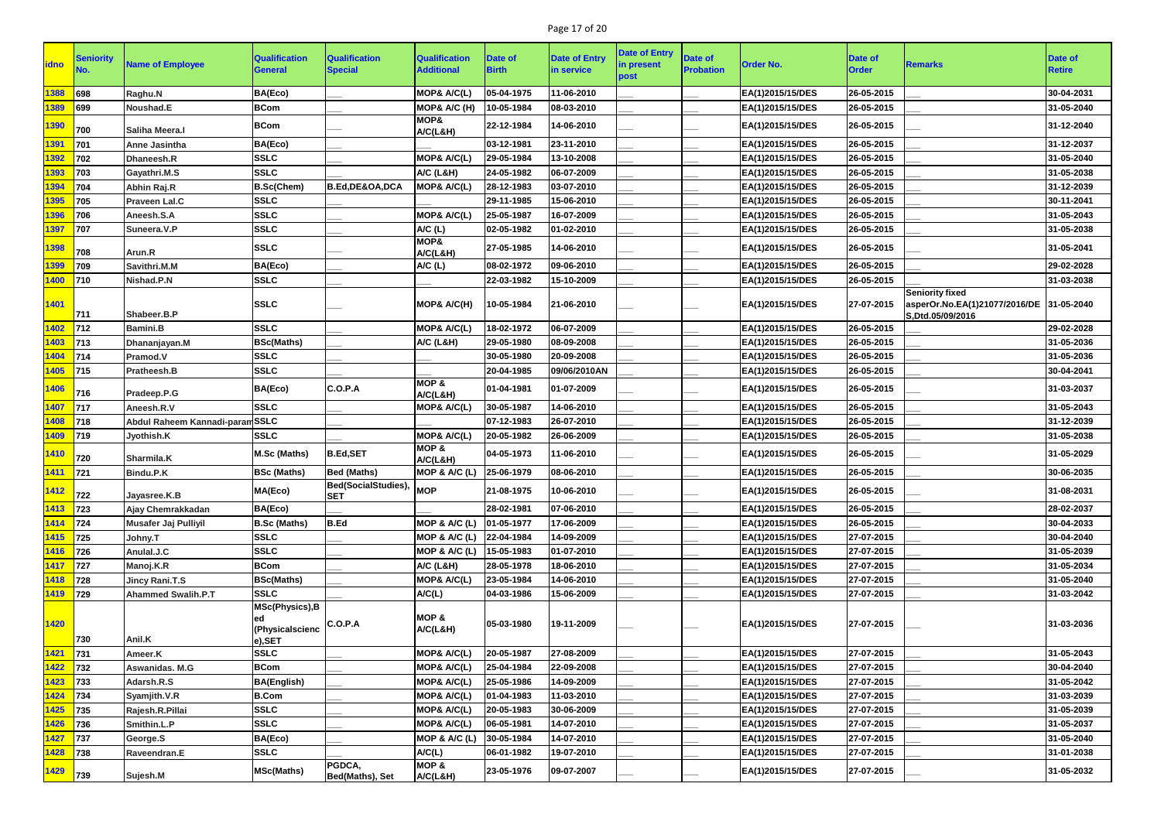# Page 17 of 20

| <b>idno</b> | <b>Seniority</b> | <b>Name of Employee</b>     | <b>Qualification</b><br><b>General</b>                   | <b>Qualification</b><br><b>Special</b> | <b>Qualification</b><br><b>Additional</b> | Date of<br><b>Birth</b> | <b>Date of Entry</b><br>in service | <b>Date of Entry</b><br>in present<br>post | <b>Date of</b><br><b>Probation</b> | <b>Order No.</b> | <b>Date of</b><br><b>Order</b> | <b>Remarks</b>                                                                         | <b>Date of</b><br><b>Retire</b> |
|-------------|------------------|-----------------------------|----------------------------------------------------------|----------------------------------------|-------------------------------------------|-------------------------|------------------------------------|--------------------------------------------|------------------------------------|------------------|--------------------------------|----------------------------------------------------------------------------------------|---------------------------------|
| 1388        | 698              | Raghu.N                     | BA(Eco)                                                  |                                        | MOP& A/C(L)                               | 05-04-1975              | 11-06-2010                         |                                            |                                    | EA(1)2015/15/DES | 26-05-2015                     |                                                                                        | 30-04-2031                      |
| 1389        | 699              | Noushad.E                   | <b>BCom</b>                                              |                                        | MOP& A/C (H)                              | 10-05-1984              | 08-03-2010                         |                                            |                                    | EA(1)2015/15/DES | 26-05-2015                     |                                                                                        | 31-05-2040                      |
| 1390        | 700              | Saliha Meera.I              | <b>BCom</b>                                              |                                        | MOP&<br>A/C(L&H)                          | 22-12-1984              | 14-06-2010                         |                                            |                                    | EA(1)2015/15/DES | 26-05-2015                     |                                                                                        | 31-12-2040                      |
| 1391        | 701              | <b>Anne Jasintha</b>        | BA(Eco)                                                  |                                        |                                           | 03-12-1981              | 23-11-2010                         |                                            |                                    | EA(1)2015/15/DES | 26-05-2015                     |                                                                                        | 31-12-2037                      |
| 1392        | 702              | <b>Dhaneesh.R</b>           | <b>SSLC</b>                                              |                                        | MOP& A/C(L)                               | 29-05-1984              | 13-10-2008                         |                                            |                                    | EA(1)2015/15/DES | 26-05-2015                     |                                                                                        | 31-05-2040                      |
| 1393        | 703              | Gayathri.M.S                | <b>SSLC</b>                                              |                                        | <b>A/C (L&amp;H)</b>                      | 24-05-1982              | 06-07-2009                         |                                            |                                    | EA(1)2015/15/DES | 26-05-2015                     |                                                                                        | 31-05-2038                      |
| 1394        | 704              | Abhin Raj.R                 | <b>B.Sc(Chem)</b>                                        | B.Ed, DE&OA, DCA                       | MOP& A/C(L)                               | 28-12-1983              | 03-07-2010                         |                                            |                                    | EA(1)2015/15/DES | 26-05-2015                     |                                                                                        | 31-12-2039                      |
| 1395        | 705              | <b>Praveen Lal.C</b>        | <b>SSLC</b>                                              |                                        |                                           | 29-11-1985              | 15-06-2010                         |                                            |                                    | EA(1)2015/15/DES | 26-05-2015                     |                                                                                        | 30-11-2041                      |
| 1396        | 706              | Aneesh.S.A                  | <b>SSLC</b>                                              |                                        | MOP& A/C(L)                               | 25-05-1987              | 16-07-2009                         |                                            |                                    | EA(1)2015/15/DES | 26-05-2015                     |                                                                                        | 31-05-2043                      |
| 1397        | 707              | Suneera.V.P                 | <b>SSLC</b>                                              |                                        | A/C(L)                                    | 02-05-1982              | 01-02-2010                         |                                            |                                    | EA(1)2015/15/DES | 26-05-2015                     |                                                                                        | 31-05-2038                      |
| 1398        | 708              | Arun.R                      | <b>SSLC</b>                                              |                                        | MOP&<br>A/C(L&H)                          | 27-05-1985              | 14-06-2010                         |                                            |                                    | EA(1)2015/15/DES | 26-05-2015                     |                                                                                        | 31-05-2041                      |
| 1399        | 709              | Savithri.M.M                | BA(Eco)                                                  |                                        | A/C (L)                                   | 08-02-1972              | 09-06-2010                         |                                            |                                    | EA(1)2015/15/DES | 26-05-2015                     |                                                                                        | 29-02-2028                      |
| 1400        | <b>710</b>       | Nishad.P.N                  | <b>SSLC</b>                                              |                                        |                                           | 22-03-1982              | 15-10-2009                         |                                            |                                    | EA(1)2015/15/DES | 26-05-2015                     |                                                                                        | 31-03-2038                      |
| 1401        | 711              | Shabeer.B.P                 | <b>SSLC</b>                                              |                                        | MOP& A/C(H)                               | 10-05-1984              | 21-06-2010                         |                                            |                                    | EA(1)2015/15/DES | 27-07-2015                     | <b>Seniority fixed</b><br>asperOr.No.EA(1)21077/2016/DE 31-05-2040<br>S,Dtd.05/09/2016 |                                 |
| 1402        | 712              | <b>Bamini.B</b>             | <b>SSLC</b>                                              |                                        | MOP& A/C(L)                               | 18-02-1972              | 06-07-2009                         |                                            |                                    | EA(1)2015/15/DES | 26-05-2015                     |                                                                                        | 29-02-2028                      |
| 1403        | 713              | Dhananjayan.M               | <b>BSc(Maths)</b>                                        |                                        | A/C (L&H)                                 | 29-05-1980              | 08-09-2008                         |                                            |                                    | EA(1)2015/15/DES | 26-05-2015                     |                                                                                        | 31-05-2036                      |
| 1404        | 714              | Pramod.V                    | <b>SSLC</b>                                              |                                        |                                           | 30-05-1980              | 20-09-2008                         |                                            |                                    | EA(1)2015/15/DES | 26-05-2015                     |                                                                                        | 31-05-2036                      |
| 1405        | 715              | Pratheesh.B                 | <b>SSLC</b>                                              |                                        |                                           | 20-04-1985              | 09/06/2010AN                       |                                            |                                    | EA(1)2015/15/DES | 26-05-2015                     |                                                                                        | 30-04-2041                      |
| 1406        | 716              | Pradeep.P.G                 | BA(Eco)                                                  | C.O.P.A                                | MOP &<br>A/C(L&H)                         | 01-04-1981              | 01-07-2009                         |                                            |                                    | EA(1)2015/15/DES | 26-05-2015                     |                                                                                        | 31-03-2037                      |
| 1407        | 717              | Aneesh.R.V                  | <b>SSLC</b>                                              |                                        | MOP& A/C(L)                               | 30-05-1987              | 14-06-2010                         |                                            |                                    | EA(1)2015/15/DES | 26-05-2015                     |                                                                                        | 31-05-2043                      |
| 1408        | 718              | Abdul Raheem Kannadi-paraı  | nSSLC                                                    |                                        |                                           | 07-12-1983              | 26-07-2010                         |                                            |                                    | EA(1)2015/15/DES | 26-05-2015                     |                                                                                        | 31-12-2039                      |
| 1409        | 719              | Jyothish.K                  | <b>SSLC</b>                                              |                                        | MOP& A/C(L)                               | 20-05-1982              | 26-06-2009                         |                                            |                                    | EA(1)2015/15/DES | 26-05-2015                     |                                                                                        | 31-05-2038                      |
| 1410        | 720              | Sharmila.K                  | M.Sc (Maths)                                             | <b>B.Ed,SET</b>                        | MOP &<br>A/C(L&H)                         | 04-05-1973              | 11-06-2010                         |                                            |                                    | EA(1)2015/15/DES | 26-05-2015                     |                                                                                        | 31-05-2029                      |
| 1411        | 721              | Bindu.P.K                   | <b>BSc (Maths)</b>                                       | <b>Bed (Maths)</b>                     | MOP & A/C (L) 25-06-1979                  |                         | 08-06-2010                         |                                            |                                    | EA(1)2015/15/DES | 26-05-2015                     |                                                                                        | 30-06-2035                      |
| 1412        | 722              | Jayasree.K.B                | MA(Eco)                                                  | Bed(SocialStudies),<br><b>SET</b>      | <b>IMOP</b>                               | 21-08-1975              | 10-06-2010                         |                                            |                                    | EA(1)2015/15/DES | 26-05-2015                     |                                                                                        | 31-08-2031                      |
| 1413        | 723              | Ajay Chemrakkadan           | BA(Eco)                                                  |                                        |                                           | 28-02-1981              | 07-06-2010                         |                                            |                                    | EA(1)2015/15/DES | 26-05-2015                     |                                                                                        | 28-02-2037                      |
| 1414        | 724              | <b>Musafer Jaj Pulliyil</b> | <b>B.Sc (Maths)</b>                                      | <b>B.Ed</b>                            | MOP & A/C (L)                             | 01-05-1977              | 17-06-2009                         |                                            |                                    | EA(1)2015/15/DES | 26-05-2015                     |                                                                                        | 30-04-2033                      |
| 1415        | 725              | Johny.T                     | <b>SSLC</b>                                              |                                        | MOP & A/C (L)                             | 22-04-1984              | 14-09-2009                         |                                            |                                    | EA(1)2015/15/DES | 27-07-2015                     |                                                                                        | 30-04-2040                      |
| 1416        | 726              | Anulal.J.C                  | <b>SSLC</b>                                              |                                        | MOP & A/C (L)                             | 15-05-1983              | 01-07-2010                         |                                            |                                    | EA(1)2015/15/DES | 27-07-2015                     |                                                                                        | 31-05-2039                      |
| 1417        | 727              | Manoj.K.R                   | <b>BCom</b>                                              |                                        | <b>A/C (L&amp;H)</b>                      | 28-05-1978              | 18-06-2010                         |                                            |                                    | EA(1)2015/15/DES | 27-07-2015                     |                                                                                        | 31-05-2034                      |
| 1418        | 728              | <b>Jincy Rani.T.S</b>       | <b>BSc(Maths)</b>                                        |                                        | MOP& A/C(L)                               | 23-05-1984              | 14-06-2010                         |                                            |                                    | EA(1)2015/15/DES | 27-07-2015                     |                                                                                        | 31-05-2040                      |
| 1419        | $ 729\rangle$    | <b>Ahammed Swalih.P.T</b>   | <b>SSLC</b>                                              |                                        | A/C(L)                                    | 04-03-1986              | 15-06-2009                         |                                            |                                    | EA(1)2015/15/DES | 27-07-2015                     |                                                                                        | 31-03-2042                      |
| 1420        | 730              | Anil.K                      | <b>MSc(Physics),B</b><br>ed<br>(Physicalscienc<br>e),SET | C.O.P.A                                | MOP&<br>A/C(L&H)                          | 05-03-1980              | 19-11-2009                         |                                            |                                    | EA(1)2015/15/DES | 27-07-2015                     |                                                                                        | 31-03-2036                      |
| 1421        | 731              | Ameer.K                     | <b>SSLC</b>                                              |                                        | MOP& A/C(L)                               | 20-05-1987              | 27-08-2009                         |                                            |                                    | EA(1)2015/15/DES | 27-07-2015                     |                                                                                        | 31-05-2043                      |
| 422         | $\overline{732}$ | Aswanidas. M.G              | <b>BCom</b>                                              |                                        | MOP& A/C(L)                               | 25-04-1984              | 22-09-2008                         |                                            |                                    | EA(1)2015/15/DES | 27-07-2015                     |                                                                                        | 30-04-2040                      |
| 1423        | 733              | Adarsh.R.S                  | <b>BA(English)</b>                                       |                                        | MOP& A/C(L)                               | 25-05-1986              | 14-09-2009                         |                                            |                                    | EA(1)2015/15/DES | 27-07-2015                     |                                                                                        | 31-05-2042                      |
| 424         | 734              | Syamjith.V.R                | <b>B.Com</b>                                             |                                        | MOP& A/C(L)                               | 01-04-1983              | 11-03-2010                         |                                            |                                    | EA(1)2015/15/DES | 27-07-2015                     |                                                                                        | 31-03-2039                      |
| 425         | 735              | Rajesh.R.Pillai             | <b>SSLC</b>                                              |                                        | MOP& A/C(L)                               | 20-05-1983              | 30-06-2009                         |                                            |                                    | EA(1)2015/15/DES | 27-07-2015                     |                                                                                        | 31-05-2039                      |
| <b>426</b>  | 736              | Smithin.L.P                 | <b>SSLC</b>                                              |                                        | MOP& A/C(L)                               | 06-05-1981              | 14-07-2010                         |                                            |                                    | EA(1)2015/15/DES | 27-07-2015                     |                                                                                        | 31-05-2037                      |
| <b>427</b>  | 737              | George.S                    | BA(Eco)                                                  |                                        | MOP & A/C (L)                             | 30-05-1984              | 14-07-2010                         |                                            |                                    | EA(1)2015/15/DES | 27-07-2015                     |                                                                                        | 31-05-2040                      |
| 1428        | 738              | Raveendran.E                | <b>SSLC</b>                                              |                                        | A/C(L)                                    | 06-01-1982              | 19-07-2010                         |                                            |                                    | EA(1)2015/15/DES | 27-07-2015                     |                                                                                        | 31-01-2038                      |
| 1429        | 739              | Sujesh.M                    | <b>MSc(Maths)</b>                                        | PGDCA,<br>Bed(Maths), Set              | MOP &<br>A/C(L&H)                         | 23-05-1976              | 09-07-2007                         |                                            |                                    | EA(1)2015/15/DES | 27-07-2015                     |                                                                                        | 31-05-2032                      |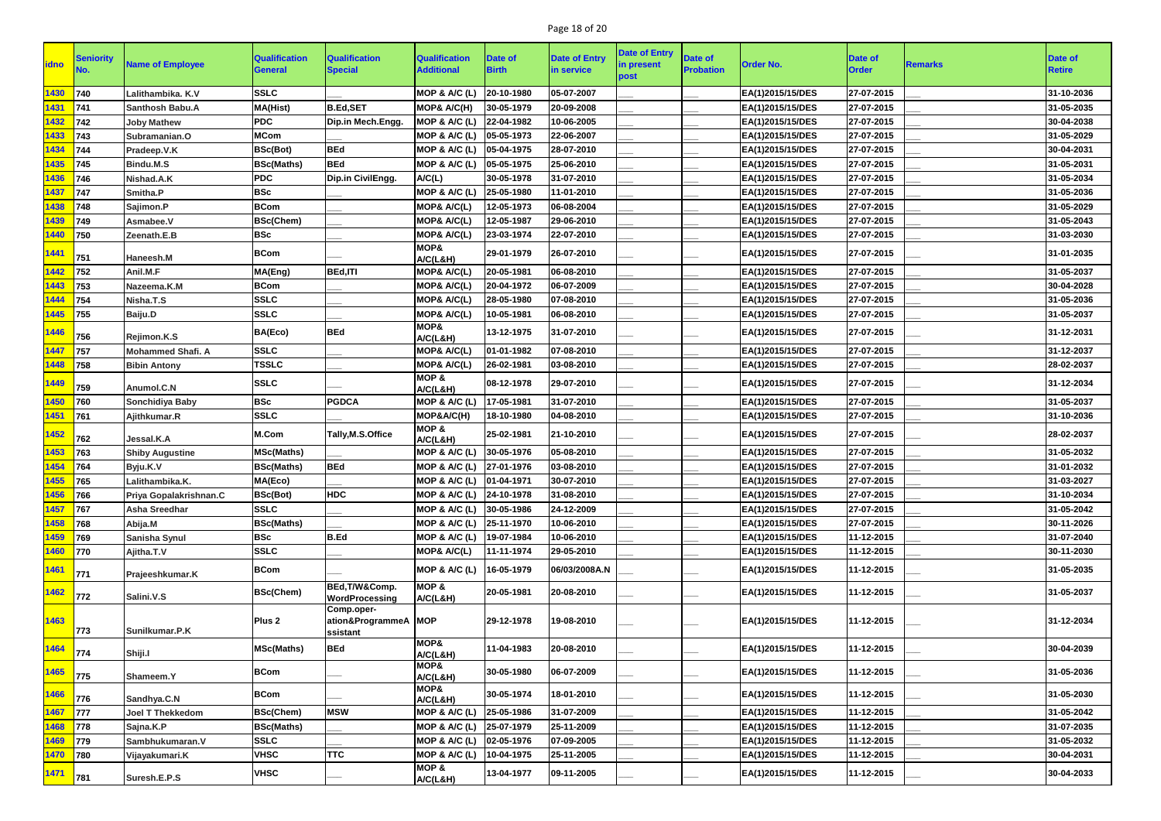# Page 18 of 20

| <b>idno</b> | <b>Seniority</b> | <b>Name of Employee</b>  | <b>Qualification</b><br><b>General</b> | <b>Qualification</b><br><b>Special</b> | <b>Qualification</b><br><b>Additional</b> | Date of<br><b>Birth</b> | <b>Date of Entry</b><br>in service | <b>Date of Entry</b><br>in present<br>post | <b>Date of</b><br><b>Probation</b> | <b>Order No.</b> | <b>Date of</b><br><b>Order</b> | <b>Remarks</b> | <b>Date of</b><br><b>Retire</b> |
|-------------|------------------|--------------------------|----------------------------------------|----------------------------------------|-------------------------------------------|-------------------------|------------------------------------|--------------------------------------------|------------------------------------|------------------|--------------------------------|----------------|---------------------------------|
| 1430        | 740              | Lalithambika. K.V        | <b>SSLC</b>                            |                                        | MOP & A/C (L)                             | 20-10-1980              | 05-07-2007                         |                                            |                                    | EA(1)2015/15/DES | 27-07-2015                     |                | 31-10-2036                      |
| 1431        | 741              | <b>Santhosh Babu.A</b>   | <b>MA(Hist)</b>                        | <b>B.Ed,SET</b>                        | MOP& A/C(H)                               | 30-05-1979              | 20-09-2008                         |                                            |                                    | EA(1)2015/15/DES | 27-07-2015                     |                | 31-05-2035                      |
| 1432        | 742              | <b>Joby Mathew</b>       | <b>PDC</b>                             | Dip.in Mech.Engg.                      | MOP & A/C (L)                             | 22-04-1982              | 10-06-2005                         |                                            |                                    | EA(1)2015/15/DES | 27-07-2015                     |                | 30-04-2038                      |
| 433         | 743              | Subramanian.O            | <b>MCom</b>                            |                                        | MOP & A/C (L)                             | 05-05-1973              | 22-06-2007                         |                                            |                                    | EA(1)2015/15/DES | 27-07-2015                     |                | 31-05-2029                      |
| 1434        | 744              | Pradeep.V.K              | BSc(Bot)                               | <b>BEd</b>                             | MOP & A/C (L)                             | 05-04-1975              | 28-07-2010                         |                                            |                                    | EA(1)2015/15/DES | 27-07-2015                     |                | 30-04-2031                      |
| 435         | 745              | Bindu.M.S                | <b>BSc(Maths)</b>                      | <b>BEd</b>                             | MOP & A/C (L)                             | 05-05-1975              | 25-06-2010                         |                                            |                                    | EA(1)2015/15/DES | 27-07-2015                     |                | 31-05-2031                      |
| 1436        | 746              | Nishad.A.K               | <b>PDC</b>                             | Dip.in CivilEngg.                      | A/C(L)                                    | 30-05-1978              | 31-07-2010                         |                                            |                                    | EA(1)2015/15/DES | 27-07-2015                     |                | 31-05-2034                      |
| 1437        | 747              | Smitha.P                 | <b>BSc</b>                             |                                        | MOP & A/C (L)                             | 25-05-1980              | 11-01-2010                         |                                            |                                    | EA(1)2015/15/DES | 27-07-2015                     |                | 31-05-2036                      |
| 1438        | 748              | Sajimon.P                | <b>BCom</b>                            |                                        | MOP& A/C(L)                               | 12-05-1973              | 06-08-2004                         |                                            |                                    | EA(1)2015/15/DES | 27-07-2015                     |                | 31-05-2029                      |
| 1439        | 749              | Asmabee.V                | <b>BSc(Chem)</b>                       |                                        | MOP& A/C(L)                               | 12-05-1987              | 29-06-2010                         |                                            |                                    | EA(1)2015/15/DES | 27-07-2015                     |                | 31-05-2043                      |
| 1440        | 750              | Zeenath.E.B              | <b>BSc</b>                             |                                        | MOP& A/C(L)                               | 23-03-1974              | 22-07-2010                         |                                            |                                    | EA(1)2015/15/DES | 27-07-2015                     |                | 31-03-2030                      |
| <b>1441</b> | 751              | <b>Haneesh.M</b>         | <b>BCom</b>                            |                                        | MOP&<br>A/C(L&H)                          | 29-01-1979              | 26-07-2010                         |                                            |                                    | EA(1)2015/15/DES | 27-07-2015                     |                | 31-01-2035                      |
| 1442        | 752              | Anil.M.F                 | MA(Eng)                                | <b>BEd,ITI</b>                         | MOP& A/C(L)                               | 20-05-1981              | 06-08-2010                         |                                            |                                    | EA(1)2015/15/DES | 27-07-2015                     |                | 31-05-2037                      |
| 1443        | 753              | Nazeema.K.M              | <b>BCom</b>                            |                                        | MOP& A/C(L)                               | 20-04-1972              | 06-07-2009                         |                                            |                                    | EA(1)2015/15/DES | 27-07-2015                     |                | 30-04-2028                      |
| 1444        | 754              | Nisha.T.S                | <b>SSLC</b>                            |                                        | MOP& A/C(L)                               | 28-05-1980              | 07-08-2010                         |                                            |                                    | EA(1)2015/15/DES | 27-07-2015                     |                | 31-05-2036                      |
| 1445        | 755              | Baiju.D                  | <b>SSLC</b>                            |                                        | MOP& A/C(L)                               | 10-05-1981              | 06-08-2010                         |                                            |                                    | EA(1)2015/15/DES | 27-07-2015                     |                | 31-05-2037                      |
| 1446        | 756              | Rejimon.K.S              | BA(Eco)                                | <b>BEd</b>                             | MOP&<br>A/C(L&H)                          | 13-12-1975              | 31-07-2010                         |                                            |                                    | EA(1)2015/15/DES | 27-07-2015                     |                | 31-12-2031                      |
| 1447        | 757              | <b>Mohammed Shafi. A</b> | <b>SSLC</b>                            |                                        | MOP& A/C(L)                               | 01-01-1982              | 07-08-2010                         |                                            |                                    | EA(1)2015/15/DES | 27-07-2015                     |                | 31-12-2037                      |
| 1448        | 758              | <b>Bibin Antony</b>      | <b>TSSLC</b>                           |                                        | MOP& A/C(L)                               | 26-02-1981              | 03-08-2010                         |                                            |                                    | EA(1)2015/15/DES | 27-07-2015                     |                | 28-02-2037                      |
| 1449        | 759              | Anumol.C.N               | <b>SSLC</b>                            |                                        | MOP &<br>A/C(L&H)                         | 08-12-1978              | 29-07-2010                         |                                            |                                    | EA(1)2015/15/DES | 27-07-2015                     |                | 31-12-2034                      |
| 1450        | 760              | <b>Sonchidiya Baby</b>   | <b>BSc</b>                             | <b>PGDCA</b>                           | MOP & A/C (L)                             | 17-05-1981              | 31-07-2010                         |                                            |                                    | EA(1)2015/15/DES | 27-07-2015                     |                | 31-05-2037                      |
| 1451        | 761              | Ajithkumar.R             | <b>SSLC</b>                            |                                        | MOP&A/C(H)                                | 18-10-1980              | 04-08-2010                         |                                            |                                    | EA(1)2015/15/DES | 27-07-2015                     |                | 31-10-2036                      |
| 1452        | 762              | Jessal.K.A               | M.Com                                  | Tally, M.S. Office                     | MOP &<br>A/C(L&H)                         | 25-02-1981              | 21-10-2010                         |                                            |                                    | EA(1)2015/15/DES | 27-07-2015                     |                | 28-02-2037                      |
| 1453        | 763              | <b>Shiby Augustine</b>   | <b>MSc(Maths)</b>                      |                                        | MOP & A/C (L)                             | 30-05-1976              | 05-08-2010                         |                                            |                                    | EA(1)2015/15/DES | 27-07-2015                     |                | 31-05-2032                      |
| 1454        | 764              | Byju.K.V                 | <b>BSc(Maths)</b>                      | <b>BEd</b>                             | MOP & A/C (L)                             | 27-01-1976              | 03-08-2010                         |                                            |                                    | EA(1)2015/15/DES | 27-07-2015                     |                | 31-01-2032                      |
| 1455        | 765              | Lalithambika.K.          | MA(Eco)                                |                                        | MOP & A/C (L) 01-04-1971                  |                         | 30-07-2010                         |                                            |                                    | EA(1)2015/15/DES | 27-07-2015                     |                | 31-03-2027                      |
| 1456        | 766              | Priya Gopalakrishnan.C   | <b>BSc(Bot)</b>                        | <b>HDC</b>                             | MOP & A/C (L) 24-10-1978                  |                         | 31-08-2010                         |                                            |                                    | EA(1)2015/15/DES | 27-07-2015                     |                | 31-10-2034                      |
| 1457        | 767              | <b>Asha Sreedhar</b>     | <b>SSLC</b>                            |                                        | MOP & A/C (L)                             | 30-05-1986              | 24-12-2009                         |                                            |                                    | EA(1)2015/15/DES | 27-07-2015                     |                | 31-05-2042                      |
| 1458        | 768              | Abija.M                  | <b>BSc(Maths)</b>                      |                                        | MOP & A/C (L)                             | 25-11-1970              | 10-06-2010                         |                                            |                                    | EA(1)2015/15/DES | 27-07-2015                     |                | 30-11-2026                      |
| 1459        | 769              | Sanisha Synul            | <b>BSc</b>                             | <b>B.Ed</b>                            | MOP & A/C (L)                             | 19-07-1984              | 10-06-2010                         |                                            |                                    | EA(1)2015/15/DES | 11-12-2015                     |                | 31-07-2040                      |
| 1460        | 770              | Ajitha.T.V               | <b>SSLC</b>                            |                                        | MOP& A/C(L)                               | 11-11-1974              | 29-05-2010                         |                                            |                                    | EA(1)2015/15/DES | 11-12-2015                     |                | 30-11-2030                      |
| 1461        | 771              | Prajeeshkumar.K          | <b>BCom</b>                            | BEd, T/W&Comp.                         | MOP & A/C (L)<br>MOP &                    | 16-05-1979              | 06/03/2008A.N                      |                                            |                                    | EA(1)2015/15/DES | 11-12-2015                     |                | 31-05-2035                      |
| <b>1462</b> | 772              | Salini.V.S               | <b>BSc(Chem)</b>                       | WordProcessing<br>Comp.oper-           | A/C(L&H)                                  | 20-05-1981              | 20-08-2010                         |                                            |                                    | EA(1)2015/15/DES | 11-12-2015                     |                | 31-05-2037                      |
| 1463        | 773              | Sunilkumar.P.K           | Plus <sub>2</sub>                      | ation&ProgrammeA   MOP<br>ssistant     |                                           | 29-12-1978              | 19-08-2010                         |                                            |                                    | EA(1)2015/15/DES | 11-12-2015                     |                | 31-12-2034                      |
| 1464        | 774              | Shiji.I                  | <b>MSc(Maths)</b>                      | <b>BEd</b>                             | MOP&<br>A/C(L&H)                          | 11-04-1983              | 20-08-2010                         |                                            |                                    | EA(1)2015/15/DES | 11-12-2015                     |                | 30-04-2039                      |
| 1465        | 775              | Shameem.Y                | <b>BCom</b>                            |                                        | MOP&<br>A/C(L&H)                          | 30-05-1980              | 06-07-2009                         |                                            |                                    | EA(1)2015/15/DES | 11-12-2015                     |                | 31-05-2036                      |
| 1466        | 776              | Sandhya.C.N              | <b>BCom</b>                            |                                        | MOP&<br>A/C(L&H)                          | 30-05-1974              | 18-01-2010                         |                                            |                                    | EA(1)2015/15/DES | 11-12-2015                     |                | 31-05-2030                      |
| 1467        | 777              | <b>Joel T Thekkedom</b>  | <b>BSc(Chem)</b>                       | <b>MSW</b>                             | MOP & A/C (L)                             | 25-05-1986              | 31-07-2009                         |                                            |                                    | EA(1)2015/15/DES | 11-12-2015                     |                | 31-05-2042                      |
| 1468        | 778              | Sajna.K.P                | <b>BSc(Maths)</b>                      |                                        | MOP & A/C (L)                             | 25-07-1979              | 25-11-2009                         |                                            |                                    | EA(1)2015/15/DES | 11-12-2015                     |                | 31-07-2035                      |
| 1469        | 1779             | Sambhukumaran.V          | <b>SSLC</b>                            |                                        | MOP & A/C (L)                             | 02-05-1976              | 07-09-2005                         |                                            |                                    | EA(1)2015/15/DES | 11-12-2015                     |                | 31-05-2032                      |
| 1470        | $ 780\rangle$    | Vijayakumari.K           | <b>VHSC</b>                            | <b>TTC</b>                             | MOP & A/C (L)                             | 10-04-1975              | 25-11-2005                         |                                            |                                    | EA(1)2015/15/DES | 11-12-2015                     |                | 30-04-2031                      |
| <b>1471</b> | 781              | Suresh.E.P.S             | <b>VHSC</b>                            |                                        | MOP &<br>A/C(L&H)                         | 13-04-1977              | 09-11-2005                         |                                            |                                    | EA(1)2015/15/DES | 11-12-2015                     |                | 30-04-2033                      |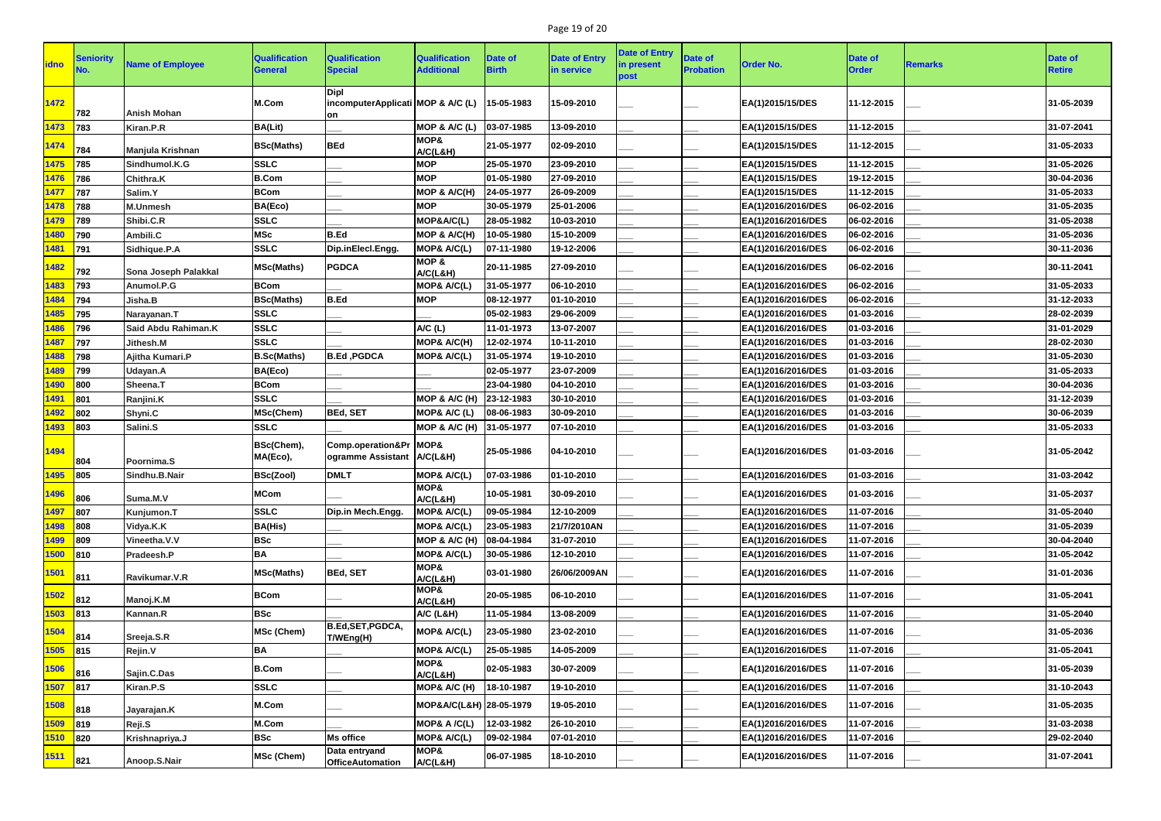# Page 19 of 20

| <b>idno</b> | <b>Seniority</b> | <b>Name of Employee</b> | <b>Qualification</b><br><b>General</b> | <b>Qualification</b><br><b>Special</b>                 | <b>Qualification</b><br><b>Additional</b> | <b>Date of</b><br><b>Birth</b> | <b>Date of Entry</b><br>in service | <b>Date of Entry</b><br>in present<br>post | Date of<br><b>Probation</b> | <b>Order No.</b>   | <b>Date of</b><br><b>Order</b> | <b>Remarks</b> | Date of<br><b>Retire</b> |
|-------------|------------------|-------------------------|----------------------------------------|--------------------------------------------------------|-------------------------------------------|--------------------------------|------------------------------------|--------------------------------------------|-----------------------------|--------------------|--------------------------------|----------------|--------------------------|
| 1472        | 782              | <b>Anish Mohan</b>      | M.Com                                  | Dipl<br>incomputerApplicati MOP & A/C (L)<br>on        |                                           | 15-05-1983                     | 15-09-2010                         |                                            |                             | EA(1)2015/15/DES   | 11-12-2015                     |                | 31-05-2039               |
| 1473        | 783              | Kiran.P.R               | <b>BA(Lit)</b>                         |                                                        | MOP & A/C (L)                             | 03-07-1985                     | 13-09-2010                         |                                            |                             | EA(1)2015/15/DES   | 11-12-2015                     |                | 31-07-2041               |
| 1474        | 784              | Manjula Krishnan        | <b>BSc(Maths)</b>                      | <b>BEd</b>                                             | MOP&<br>A/C(L&H)                          | 21-05-1977                     | 02-09-2010                         |                                            |                             | EA(1)2015/15/DES   | 11-12-2015                     |                | 31-05-2033               |
| 1475        | 785              | Sindhumol.K.G           | <b>SSLC</b>                            |                                                        | <b>MOP</b>                                | 25-05-1970                     | 23-09-2010                         |                                            |                             | EA(1)2015/15/DES   | 11-12-2015                     |                | 31-05-2026               |
| 1476        | 786              | <b>Chithra.K</b>        | <b>B.Com</b>                           |                                                        | <b>MOP</b>                                | 01-05-1980                     | 27-09-2010                         |                                            |                             | EA(1)2015/15/DES   | 19-12-2015                     |                | 30-04-2036               |
| 1477        | 787              | Salim.Y                 | <b>BCom</b>                            |                                                        | MOP & A/C(H)                              | 24-05-1977                     | 26-09-2009                         |                                            |                             | EA(1)2015/15/DES   | 11-12-2015                     |                | 31-05-2033               |
| 1478        | 788              | <b>M.Unmesh</b>         | BA(Eco)                                |                                                        | <b>MOP</b>                                | 30-05-1979                     | 25-01-2006                         |                                            |                             | EA(1)2016/2016/DES | 06-02-2016                     |                | 31-05-2035               |
| 1479        | 789              | Shibi.C.R               | <b>SSLC</b>                            |                                                        | MOP&A/C(L)                                | 28-05-1982                     | 10-03-2010                         |                                            |                             | EA(1)2016/2016/DES | 06-02-2016                     |                | 31-05-2038               |
| 1480        | 790              | Ambili.C                | <b>MSc</b>                             | <b>B.Ed</b>                                            | MOP & A/C(H)                              | 10-05-1980                     | 15-10-2009                         |                                            |                             | EA(1)2016/2016/DES | 06-02-2016                     |                | 31-05-2036               |
| 1481        | 791              | Sidhique.P.A            | <b>SSLC</b>                            | Dip.inElecl.Engg.                                      | MOP& A/C(L)                               | 07-11-1980                     | 19-12-2006                         |                                            |                             | EA(1)2016/2016/DES | 06-02-2016                     |                | 30-11-2036               |
| 1482        | 792              | Sona Joseph Palakkal    | <b>MSc(Maths)</b>                      | <b>PGDCA</b>                                           | MOP &<br>A/C(L&H)                         | 20-11-1985                     | 27-09-2010                         |                                            |                             | EA(1)2016/2016/DES | 06-02-2016                     |                | 30-11-2041               |
| 1483        | 793              | Anumol.P.G              | <b>BCom</b>                            |                                                        | MOP& A/C(L)                               | 31-05-1977                     | 06-10-2010                         |                                            |                             | EA(1)2016/2016/DES | 06-02-2016                     |                | 31-05-2033               |
| 1484        | 794              | Jisha.B                 | <b>BSc(Maths)</b>                      | B.Ed                                                   | <b>MOP</b>                                | 08-12-1977                     | 01-10-2010                         |                                            |                             | EA(1)2016/2016/DES | 06-02-2016                     |                | 31-12-2033               |
| 1485        | 795              | Narayanan.T             | <b>SSLC</b>                            |                                                        |                                           | 05-02-1983                     | 29-06-2009                         |                                            |                             | EA(1)2016/2016/DES | 01-03-2016                     |                | 28-02-2039               |
| 1486        | 796              | Said Abdu Rahiman.K     | <b>SSLC</b>                            |                                                        | A/C(L)                                    | 11-01-1973                     | 13-07-2007                         |                                            |                             | EA(1)2016/2016/DES | 01-03-2016                     |                | 31-01-2029               |
| 1487        | 797              | Jithesh.M               | <b>SSLC</b>                            |                                                        | MOP& A/C(H)                               | 12-02-1974                     | 10-11-2010                         |                                            |                             | EA(1)2016/2016/DES | 01-03-2016                     |                | 28-02-2030               |
| 1488        | 798              | Ajitha Kumari.P         | <b>B.Sc(Maths)</b>                     | B.Ed, PGDCA                                            | MOP& A/C(L)                               | 31-05-1974                     | 19-10-2010                         |                                            |                             | EA(1)2016/2016/DES | 01-03-2016                     |                | 31-05-2030               |
| 1489        | 799              | Udayan.A                | BA(Eco)                                |                                                        |                                           | 02-05-1977                     | 23-07-2009                         |                                            |                             | EA(1)2016/2016/DES | 01-03-2016                     |                | 31-05-2033               |
| 1490        | 800              | Sheena.T                | <b>BCom</b>                            |                                                        |                                           | 23-04-1980                     | 04-10-2010                         |                                            |                             | EA(1)2016/2016/DES | 01-03-2016                     |                | 30-04-2036               |
| 1491        | 801              | Ranjini.K               | <b>SSLC</b>                            |                                                        | MOP & A/C (H)                             | 23-12-1983                     | 30-10-2010                         |                                            |                             | EA(1)2016/2016/DES | 01-03-2016                     |                | 31-12-2039               |
| 1492        | 802              | Shyni.C                 | MSc(Chem)                              | <b>BEd, SET</b>                                        | MOP& A/C (L)                              | 08-06-1983                     | 30-09-2010                         |                                            |                             | EA(1)2016/2016/DES | 01-03-2016                     |                | 30-06-2039               |
| 1493        | 803              | Salini.S                | <b>SSLC</b>                            |                                                        | MOP & A/C (H)                             | 31-05-1977                     | 07-10-2010                         |                                            |                             | EA(1)2016/2016/DES | 01-03-2016                     |                | 31-05-2033               |
| 1494        | 804              | Poornima.S              | BSc(Chem),<br>MA(Eco),                 | Comp.operation⪻   MOP&<br>ogramme Assistant   A/C(L&H) |                                           | 25-05-1986                     | 04-10-2010                         |                                            |                             | EA(1)2016/2016/DES | 01-03-2016                     |                | 31-05-2042               |
| 1495        | 805              | Sindhu.B.Nair           | <b>BSc(Zool)</b>                       | <b>DMLT</b>                                            | <b>MOP&amp; A/C(L)</b>                    | 07-03-1986                     | 01-10-2010                         |                                            |                             | EA(1)2016/2016/DES | 01-03-2016                     |                | 31-03-2042               |
| 1496        | 806              | Suma.M.V                | <b>MCom</b>                            |                                                        | MOP&<br>A/C(L&H)                          | 10-05-1981                     | 30-09-2010                         |                                            |                             | EA(1)2016/2016/DES | 01-03-2016                     |                | 31-05-2037               |
| 1497        | 807              | Kunjumon.T              | <b>SSLC</b>                            | Dip.in Mech.Engg.                                      | MOP& A/C(L)                               | 09-05-1984                     | 12-10-2009                         |                                            |                             | EA(1)2016/2016/DES | 11-07-2016                     |                | 31-05-2040               |
| 1498        | 808              | Vidya.K.K               | <b>BA(His)</b>                         |                                                        | MOP& A/C(L)                               | 23-05-1983                     | 21/7/2010AN                        |                                            |                             | EA(1)2016/2016/DES | 11-07-2016                     |                | 31-05-2039               |
| 1499        | 809              | Vineetha.V.V            | <b>BSc</b>                             |                                                        | MOP & A/C (H)                             | 08-04-1984                     | 31-07-2010                         |                                            |                             | EA(1)2016/2016/DES | 11-07-2016                     |                | 30-04-2040               |
| 1500        | 810              | Pradeesh.P              | <b>BA</b>                              |                                                        | MOP& A/C(L)                               | 30-05-1986                     | 12-10-2010                         |                                            |                             | EA(1)2016/2016/DES | 11-07-2016                     |                | 31-05-2042               |
| 1501        | 811              | Ravikumar.V.R           | <b>MSc(Maths)</b>                      | <b>BEd, SET</b>                                        | MOP&<br>A/C(L&H)                          | 03-01-1980                     | 26/06/2009AN                       |                                            |                             | EA(1)2016/2016/DES | 11-07-2016                     |                | 31-01-2036               |
| 1502        | 812              | Manoj.K.M               | <b>BCom</b>                            |                                                        | MOP&<br>A/C(L&H)                          | 20-05-1985                     | 06-10-2010                         |                                            |                             | EA(1)2016/2016/DES | 11-07-2016                     |                | 31-05-2041               |
| 1503        | 813              | Kannan.R                | <b>BSc</b>                             |                                                        | A/C (L&H)                                 | 11-05-1984                     | 13-08-2009                         |                                            |                             | EA(1)2016/2016/DES | 11-07-2016                     |                | 31-05-2040               |
| 1504        | 814              | Sreeja.S.R              | MSc (Chem)                             | B.Ed, SET, PGDCA,<br>T/WEng(H)                         | MOP& A/C(L)                               | 23-05-1980                     | 23-02-2010                         |                                            |                             | EA(1)2016/2016/DES | 11-07-2016                     |                | 31-05-2036               |
| 1505        | $ 815\rangle$    | Rejin.V                 | <b>BA</b>                              |                                                        | MOP& A/C(L)                               | 25-05-1985                     | 14-05-2009                         |                                            |                             | EA(1)2016/2016/DES | 11-07-2016                     |                | 31-05-2041               |
| 1506        | 816              | Sajin.C.Das             | <b>B.Com</b>                           |                                                        | MOP&<br>A/C(L&H)                          | 02-05-1983                     | 30-07-2009                         |                                            |                             | EA(1)2016/2016/DES | 11-07-2016                     |                | 31-05-2039               |
| 1507        | 817              | Kiran.P.S               | <b>SSLC</b>                            |                                                        | MOP& A/C (H)                              | 18-10-1987                     | 19-10-2010                         |                                            |                             | EA(1)2016/2016/DES | 11-07-2016                     |                | 31-10-2043               |
| 1508        | 818              | Jayarajan.K             | M.Com                                  |                                                        | MOP&A/C(L&H) 28-05-1979                   |                                | 19-05-2010                         |                                            |                             | EA(1)2016/2016/DES | 11-07-2016                     |                | 31-05-2035               |
| 1509        | 819              | Reji.S                  | M.Com                                  |                                                        | MOP& A /C(L)                              | 12-03-1982                     | 26-10-2010                         |                                            |                             | EA(1)2016/2016/DES | 11-07-2016                     |                | 31-03-2038               |
| 1510        | $ 820\rangle$    | Krishnapriya.J          | <b>BSc</b>                             | <b>Ms office</b>                                       | MOP& A/C(L)                               | 09-02-1984                     | 07-01-2010                         |                                            |                             | EA(1)2016/2016/DES | 11-07-2016                     |                | 29-02-2040               |
| <b>1511</b> | 821              | Anoop.S.Nair            | MSc (Chem)                             | Data entryand<br><b>OfficeAutomation</b>               | MOP&<br>A/C(L&H)                          | 06-07-1985                     | 18-10-2010                         |                                            |                             | EA(1)2016/2016/DES | 11-07-2016                     |                | 31-07-2041               |